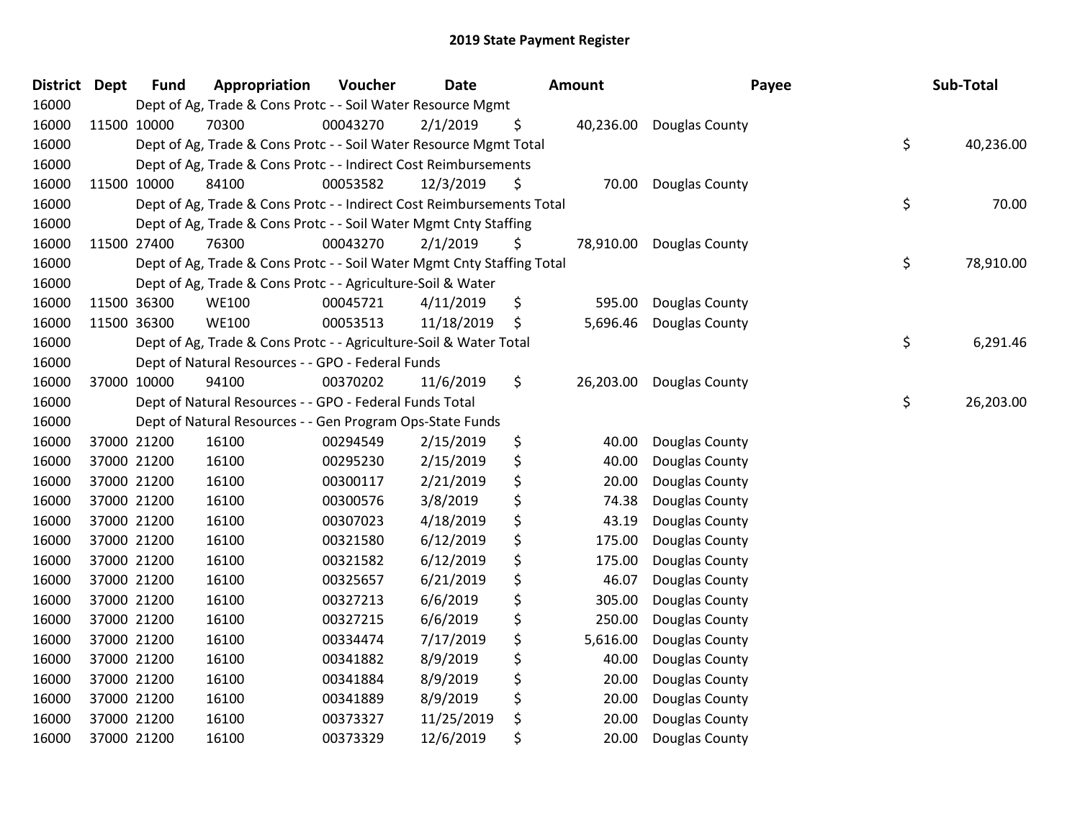| District Dept | <b>Fund</b> | Appropriation                                                          | Voucher  | Date       | <b>Amount</b>   | Payee          | Sub-Total       |
|---------------|-------------|------------------------------------------------------------------------|----------|------------|-----------------|----------------|-----------------|
| 16000         |             | Dept of Ag, Trade & Cons Protc - - Soil Water Resource Mgmt            |          |            |                 |                |                 |
| 16000         | 11500 10000 | 70300                                                                  | 00043270 | 2/1/2019   | \$<br>40,236.00 | Douglas County |                 |
| 16000         |             | Dept of Ag, Trade & Cons Protc - - Soil Water Resource Mgmt Total      |          |            |                 |                | \$<br>40,236.00 |
| 16000         |             | Dept of Ag, Trade & Cons Protc - - Indirect Cost Reimbursements        |          |            |                 |                |                 |
| 16000         | 11500 10000 | 84100                                                                  | 00053582 | 12/3/2019  | \$<br>70.00     | Douglas County |                 |
| 16000         |             | Dept of Ag, Trade & Cons Protc - - Indirect Cost Reimbursements Total  |          |            |                 |                | \$<br>70.00     |
| 16000         |             | Dept of Ag, Trade & Cons Protc - - Soil Water Mgmt Cnty Staffing       |          |            |                 |                |                 |
| 16000         | 11500 27400 | 76300                                                                  | 00043270 | 2/1/2019   | \$<br>78,910.00 | Douglas County |                 |
| 16000         |             | Dept of Ag, Trade & Cons Protc - - Soil Water Mgmt Cnty Staffing Total |          |            |                 |                | \$<br>78,910.00 |
| 16000         |             | Dept of Ag, Trade & Cons Protc - - Agriculture-Soil & Water            |          |            |                 |                |                 |
| 16000         | 11500 36300 | <b>WE100</b>                                                           | 00045721 | 4/11/2019  | \$<br>595.00    | Douglas County |                 |
| 16000         | 11500 36300 | <b>WE100</b>                                                           | 00053513 | 11/18/2019 | \$<br>5,696.46  | Douglas County |                 |
| 16000         |             | Dept of Ag, Trade & Cons Protc - - Agriculture-Soil & Water Total      |          |            |                 |                | \$<br>6,291.46  |
| 16000         |             | Dept of Natural Resources - - GPO - Federal Funds                      |          |            |                 |                |                 |
| 16000         | 37000 10000 | 94100                                                                  | 00370202 | 11/6/2019  | \$<br>26,203.00 | Douglas County |                 |
| 16000         |             | Dept of Natural Resources - - GPO - Federal Funds Total                |          |            |                 |                | \$<br>26,203.00 |
| 16000         |             | Dept of Natural Resources - - Gen Program Ops-State Funds              |          |            |                 |                |                 |
| 16000         | 37000 21200 | 16100                                                                  | 00294549 | 2/15/2019  | \$<br>40.00     | Douglas County |                 |
| 16000         | 37000 21200 | 16100                                                                  | 00295230 | 2/15/2019  | \$<br>40.00     | Douglas County |                 |
| 16000         | 37000 21200 | 16100                                                                  | 00300117 | 2/21/2019  | \$<br>20.00     | Douglas County |                 |
| 16000         | 37000 21200 | 16100                                                                  | 00300576 | 3/8/2019   | \$<br>74.38     | Douglas County |                 |
| 16000         | 37000 21200 | 16100                                                                  | 00307023 | 4/18/2019  | \$<br>43.19     | Douglas County |                 |
| 16000         | 37000 21200 | 16100                                                                  | 00321580 | 6/12/2019  | \$<br>175.00    | Douglas County |                 |
| 16000         | 37000 21200 | 16100                                                                  | 00321582 | 6/12/2019  | \$<br>175.00    | Douglas County |                 |
| 16000         | 37000 21200 | 16100                                                                  | 00325657 | 6/21/2019  | \$<br>46.07     | Douglas County |                 |
| 16000         | 37000 21200 | 16100                                                                  | 00327213 | 6/6/2019   | \$<br>305.00    | Douglas County |                 |
| 16000         | 37000 21200 | 16100                                                                  | 00327215 | 6/6/2019   | \$<br>250.00    | Douglas County |                 |
| 16000         | 37000 21200 | 16100                                                                  | 00334474 | 7/17/2019  | \$<br>5,616.00  | Douglas County |                 |
| 16000         | 37000 21200 | 16100                                                                  | 00341882 | 8/9/2019   | \$<br>40.00     | Douglas County |                 |
| 16000         | 37000 21200 | 16100                                                                  | 00341884 | 8/9/2019   | \$<br>20.00     | Douglas County |                 |
| 16000         | 37000 21200 | 16100                                                                  | 00341889 | 8/9/2019   | \$<br>20.00     | Douglas County |                 |
| 16000         | 37000 21200 | 16100                                                                  | 00373327 | 11/25/2019 | \$<br>20.00     | Douglas County |                 |
| 16000         | 37000 21200 | 16100                                                                  | 00373329 | 12/6/2019  | \$<br>20.00     | Douglas County |                 |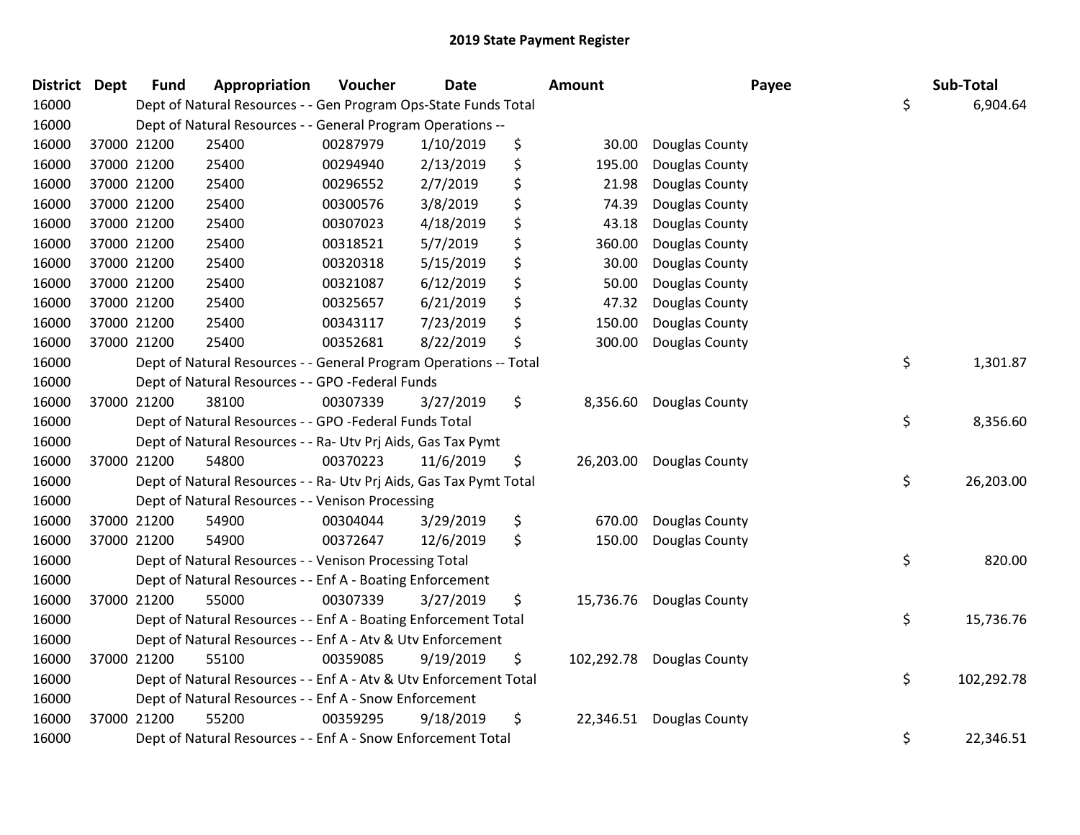| District Dept | <b>Fund</b> | Appropriation                                                      | Voucher  | <b>Date</b> | Amount           | Payee                    | Sub-Total        |
|---------------|-------------|--------------------------------------------------------------------|----------|-------------|------------------|--------------------------|------------------|
| 16000         |             | Dept of Natural Resources - - Gen Program Ops-State Funds Total    |          |             |                  |                          | \$<br>6,904.64   |
| 16000         |             | Dept of Natural Resources - - General Program Operations --        |          |             |                  |                          |                  |
| 16000         | 37000 21200 | 25400                                                              | 00287979 | 1/10/2019   | \$<br>30.00      | Douglas County           |                  |
| 16000         | 37000 21200 | 25400                                                              | 00294940 | 2/13/2019   | \$<br>195.00     | Douglas County           |                  |
| 16000         | 37000 21200 | 25400                                                              | 00296552 | 2/7/2019    | \$<br>21.98      | Douglas County           |                  |
| 16000         | 37000 21200 | 25400                                                              | 00300576 | 3/8/2019    | \$<br>74.39      | Douglas County           |                  |
| 16000         | 37000 21200 | 25400                                                              | 00307023 | 4/18/2019   | \$<br>43.18      | Douglas County           |                  |
| 16000         | 37000 21200 | 25400                                                              | 00318521 | 5/7/2019    | \$<br>360.00     | Douglas County           |                  |
| 16000         | 37000 21200 | 25400                                                              | 00320318 | 5/15/2019   | \$<br>30.00      | Douglas County           |                  |
| 16000         | 37000 21200 | 25400                                                              | 00321087 | 6/12/2019   | \$<br>50.00      | Douglas County           |                  |
| 16000         | 37000 21200 | 25400                                                              | 00325657 | 6/21/2019   | \$<br>47.32      | Douglas County           |                  |
| 16000         | 37000 21200 | 25400                                                              | 00343117 | 7/23/2019   | \$<br>150.00     | Douglas County           |                  |
| 16000         | 37000 21200 | 25400                                                              | 00352681 | 8/22/2019   | \$<br>300.00     | Douglas County           |                  |
| 16000         |             | Dept of Natural Resources - - General Program Operations -- Total  |          |             |                  |                          | \$<br>1,301.87   |
| 16000         |             | Dept of Natural Resources - - GPO -Federal Funds                   |          |             |                  |                          |                  |
| 16000         | 37000 21200 | 38100                                                              | 00307339 | 3/27/2019   | \$<br>8,356.60   | Douglas County           |                  |
| 16000         |             | Dept of Natural Resources - - GPO -Federal Funds Total             |          |             |                  |                          | \$<br>8,356.60   |
| 16000         |             | Dept of Natural Resources - - Ra- Utv Prj Aids, Gas Tax Pymt       |          |             |                  |                          |                  |
| 16000         | 37000 21200 | 54800                                                              | 00370223 | 11/6/2019   | \$               | 26,203.00 Douglas County |                  |
| 16000         |             | Dept of Natural Resources - - Ra- Utv Prj Aids, Gas Tax Pymt Total |          |             |                  |                          | \$<br>26,203.00  |
| 16000         |             | Dept of Natural Resources - - Venison Processing                   |          |             |                  |                          |                  |
| 16000         | 37000 21200 | 54900                                                              | 00304044 | 3/29/2019   | \$<br>670.00     | Douglas County           |                  |
| 16000         | 37000 21200 | 54900                                                              | 00372647 | 12/6/2019   | \$<br>150.00     | Douglas County           |                  |
| 16000         |             | Dept of Natural Resources - - Venison Processing Total             |          |             |                  |                          | \$<br>820.00     |
| 16000         |             | Dept of Natural Resources - - Enf A - Boating Enforcement          |          |             |                  |                          |                  |
| 16000         | 37000 21200 | 55000                                                              | 00307339 | 3/27/2019   | \$<br>15,736.76  | Douglas County           |                  |
| 16000         |             | Dept of Natural Resources - - Enf A - Boating Enforcement Total    |          |             |                  |                          | \$<br>15,736.76  |
| 16000         |             | Dept of Natural Resources - - Enf A - Atv & Utv Enforcement        |          |             |                  |                          |                  |
| 16000         | 37000 21200 | 55100                                                              | 00359085 | 9/19/2019   | \$<br>102,292.78 | Douglas County           |                  |
| 16000         |             | Dept of Natural Resources - - Enf A - Atv & Utv Enforcement Total  |          |             |                  |                          | \$<br>102,292.78 |
| 16000         |             | Dept of Natural Resources - - Enf A - Snow Enforcement             |          |             |                  |                          |                  |
| 16000         | 37000 21200 | 55200                                                              | 00359295 | 9/18/2019   | \$<br>22,346.51  | Douglas County           |                  |
| 16000         |             | Dept of Natural Resources - - Enf A - Snow Enforcement Total       |          |             |                  |                          | \$<br>22,346.51  |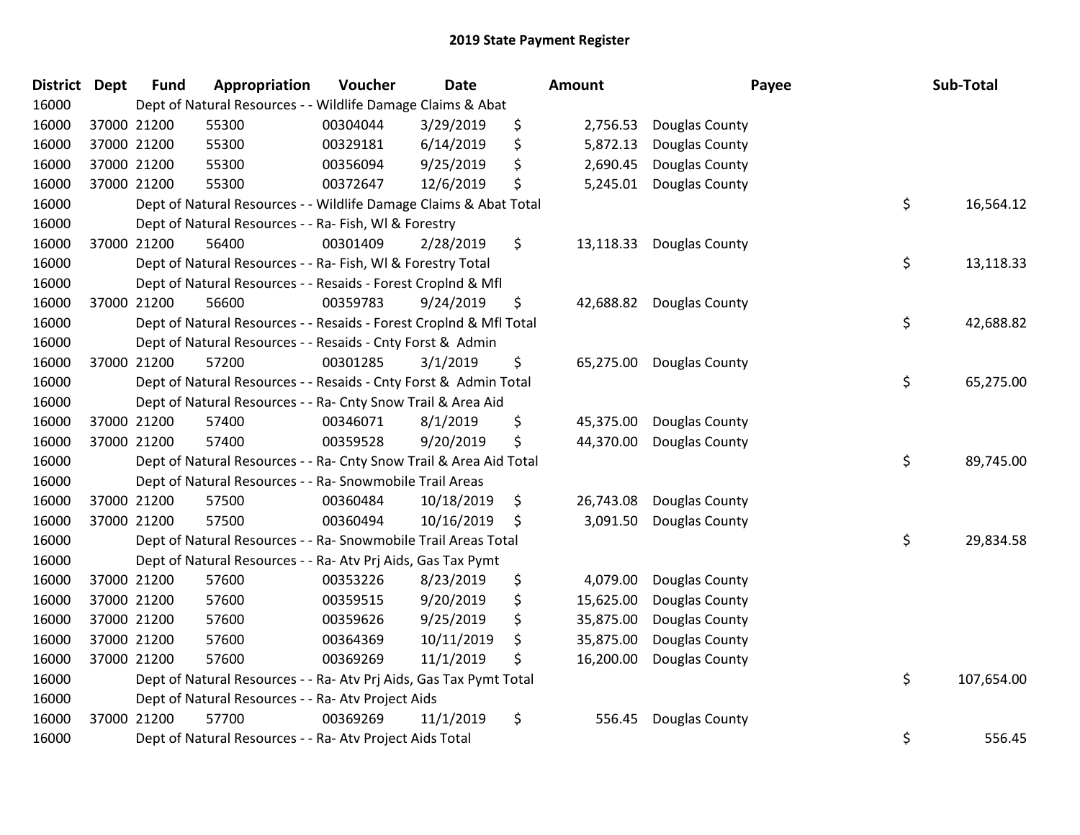| <b>District</b> | <b>Dept</b> | <b>Fund</b> | Appropriation                                                      | Voucher  | <b>Date</b> | Amount          | Payee          | Sub-Total        |
|-----------------|-------------|-------------|--------------------------------------------------------------------|----------|-------------|-----------------|----------------|------------------|
| 16000           |             |             | Dept of Natural Resources - - Wildlife Damage Claims & Abat        |          |             |                 |                |                  |
| 16000           |             | 37000 21200 | 55300                                                              | 00304044 | 3/29/2019   | \$<br>2,756.53  | Douglas County |                  |
| 16000           |             | 37000 21200 | 55300                                                              | 00329181 | 6/14/2019   | \$<br>5,872.13  | Douglas County |                  |
| 16000           |             | 37000 21200 | 55300                                                              | 00356094 | 9/25/2019   | \$<br>2,690.45  | Douglas County |                  |
| 16000           |             | 37000 21200 | 55300                                                              | 00372647 | 12/6/2019   | \$<br>5,245.01  | Douglas County |                  |
| 16000           |             |             | Dept of Natural Resources - - Wildlife Damage Claims & Abat Total  |          |             |                 |                | \$<br>16,564.12  |
| 16000           |             |             | Dept of Natural Resources - - Ra- Fish, WI & Forestry              |          |             |                 |                |                  |
| 16000           |             | 37000 21200 | 56400                                                              | 00301409 | 2/28/2019   | \$<br>13,118.33 | Douglas County |                  |
| 16000           |             |             | Dept of Natural Resources - - Ra- Fish, WI & Forestry Total        |          |             |                 |                | \$<br>13,118.33  |
| 16000           |             |             | Dept of Natural Resources - - Resaids - Forest CropInd & Mfl       |          |             |                 |                |                  |
| 16000           |             | 37000 21200 | 56600                                                              | 00359783 | 9/24/2019   | \$<br>42,688.82 | Douglas County |                  |
| 16000           |             |             | Dept of Natural Resources - - Resaids - Forest CropInd & Mfl Total |          |             |                 |                | \$<br>42,688.82  |
| 16000           |             |             | Dept of Natural Resources - - Resaids - Cnty Forst & Admin         |          |             |                 |                |                  |
| 16000           |             | 37000 21200 | 57200                                                              | 00301285 | 3/1/2019    | \$<br>65,275.00 | Douglas County |                  |
| 16000           |             |             | Dept of Natural Resources - - Resaids - Cnty Forst & Admin Total   |          |             |                 |                | \$<br>65,275.00  |
| 16000           |             |             | Dept of Natural Resources - - Ra- Cnty Snow Trail & Area Aid       |          |             |                 |                |                  |
| 16000           |             | 37000 21200 | 57400                                                              | 00346071 | 8/1/2019    | \$<br>45,375.00 | Douglas County |                  |
| 16000           |             | 37000 21200 | 57400                                                              | 00359528 | 9/20/2019   | \$<br>44,370.00 | Douglas County |                  |
| 16000           |             |             | Dept of Natural Resources - - Ra- Cnty Snow Trail & Area Aid Total |          |             |                 |                | \$<br>89,745.00  |
| 16000           |             |             | Dept of Natural Resources - - Ra- Snowmobile Trail Areas           |          |             |                 |                |                  |
| 16000           |             | 37000 21200 | 57500                                                              | 00360484 | 10/18/2019  | \$<br>26,743.08 | Douglas County |                  |
| 16000           |             | 37000 21200 | 57500                                                              | 00360494 | 10/16/2019  | \$<br>3,091.50  | Douglas County |                  |
| 16000           |             |             | Dept of Natural Resources - - Ra- Snowmobile Trail Areas Total     |          |             |                 |                | \$<br>29,834.58  |
| 16000           |             |             | Dept of Natural Resources - - Ra- Atv Prj Aids, Gas Tax Pymt       |          |             |                 |                |                  |
| 16000           |             | 37000 21200 | 57600                                                              | 00353226 | 8/23/2019   | \$<br>4,079.00  | Douglas County |                  |
| 16000           |             | 37000 21200 | 57600                                                              | 00359515 | 9/20/2019   | \$<br>15,625.00 | Douglas County |                  |
| 16000           |             | 37000 21200 | 57600                                                              | 00359626 | 9/25/2019   | \$<br>35,875.00 | Douglas County |                  |
| 16000           |             | 37000 21200 | 57600                                                              | 00364369 | 10/11/2019  | \$<br>35,875.00 | Douglas County |                  |
| 16000           |             | 37000 21200 | 57600                                                              | 00369269 | 11/1/2019   | \$<br>16,200.00 | Douglas County |                  |
| 16000           |             |             | Dept of Natural Resources - - Ra- Atv Prj Aids, Gas Tax Pymt Total |          |             |                 |                | \$<br>107,654.00 |
| 16000           |             |             | Dept of Natural Resources - - Ra- Atv Project Aids                 |          |             |                 |                |                  |
| 16000           |             | 37000 21200 | 57700                                                              | 00369269 | 11/1/2019   | \$<br>556.45    | Douglas County |                  |
| 16000           |             |             | Dept of Natural Resources - - Ra- Atv Project Aids Total           |          |             |                 |                | \$<br>556.45     |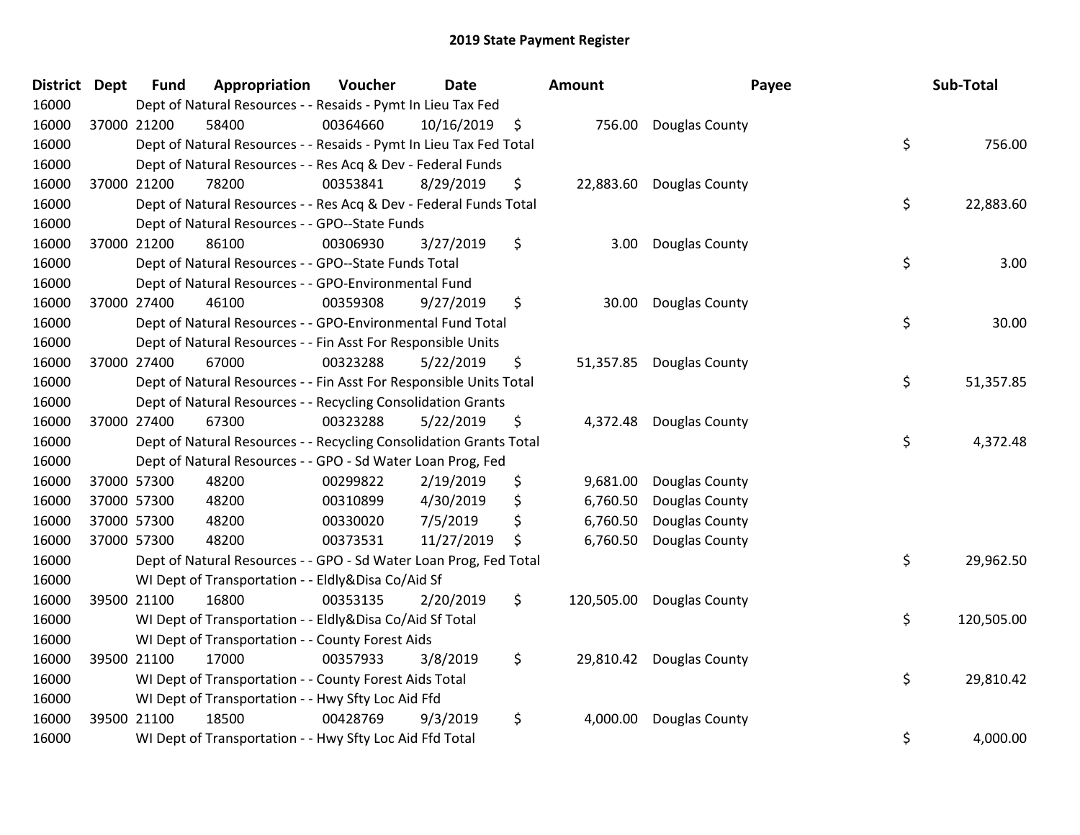| District Dept |             | <b>Fund</b> | Appropriation                                                      | Voucher  | <b>Date</b> | Amount           | Payee                    | Sub-Total        |
|---------------|-------------|-------------|--------------------------------------------------------------------|----------|-------------|------------------|--------------------------|------------------|
| 16000         |             |             | Dept of Natural Resources - - Resaids - Pymt In Lieu Tax Fed       |          |             |                  |                          |                  |
| 16000         |             | 37000 21200 | 58400                                                              | 00364660 | 10/16/2019  | \$               | 756.00 Douglas County    |                  |
| 16000         |             |             | Dept of Natural Resources - - Resaids - Pymt In Lieu Tax Fed Total |          |             |                  |                          | \$<br>756.00     |
| 16000         |             |             | Dept of Natural Resources - - Res Acq & Dev - Federal Funds        |          |             |                  |                          |                  |
| 16000         |             | 37000 21200 | 78200                                                              | 00353841 | 8/29/2019   | \$               | 22,883.60 Douglas County |                  |
| 16000         |             |             | Dept of Natural Resources - - Res Acq & Dev - Federal Funds Total  |          |             |                  |                          | \$<br>22,883.60  |
| 16000         |             |             | Dept of Natural Resources - - GPO--State Funds                     |          |             |                  |                          |                  |
| 16000         |             | 37000 21200 | 86100                                                              | 00306930 | 3/27/2019   | \$<br>3.00       | Douglas County           |                  |
| 16000         |             |             | Dept of Natural Resources - - GPO--State Funds Total               |          |             |                  |                          | \$<br>3.00       |
| 16000         |             |             | Dept of Natural Resources - - GPO-Environmental Fund               |          |             |                  |                          |                  |
| 16000         |             | 37000 27400 | 46100                                                              | 00359308 | 9/27/2019   | \$               | 30.00 Douglas County     |                  |
| 16000         |             |             | Dept of Natural Resources - - GPO-Environmental Fund Total         |          |             |                  |                          | \$<br>30.00      |
| 16000         |             |             | Dept of Natural Resources - - Fin Asst For Responsible Units       |          |             |                  |                          |                  |
| 16000         |             | 37000 27400 | 67000                                                              | 00323288 | 5/22/2019   | \$               | 51,357.85 Douglas County |                  |
| 16000         |             |             | Dept of Natural Resources - - Fin Asst For Responsible Units Total |          |             |                  |                          | \$<br>51,357.85  |
| 16000         |             |             | Dept of Natural Resources - - Recycling Consolidation Grants       |          |             |                  |                          |                  |
| 16000         |             | 37000 27400 | 67300                                                              | 00323288 | 5/22/2019   | \$<br>4,372.48   | Douglas County           |                  |
| 16000         |             |             | Dept of Natural Resources - - Recycling Consolidation Grants Total |          |             |                  |                          | \$<br>4,372.48   |
| 16000         |             |             | Dept of Natural Resources - - GPO - Sd Water Loan Prog, Fed        |          |             |                  |                          |                  |
| 16000         |             | 37000 57300 | 48200                                                              | 00299822 | 2/19/2019   | \$<br>9,681.00   | Douglas County           |                  |
| 16000         |             | 37000 57300 | 48200                                                              | 00310899 | 4/30/2019   | \$<br>6,760.50   | Douglas County           |                  |
| 16000         |             | 37000 57300 | 48200                                                              | 00330020 | 7/5/2019    | \$<br>6,760.50   | Douglas County           |                  |
| 16000         |             | 37000 57300 | 48200                                                              | 00373531 | 11/27/2019  | \$<br>6,760.50   | Douglas County           |                  |
| 16000         |             |             | Dept of Natural Resources - - GPO - Sd Water Loan Prog, Fed Total  |          |             |                  |                          | \$<br>29,962.50  |
| 16000         |             |             | WI Dept of Transportation - - Eldly&Disa Co/Aid Sf                 |          |             |                  |                          |                  |
| 16000         |             | 39500 21100 | 16800                                                              | 00353135 | 2/20/2019   | \$<br>120,505.00 | Douglas County           |                  |
| 16000         |             |             | WI Dept of Transportation - - Eldly&Disa Co/Aid Sf Total           |          |             |                  |                          | \$<br>120,505.00 |
| 16000         |             |             | WI Dept of Transportation - - County Forest Aids                   |          |             |                  |                          |                  |
| 16000         | 39500 21100 |             | 17000                                                              | 00357933 | 3/8/2019    | \$               | 29,810.42 Douglas County |                  |
| 16000         |             |             | WI Dept of Transportation - - County Forest Aids Total             |          |             |                  |                          | \$<br>29,810.42  |
| 16000         |             |             | WI Dept of Transportation - - Hwy Sfty Loc Aid Ffd                 |          |             |                  |                          |                  |
| 16000         |             | 39500 21100 | 18500                                                              | 00428769 | 9/3/2019    | \$<br>4,000.00   | Douglas County           |                  |
| 16000         |             |             | WI Dept of Transportation - - Hwy Sfty Loc Aid Ffd Total           |          |             |                  |                          | \$<br>4,000.00   |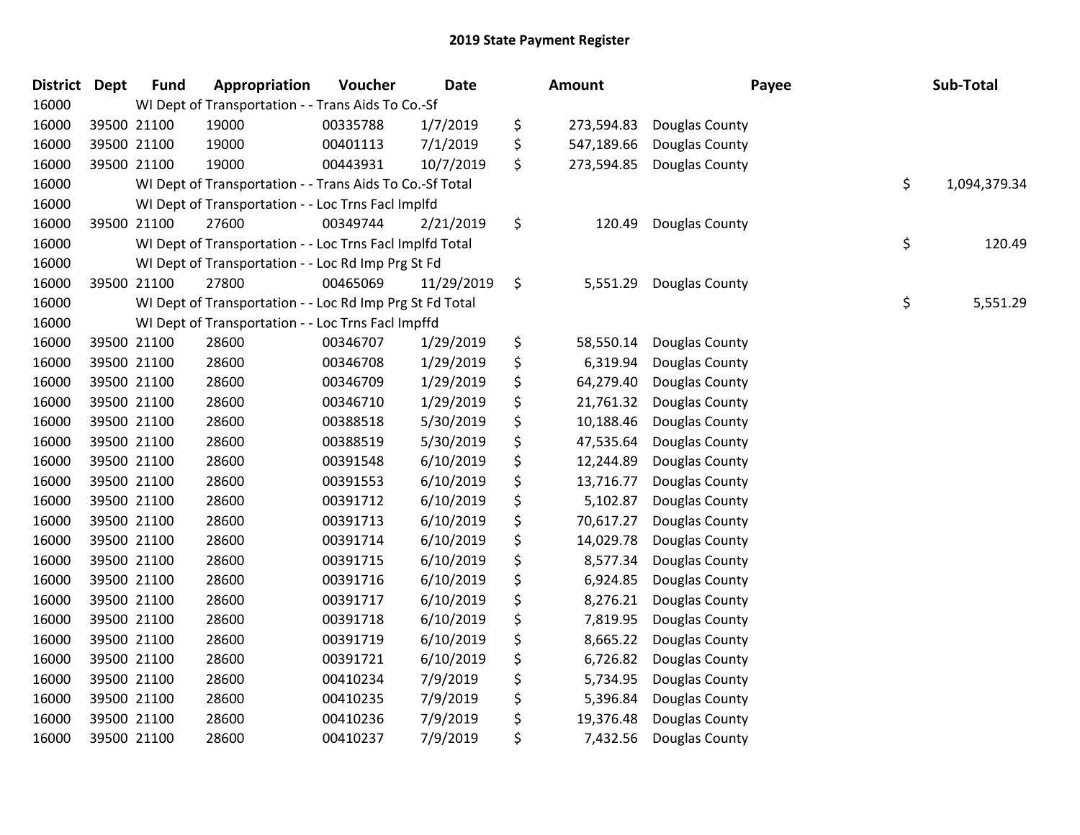| <b>District</b> | <b>Dept</b> | <b>Fund</b> | Appropriation                                            | Voucher  | Date       | Amount           | Payee          | Sub-Total          |
|-----------------|-------------|-------------|----------------------------------------------------------|----------|------------|------------------|----------------|--------------------|
| 16000           |             |             | WI Dept of Transportation - - Trans Aids To Co.-Sf       |          |            |                  |                |                    |
| 16000           |             | 39500 21100 | 19000                                                    | 00335788 | 1/7/2019   | \$<br>273,594.83 | Douglas County |                    |
| 16000           |             | 39500 21100 | 19000                                                    | 00401113 | 7/1/2019   | \$<br>547,189.66 | Douglas County |                    |
| 16000           |             | 39500 21100 | 19000                                                    | 00443931 | 10/7/2019  | \$<br>273,594.85 | Douglas County |                    |
| 16000           |             |             | WI Dept of Transportation - - Trans Aids To Co.-Sf Total |          |            |                  |                | \$<br>1,094,379.34 |
| 16000           |             |             | WI Dept of Transportation - - Loc Trns Facl Implfd       |          |            |                  |                |                    |
| 16000           |             | 39500 21100 | 27600                                                    | 00349744 | 2/21/2019  | \$<br>120.49     | Douglas County |                    |
| 16000           |             |             | WI Dept of Transportation - - Loc Trns Facl Implfd Total |          |            |                  |                | \$<br>120.49       |
| 16000           |             |             | WI Dept of Transportation - - Loc Rd Imp Prg St Fd       |          |            |                  |                |                    |
| 16000           |             | 39500 21100 | 27800                                                    | 00465069 | 11/29/2019 | \$<br>5,551.29   | Douglas County |                    |
| 16000           |             |             | WI Dept of Transportation - - Loc Rd Imp Prg St Fd Total |          |            |                  |                | \$<br>5,551.29     |
| 16000           |             |             | WI Dept of Transportation - - Loc Trns Facl Impffd       |          |            |                  |                |                    |
| 16000           |             | 39500 21100 | 28600                                                    | 00346707 | 1/29/2019  | \$<br>58,550.14  | Douglas County |                    |
| 16000           |             | 39500 21100 | 28600                                                    | 00346708 | 1/29/2019  | \$<br>6,319.94   | Douglas County |                    |
| 16000           |             | 39500 21100 | 28600                                                    | 00346709 | 1/29/2019  | \$<br>64,279.40  | Douglas County |                    |
| 16000           |             | 39500 21100 | 28600                                                    | 00346710 | 1/29/2019  | \$<br>21,761.32  | Douglas County |                    |
| 16000           |             | 39500 21100 | 28600                                                    | 00388518 | 5/30/2019  | \$<br>10,188.46  | Douglas County |                    |
| 16000           |             | 39500 21100 | 28600                                                    | 00388519 | 5/30/2019  | \$<br>47,535.64  | Douglas County |                    |
| 16000           |             | 39500 21100 | 28600                                                    | 00391548 | 6/10/2019  | \$<br>12,244.89  | Douglas County |                    |
| 16000           |             | 39500 21100 | 28600                                                    | 00391553 | 6/10/2019  | \$<br>13,716.77  | Douglas County |                    |
| 16000           |             | 39500 21100 | 28600                                                    | 00391712 | 6/10/2019  | \$<br>5,102.87   | Douglas County |                    |
| 16000           |             | 39500 21100 | 28600                                                    | 00391713 | 6/10/2019  | \$<br>70,617.27  | Douglas County |                    |
| 16000           |             | 39500 21100 | 28600                                                    | 00391714 | 6/10/2019  | \$<br>14,029.78  | Douglas County |                    |
| 16000           |             | 39500 21100 | 28600                                                    | 00391715 | 6/10/2019  | \$<br>8,577.34   | Douglas County |                    |
| 16000           |             | 39500 21100 | 28600                                                    | 00391716 | 6/10/2019  | \$<br>6,924.85   | Douglas County |                    |
| 16000           |             | 39500 21100 | 28600                                                    | 00391717 | 6/10/2019  | \$<br>8,276.21   | Douglas County |                    |
| 16000           |             | 39500 21100 | 28600                                                    | 00391718 | 6/10/2019  | \$<br>7,819.95   | Douglas County |                    |
| 16000           |             | 39500 21100 | 28600                                                    | 00391719 | 6/10/2019  | \$<br>8,665.22   | Douglas County |                    |
| 16000           |             | 39500 21100 | 28600                                                    | 00391721 | 6/10/2019  | \$<br>6,726.82   | Douglas County |                    |
| 16000           |             | 39500 21100 | 28600                                                    | 00410234 | 7/9/2019   | \$<br>5,734.95   | Douglas County |                    |
| 16000           |             | 39500 21100 | 28600                                                    | 00410235 | 7/9/2019   | \$<br>5,396.84   | Douglas County |                    |
| 16000           |             | 39500 21100 | 28600                                                    | 00410236 | 7/9/2019   | \$<br>19,376.48  | Douglas County |                    |
| 16000           |             | 39500 21100 | 28600                                                    | 00410237 | 7/9/2019   | \$<br>7,432.56   | Douglas County |                    |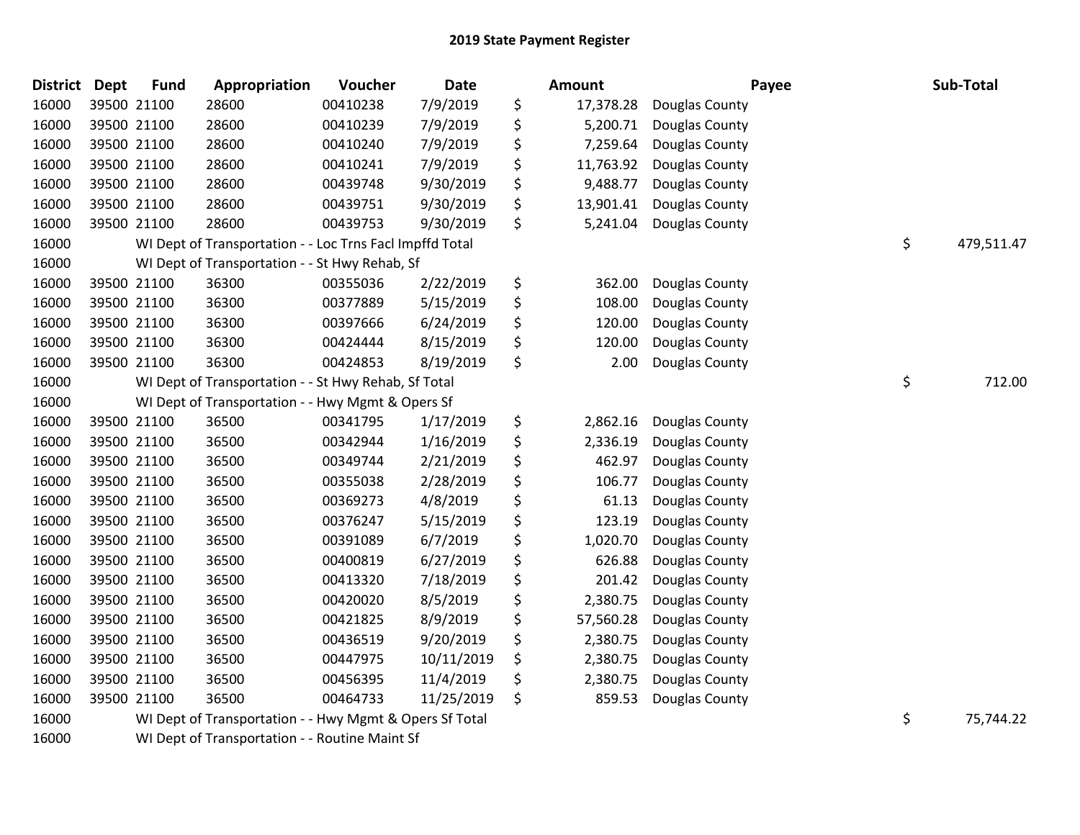| <b>District</b> | <b>Dept</b> | <b>Fund</b> | Appropriation                                            | Voucher  | <b>Date</b> | Amount          | Payee          | Sub-Total        |
|-----------------|-------------|-------------|----------------------------------------------------------|----------|-------------|-----------------|----------------|------------------|
| 16000           |             | 39500 21100 | 28600                                                    | 00410238 | 7/9/2019    | \$<br>17,378.28 | Douglas County |                  |
| 16000           |             | 39500 21100 | 28600                                                    | 00410239 | 7/9/2019    | \$<br>5,200.71  | Douglas County |                  |
| 16000           |             | 39500 21100 | 28600                                                    | 00410240 | 7/9/2019    | \$<br>7,259.64  | Douglas County |                  |
| 16000           |             | 39500 21100 | 28600                                                    | 00410241 | 7/9/2019    | \$<br>11,763.92 | Douglas County |                  |
| 16000           |             | 39500 21100 | 28600                                                    | 00439748 | 9/30/2019   | \$<br>9,488.77  | Douglas County |                  |
| 16000           |             | 39500 21100 | 28600                                                    | 00439751 | 9/30/2019   | \$<br>13,901.41 | Douglas County |                  |
| 16000           |             | 39500 21100 | 28600                                                    | 00439753 | 9/30/2019   | \$<br>5,241.04  | Douglas County |                  |
| 16000           |             |             | WI Dept of Transportation - - Loc Trns Facl Impffd Total |          |             |                 |                | \$<br>479,511.47 |
| 16000           |             |             | WI Dept of Transportation - - St Hwy Rehab, Sf           |          |             |                 |                |                  |
| 16000           |             | 39500 21100 | 36300                                                    | 00355036 | 2/22/2019   | \$<br>362.00    | Douglas County |                  |
| 16000           |             | 39500 21100 | 36300                                                    | 00377889 | 5/15/2019   | \$<br>108.00    | Douglas County |                  |
| 16000           |             | 39500 21100 | 36300                                                    | 00397666 | 6/24/2019   | \$<br>120.00    | Douglas County |                  |
| 16000           |             | 39500 21100 | 36300                                                    | 00424444 | 8/15/2019   | \$<br>120.00    | Douglas County |                  |
| 16000           |             | 39500 21100 | 36300                                                    | 00424853 | 8/19/2019   | \$<br>2.00      | Douglas County |                  |
| 16000           |             |             | WI Dept of Transportation - - St Hwy Rehab, Sf Total     |          |             |                 |                | \$<br>712.00     |
| 16000           |             |             | WI Dept of Transportation - - Hwy Mgmt & Opers Sf        |          |             |                 |                |                  |
| 16000           |             | 39500 21100 | 36500                                                    | 00341795 | 1/17/2019   | \$<br>2,862.16  | Douglas County |                  |
| 16000           |             | 39500 21100 | 36500                                                    | 00342944 | 1/16/2019   | \$<br>2,336.19  | Douglas County |                  |
| 16000           |             | 39500 21100 | 36500                                                    | 00349744 | 2/21/2019   | \$<br>462.97    | Douglas County |                  |
| 16000           |             | 39500 21100 | 36500                                                    | 00355038 | 2/28/2019   | \$<br>106.77    | Douglas County |                  |
| 16000           |             | 39500 21100 | 36500                                                    | 00369273 | 4/8/2019    | \$<br>61.13     | Douglas County |                  |
| 16000           |             | 39500 21100 | 36500                                                    | 00376247 | 5/15/2019   | \$<br>123.19    | Douglas County |                  |
| 16000           |             | 39500 21100 | 36500                                                    | 00391089 | 6/7/2019    | \$<br>1,020.70  | Douglas County |                  |
| 16000           |             | 39500 21100 | 36500                                                    | 00400819 | 6/27/2019   | \$<br>626.88    | Douglas County |                  |
| 16000           |             | 39500 21100 | 36500                                                    | 00413320 | 7/18/2019   | \$<br>201.42    | Douglas County |                  |
| 16000           |             | 39500 21100 | 36500                                                    | 00420020 | 8/5/2019    | \$<br>2,380.75  | Douglas County |                  |
| 16000           |             | 39500 21100 | 36500                                                    | 00421825 | 8/9/2019    | \$<br>57,560.28 | Douglas County |                  |
| 16000           |             | 39500 21100 | 36500                                                    | 00436519 | 9/20/2019   | \$<br>2,380.75  | Douglas County |                  |
| 16000           |             | 39500 21100 | 36500                                                    | 00447975 | 10/11/2019  | \$<br>2,380.75  | Douglas County |                  |
| 16000           |             | 39500 21100 | 36500                                                    | 00456395 | 11/4/2019   | \$<br>2,380.75  | Douglas County |                  |
| 16000           |             | 39500 21100 | 36500                                                    | 00464733 | 11/25/2019  | \$<br>859.53    | Douglas County |                  |
| 16000           |             |             | WI Dept of Transportation - - Hwy Mgmt & Opers Sf Total  |          |             |                 |                | \$<br>75,744.22  |

WI Dept of Transportation - - Routine Maint Sf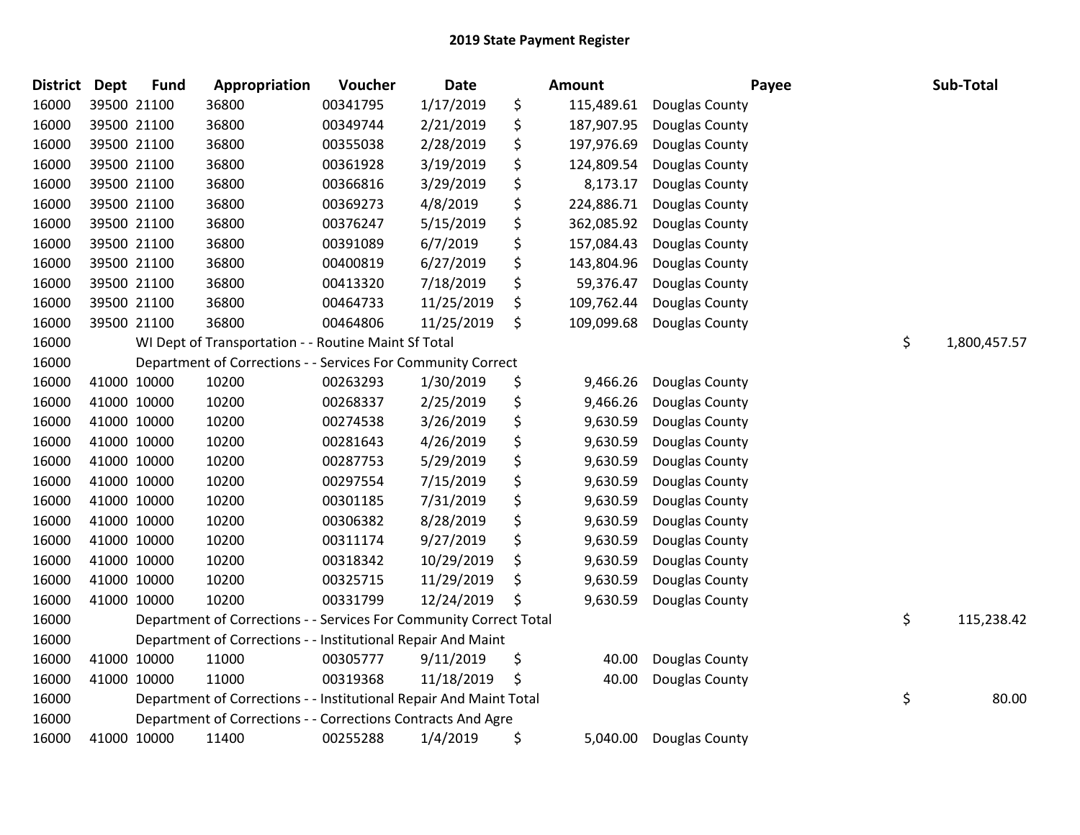| <b>District</b> | <b>Dept</b> | <b>Fund</b> | Appropriation                                                      | Voucher  | <b>Date</b> | Amount           | Payee          | Sub-Total          |
|-----------------|-------------|-------------|--------------------------------------------------------------------|----------|-------------|------------------|----------------|--------------------|
| 16000           |             | 39500 21100 | 36800                                                              | 00341795 | 1/17/2019   | \$<br>115,489.61 | Douglas County |                    |
| 16000           |             | 39500 21100 | 36800                                                              | 00349744 | 2/21/2019   | \$<br>187,907.95 | Douglas County |                    |
| 16000           |             | 39500 21100 | 36800                                                              | 00355038 | 2/28/2019   | \$<br>197,976.69 | Douglas County |                    |
| 16000           |             | 39500 21100 | 36800                                                              | 00361928 | 3/19/2019   | \$<br>124,809.54 | Douglas County |                    |
| 16000           |             | 39500 21100 | 36800                                                              | 00366816 | 3/29/2019   | \$<br>8,173.17   | Douglas County |                    |
| 16000           |             | 39500 21100 | 36800                                                              | 00369273 | 4/8/2019    | \$<br>224,886.71 | Douglas County |                    |
| 16000           |             | 39500 21100 | 36800                                                              | 00376247 | 5/15/2019   | \$<br>362,085.92 | Douglas County |                    |
| 16000           |             | 39500 21100 | 36800                                                              | 00391089 | 6/7/2019    | \$<br>157,084.43 | Douglas County |                    |
| 16000           |             | 39500 21100 | 36800                                                              | 00400819 | 6/27/2019   | \$<br>143,804.96 | Douglas County |                    |
| 16000           |             | 39500 21100 | 36800                                                              | 00413320 | 7/18/2019   | \$<br>59,376.47  | Douglas County |                    |
| 16000           |             | 39500 21100 | 36800                                                              | 00464733 | 11/25/2019  | \$<br>109,762.44 | Douglas County |                    |
| 16000           |             | 39500 21100 | 36800                                                              | 00464806 | 11/25/2019  | \$<br>109,099.68 | Douglas County |                    |
| 16000           |             |             | WI Dept of Transportation - - Routine Maint Sf Total               |          |             |                  |                | \$<br>1,800,457.57 |
| 16000           |             |             | Department of Corrections - - Services For Community Correct       |          |             |                  |                |                    |
| 16000           | 41000 10000 |             | 10200                                                              | 00263293 | 1/30/2019   | \$<br>9,466.26   | Douglas County |                    |
| 16000           |             | 41000 10000 | 10200                                                              | 00268337 | 2/25/2019   | \$<br>9,466.26   | Douglas County |                    |
| 16000           | 41000 10000 |             | 10200                                                              | 00274538 | 3/26/2019   | \$<br>9,630.59   | Douglas County |                    |
| 16000           | 41000 10000 |             | 10200                                                              | 00281643 | 4/26/2019   | \$<br>9,630.59   | Douglas County |                    |
| 16000           |             | 41000 10000 | 10200                                                              | 00287753 | 5/29/2019   | \$<br>9,630.59   | Douglas County |                    |
| 16000           | 41000 10000 |             | 10200                                                              | 00297554 | 7/15/2019   | \$<br>9,630.59   | Douglas County |                    |
| 16000           |             | 41000 10000 | 10200                                                              | 00301185 | 7/31/2019   | \$<br>9,630.59   | Douglas County |                    |
| 16000           | 41000 10000 |             | 10200                                                              | 00306382 | 8/28/2019   | \$<br>9,630.59   | Douglas County |                    |
| 16000           | 41000 10000 |             | 10200                                                              | 00311174 | 9/27/2019   | \$<br>9,630.59   | Douglas County |                    |
| 16000           | 41000 10000 |             | 10200                                                              | 00318342 | 10/29/2019  | \$<br>9,630.59   | Douglas County |                    |
| 16000           | 41000 10000 |             | 10200                                                              | 00325715 | 11/29/2019  | \$<br>9,630.59   | Douglas County |                    |
| 16000           |             | 41000 10000 | 10200                                                              | 00331799 | 12/24/2019  | \$<br>9,630.59   | Douglas County |                    |
| 16000           |             |             | Department of Corrections - - Services For Community Correct Total |          |             |                  |                | \$<br>115,238.42   |
| 16000           |             |             | Department of Corrections - - Institutional Repair And Maint       |          |             |                  |                |                    |
| 16000           |             | 41000 10000 | 11000                                                              | 00305777 | 9/11/2019   | \$<br>40.00      | Douglas County |                    |
| 16000           | 41000 10000 |             | 11000                                                              | 00319368 | 11/18/2019  | \$<br>40.00      | Douglas County |                    |
| 16000           |             |             | Department of Corrections - - Institutional Repair And Maint Total |          |             |                  |                | \$<br>80.00        |
| 16000           |             |             | Department of Corrections - - Corrections Contracts And Agre       |          |             |                  |                |                    |
| 16000           | 41000 10000 |             | 11400                                                              | 00255288 | 1/4/2019    | \$<br>5,040.00   | Douglas County |                    |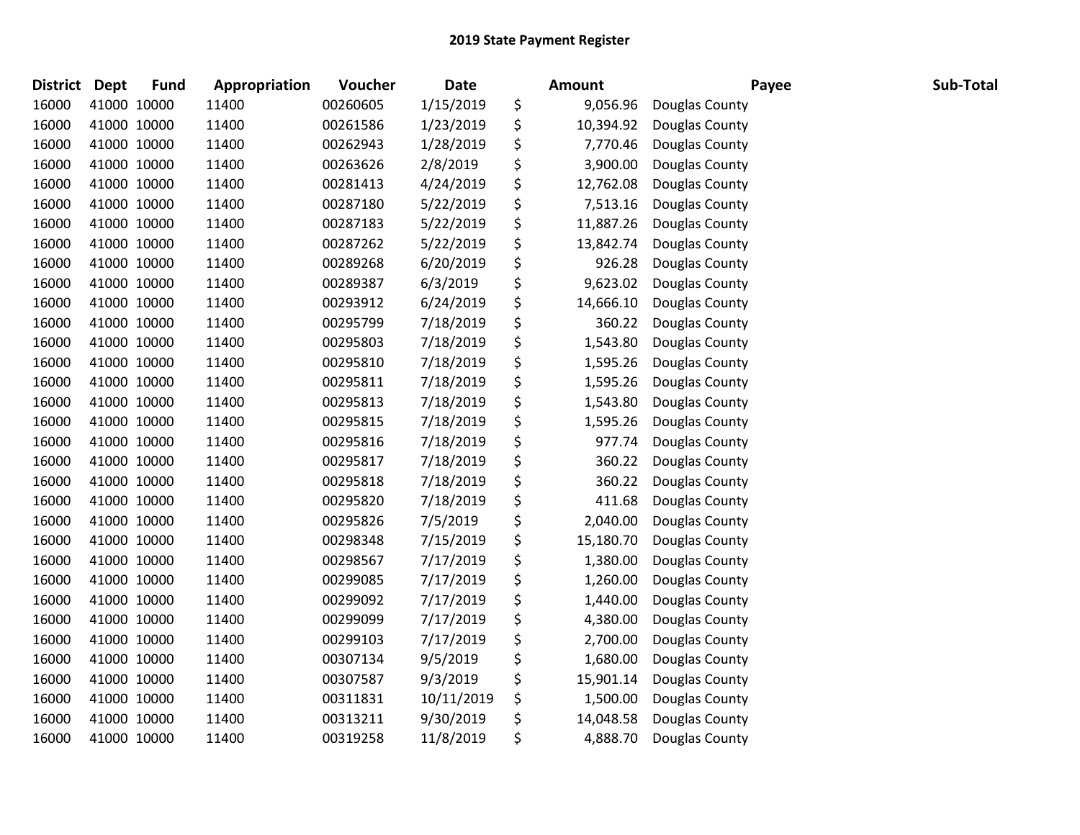| <b>District</b> | <b>Dept</b> | <b>Fund</b> | <b>Appropriation</b> | Voucher  | <b>Date</b> | Amount          | Payee          | Sub-Total |
|-----------------|-------------|-------------|----------------------|----------|-------------|-----------------|----------------|-----------|
| 16000           |             | 41000 10000 | 11400                | 00260605 | 1/15/2019   | \$<br>9,056.96  | Douglas County |           |
| 16000           |             | 41000 10000 | 11400                | 00261586 | 1/23/2019   | \$<br>10,394.92 | Douglas County |           |
| 16000           | 41000 10000 |             | 11400                | 00262943 | 1/28/2019   | \$<br>7,770.46  | Douglas County |           |
| 16000           | 41000 10000 |             | 11400                | 00263626 | 2/8/2019    | \$<br>3,900.00  | Douglas County |           |
| 16000           | 41000 10000 |             | 11400                | 00281413 | 4/24/2019   | \$<br>12,762.08 | Douglas County |           |
| 16000           |             | 41000 10000 | 11400                | 00287180 | 5/22/2019   | \$<br>7,513.16  | Douglas County |           |
| 16000           |             | 41000 10000 | 11400                | 00287183 | 5/22/2019   | \$<br>11,887.26 | Douglas County |           |
| 16000           | 41000 10000 |             | 11400                | 00287262 | 5/22/2019   | \$<br>13,842.74 | Douglas County |           |
| 16000           | 41000 10000 |             | 11400                | 00289268 | 6/20/2019   | \$<br>926.28    | Douglas County |           |
| 16000           |             | 41000 10000 | 11400                | 00289387 | 6/3/2019    | \$<br>9,623.02  | Douglas County |           |
| 16000           |             | 41000 10000 | 11400                | 00293912 | 6/24/2019   | \$<br>14,666.10 | Douglas County |           |
| 16000           |             | 41000 10000 | 11400                | 00295799 | 7/18/2019   | \$<br>360.22    | Douglas County |           |
| 16000           | 41000 10000 |             | 11400                | 00295803 | 7/18/2019   | \$<br>1,543.80  | Douglas County |           |
| 16000           | 41000 10000 |             | 11400                | 00295810 | 7/18/2019   | \$<br>1,595.26  | Douglas County |           |
| 16000           | 41000 10000 |             | 11400                | 00295811 | 7/18/2019   | \$<br>1,595.26  | Douglas County |           |
| 16000           |             | 41000 10000 | 11400                | 00295813 | 7/18/2019   | \$<br>1,543.80  | Douglas County |           |
| 16000           | 41000 10000 |             | 11400                | 00295815 | 7/18/2019   | \$<br>1,595.26  | Douglas County |           |
| 16000           | 41000 10000 |             | 11400                | 00295816 | 7/18/2019   | \$<br>977.74    | Douglas County |           |
| 16000           | 41000 10000 |             | 11400                | 00295817 | 7/18/2019   | \$<br>360.22    | Douglas County |           |
| 16000           |             | 41000 10000 | 11400                | 00295818 | 7/18/2019   | \$<br>360.22    | Douglas County |           |
| 16000           |             | 41000 10000 | 11400                | 00295820 | 7/18/2019   | \$<br>411.68    | Douglas County |           |
| 16000           |             | 41000 10000 | 11400                | 00295826 | 7/5/2019    | \$<br>2,040.00  | Douglas County |           |
| 16000           | 41000 10000 |             | 11400                | 00298348 | 7/15/2019   | \$<br>15,180.70 | Douglas County |           |
| 16000           | 41000 10000 |             | 11400                | 00298567 | 7/17/2019   | \$<br>1,380.00  | Douglas County |           |
| 16000           | 41000 10000 |             | 11400                | 00299085 | 7/17/2019   | \$<br>1,260.00  | Douglas County |           |
| 16000           | 41000 10000 |             | 11400                | 00299092 | 7/17/2019   | \$<br>1,440.00  | Douglas County |           |
| 16000           | 41000 10000 |             | 11400                | 00299099 | 7/17/2019   | \$<br>4,380.00  | Douglas County |           |
| 16000           | 41000 10000 |             | 11400                | 00299103 | 7/17/2019   | \$<br>2,700.00  | Douglas County |           |
| 16000           | 41000 10000 |             | 11400                | 00307134 | 9/5/2019    | \$<br>1,680.00  | Douglas County |           |
| 16000           |             | 41000 10000 | 11400                | 00307587 | 9/3/2019    | \$<br>15,901.14 | Douglas County |           |
| 16000           |             | 41000 10000 | 11400                | 00311831 | 10/11/2019  | \$<br>1,500.00  | Douglas County |           |
| 16000           |             | 41000 10000 | 11400                | 00313211 | 9/30/2019   | \$<br>14,048.58 | Douglas County |           |
| 16000           | 41000 10000 |             | 11400                | 00319258 | 11/8/2019   | \$<br>4,888.70  | Douglas County |           |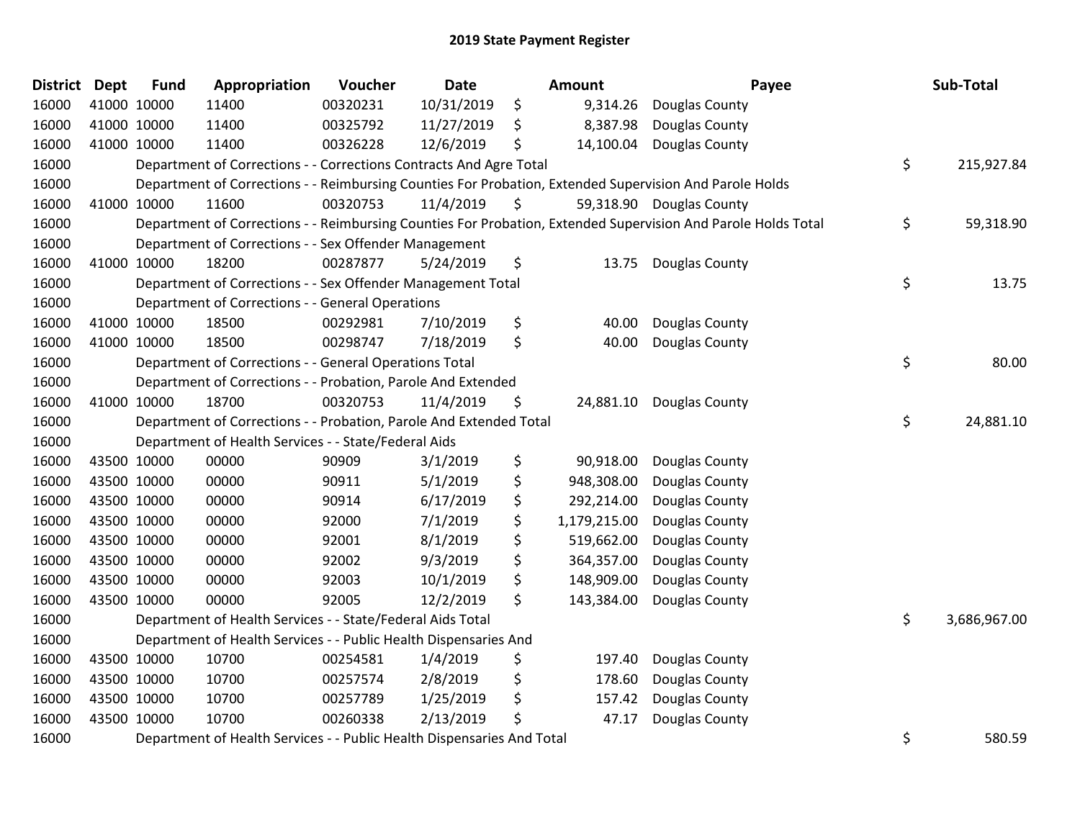| District | <b>Dept</b> | <b>Fund</b> | Appropriation                                                          | Voucher  | <b>Date</b> | Amount             | Payee                                                                                                         | Sub-Total          |
|----------|-------------|-------------|------------------------------------------------------------------------|----------|-------------|--------------------|---------------------------------------------------------------------------------------------------------------|--------------------|
| 16000    |             | 41000 10000 | 11400                                                                  | 00320231 | 10/31/2019  | \$<br>9,314.26     | Douglas County                                                                                                |                    |
| 16000    |             | 41000 10000 | 11400                                                                  | 00325792 | 11/27/2019  | \$<br>8,387.98     | Douglas County                                                                                                |                    |
| 16000    |             | 41000 10000 | 11400                                                                  | 00326228 | 12/6/2019   | \$<br>14,100.04    | Douglas County                                                                                                |                    |
| 16000    |             |             | Department of Corrections - - Corrections Contracts And Agre Total     |          |             |                    |                                                                                                               | \$<br>215,927.84   |
| 16000    |             |             |                                                                        |          |             |                    | Department of Corrections - - Reimbursing Counties For Probation, Extended Supervision And Parole Holds       |                    |
| 16000    |             | 41000 10000 | 11600                                                                  | 00320753 | 11/4/2019   | \$                 | 59,318.90 Douglas County                                                                                      |                    |
| 16000    |             |             |                                                                        |          |             |                    | Department of Corrections - - Reimbursing Counties For Probation, Extended Supervision And Parole Holds Total | \$<br>59,318.90    |
| 16000    |             |             | Department of Corrections - - Sex Offender Management                  |          |             |                    |                                                                                                               |                    |
| 16000    |             | 41000 10000 | 18200                                                                  | 00287877 | 5/24/2019   | \$<br>13.75        | Douglas County                                                                                                |                    |
| 16000    |             |             | Department of Corrections - - Sex Offender Management Total            |          |             |                    |                                                                                                               | \$<br>13.75        |
| 16000    |             |             | Department of Corrections - - General Operations                       |          |             |                    |                                                                                                               |                    |
| 16000    |             | 41000 10000 | 18500                                                                  | 00292981 | 7/10/2019   | \$<br>40.00        | Douglas County                                                                                                |                    |
| 16000    |             | 41000 10000 | 18500                                                                  | 00298747 | 7/18/2019   | \$<br>40.00        | Douglas County                                                                                                |                    |
| 16000    |             |             | Department of Corrections - - General Operations Total                 |          |             |                    |                                                                                                               | \$<br>80.00        |
| 16000    |             |             | Department of Corrections - - Probation, Parole And Extended           |          |             |                    |                                                                                                               |                    |
| 16000    |             | 41000 10000 | 18700                                                                  | 00320753 | 11/4/2019   | \$<br>24,881.10    | Douglas County                                                                                                |                    |
| 16000    |             |             | Department of Corrections - - Probation, Parole And Extended Total     |          |             |                    |                                                                                                               | \$<br>24,881.10    |
| 16000    |             |             | Department of Health Services - - State/Federal Aids                   |          |             |                    |                                                                                                               |                    |
| 16000    |             | 43500 10000 | 00000                                                                  | 90909    | 3/1/2019    | \$<br>90,918.00    | Douglas County                                                                                                |                    |
| 16000    |             | 43500 10000 | 00000                                                                  | 90911    | 5/1/2019    | \$<br>948,308.00   | Douglas County                                                                                                |                    |
| 16000    |             | 43500 10000 | 00000                                                                  | 90914    | 6/17/2019   | \$<br>292,214.00   | Douglas County                                                                                                |                    |
| 16000    |             | 43500 10000 | 00000                                                                  | 92000    | 7/1/2019    | \$<br>1,179,215.00 | Douglas County                                                                                                |                    |
| 16000    |             | 43500 10000 | 00000                                                                  | 92001    | 8/1/2019    | \$<br>519,662.00   | Douglas County                                                                                                |                    |
| 16000    |             | 43500 10000 | 00000                                                                  | 92002    | 9/3/2019    | \$<br>364,357.00   | Douglas County                                                                                                |                    |
| 16000    |             | 43500 10000 | 00000                                                                  | 92003    | 10/1/2019   | \$<br>148,909.00   | Douglas County                                                                                                |                    |
| 16000    |             | 43500 10000 | 00000                                                                  | 92005    | 12/2/2019   | \$<br>143,384.00   | Douglas County                                                                                                |                    |
| 16000    |             |             | Department of Health Services - - State/Federal Aids Total             |          |             |                    |                                                                                                               | \$<br>3,686,967.00 |
| 16000    |             |             | Department of Health Services - - Public Health Dispensaries And       |          |             |                    |                                                                                                               |                    |
| 16000    |             | 43500 10000 | 10700                                                                  | 00254581 | 1/4/2019    | \$<br>197.40       | Douglas County                                                                                                |                    |
| 16000    |             | 43500 10000 | 10700                                                                  | 00257574 | 2/8/2019    | \$<br>178.60       | Douglas County                                                                                                |                    |
| 16000    |             | 43500 10000 | 10700                                                                  | 00257789 | 1/25/2019   | \$<br>157.42       | Douglas County                                                                                                |                    |
| 16000    |             | 43500 10000 | 10700                                                                  | 00260338 | 2/13/2019   | \$<br>47.17        | Douglas County                                                                                                |                    |
| 16000    |             |             | Department of Health Services - - Public Health Dispensaries And Total |          |             |                    |                                                                                                               | \$<br>580.59       |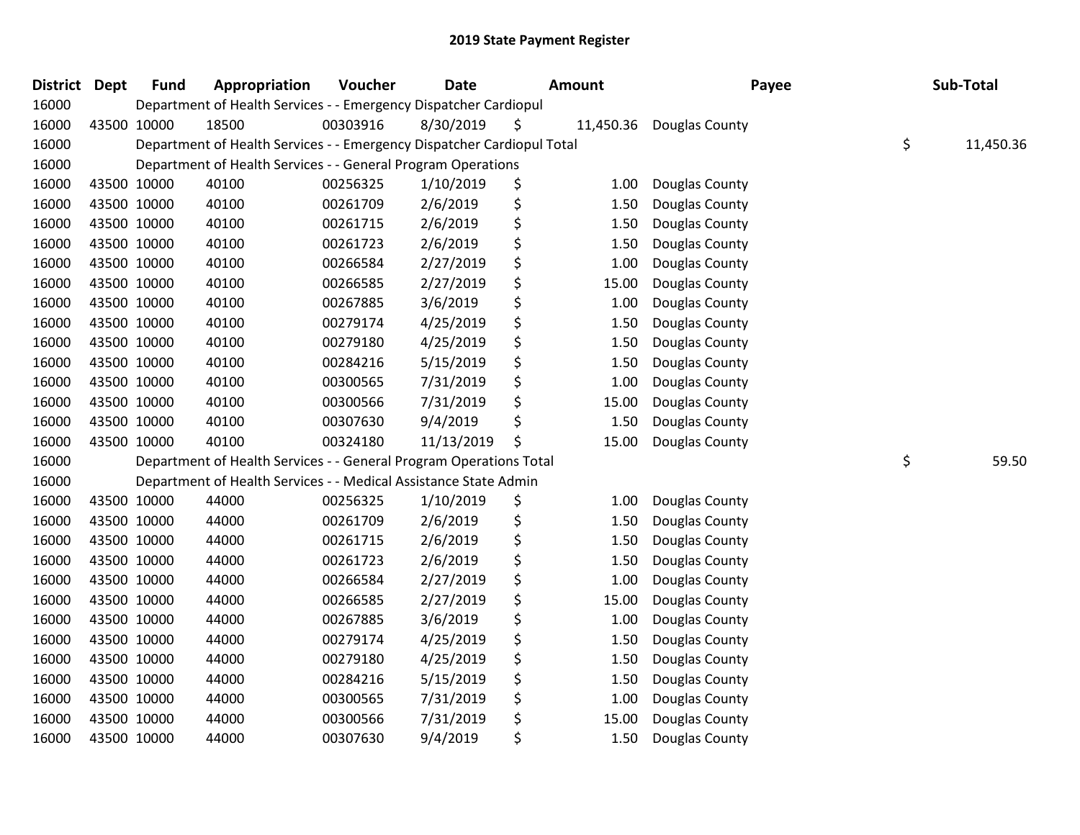| <b>District</b> | <b>Dept</b> | <b>Fund</b> | Appropriation                                                          | Voucher  | <b>Date</b> | <b>Amount</b> |           | Payee          | Sub-Total       |
|-----------------|-------------|-------------|------------------------------------------------------------------------|----------|-------------|---------------|-----------|----------------|-----------------|
| 16000           |             |             | Department of Health Services - - Emergency Dispatcher Cardiopul       |          |             |               |           |                |                 |
| 16000           |             | 43500 10000 | 18500                                                                  | 00303916 | 8/30/2019   | \$            | 11,450.36 | Douglas County |                 |
| 16000           |             |             | Department of Health Services - - Emergency Dispatcher Cardiopul Total |          |             |               |           |                | \$<br>11,450.36 |
| 16000           |             |             | Department of Health Services - - General Program Operations           |          |             |               |           |                |                 |
| 16000           |             | 43500 10000 | 40100                                                                  | 00256325 | 1/10/2019   | \$            | 1.00      | Douglas County |                 |
| 16000           |             | 43500 10000 | 40100                                                                  | 00261709 | 2/6/2019    | \$            | 1.50      | Douglas County |                 |
| 16000           |             | 43500 10000 | 40100                                                                  | 00261715 | 2/6/2019    | \$            | 1.50      | Douglas County |                 |
| 16000           |             | 43500 10000 | 40100                                                                  | 00261723 | 2/6/2019    | \$            | 1.50      | Douglas County |                 |
| 16000           |             | 43500 10000 | 40100                                                                  | 00266584 | 2/27/2019   | \$            | 1.00      | Douglas County |                 |
| 16000           |             | 43500 10000 | 40100                                                                  | 00266585 | 2/27/2019   | \$            | 15.00     | Douglas County |                 |
| 16000           |             | 43500 10000 | 40100                                                                  | 00267885 | 3/6/2019    | \$            | 1.00      | Douglas County |                 |
| 16000           |             | 43500 10000 | 40100                                                                  | 00279174 | 4/25/2019   | \$            | 1.50      | Douglas County |                 |
| 16000           |             | 43500 10000 | 40100                                                                  | 00279180 | 4/25/2019   | \$            | 1.50      | Douglas County |                 |
| 16000           |             | 43500 10000 | 40100                                                                  | 00284216 | 5/15/2019   | \$            | 1.50      | Douglas County |                 |
| 16000           |             | 43500 10000 | 40100                                                                  | 00300565 | 7/31/2019   | \$            | 1.00      | Douglas County |                 |
| 16000           |             | 43500 10000 | 40100                                                                  | 00300566 | 7/31/2019   | \$            | 15.00     | Douglas County |                 |
| 16000           |             | 43500 10000 | 40100                                                                  | 00307630 | 9/4/2019    | \$            | 1.50      | Douglas County |                 |
| 16000           |             | 43500 10000 | 40100                                                                  | 00324180 | 11/13/2019  | \$            | 15.00     | Douglas County |                 |
| 16000           |             |             | Department of Health Services - - General Program Operations Total     |          |             |               |           |                | \$<br>59.50     |
| 16000           |             |             | Department of Health Services - - Medical Assistance State Admin       |          |             |               |           |                |                 |
| 16000           |             | 43500 10000 | 44000                                                                  | 00256325 | 1/10/2019   | \$            | 1.00      | Douglas County |                 |
| 16000           |             | 43500 10000 | 44000                                                                  | 00261709 | 2/6/2019    | \$            | 1.50      | Douglas County |                 |
| 16000           |             | 43500 10000 | 44000                                                                  | 00261715 | 2/6/2019    | \$            | 1.50      | Douglas County |                 |
| 16000           |             | 43500 10000 | 44000                                                                  | 00261723 | 2/6/2019    | \$            | 1.50      | Douglas County |                 |
| 16000           |             | 43500 10000 | 44000                                                                  | 00266584 | 2/27/2019   | \$            | 1.00      | Douglas County |                 |
| 16000           |             | 43500 10000 | 44000                                                                  | 00266585 | 2/27/2019   | \$            | 15.00     | Douglas County |                 |
| 16000           |             | 43500 10000 | 44000                                                                  | 00267885 | 3/6/2019    | \$            | 1.00      | Douglas County |                 |
| 16000           |             | 43500 10000 | 44000                                                                  | 00279174 | 4/25/2019   | \$            | 1.50      | Douglas County |                 |
| 16000           |             | 43500 10000 | 44000                                                                  | 00279180 | 4/25/2019   | \$            | 1.50      | Douglas County |                 |
| 16000           |             | 43500 10000 | 44000                                                                  | 00284216 | 5/15/2019   | \$            | 1.50      | Douglas County |                 |
| 16000           |             | 43500 10000 | 44000                                                                  | 00300565 | 7/31/2019   | \$            | 1.00      | Douglas County |                 |
| 16000           |             | 43500 10000 | 44000                                                                  | 00300566 | 7/31/2019   | \$            | 15.00     | Douglas County |                 |
| 16000           |             | 43500 10000 | 44000                                                                  | 00307630 | 9/4/2019    | \$            | 1.50      | Douglas County |                 |
|                 |             |             |                                                                        |          |             |               |           |                |                 |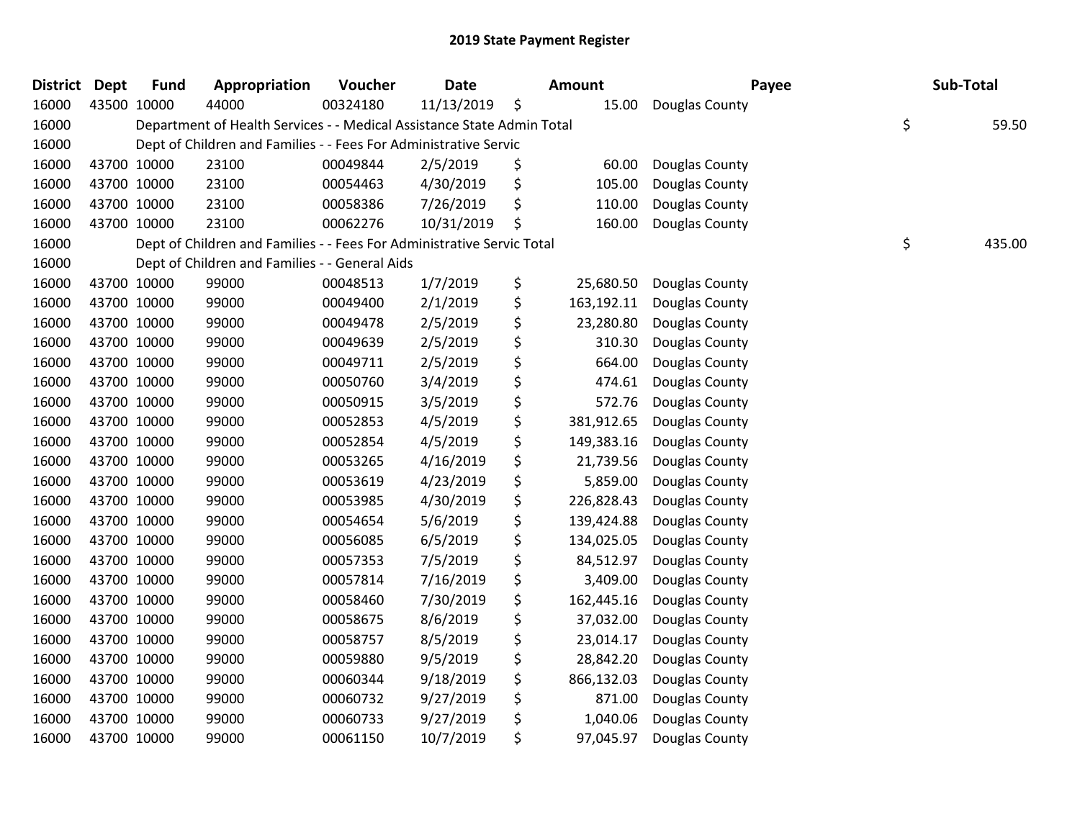| <b>District</b> | <b>Dept</b> | <b>Fund</b> | Appropriation                                                          | Voucher  | <b>Date</b> | Amount           | Payee          | Sub-Total    |
|-----------------|-------------|-------------|------------------------------------------------------------------------|----------|-------------|------------------|----------------|--------------|
| 16000           |             | 43500 10000 | 44000                                                                  | 00324180 | 11/13/2019  | \$<br>15.00      | Douglas County |              |
| 16000           |             |             | Department of Health Services - - Medical Assistance State Admin Total |          |             |                  |                | \$<br>59.50  |
| 16000           |             |             | Dept of Children and Families - - Fees For Administrative Servic       |          |             |                  |                |              |
| 16000           |             | 43700 10000 | 23100                                                                  | 00049844 | 2/5/2019    | \$<br>60.00      | Douglas County |              |
| 16000           |             | 43700 10000 | 23100                                                                  | 00054463 | 4/30/2019   | \$<br>105.00     | Douglas County |              |
| 16000           |             | 43700 10000 | 23100                                                                  | 00058386 | 7/26/2019   | \$<br>110.00     | Douglas County |              |
| 16000           |             | 43700 10000 | 23100                                                                  | 00062276 | 10/31/2019  | \$<br>160.00     | Douglas County |              |
| 16000           |             |             | Dept of Children and Families - - Fees For Administrative Servic Total |          |             |                  |                | \$<br>435.00 |
| 16000           |             |             | Dept of Children and Families - - General Aids                         |          |             |                  |                |              |
| 16000           |             | 43700 10000 | 99000                                                                  | 00048513 | 1/7/2019    | \$<br>25,680.50  | Douglas County |              |
| 16000           |             | 43700 10000 | 99000                                                                  | 00049400 | 2/1/2019    | \$<br>163,192.11 | Douglas County |              |
| 16000           |             | 43700 10000 | 99000                                                                  | 00049478 | 2/5/2019    | \$<br>23,280.80  | Douglas County |              |
| 16000           |             | 43700 10000 | 99000                                                                  | 00049639 | 2/5/2019    | \$<br>310.30     | Douglas County |              |
| 16000           |             | 43700 10000 | 99000                                                                  | 00049711 | 2/5/2019    | \$<br>664.00     | Douglas County |              |
| 16000           |             | 43700 10000 | 99000                                                                  | 00050760 | 3/4/2019    | \$<br>474.61     | Douglas County |              |
| 16000           |             | 43700 10000 | 99000                                                                  | 00050915 | 3/5/2019    | \$<br>572.76     | Douglas County |              |
| 16000           |             | 43700 10000 | 99000                                                                  | 00052853 | 4/5/2019    | \$<br>381,912.65 | Douglas County |              |
| 16000           |             | 43700 10000 | 99000                                                                  | 00052854 | 4/5/2019    | \$<br>149,383.16 | Douglas County |              |
| 16000           |             | 43700 10000 | 99000                                                                  | 00053265 | 4/16/2019   | \$<br>21,739.56  | Douglas County |              |
| 16000           |             | 43700 10000 | 99000                                                                  | 00053619 | 4/23/2019   | \$<br>5,859.00   | Douglas County |              |
| 16000           |             | 43700 10000 | 99000                                                                  | 00053985 | 4/30/2019   | \$<br>226,828.43 | Douglas County |              |
| 16000           |             | 43700 10000 | 99000                                                                  | 00054654 | 5/6/2019    | \$<br>139,424.88 | Douglas County |              |
| 16000           |             | 43700 10000 | 99000                                                                  | 00056085 | 6/5/2019    | \$<br>134,025.05 | Douglas County |              |
| 16000           |             | 43700 10000 | 99000                                                                  | 00057353 | 7/5/2019    | \$<br>84,512.97  | Douglas County |              |
| 16000           |             | 43700 10000 | 99000                                                                  | 00057814 | 7/16/2019   | \$<br>3,409.00   | Douglas County |              |
| 16000           |             | 43700 10000 | 99000                                                                  | 00058460 | 7/30/2019   | \$<br>162,445.16 | Douglas County |              |
| 16000           |             | 43700 10000 | 99000                                                                  | 00058675 | 8/6/2019    | \$<br>37,032.00  | Douglas County |              |
| 16000           |             | 43700 10000 | 99000                                                                  | 00058757 | 8/5/2019    | \$<br>23,014.17  | Douglas County |              |
| 16000           |             | 43700 10000 | 99000                                                                  | 00059880 | 9/5/2019    | \$<br>28,842.20  | Douglas County |              |
| 16000           |             | 43700 10000 | 99000                                                                  | 00060344 | 9/18/2019   | \$<br>866,132.03 | Douglas County |              |
| 16000           |             | 43700 10000 | 99000                                                                  | 00060732 | 9/27/2019   | \$<br>871.00     | Douglas County |              |
| 16000           |             | 43700 10000 | 99000                                                                  | 00060733 | 9/27/2019   | \$<br>1,040.06   | Douglas County |              |
| 16000           |             | 43700 10000 | 99000                                                                  | 00061150 | 10/7/2019   | \$<br>97,045.97  | Douglas County |              |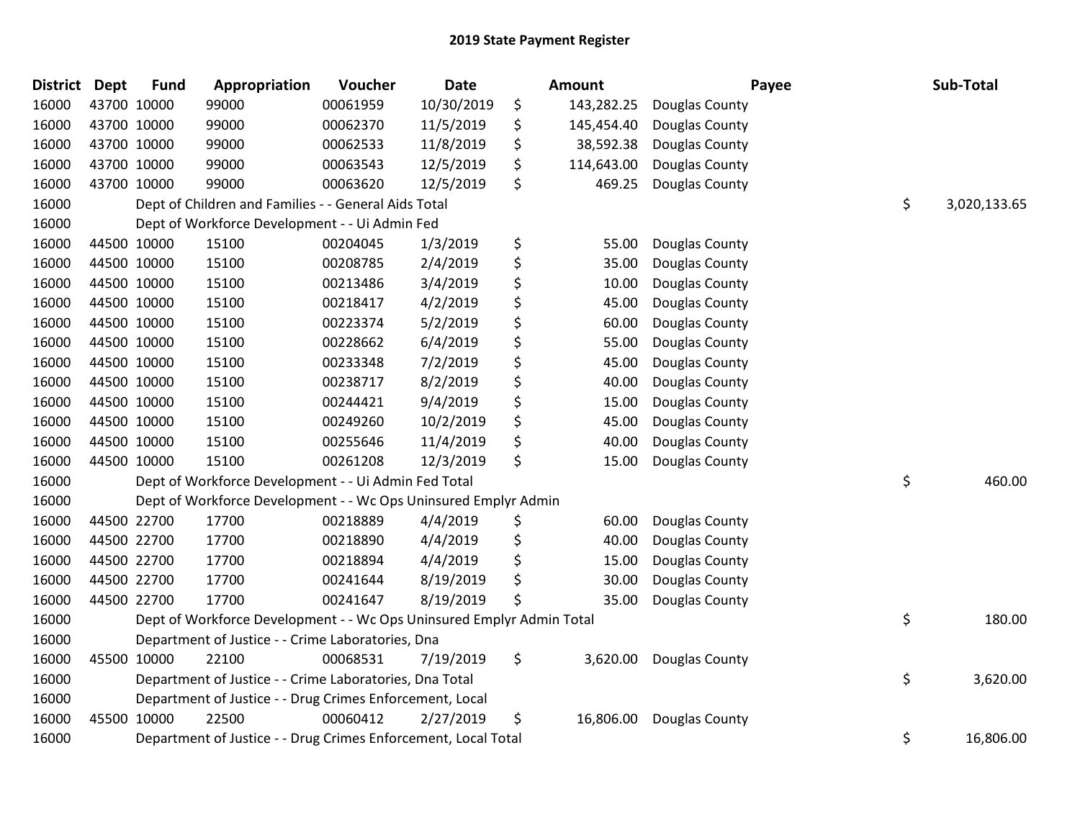| District Dept | <b>Fund</b> | Appropriation                                                         | Voucher  | <b>Date</b> | Amount           |                | Payee | Sub-Total    |
|---------------|-------------|-----------------------------------------------------------------------|----------|-------------|------------------|----------------|-------|--------------|
| 16000         | 43700 10000 | 99000                                                                 | 00061959 | 10/30/2019  | \$<br>143,282.25 | Douglas County |       |              |
| 16000         | 43700 10000 | 99000                                                                 | 00062370 | 11/5/2019   | \$<br>145,454.40 | Douglas County |       |              |
| 16000         | 43700 10000 | 99000                                                                 | 00062533 | 11/8/2019   | \$<br>38,592.38  | Douglas County |       |              |
| 16000         | 43700 10000 | 99000                                                                 | 00063543 | 12/5/2019   | \$<br>114,643.00 | Douglas County |       |              |
| 16000         | 43700 10000 | 99000                                                                 | 00063620 | 12/5/2019   | \$<br>469.25     | Douglas County |       |              |
| 16000         |             | Dept of Children and Families - - General Aids Total                  |          |             |                  |                | \$    | 3,020,133.65 |
| 16000         |             | Dept of Workforce Development - - Ui Admin Fed                        |          |             |                  |                |       |              |
| 16000         | 44500 10000 | 15100                                                                 | 00204045 | 1/3/2019    | \$<br>55.00      | Douglas County |       |              |
| 16000         | 44500 10000 | 15100                                                                 | 00208785 | 2/4/2019    | \$<br>35.00      | Douglas County |       |              |
| 16000         | 44500 10000 | 15100                                                                 | 00213486 | 3/4/2019    | \$<br>10.00      | Douglas County |       |              |
| 16000         | 44500 10000 | 15100                                                                 | 00218417 | 4/2/2019    | \$<br>45.00      | Douglas County |       |              |
| 16000         | 44500 10000 | 15100                                                                 | 00223374 | 5/2/2019    | \$<br>60.00      | Douglas County |       |              |
| 16000         | 44500 10000 | 15100                                                                 | 00228662 | 6/4/2019    | \$<br>55.00      | Douglas County |       |              |
| 16000         | 44500 10000 | 15100                                                                 | 00233348 | 7/2/2019    | \$<br>45.00      | Douglas County |       |              |
| 16000         | 44500 10000 | 15100                                                                 | 00238717 | 8/2/2019    | \$<br>40.00      | Douglas County |       |              |
| 16000         | 44500 10000 | 15100                                                                 | 00244421 | 9/4/2019    | \$<br>15.00      | Douglas County |       |              |
| 16000         | 44500 10000 | 15100                                                                 | 00249260 | 10/2/2019   | \$<br>45.00      | Douglas County |       |              |
| 16000         | 44500 10000 | 15100                                                                 | 00255646 | 11/4/2019   | \$<br>40.00      | Douglas County |       |              |
| 16000         | 44500 10000 | 15100                                                                 | 00261208 | 12/3/2019   | \$<br>15.00      | Douglas County |       |              |
| 16000         |             | Dept of Workforce Development - - Ui Admin Fed Total                  |          |             |                  |                | \$    | 460.00       |
| 16000         |             | Dept of Workforce Development - - Wc Ops Uninsured Emplyr Admin       |          |             |                  |                |       |              |
| 16000         | 44500 22700 | 17700                                                                 | 00218889 | 4/4/2019    | \$<br>60.00      | Douglas County |       |              |
| 16000         | 44500 22700 | 17700                                                                 | 00218890 | 4/4/2019    | \$<br>40.00      | Douglas County |       |              |
| 16000         | 44500 22700 | 17700                                                                 | 00218894 | 4/4/2019    | \$<br>15.00      | Douglas County |       |              |
| 16000         | 44500 22700 | 17700                                                                 | 00241644 | 8/19/2019   | \$<br>30.00      | Douglas County |       |              |
| 16000         | 44500 22700 | 17700                                                                 | 00241647 | 8/19/2019   | \$<br>35.00      | Douglas County |       |              |
| 16000         |             | Dept of Workforce Development - - Wc Ops Uninsured Emplyr Admin Total |          |             |                  |                | \$    | 180.00       |
| 16000         |             | Department of Justice - - Crime Laboratories, Dna                     |          |             |                  |                |       |              |
| 16000         | 45500 10000 | 22100                                                                 | 00068531 | 7/19/2019   | \$<br>3,620.00   | Douglas County |       |              |
| 16000         |             | Department of Justice - - Crime Laboratories, Dna Total               |          |             |                  |                | \$    | 3,620.00     |
| 16000         |             | Department of Justice - - Drug Crimes Enforcement, Local              |          |             |                  |                |       |              |
| 16000         | 45500 10000 | 22500                                                                 | 00060412 | 2/27/2019   | \$<br>16,806.00  | Douglas County |       |              |
| 16000         |             | Department of Justice - - Drug Crimes Enforcement, Local Total        |          |             |                  |                | \$    | 16,806.00    |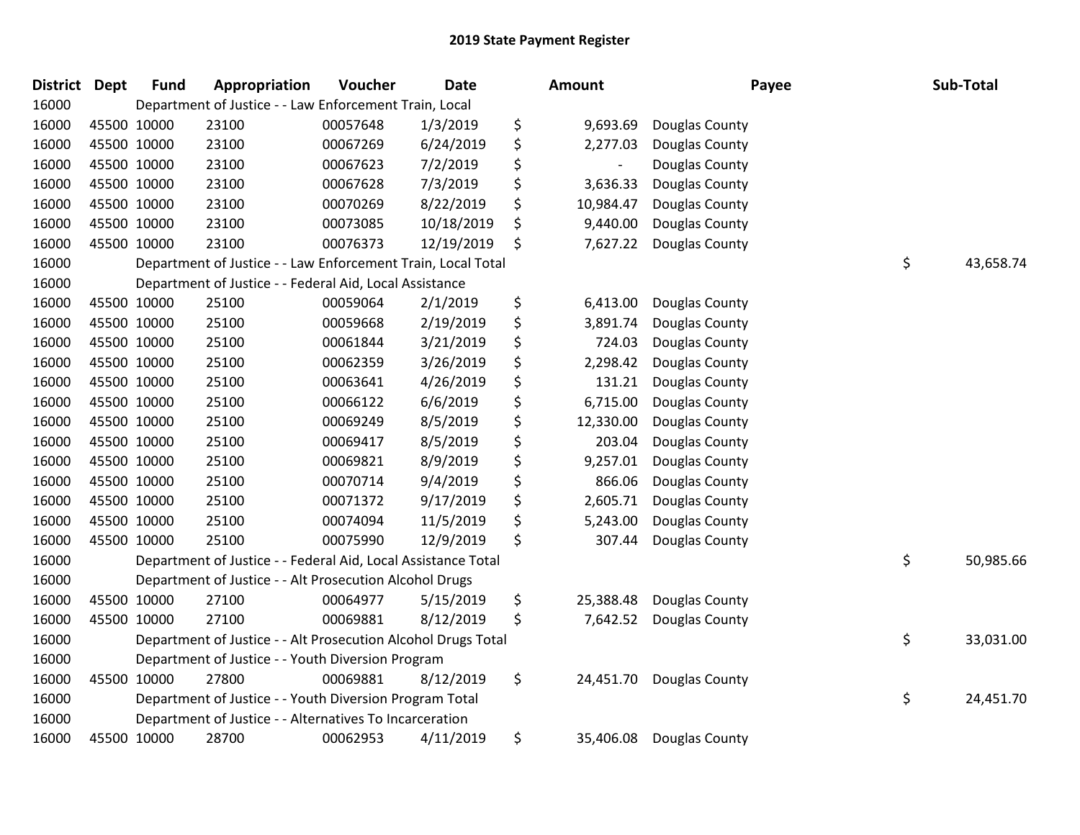| District Dept |             | <b>Fund</b> | Appropriation                                                 | Voucher  | <b>Date</b> | Amount          |                | Payee | Sub-Total |
|---------------|-------------|-------------|---------------------------------------------------------------|----------|-------------|-----------------|----------------|-------|-----------|
| 16000         |             |             | Department of Justice - - Law Enforcement Train, Local        |          |             |                 |                |       |           |
| 16000         |             | 45500 10000 | 23100                                                         | 00057648 | 1/3/2019    | \$<br>9,693.69  | Douglas County |       |           |
| 16000         |             | 45500 10000 | 23100                                                         | 00067269 | 6/24/2019   | \$<br>2,277.03  | Douglas County |       |           |
| 16000         | 45500 10000 |             | 23100                                                         | 00067623 | 7/2/2019    | \$              | Douglas County |       |           |
| 16000         | 45500 10000 |             | 23100                                                         | 00067628 | 7/3/2019    | \$<br>3,636.33  | Douglas County |       |           |
| 16000         | 45500 10000 |             | 23100                                                         | 00070269 | 8/22/2019   | \$<br>10,984.47 | Douglas County |       |           |
| 16000         | 45500 10000 |             | 23100                                                         | 00073085 | 10/18/2019  | \$<br>9,440.00  | Douglas County |       |           |
| 16000         |             | 45500 10000 | 23100                                                         | 00076373 | 12/19/2019  | \$<br>7,627.22  | Douglas County |       |           |
| 16000         |             |             | Department of Justice - - Law Enforcement Train, Local Total  |          |             |                 |                | \$    | 43,658.74 |
| 16000         |             |             | Department of Justice - - Federal Aid, Local Assistance       |          |             |                 |                |       |           |
| 16000         |             | 45500 10000 | 25100                                                         | 00059064 | 2/1/2019    | \$<br>6,413.00  | Douglas County |       |           |
| 16000         |             | 45500 10000 | 25100                                                         | 00059668 | 2/19/2019   | \$<br>3,891.74  | Douglas County |       |           |
| 16000         |             | 45500 10000 | 25100                                                         | 00061844 | 3/21/2019   | \$<br>724.03    | Douglas County |       |           |
| 16000         | 45500 10000 |             | 25100                                                         | 00062359 | 3/26/2019   | \$<br>2,298.42  | Douglas County |       |           |
| 16000         | 45500 10000 |             | 25100                                                         | 00063641 | 4/26/2019   | \$<br>131.21    | Douglas County |       |           |
| 16000         |             | 45500 10000 | 25100                                                         | 00066122 | 6/6/2019    | \$<br>6,715.00  | Douglas County |       |           |
| 16000         |             | 45500 10000 | 25100                                                         | 00069249 | 8/5/2019    | \$<br>12,330.00 | Douglas County |       |           |
| 16000         |             | 45500 10000 | 25100                                                         | 00069417 | 8/5/2019    | \$<br>203.04    | Douglas County |       |           |
| 16000         | 45500 10000 |             | 25100                                                         | 00069821 | 8/9/2019    | \$<br>9,257.01  | Douglas County |       |           |
| 16000         | 45500 10000 |             | 25100                                                         | 00070714 | 9/4/2019    | \$<br>866.06    | Douglas County |       |           |
| 16000         | 45500 10000 |             | 25100                                                         | 00071372 | 9/17/2019   | \$<br>2,605.71  | Douglas County |       |           |
| 16000         | 45500 10000 |             | 25100                                                         | 00074094 | 11/5/2019   | \$<br>5,243.00  | Douglas County |       |           |
| 16000         | 45500 10000 |             | 25100                                                         | 00075990 | 12/9/2019   | \$<br>307.44    | Douglas County |       |           |
| 16000         |             |             | Department of Justice - - Federal Aid, Local Assistance Total |          |             |                 |                | \$    | 50,985.66 |
| 16000         |             |             | Department of Justice - - Alt Prosecution Alcohol Drugs       |          |             |                 |                |       |           |
| 16000         |             | 45500 10000 | 27100                                                         | 00064977 | 5/15/2019   | \$<br>25,388.48 | Douglas County |       |           |
| 16000         |             | 45500 10000 | 27100                                                         | 00069881 | 8/12/2019   | \$<br>7,642.52  | Douglas County |       |           |
| 16000         |             |             | Department of Justice - - Alt Prosecution Alcohol Drugs Total |          |             |                 |                | \$    | 33,031.00 |
| 16000         |             |             | Department of Justice - - Youth Diversion Program             |          |             |                 |                |       |           |
| 16000         | 45500 10000 |             | 27800                                                         | 00069881 | 8/12/2019   | \$<br>24,451.70 | Douglas County |       |           |
| 16000         |             |             | Department of Justice - - Youth Diversion Program Total       |          |             |                 |                | \$    | 24,451.70 |
| 16000         |             |             | Department of Justice - - Alternatives To Incarceration       |          |             |                 |                |       |           |
| 16000         | 45500 10000 |             | 28700                                                         | 00062953 | 4/11/2019   | \$<br>35,406.08 | Douglas County |       |           |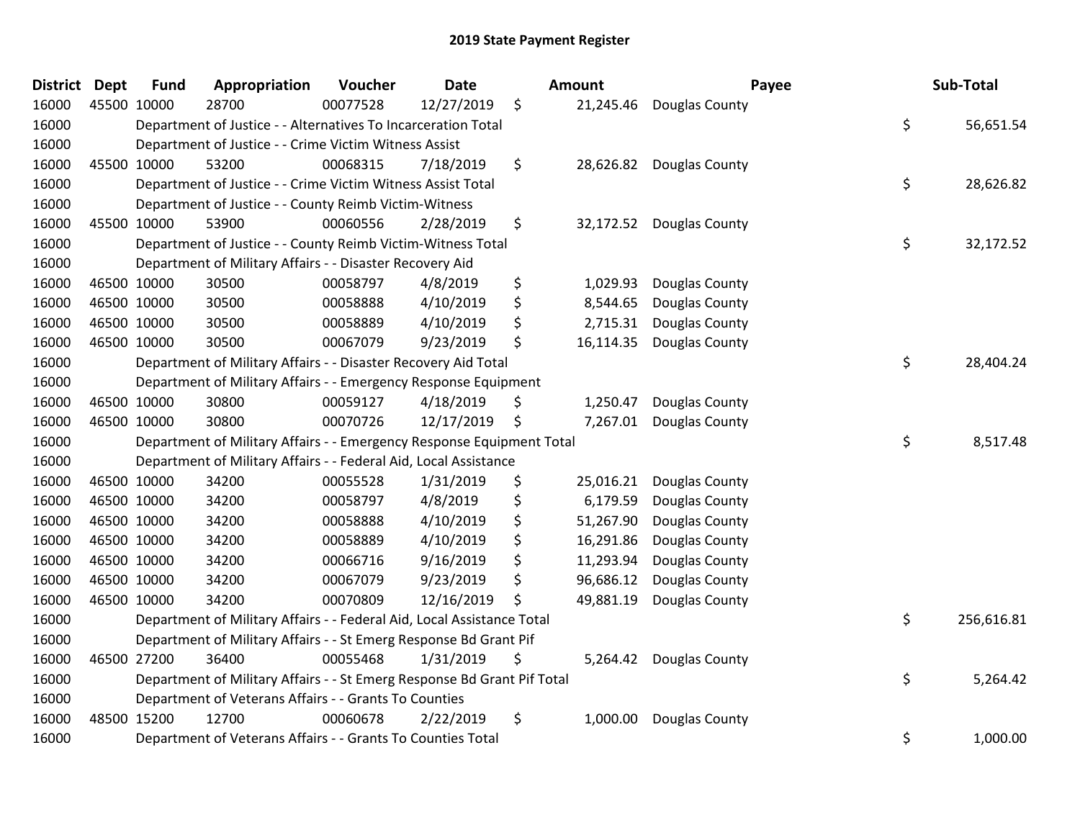| District Dept |             | <b>Fund</b> | Appropriation                                                           | Voucher  | <b>Date</b> | Amount          | Payee          | Sub-Total        |
|---------------|-------------|-------------|-------------------------------------------------------------------------|----------|-------------|-----------------|----------------|------------------|
| 16000         | 45500 10000 |             | 28700                                                                   | 00077528 | 12/27/2019  | \$<br>21,245.46 | Douglas County |                  |
| 16000         |             |             | Department of Justice - - Alternatives To Incarceration Total           |          |             |                 |                | \$<br>56,651.54  |
| 16000         |             |             | Department of Justice - - Crime Victim Witness Assist                   |          |             |                 |                |                  |
| 16000         | 45500 10000 |             | 53200                                                                   | 00068315 | 7/18/2019   | \$<br>28,626.82 | Douglas County |                  |
| 16000         |             |             | Department of Justice - - Crime Victim Witness Assist Total             |          |             |                 |                | \$<br>28,626.82  |
| 16000         |             |             | Department of Justice - - County Reimb Victim-Witness                   |          |             |                 |                |                  |
| 16000         | 45500 10000 |             | 53900                                                                   | 00060556 | 2/28/2019   | \$<br>32,172.52 | Douglas County |                  |
| 16000         |             |             | Department of Justice - - County Reimb Victim-Witness Total             |          |             |                 |                | \$<br>32,172.52  |
| 16000         |             |             | Department of Military Affairs - - Disaster Recovery Aid                |          |             |                 |                |                  |
| 16000         | 46500 10000 |             | 30500                                                                   | 00058797 | 4/8/2019    | \$<br>1,029.93  | Douglas County |                  |
| 16000         | 46500 10000 |             | 30500                                                                   | 00058888 | 4/10/2019   | \$<br>8,544.65  | Douglas County |                  |
| 16000         | 46500 10000 |             | 30500                                                                   | 00058889 | 4/10/2019   | \$<br>2,715.31  | Douglas County |                  |
| 16000         | 46500 10000 |             | 30500                                                                   | 00067079 | 9/23/2019   | \$<br>16,114.35 | Douglas County |                  |
| 16000         |             |             | Department of Military Affairs - - Disaster Recovery Aid Total          |          |             |                 |                | \$<br>28,404.24  |
| 16000         |             |             | Department of Military Affairs - - Emergency Response Equipment         |          |             |                 |                |                  |
| 16000         | 46500 10000 |             | 30800                                                                   | 00059127 | 4/18/2019   | \$<br>1,250.47  | Douglas County |                  |
| 16000         | 46500 10000 |             | 30800                                                                   | 00070726 | 12/17/2019  | \$<br>7,267.01  | Douglas County |                  |
| 16000         |             |             | Department of Military Affairs - - Emergency Response Equipment Total   |          |             |                 |                | \$<br>8,517.48   |
| 16000         |             |             | Department of Military Affairs - - Federal Aid, Local Assistance        |          |             |                 |                |                  |
| 16000         | 46500 10000 |             | 34200                                                                   | 00055528 | 1/31/2019   | \$<br>25,016.21 | Douglas County |                  |
| 16000         | 46500 10000 |             | 34200                                                                   | 00058797 | 4/8/2019    | \$<br>6,179.59  | Douglas County |                  |
| 16000         | 46500 10000 |             | 34200                                                                   | 00058888 | 4/10/2019   | \$<br>51,267.90 | Douglas County |                  |
| 16000         | 46500 10000 |             | 34200                                                                   | 00058889 | 4/10/2019   | \$<br>16,291.86 | Douglas County |                  |
| 16000         | 46500 10000 |             | 34200                                                                   | 00066716 | 9/16/2019   | \$<br>11,293.94 | Douglas County |                  |
| 16000         | 46500 10000 |             | 34200                                                                   | 00067079 | 9/23/2019   | \$<br>96,686.12 | Douglas County |                  |
| 16000         | 46500 10000 |             | 34200                                                                   | 00070809 | 12/16/2019  | \$<br>49,881.19 | Douglas County |                  |
| 16000         |             |             | Department of Military Affairs - - Federal Aid, Local Assistance Total  |          |             |                 |                | \$<br>256,616.81 |
| 16000         |             |             | Department of Military Affairs - - St Emerg Response Bd Grant Pif       |          |             |                 |                |                  |
| 16000         | 46500 27200 |             | 36400                                                                   | 00055468 | 1/31/2019   | \$<br>5,264.42  | Douglas County |                  |
| 16000         |             |             | Department of Military Affairs - - St Emerg Response Bd Grant Pif Total |          |             |                 |                | \$<br>5,264.42   |
| 16000         |             |             | Department of Veterans Affairs - - Grants To Counties                   |          |             |                 |                |                  |
| 16000         | 48500 15200 |             | 12700                                                                   | 00060678 | 2/22/2019   | \$<br>1,000.00  | Douglas County |                  |
| 16000         |             |             | Department of Veterans Affairs - - Grants To Counties Total             |          |             |                 |                | \$<br>1,000.00   |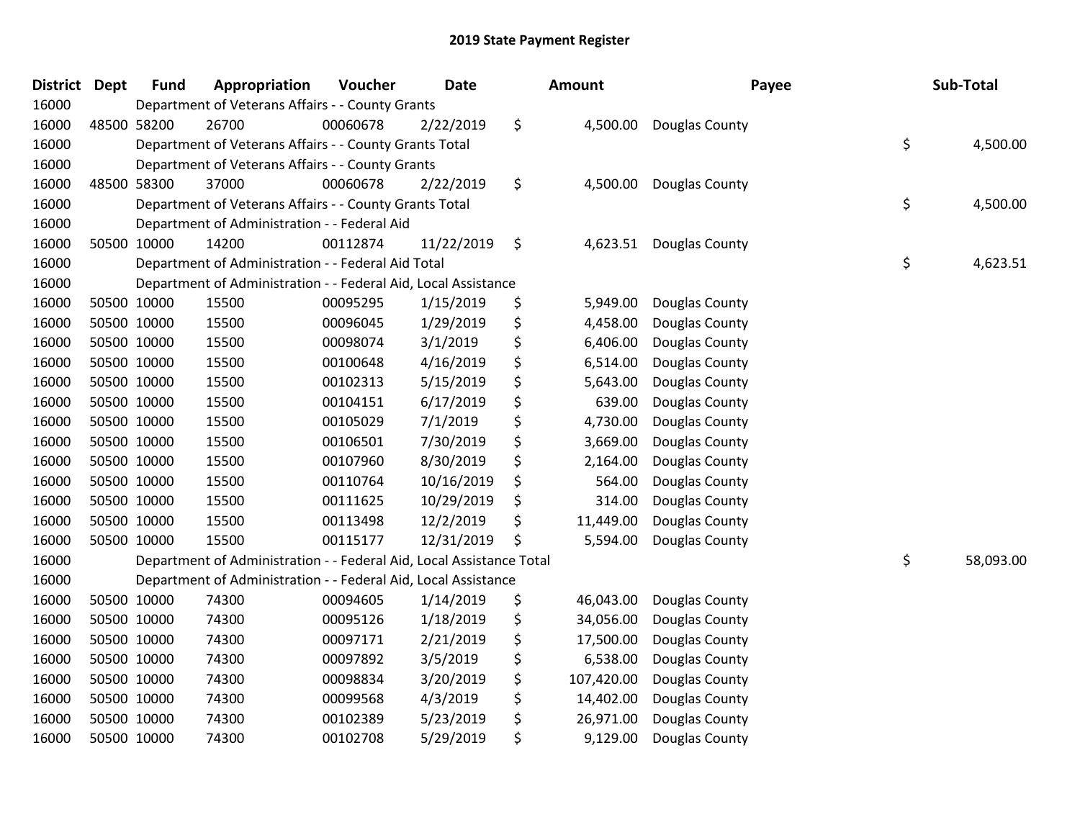| <b>District</b> | <b>Dept</b> | <b>Fund</b> | Appropriation                                                        | Voucher  | <b>Date</b> | Amount           | Payee          | Sub-Total       |
|-----------------|-------------|-------------|----------------------------------------------------------------------|----------|-------------|------------------|----------------|-----------------|
| 16000           |             |             | Department of Veterans Affairs - - County Grants                     |          |             |                  |                |                 |
| 16000           |             | 48500 58200 | 26700                                                                | 00060678 | 2/22/2019   | \$<br>4,500.00   | Douglas County |                 |
| 16000           |             |             | Department of Veterans Affairs - - County Grants Total               |          |             |                  |                | \$<br>4,500.00  |
| 16000           |             |             | Department of Veterans Affairs - - County Grants                     |          |             |                  |                |                 |
| 16000           |             | 48500 58300 | 37000                                                                | 00060678 | 2/22/2019   | \$<br>4,500.00   | Douglas County |                 |
| 16000           |             |             | Department of Veterans Affairs - - County Grants Total               |          |             |                  |                | \$<br>4,500.00  |
| 16000           |             |             | Department of Administration - - Federal Aid                         |          |             |                  |                |                 |
| 16000           |             | 50500 10000 | 14200                                                                | 00112874 | 11/22/2019  | \$<br>4,623.51   | Douglas County |                 |
| 16000           |             |             | Department of Administration - - Federal Aid Total                   |          |             |                  |                | \$<br>4,623.51  |
| 16000           |             |             | Department of Administration - - Federal Aid, Local Assistance       |          |             |                  |                |                 |
| 16000           |             | 50500 10000 | 15500                                                                | 00095295 | 1/15/2019   | \$<br>5,949.00   | Douglas County |                 |
| 16000           |             | 50500 10000 | 15500                                                                | 00096045 | 1/29/2019   | \$<br>4,458.00   | Douglas County |                 |
| 16000           |             | 50500 10000 | 15500                                                                | 00098074 | 3/1/2019    | \$<br>6,406.00   | Douglas County |                 |
| 16000           |             | 50500 10000 | 15500                                                                | 00100648 | 4/16/2019   | \$<br>6,514.00   | Douglas County |                 |
| 16000           |             | 50500 10000 | 15500                                                                | 00102313 | 5/15/2019   | \$<br>5,643.00   | Douglas County |                 |
| 16000           |             | 50500 10000 | 15500                                                                | 00104151 | 6/17/2019   | \$<br>639.00     | Douglas County |                 |
| 16000           |             | 50500 10000 | 15500                                                                | 00105029 | 7/1/2019    | \$<br>4,730.00   | Douglas County |                 |
| 16000           |             | 50500 10000 | 15500                                                                | 00106501 | 7/30/2019   | \$<br>3,669.00   | Douglas County |                 |
| 16000           |             | 50500 10000 | 15500                                                                | 00107960 | 8/30/2019   | \$<br>2,164.00   | Douglas County |                 |
| 16000           |             | 50500 10000 | 15500                                                                | 00110764 | 10/16/2019  | \$<br>564.00     | Douglas County |                 |
| 16000           |             | 50500 10000 | 15500                                                                | 00111625 | 10/29/2019  | \$<br>314.00     | Douglas County |                 |
| 16000           |             | 50500 10000 | 15500                                                                | 00113498 | 12/2/2019   | \$<br>11,449.00  | Douglas County |                 |
| 16000           |             | 50500 10000 | 15500                                                                | 00115177 | 12/31/2019  | \$<br>5,594.00   | Douglas County |                 |
| 16000           |             |             | Department of Administration - - Federal Aid, Local Assistance Total |          |             |                  |                | \$<br>58,093.00 |
| 16000           |             |             | Department of Administration - - Federal Aid, Local Assistance       |          |             |                  |                |                 |
| 16000           |             | 50500 10000 | 74300                                                                | 00094605 | 1/14/2019   | \$<br>46,043.00  | Douglas County |                 |
| 16000           |             | 50500 10000 | 74300                                                                | 00095126 | 1/18/2019   | \$<br>34,056.00  | Douglas County |                 |
| 16000           |             | 50500 10000 | 74300                                                                | 00097171 | 2/21/2019   | \$<br>17,500.00  | Douglas County |                 |
| 16000           |             | 50500 10000 | 74300                                                                | 00097892 | 3/5/2019    | \$<br>6,538.00   | Douglas County |                 |
| 16000           |             | 50500 10000 | 74300                                                                | 00098834 | 3/20/2019   | \$<br>107,420.00 | Douglas County |                 |
| 16000           |             | 50500 10000 | 74300                                                                | 00099568 | 4/3/2019    | \$<br>14,402.00  | Douglas County |                 |
| 16000           |             | 50500 10000 | 74300                                                                | 00102389 | 5/23/2019   | \$<br>26,971.00  | Douglas County |                 |
| 16000           |             | 50500 10000 | 74300                                                                | 00102708 | 5/29/2019   | \$<br>9,129.00   | Douglas County |                 |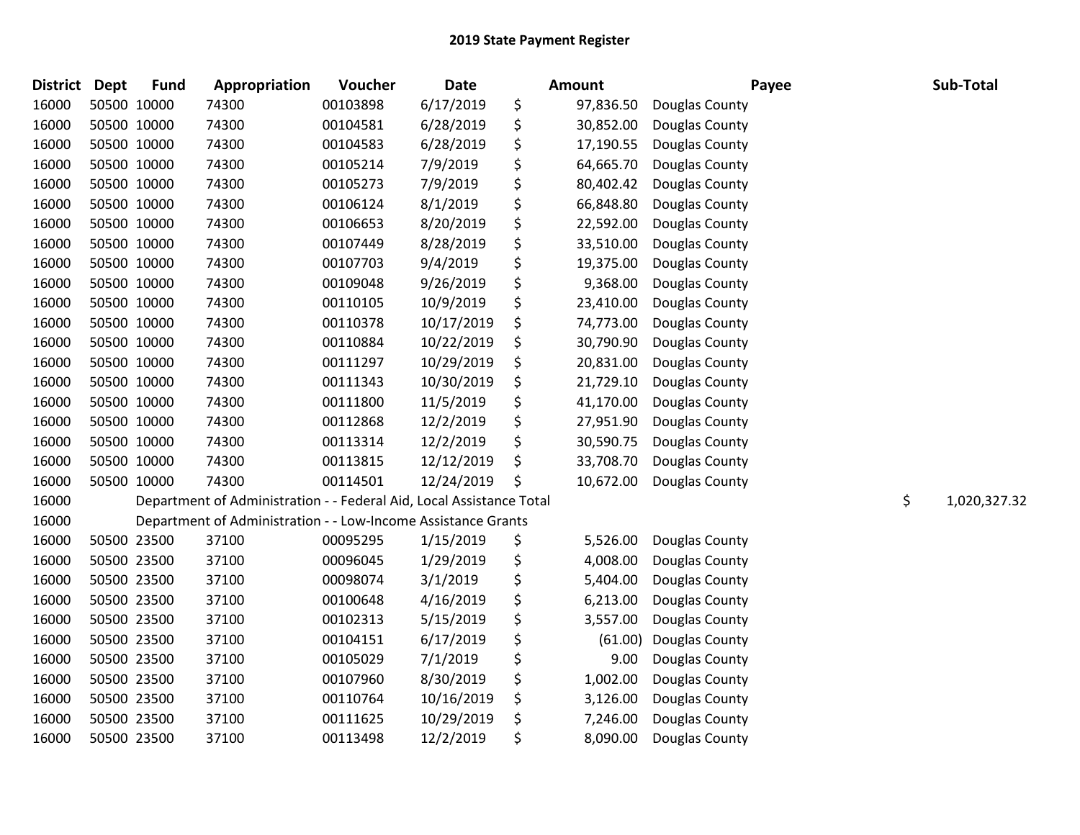| <b>District</b> | <b>Dept</b> | <b>Fund</b> | Appropriation                                                        | Voucher  | <b>Date</b> | Amount          | Payee          | Sub-Total          |
|-----------------|-------------|-------------|----------------------------------------------------------------------|----------|-------------|-----------------|----------------|--------------------|
| 16000           |             | 50500 10000 | 74300                                                                | 00103898 | 6/17/2019   | \$<br>97,836.50 | Douglas County |                    |
| 16000           |             | 50500 10000 | 74300                                                                | 00104581 | 6/28/2019   | \$<br>30,852.00 | Douglas County |                    |
| 16000           |             | 50500 10000 | 74300                                                                | 00104583 | 6/28/2019   | \$<br>17,190.55 | Douglas County |                    |
| 16000           |             | 50500 10000 | 74300                                                                | 00105214 | 7/9/2019    | \$<br>64,665.70 | Douglas County |                    |
| 16000           |             | 50500 10000 | 74300                                                                | 00105273 | 7/9/2019    | \$<br>80,402.42 | Douglas County |                    |
| 16000           |             | 50500 10000 | 74300                                                                | 00106124 | 8/1/2019    | \$<br>66,848.80 | Douglas County |                    |
| 16000           |             | 50500 10000 | 74300                                                                | 00106653 | 8/20/2019   | \$<br>22,592.00 | Douglas County |                    |
| 16000           |             | 50500 10000 | 74300                                                                | 00107449 | 8/28/2019   | \$<br>33,510.00 | Douglas County |                    |
| 16000           |             | 50500 10000 | 74300                                                                | 00107703 | 9/4/2019    | \$<br>19,375.00 | Douglas County |                    |
| 16000           |             | 50500 10000 | 74300                                                                | 00109048 | 9/26/2019   | \$<br>9,368.00  | Douglas County |                    |
| 16000           |             | 50500 10000 | 74300                                                                | 00110105 | 10/9/2019   | \$<br>23,410.00 | Douglas County |                    |
| 16000           |             | 50500 10000 | 74300                                                                | 00110378 | 10/17/2019  | \$<br>74,773.00 | Douglas County |                    |
| 16000           |             | 50500 10000 | 74300                                                                | 00110884 | 10/22/2019  | \$<br>30,790.90 | Douglas County |                    |
| 16000           |             | 50500 10000 | 74300                                                                | 00111297 | 10/29/2019  | \$<br>20,831.00 | Douglas County |                    |
| 16000           |             | 50500 10000 | 74300                                                                | 00111343 | 10/30/2019  | \$<br>21,729.10 | Douglas County |                    |
| 16000           |             | 50500 10000 | 74300                                                                | 00111800 | 11/5/2019   | \$<br>41,170.00 | Douglas County |                    |
| 16000           |             | 50500 10000 | 74300                                                                | 00112868 | 12/2/2019   | \$<br>27,951.90 | Douglas County |                    |
| 16000           |             | 50500 10000 | 74300                                                                | 00113314 | 12/2/2019   | \$<br>30,590.75 | Douglas County |                    |
| 16000           |             | 50500 10000 | 74300                                                                | 00113815 | 12/12/2019  | \$<br>33,708.70 | Douglas County |                    |
| 16000           |             | 50500 10000 | 74300                                                                | 00114501 | 12/24/2019  | \$<br>10,672.00 | Douglas County |                    |
| 16000           |             |             | Department of Administration - - Federal Aid, Local Assistance Total |          |             |                 |                | \$<br>1,020,327.32 |
| 16000           |             |             | Department of Administration - - Low-Income Assistance Grants        |          |             |                 |                |                    |
| 16000           |             | 50500 23500 | 37100                                                                | 00095295 | 1/15/2019   | \$<br>5,526.00  | Douglas County |                    |
| 16000           |             | 50500 23500 | 37100                                                                | 00096045 | 1/29/2019   | \$<br>4,008.00  | Douglas County |                    |
| 16000           |             | 50500 23500 | 37100                                                                | 00098074 | 3/1/2019    | \$<br>5,404.00  | Douglas County |                    |
| 16000           |             | 50500 23500 | 37100                                                                | 00100648 | 4/16/2019   | \$<br>6,213.00  | Douglas County |                    |
| 16000           |             | 50500 23500 | 37100                                                                | 00102313 | 5/15/2019   | \$<br>3,557.00  | Douglas County |                    |
| 16000           |             | 50500 23500 | 37100                                                                | 00104151 | 6/17/2019   | \$<br>(61.00)   | Douglas County |                    |
| 16000           |             | 50500 23500 | 37100                                                                | 00105029 | 7/1/2019    | \$<br>9.00      | Douglas County |                    |
| 16000           |             | 50500 23500 | 37100                                                                | 00107960 | 8/30/2019   | \$<br>1,002.00  | Douglas County |                    |
| 16000           |             | 50500 23500 | 37100                                                                | 00110764 | 10/16/2019  | \$<br>3,126.00  | Douglas County |                    |
| 16000           |             | 50500 23500 | 37100                                                                | 00111625 | 10/29/2019  | \$<br>7,246.00  | Douglas County |                    |
| 16000           |             | 50500 23500 | 37100                                                                | 00113498 | 12/2/2019   | \$<br>8,090.00  | Douglas County |                    |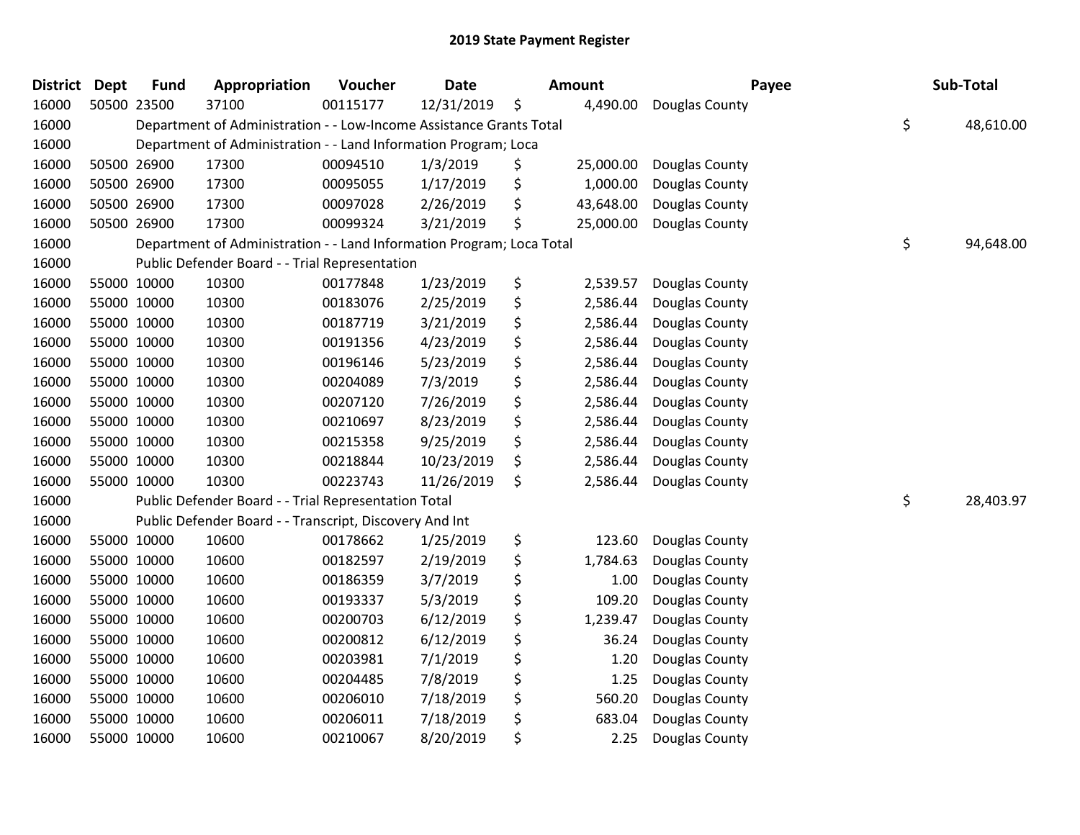| <b>District Dept</b> | <b>Fund</b> | Appropriation                                                         | Voucher  | <b>Date</b> | <b>Amount</b>   | Payee          | Sub-Total       |
|----------------------|-------------|-----------------------------------------------------------------------|----------|-------------|-----------------|----------------|-----------------|
| 16000                | 50500 23500 | 37100                                                                 | 00115177 | 12/31/2019  | \$<br>4,490.00  | Douglas County |                 |
| 16000                |             | Department of Administration - - Low-Income Assistance Grants Total   |          |             |                 |                | \$<br>48,610.00 |
| 16000                |             | Department of Administration - - Land Information Program; Loca       |          |             |                 |                |                 |
| 16000                | 50500 26900 | 17300                                                                 | 00094510 | 1/3/2019    | \$<br>25,000.00 | Douglas County |                 |
| 16000                | 50500 26900 | 17300                                                                 | 00095055 | 1/17/2019   | \$<br>1,000.00  | Douglas County |                 |
| 16000                | 50500 26900 | 17300                                                                 | 00097028 | 2/26/2019   | \$<br>43,648.00 | Douglas County |                 |
| 16000                | 50500 26900 | 17300                                                                 | 00099324 | 3/21/2019   | \$<br>25,000.00 | Douglas County |                 |
| 16000                |             | Department of Administration - - Land Information Program; Loca Total |          |             |                 |                | \$<br>94,648.00 |
| 16000                |             | Public Defender Board - - Trial Representation                        |          |             |                 |                |                 |
| 16000                | 55000 10000 | 10300                                                                 | 00177848 | 1/23/2019   | \$<br>2,539.57  | Douglas County |                 |
| 16000                | 55000 10000 | 10300                                                                 | 00183076 | 2/25/2019   | \$<br>2,586.44  | Douglas County |                 |
| 16000                | 55000 10000 | 10300                                                                 | 00187719 | 3/21/2019   | \$<br>2,586.44  | Douglas County |                 |
| 16000                | 55000 10000 | 10300                                                                 | 00191356 | 4/23/2019   | \$<br>2,586.44  | Douglas County |                 |
| 16000                | 55000 10000 | 10300                                                                 | 00196146 | 5/23/2019   | \$<br>2,586.44  | Douglas County |                 |
| 16000                | 55000 10000 | 10300                                                                 | 00204089 | 7/3/2019    | \$<br>2,586.44  | Douglas County |                 |
| 16000                | 55000 10000 | 10300                                                                 | 00207120 | 7/26/2019   | \$<br>2,586.44  | Douglas County |                 |
| 16000                | 55000 10000 | 10300                                                                 | 00210697 | 8/23/2019   | \$<br>2,586.44  | Douglas County |                 |
| 16000                | 55000 10000 | 10300                                                                 | 00215358 | 9/25/2019   | \$<br>2,586.44  | Douglas County |                 |
| 16000                | 55000 10000 | 10300                                                                 | 00218844 | 10/23/2019  | \$<br>2,586.44  | Douglas County |                 |
| 16000                | 55000 10000 | 10300                                                                 | 00223743 | 11/26/2019  | \$<br>2,586.44  | Douglas County |                 |
| 16000                |             | Public Defender Board - - Trial Representation Total                  |          |             |                 |                | \$<br>28,403.97 |
| 16000                |             | Public Defender Board - - Transcript, Discovery And Int               |          |             |                 |                |                 |
| 16000                | 55000 10000 | 10600                                                                 | 00178662 | 1/25/2019   | \$<br>123.60    | Douglas County |                 |
| 16000                | 55000 10000 | 10600                                                                 | 00182597 | 2/19/2019   | \$<br>1,784.63  | Douglas County |                 |
| 16000                | 55000 10000 | 10600                                                                 | 00186359 | 3/7/2019    | \$<br>1.00      | Douglas County |                 |
| 16000                | 55000 10000 | 10600                                                                 | 00193337 | 5/3/2019    | \$<br>109.20    | Douglas County |                 |
| 16000                | 55000 10000 | 10600                                                                 | 00200703 | 6/12/2019   | \$<br>1,239.47  | Douglas County |                 |
| 16000                | 55000 10000 | 10600                                                                 | 00200812 | 6/12/2019   | \$<br>36.24     | Douglas County |                 |
| 16000                | 55000 10000 | 10600                                                                 | 00203981 | 7/1/2019    | \$<br>1.20      | Douglas County |                 |
| 16000                | 55000 10000 | 10600                                                                 | 00204485 | 7/8/2019    | \$<br>1.25      | Douglas County |                 |
| 16000                | 55000 10000 | 10600                                                                 | 00206010 | 7/18/2019   | \$<br>560.20    | Douglas County |                 |
| 16000                | 55000 10000 | 10600                                                                 | 00206011 | 7/18/2019   | \$<br>683.04    | Douglas County |                 |
| 16000                | 55000 10000 | 10600                                                                 | 00210067 | 8/20/2019   | \$<br>2.25      | Douglas County |                 |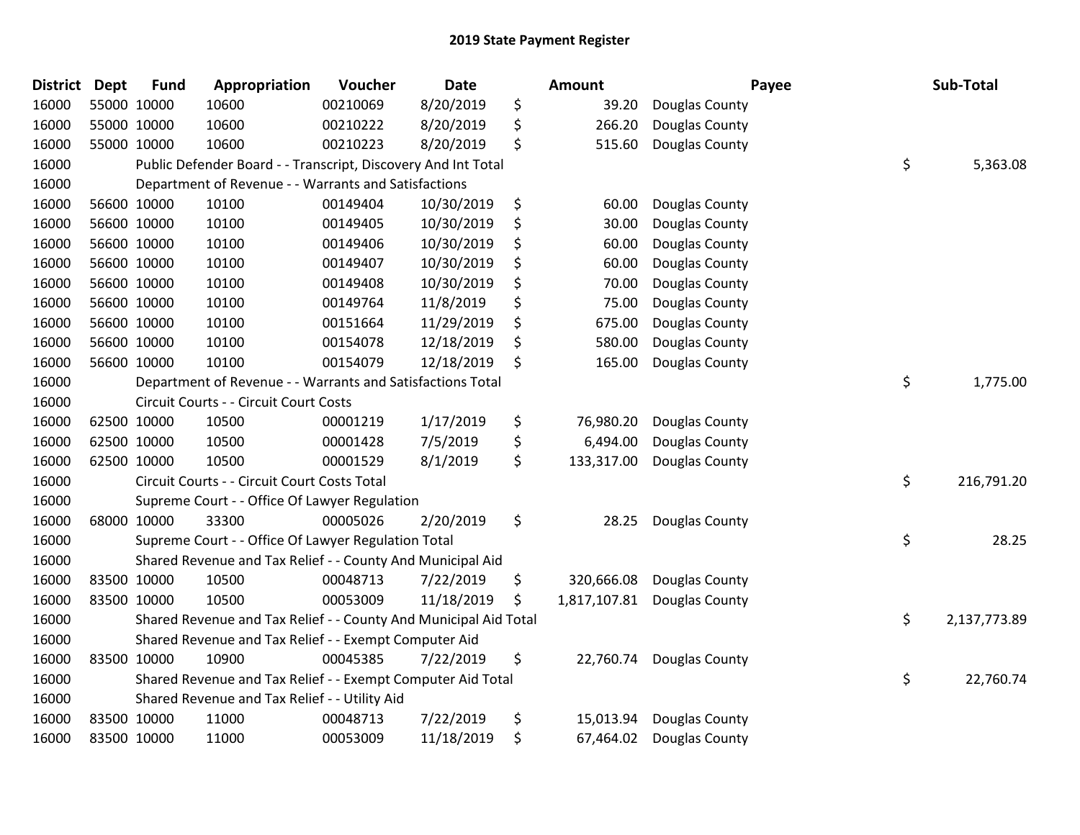| <b>District</b> | <b>Dept</b> | <b>Fund</b> | Appropriation                                                    | Voucher  | <b>Date</b> | <b>Amount</b>      | Payee                    | Sub-Total          |
|-----------------|-------------|-------------|------------------------------------------------------------------|----------|-------------|--------------------|--------------------------|--------------------|
| 16000           | 55000 10000 |             | 10600                                                            | 00210069 | 8/20/2019   | \$<br>39.20        | Douglas County           |                    |
| 16000           |             | 55000 10000 | 10600                                                            | 00210222 | 8/20/2019   | \$<br>266.20       | Douglas County           |                    |
| 16000           | 55000 10000 |             | 10600                                                            | 00210223 | 8/20/2019   | \$<br>515.60       | Douglas County           |                    |
| 16000           |             |             | Public Defender Board - - Transcript, Discovery And Int Total    |          |             |                    |                          | \$<br>5,363.08     |
| 16000           |             |             | Department of Revenue - - Warrants and Satisfactions             |          |             |                    |                          |                    |
| 16000           |             | 56600 10000 | 10100                                                            | 00149404 | 10/30/2019  | \$<br>60.00        | Douglas County           |                    |
| 16000           |             | 56600 10000 | 10100                                                            | 00149405 | 10/30/2019  | \$<br>30.00        | Douglas County           |                    |
| 16000           |             | 56600 10000 | 10100                                                            | 00149406 | 10/30/2019  | \$<br>60.00        | Douglas County           |                    |
| 16000           |             | 56600 10000 | 10100                                                            | 00149407 | 10/30/2019  | \$<br>60.00        | Douglas County           |                    |
| 16000           |             | 56600 10000 | 10100                                                            | 00149408 | 10/30/2019  | \$<br>70.00        | Douglas County           |                    |
| 16000           |             | 56600 10000 | 10100                                                            | 00149764 | 11/8/2019   | \$<br>75.00        | Douglas County           |                    |
| 16000           |             | 56600 10000 | 10100                                                            | 00151664 | 11/29/2019  | \$<br>675.00       | Douglas County           |                    |
| 16000           |             | 56600 10000 | 10100                                                            | 00154078 | 12/18/2019  | \$<br>580.00       | Douglas County           |                    |
| 16000           | 56600 10000 |             | 10100                                                            | 00154079 | 12/18/2019  | \$<br>165.00       | Douglas County           |                    |
| 16000           |             |             | Department of Revenue - - Warrants and Satisfactions Total       |          |             |                    |                          | \$<br>1,775.00     |
| 16000           |             |             | Circuit Courts - - Circuit Court Costs                           |          |             |                    |                          |                    |
| 16000           |             | 62500 10000 | 10500                                                            | 00001219 | 1/17/2019   | \$<br>76,980.20    | Douglas County           |                    |
| 16000           |             | 62500 10000 | 10500                                                            | 00001428 | 7/5/2019    | \$<br>6,494.00     | Douglas County           |                    |
| 16000           |             | 62500 10000 | 10500                                                            | 00001529 | 8/1/2019    | \$<br>133,317.00   | Douglas County           |                    |
| 16000           |             |             | Circuit Courts - - Circuit Court Costs Total                     |          |             |                    |                          | \$<br>216,791.20   |
| 16000           |             |             | Supreme Court - - Office Of Lawyer Regulation                    |          |             |                    |                          |                    |
| 16000           |             | 68000 10000 | 33300                                                            | 00005026 | 2/20/2019   | \$<br>28.25        | Douglas County           |                    |
| 16000           |             |             | Supreme Court - - Office Of Lawyer Regulation Total              |          |             |                    |                          | \$<br>28.25        |
| 16000           |             |             | Shared Revenue and Tax Relief - - County And Municipal Aid       |          |             |                    |                          |                    |
| 16000           |             | 83500 10000 | 10500                                                            | 00048713 | 7/22/2019   | \$<br>320,666.08   | Douglas County           |                    |
| 16000           |             | 83500 10000 | 10500                                                            | 00053009 | 11/18/2019  | \$<br>1,817,107.81 | Douglas County           |                    |
| 16000           |             |             | Shared Revenue and Tax Relief - - County And Municipal Aid Total |          |             |                    |                          | \$<br>2,137,773.89 |
| 16000           |             |             | Shared Revenue and Tax Relief - - Exempt Computer Aid            |          |             |                    |                          |                    |
| 16000           |             | 83500 10000 | 10900                                                            | 00045385 | 7/22/2019   | \$                 | 22,760.74 Douglas County |                    |
| 16000           |             |             | Shared Revenue and Tax Relief - - Exempt Computer Aid Total      |          |             |                    |                          | \$<br>22,760.74    |
| 16000           |             |             | Shared Revenue and Tax Relief - - Utility Aid                    |          |             |                    |                          |                    |
| 16000           |             | 83500 10000 | 11000                                                            | 00048713 | 7/22/2019   | \$<br>15,013.94    | Douglas County           |                    |
| 16000           | 83500 10000 |             | 11000                                                            | 00053009 | 11/18/2019  | \$<br>67,464.02    | Douglas County           |                    |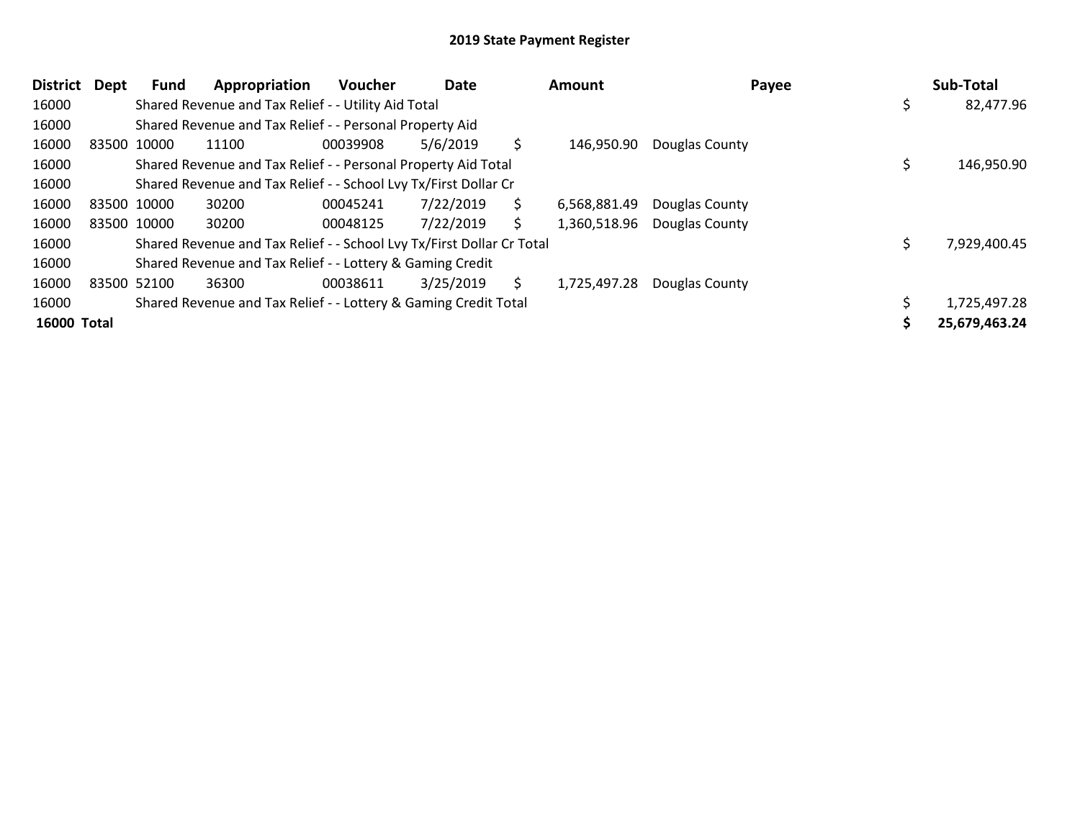| District Dept      | Fund        | Appropriation                                                         | Voucher  | Date      |     | <b>Amount</b> | Payee          |   | Sub-Total     |
|--------------------|-------------|-----------------------------------------------------------------------|----------|-----------|-----|---------------|----------------|---|---------------|
| 16000              |             | Shared Revenue and Tax Relief - - Utility Aid Total                   |          |           |     |               |                | S | 82,477.96     |
| 16000              |             | Shared Revenue and Tax Relief - - Personal Property Aid               |          |           |     |               |                |   |               |
| 16000              | 83500 10000 | 11100                                                                 | 00039908 | 5/6/2019  | \$. | 146.950.90    | Douglas County |   |               |
| 16000              |             | Shared Revenue and Tax Relief - - Personal Property Aid Total         |          |           |     |               |                |   | 146,950.90    |
| 16000              |             | Shared Revenue and Tax Relief - - School Lvy Tx/First Dollar Cr       |          |           |     |               |                |   |               |
| 16000              | 83500 10000 | 30200                                                                 | 00045241 | 7/22/2019 | S.  | 6,568,881.49  | Douglas County |   |               |
| 16000              | 83500 10000 | 30200                                                                 | 00048125 | 7/22/2019 | \$  | 1,360,518.96  | Douglas County |   |               |
| 16000              |             | Shared Revenue and Tax Relief - - School Lvy Tx/First Dollar Cr Total |          |           |     |               |                |   | 7,929,400.45  |
| 16000              |             | Shared Revenue and Tax Relief - - Lottery & Gaming Credit             |          |           |     |               |                |   |               |
| 16000              | 83500 52100 | 36300                                                                 | 00038611 | 3/25/2019 | S.  | 1,725,497.28  | Douglas County |   |               |
| 16000              |             | Shared Revenue and Tax Relief - - Lottery & Gaming Credit Total       |          |           |     |               |                |   | 1,725,497.28  |
| <b>16000 Total</b> |             |                                                                       |          |           |     |               |                |   | 25,679,463.24 |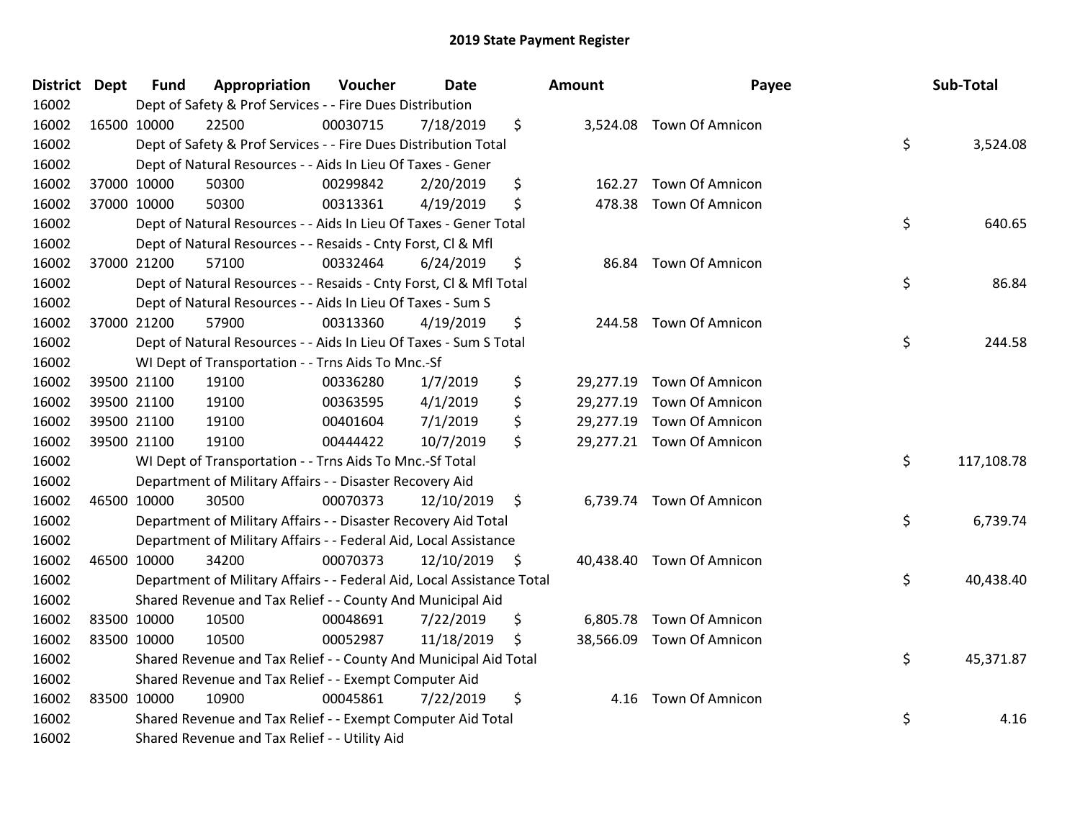| <b>District Dept</b> |             | <b>Fund</b> | Appropriation                                                          | Voucher  | <b>Date</b>   | <b>Amount</b>  | Payee                     | Sub-Total        |
|----------------------|-------------|-------------|------------------------------------------------------------------------|----------|---------------|----------------|---------------------------|------------------|
| 16002                |             |             | Dept of Safety & Prof Services - - Fire Dues Distribution              |          |               |                |                           |                  |
| 16002                | 16500 10000 |             | 22500                                                                  | 00030715 | 7/18/2019     | \$             | 3,524.08 Town Of Amnicon  |                  |
| 16002                |             |             | Dept of Safety & Prof Services - - Fire Dues Distribution Total        |          |               |                |                           | \$<br>3,524.08   |
| 16002                |             |             | Dept of Natural Resources - - Aids In Lieu Of Taxes - Gener            |          |               |                |                           |                  |
| 16002                | 37000 10000 |             | 50300                                                                  | 00299842 | 2/20/2019     | \$<br>162.27   | Town Of Amnicon           |                  |
| 16002                | 37000 10000 |             | 50300                                                                  | 00313361 | 4/19/2019     | \$             | 478.38 Town Of Amnicon    |                  |
| 16002                |             |             | Dept of Natural Resources - - Aids In Lieu Of Taxes - Gener Total      |          |               |                |                           | \$<br>640.65     |
| 16002                |             |             | Dept of Natural Resources - - Resaids - Cnty Forst, Cl & Mfl           |          |               |                |                           |                  |
| 16002                |             | 37000 21200 | 57100                                                                  | 00332464 | 6/24/2019     | \$             | 86.84 Town Of Amnicon     |                  |
| 16002                |             |             | Dept of Natural Resources - - Resaids - Cnty Forst, Cl & Mfl Total     |          |               |                |                           | \$<br>86.84      |
| 16002                |             |             | Dept of Natural Resources - - Aids In Lieu Of Taxes - Sum S            |          |               |                |                           |                  |
| 16002                | 37000 21200 |             | 57900                                                                  | 00313360 | 4/19/2019     | \$             | 244.58 Town Of Amnicon    |                  |
| 16002                |             |             | Dept of Natural Resources - - Aids In Lieu Of Taxes - Sum S Total      |          |               |                |                           | \$<br>244.58     |
| 16002                |             |             | WI Dept of Transportation - - Trns Aids To Mnc.-Sf                     |          |               |                |                           |                  |
| 16002                |             | 39500 21100 | 19100                                                                  | 00336280 | 1/7/2019      | \$             | 29,277.19 Town Of Amnicon |                  |
| 16002                |             | 39500 21100 | 19100                                                                  | 00363595 | 4/1/2019      | \$             | 29,277.19 Town Of Amnicon |                  |
| 16002                |             | 39500 21100 | 19100                                                                  | 00401604 | 7/1/2019      | \$             | 29,277.19 Town Of Amnicon |                  |
| 16002                |             | 39500 21100 | 19100                                                                  | 00444422 | 10/7/2019     | \$             | 29,277.21 Town Of Amnicon |                  |
| 16002                |             |             | WI Dept of Transportation - - Trns Aids To Mnc.-Sf Total               |          |               |                |                           | \$<br>117,108.78 |
| 16002                |             |             | Department of Military Affairs - - Disaster Recovery Aid               |          |               |                |                           |                  |
| 16002                | 46500 10000 |             | 30500                                                                  | 00070373 | 12/10/2019    | \$             | 6,739.74 Town Of Amnicon  |                  |
| 16002                |             |             | Department of Military Affairs - - Disaster Recovery Aid Total         |          |               |                |                           | \$<br>6,739.74   |
| 16002                |             |             | Department of Military Affairs - - Federal Aid, Local Assistance       |          |               |                |                           |                  |
| 16002                | 46500 10000 |             | 34200                                                                  | 00070373 | 12/10/2019 \$ |                | 40,438.40 Town Of Amnicon |                  |
| 16002                |             |             | Department of Military Affairs - - Federal Aid, Local Assistance Total |          |               |                |                           | \$<br>40,438.40  |
| 16002                |             |             | Shared Revenue and Tax Relief - - County And Municipal Aid             |          |               |                |                           |                  |
| 16002                | 83500 10000 |             | 10500                                                                  | 00048691 | 7/22/2019     | \$<br>6,805.78 | Town Of Amnicon           |                  |
| 16002                | 83500 10000 |             | 10500                                                                  | 00052987 | 11/18/2019    | \$             | 38,566.09 Town Of Amnicon |                  |
| 16002                |             |             | Shared Revenue and Tax Relief - - County And Municipal Aid Total       |          |               |                |                           | \$<br>45,371.87  |
| 16002                |             |             | Shared Revenue and Tax Relief - - Exempt Computer Aid                  |          |               |                |                           |                  |
| 16002                | 83500 10000 |             | 10900                                                                  | 00045861 | 7/22/2019     | \$<br>4.16     | Town Of Amnicon           |                  |
| 16002                |             |             | Shared Revenue and Tax Relief - - Exempt Computer Aid Total            |          |               |                |                           | \$<br>4.16       |
| 16002                |             |             | Shared Revenue and Tax Relief - - Utility Aid                          |          |               |                |                           |                  |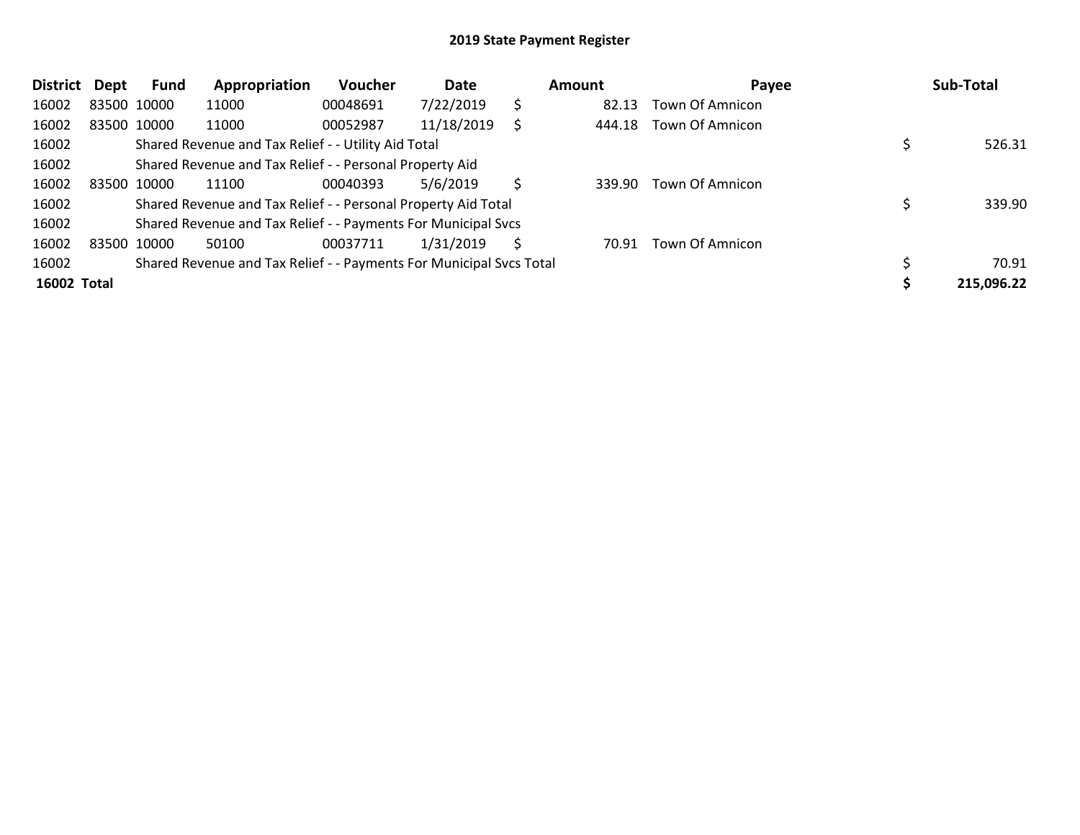| <b>District</b> | Dept        | Fund        | Appropriation                                                       | <b>Voucher</b> | Date       |    | Amount | Payee           | Sub-Total  |
|-----------------|-------------|-------------|---------------------------------------------------------------------|----------------|------------|----|--------|-----------------|------------|
| 16002           |             | 83500 10000 | 11000                                                               | 00048691       | 7/22/2019  | \$ | 82.13  | Town Of Amnicon |            |
| 16002           |             | 83500 10000 | 11000                                                               | 00052987       | 11/18/2019 |    | 444.18 | Town Of Amnicon |            |
| 16002           |             |             | Shared Revenue and Tax Relief - - Utility Aid Total                 |                |            |    |        |                 | 526.31     |
| 16002           |             |             | Shared Revenue and Tax Relief - - Personal Property Aid             |                |            |    |        |                 |            |
| 16002           | 83500 10000 |             | 11100                                                               | 00040393       | 5/6/2019   | Ś  | 339.90 | Town Of Amnicon |            |
| 16002           |             |             | Shared Revenue and Tax Relief - - Personal Property Aid Total       |                |            |    |        |                 | 339.90     |
| 16002           |             |             | Shared Revenue and Tax Relief - - Payments For Municipal Svcs       |                |            |    |        |                 |            |
| 16002           |             | 83500 10000 | 50100                                                               | 00037711       | 1/31/2019  | S  | 70.91  | Town Of Amnicon |            |
| 16002           |             |             | Shared Revenue and Tax Relief - - Payments For Municipal Svcs Total |                |            |    |        |                 | 70.91      |
| 16002 Total     |             |             |                                                                     |                |            |    |        |                 | 215,096.22 |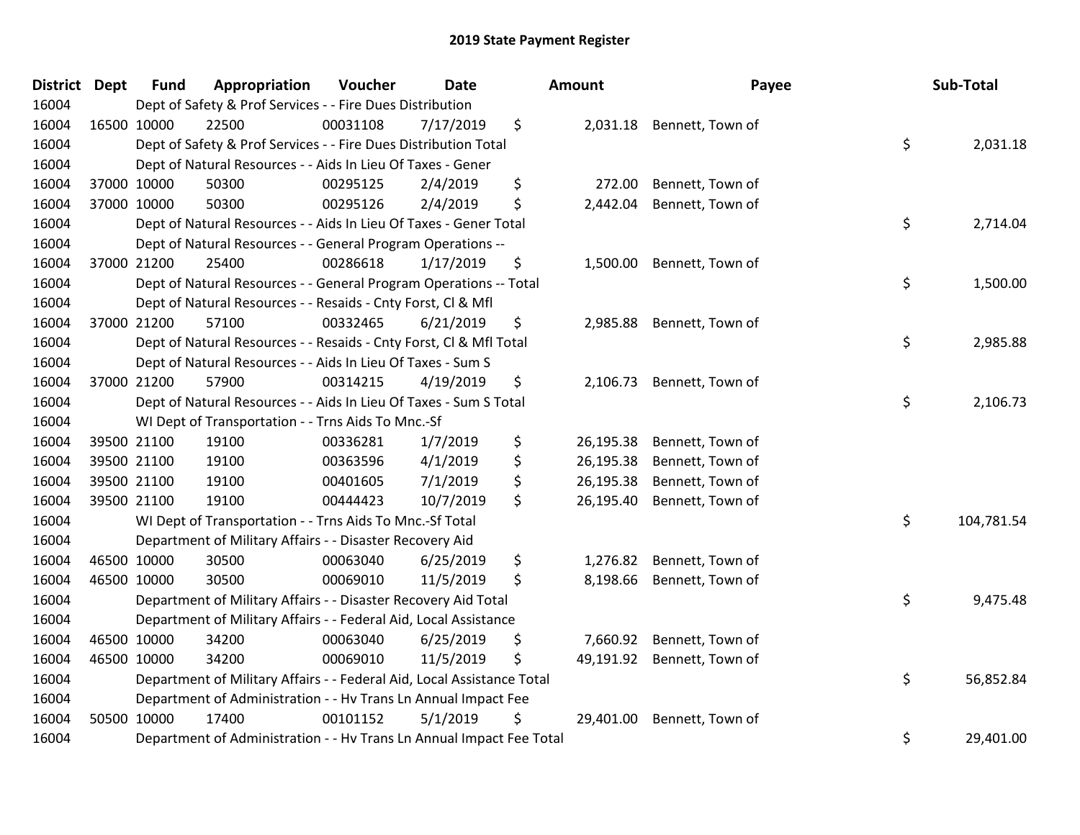| <b>District</b> | Dept        | <b>Fund</b> | Appropriation                                                          | Voucher  | Date      | Amount          | Payee                     | Sub-Total        |
|-----------------|-------------|-------------|------------------------------------------------------------------------|----------|-----------|-----------------|---------------------------|------------------|
| 16004           |             |             | Dept of Safety & Prof Services - - Fire Dues Distribution              |          |           |                 |                           |                  |
| 16004           | 16500 10000 |             | 22500                                                                  | 00031108 | 7/17/2019 | \$              | 2,031.18 Bennett, Town of |                  |
| 16004           |             |             | Dept of Safety & Prof Services - - Fire Dues Distribution Total        |          |           |                 |                           | \$<br>2,031.18   |
| 16004           |             |             | Dept of Natural Resources - - Aids In Lieu Of Taxes - Gener            |          |           |                 |                           |                  |
| 16004           | 37000 10000 |             | 50300                                                                  | 00295125 | 2/4/2019  | \$<br>272.00    | Bennett, Town of          |                  |
| 16004           | 37000 10000 |             | 50300                                                                  | 00295126 | 2/4/2019  | \$<br>2,442.04  | Bennett, Town of          |                  |
| 16004           |             |             | Dept of Natural Resources - - Aids In Lieu Of Taxes - Gener Total      |          |           |                 |                           | \$<br>2,714.04   |
| 16004           |             |             | Dept of Natural Resources - - General Program Operations --            |          |           |                 |                           |                  |
| 16004           | 37000 21200 |             | 25400                                                                  | 00286618 | 1/17/2019 | \$              | 1,500.00 Bennett, Town of |                  |
| 16004           |             |             | Dept of Natural Resources - - General Program Operations -- Total      |          |           |                 |                           | \$<br>1,500.00   |
| 16004           |             |             | Dept of Natural Resources - - Resaids - Cnty Forst, Cl & Mfl           |          |           |                 |                           |                  |
| 16004           | 37000 21200 |             | 57100                                                                  | 00332465 | 6/21/2019 | \$<br>2,985.88  | Bennett, Town of          |                  |
| 16004           |             |             | Dept of Natural Resources - - Resaids - Cnty Forst, Cl & Mfl Total     |          |           |                 |                           | \$<br>2,985.88   |
| 16004           |             |             | Dept of Natural Resources - - Aids In Lieu Of Taxes - Sum S            |          |           |                 |                           |                  |
| 16004           | 37000 21200 |             | 57900                                                                  | 00314215 | 4/19/2019 | \$<br>2,106.73  | Bennett, Town of          |                  |
| 16004           |             |             | Dept of Natural Resources - - Aids In Lieu Of Taxes - Sum S Total      |          |           |                 |                           | \$<br>2,106.73   |
| 16004           |             |             | WI Dept of Transportation - - Trns Aids To Mnc.-Sf                     |          |           |                 |                           |                  |
| 16004           |             | 39500 21100 | 19100                                                                  | 00336281 | 1/7/2019  | \$<br>26,195.38 | Bennett, Town of          |                  |
| 16004           | 39500 21100 |             | 19100                                                                  | 00363596 | 4/1/2019  | \$<br>26,195.38 | Bennett, Town of          |                  |
| 16004           | 39500 21100 |             | 19100                                                                  | 00401605 | 7/1/2019  | \$<br>26,195.38 | Bennett, Town of          |                  |
| 16004           | 39500 21100 |             | 19100                                                                  | 00444423 | 10/7/2019 | \$<br>26,195.40 | Bennett, Town of          |                  |
| 16004           |             |             | WI Dept of Transportation - - Trns Aids To Mnc.-Sf Total               |          |           |                 |                           | \$<br>104,781.54 |
| 16004           |             |             | Department of Military Affairs - - Disaster Recovery Aid               |          |           |                 |                           |                  |
| 16004           | 46500 10000 |             | 30500                                                                  | 00063040 | 6/25/2019 | \$<br>1,276.82  | Bennett, Town of          |                  |
| 16004           | 46500 10000 |             | 30500                                                                  | 00069010 | 11/5/2019 | \$<br>8,198.66  | Bennett, Town of          |                  |
| 16004           |             |             | Department of Military Affairs - - Disaster Recovery Aid Total         |          |           |                 |                           | \$<br>9,475.48   |
| 16004           |             |             | Department of Military Affairs - - Federal Aid, Local Assistance       |          |           |                 |                           |                  |
| 16004           |             | 46500 10000 | 34200                                                                  | 00063040 | 6/25/2019 | \$<br>7,660.92  | Bennett, Town of          |                  |
| 16004           | 46500 10000 |             | 34200                                                                  | 00069010 | 11/5/2019 | \$<br>49,191.92 | Bennett, Town of          |                  |
| 16004           |             |             | Department of Military Affairs - - Federal Aid, Local Assistance Total |          |           |                 |                           | \$<br>56,852.84  |
| 16004           |             |             | Department of Administration - - Hv Trans Ln Annual Impact Fee         |          |           |                 |                           |                  |
| 16004           | 50500 10000 |             | 17400                                                                  | 00101152 | 5/1/2019  | \$<br>29,401.00 | Bennett, Town of          |                  |
| 16004           |             |             | Department of Administration - - Hv Trans Ln Annual Impact Fee Total   |          |           |                 |                           | \$<br>29,401.00  |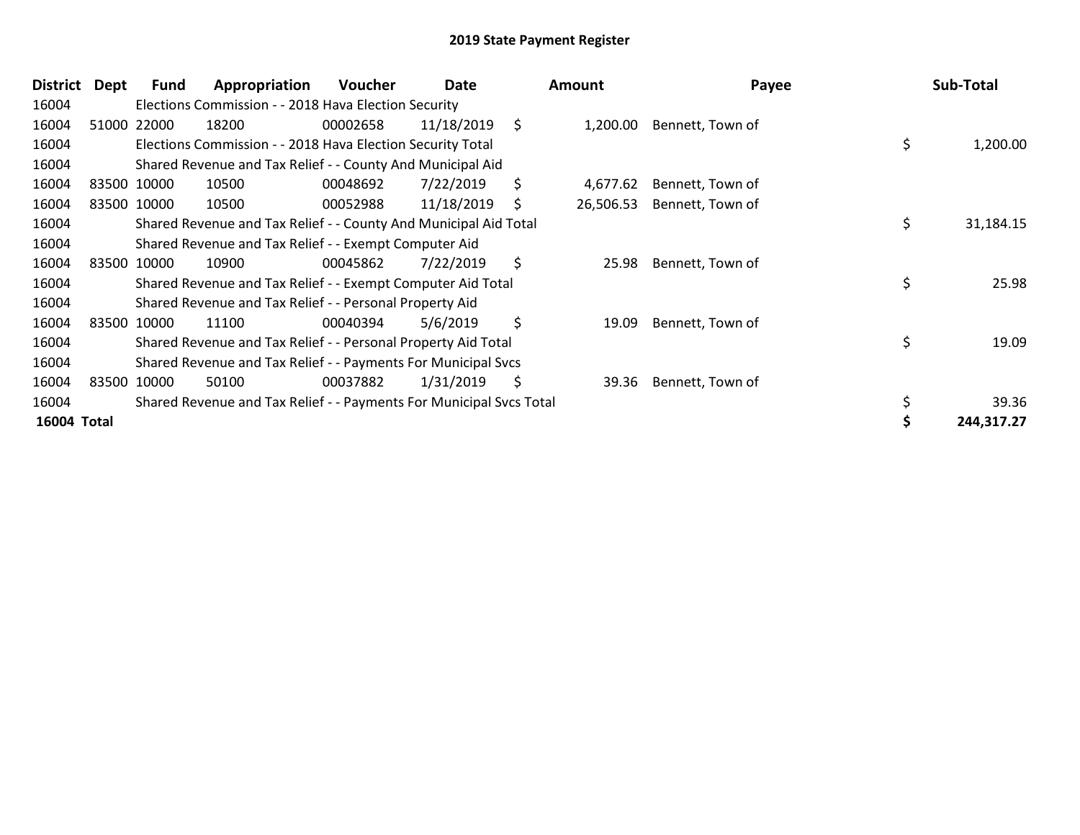| <b>District</b> | <b>Dept</b> | Fund        | Appropriation                                                       | <b>Voucher</b> | Date       |     | <b>Amount</b> | Payee            | Sub-Total       |
|-----------------|-------------|-------------|---------------------------------------------------------------------|----------------|------------|-----|---------------|------------------|-----------------|
| 16004           |             |             | Elections Commission - - 2018 Hava Election Security                |                |            |     |               |                  |                 |
| 16004           |             | 51000 22000 | 18200                                                               | 00002658       | 11/18/2019 | \$. | 1,200.00      | Bennett, Town of |                 |
| 16004           |             |             | Elections Commission - - 2018 Hava Election Security Total          |                |            |     |               |                  | \$<br>1,200.00  |
| 16004           |             |             | Shared Revenue and Tax Relief - - County And Municipal Aid          |                |            |     |               |                  |                 |
| 16004           |             | 83500 10000 | 10500                                                               | 00048692       | 7/22/2019  | \$  | 4,677.62      | Bennett, Town of |                 |
| 16004           |             | 83500 10000 | 10500                                                               | 00052988       | 11/18/2019 | Ś   | 26,506.53     | Bennett, Town of |                 |
| 16004           |             |             | Shared Revenue and Tax Relief - - County And Municipal Aid Total    |                |            |     |               |                  | \$<br>31,184.15 |
| 16004           |             |             | Shared Revenue and Tax Relief - - Exempt Computer Aid               |                |            |     |               |                  |                 |
| 16004           |             | 83500 10000 | 10900                                                               | 00045862       | 7/22/2019  | \$  | 25.98         | Bennett, Town of |                 |
| 16004           |             |             | Shared Revenue and Tax Relief - - Exempt Computer Aid Total         |                |            |     |               |                  | \$<br>25.98     |
| 16004           |             |             | Shared Revenue and Tax Relief - - Personal Property Aid             |                |            |     |               |                  |                 |
| 16004           |             | 83500 10000 | 11100                                                               | 00040394       | 5/6/2019   | \$  | 19.09         | Bennett, Town of |                 |
| 16004           |             |             | Shared Revenue and Tax Relief - - Personal Property Aid Total       |                |            |     |               |                  | \$<br>19.09     |
| 16004           |             |             | Shared Revenue and Tax Relief - - Payments For Municipal Svcs       |                |            |     |               |                  |                 |
| 16004           |             | 83500 10000 | 50100                                                               | 00037882       | 1/31/2019  | \$  | 39.36         | Bennett, Town of |                 |
| 16004           |             |             | Shared Revenue and Tax Relief - - Payments For Municipal Svcs Total |                |            |     |               |                  | \$<br>39.36     |
| 16004 Total     |             |             |                                                                     |                |            |     |               |                  | 244,317.27      |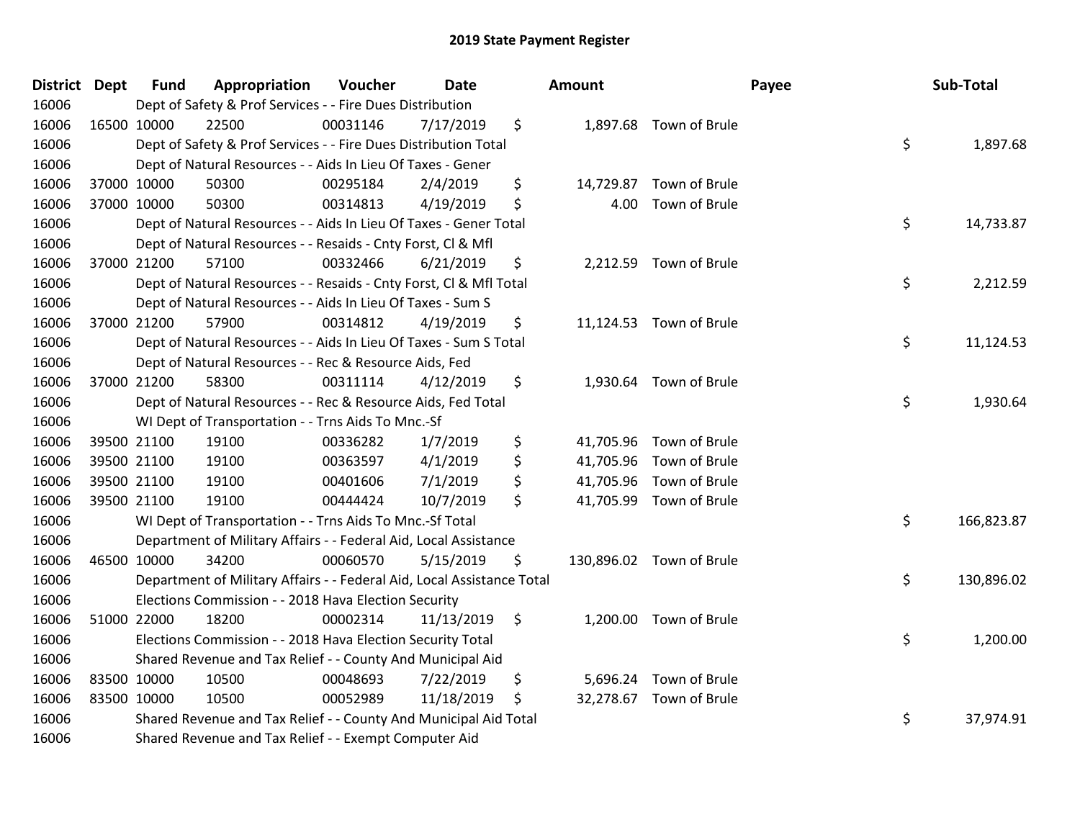| District Dept |             | <b>Fund</b> | Appropriation                                                          | Voucher  | <b>Date</b> |      | Amount   |                          | Payee | Sub-Total  |
|---------------|-------------|-------------|------------------------------------------------------------------------|----------|-------------|------|----------|--------------------------|-------|------------|
| 16006         |             |             | Dept of Safety & Prof Services - - Fire Dues Distribution              |          |             |      |          |                          |       |            |
| 16006         | 16500 10000 |             | 22500                                                                  | 00031146 | 7/17/2019   | \$   |          | 1,897.68 Town of Brule   |       |            |
| 16006         |             |             | Dept of Safety & Prof Services - - Fire Dues Distribution Total        |          |             |      |          |                          | \$    | 1,897.68   |
| 16006         |             |             | Dept of Natural Resources - - Aids In Lieu Of Taxes - Gener            |          |             |      |          |                          |       |            |
| 16006         |             | 37000 10000 | 50300                                                                  | 00295184 | 2/4/2019    | \$   |          | 14,729.87 Town of Brule  |       |            |
| 16006         |             | 37000 10000 | 50300                                                                  | 00314813 | 4/19/2019   | \$   | 4.00     | Town of Brule            |       |            |
| 16006         |             |             | Dept of Natural Resources - - Aids In Lieu Of Taxes - Gener Total      |          |             |      |          |                          | \$    | 14,733.87  |
| 16006         |             |             | Dept of Natural Resources - - Resaids - Cnty Forst, Cl & Mfl           |          |             |      |          |                          |       |            |
| 16006         |             | 37000 21200 | 57100                                                                  | 00332466 | 6/21/2019   | \$   |          | 2,212.59 Town of Brule   |       |            |
| 16006         |             |             | Dept of Natural Resources - - Resaids - Cnty Forst, CI & Mfl Total     |          |             |      |          |                          | \$    | 2,212.59   |
| 16006         |             |             | Dept of Natural Resources - - Aids In Lieu Of Taxes - Sum S            |          |             |      |          |                          |       |            |
| 16006         |             | 37000 21200 | 57900                                                                  | 00314812 | 4/19/2019   | \$   |          | 11,124.53 Town of Brule  |       |            |
| 16006         |             |             | Dept of Natural Resources - - Aids In Lieu Of Taxes - Sum S Total      |          |             |      |          |                          | \$    | 11,124.53  |
| 16006         |             |             | Dept of Natural Resources - - Rec & Resource Aids, Fed                 |          |             |      |          |                          |       |            |
| 16006         | 37000 21200 |             | 58300                                                                  | 00311114 | 4/12/2019   | \$   | 1,930.64 | Town of Brule            |       |            |
| 16006         |             |             | Dept of Natural Resources - - Rec & Resource Aids, Fed Total           |          |             |      |          |                          | \$    | 1,930.64   |
| 16006         |             |             | WI Dept of Transportation - - Trns Aids To Mnc.-Sf                     |          |             |      |          |                          |       |            |
| 16006         |             | 39500 21100 | 19100                                                                  | 00336282 | 1/7/2019    | \$   |          | 41,705.96 Town of Brule  |       |            |
| 16006         | 39500 21100 |             | 19100                                                                  | 00363597 | 4/1/2019    | \$   |          | 41,705.96 Town of Brule  |       |            |
| 16006         |             | 39500 21100 | 19100                                                                  | 00401606 | 7/1/2019    | \$   |          | 41,705.96 Town of Brule  |       |            |
| 16006         |             | 39500 21100 | 19100                                                                  | 00444424 | 10/7/2019   | \$   |          | 41,705.99 Town of Brule  |       |            |
| 16006         |             |             | WI Dept of Transportation - - Trns Aids To Mnc.-Sf Total               |          |             |      |          |                          | \$    | 166,823.87 |
| 16006         |             |             | Department of Military Affairs - - Federal Aid, Local Assistance       |          |             |      |          |                          |       |            |
| 16006         | 46500 10000 |             | 34200                                                                  | 00060570 | 5/15/2019   | \$   |          | 130,896.02 Town of Brule |       |            |
| 16006         |             |             | Department of Military Affairs - - Federal Aid, Local Assistance Total |          |             |      |          |                          | \$    | 130,896.02 |
| 16006         |             |             | Elections Commission - - 2018 Hava Election Security                   |          |             |      |          |                          |       |            |
| 16006         | 51000 22000 |             | 18200                                                                  | 00002314 | 11/13/2019  | - \$ |          | 1,200.00 Town of Brule   |       |            |
| 16006         |             |             | Elections Commission - - 2018 Hava Election Security Total             |          |             |      |          |                          | \$    | 1,200.00   |
| 16006         |             |             | Shared Revenue and Tax Relief - - County And Municipal Aid             |          |             |      |          |                          |       |            |
| 16006         | 83500 10000 |             | 10500                                                                  | 00048693 | 7/22/2019   | \$   |          | 5,696.24 Town of Brule   |       |            |
| 16006         | 83500 10000 |             | 10500                                                                  | 00052989 | 11/18/2019  | \$   |          | 32,278.67 Town of Brule  |       |            |
| 16006         |             |             | Shared Revenue and Tax Relief - - County And Municipal Aid Total       |          |             |      |          |                          | \$    | 37,974.91  |
| 16006         |             |             | Shared Revenue and Tax Relief - - Exempt Computer Aid                  |          |             |      |          |                          |       |            |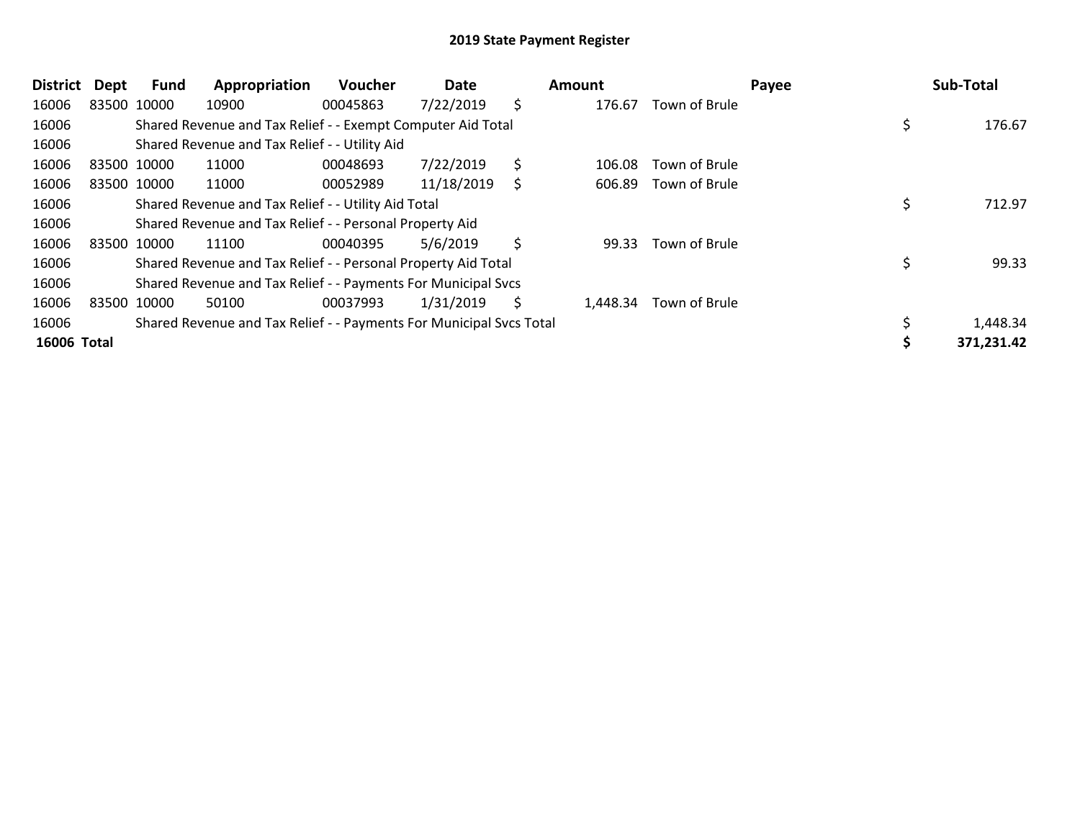| <b>District</b> | Dept | Fund        | Appropriation                                                       | <b>Voucher</b> | Date       |    | Amount |                        | Payee | Sub-Total  |
|-----------------|------|-------------|---------------------------------------------------------------------|----------------|------------|----|--------|------------------------|-------|------------|
| 16006           |      | 83500 10000 | 10900                                                               | 00045863       | 7/22/2019  | \$ | 176.67 | Town of Brule          |       |            |
| 16006           |      |             | Shared Revenue and Tax Relief - - Exempt Computer Aid Total         |                |            |    |        |                        |       | 176.67     |
| 16006           |      |             | Shared Revenue and Tax Relief - - Utility Aid                       |                |            |    |        |                        |       |            |
| 16006           |      | 83500 10000 | 11000                                                               | 00048693       | 7/22/2019  | \$ | 106.08 | Town of Brule          |       |            |
| 16006           |      | 83500 10000 | 11000                                                               | 00052989       | 11/18/2019 | Ś. | 606.89 | Town of Brule          |       |            |
| 16006           |      |             | Shared Revenue and Tax Relief - - Utility Aid Total                 |                |            |    |        |                        |       | 712.97     |
| 16006           |      |             | Shared Revenue and Tax Relief - - Personal Property Aid             |                |            |    |        |                        |       |            |
| 16006           |      | 83500 10000 | 11100                                                               | 00040395       | 5/6/2019   | \$ | 99.33  | Town of Brule          |       |            |
| 16006           |      |             | Shared Revenue and Tax Relief - - Personal Property Aid Total       |                |            |    |        |                        |       | 99.33      |
| 16006           |      |             | Shared Revenue and Tax Relief - - Payments For Municipal Svcs       |                |            |    |        |                        |       |            |
| 16006           |      | 83500 10000 | 50100                                                               | 00037993       | 1/31/2019  | S  |        | 1,448.34 Town of Brule |       |            |
| 16006           |      |             | Shared Revenue and Tax Relief - - Payments For Municipal Svcs Total |                |            |    |        |                        |       | 1,448.34   |
| 16006 Total     |      |             |                                                                     |                |            |    |        |                        |       | 371,231.42 |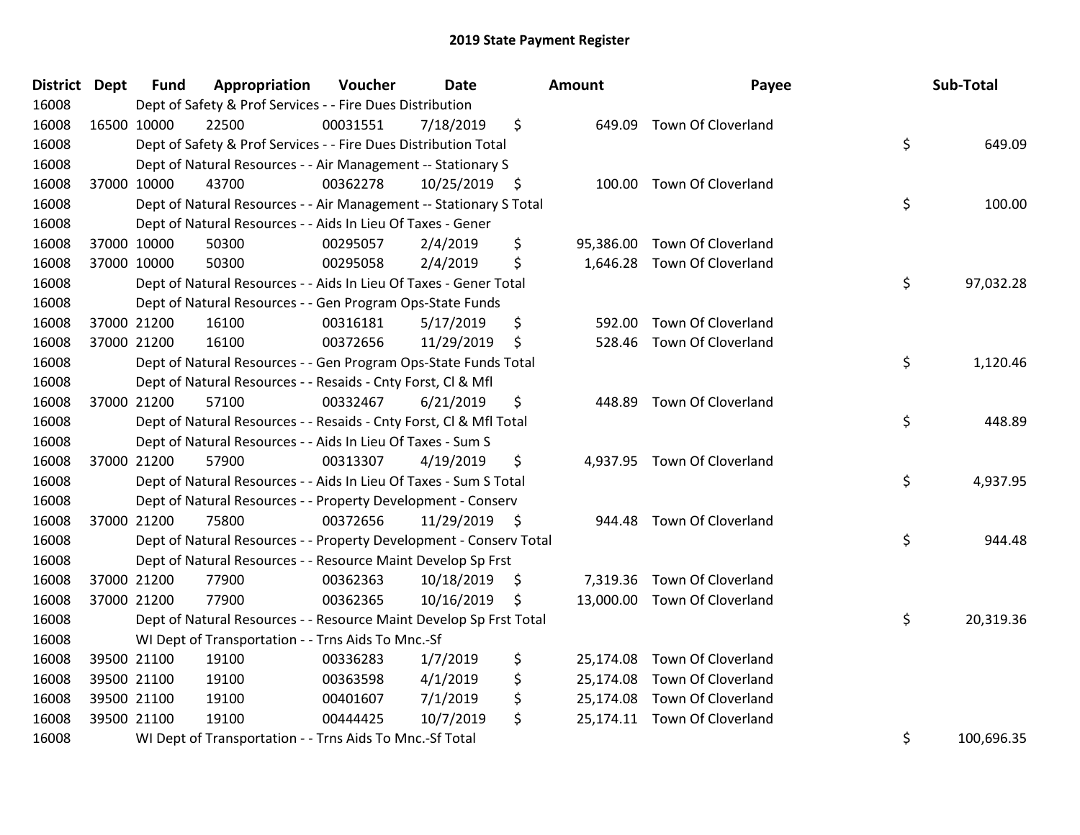| District Dept |             | <b>Fund</b> | Appropriation                                                      | Voucher  | <b>Date</b>   |    | Amount    | Payee                        | Sub-Total        |
|---------------|-------------|-------------|--------------------------------------------------------------------|----------|---------------|----|-----------|------------------------------|------------------|
| 16008         |             |             | Dept of Safety & Prof Services - - Fire Dues Distribution          |          |               |    |           |                              |                  |
| 16008         | 16500 10000 |             | 22500                                                              | 00031551 | 7/18/2019     | \$ |           | 649.09 Town Of Cloverland    |                  |
| 16008         |             |             | Dept of Safety & Prof Services - - Fire Dues Distribution Total    |          |               |    |           |                              | \$<br>649.09     |
| 16008         |             |             | Dept of Natural Resources - - Air Management -- Stationary S       |          |               |    |           |                              |                  |
| 16008         |             | 37000 10000 | 43700                                                              | 00362278 | 10/25/2019 \$ |    |           | 100.00 Town Of Cloverland    |                  |
| 16008         |             |             | Dept of Natural Resources - - Air Management -- Stationary S Total |          |               |    |           |                              | \$<br>100.00     |
| 16008         |             |             | Dept of Natural Resources - - Aids In Lieu Of Taxes - Gener        |          |               |    |           |                              |                  |
| 16008         |             | 37000 10000 | 50300                                                              | 00295057 | 2/4/2019      | \$ | 95,386.00 | <b>Town Of Cloverland</b>    |                  |
| 16008         |             | 37000 10000 | 50300                                                              | 00295058 | 2/4/2019      | \$ |           | 1,646.28 Town Of Cloverland  |                  |
| 16008         |             |             | Dept of Natural Resources - - Aids In Lieu Of Taxes - Gener Total  |          |               |    |           |                              | \$<br>97,032.28  |
| 16008         |             |             | Dept of Natural Resources - - Gen Program Ops-State Funds          |          |               |    |           |                              |                  |
| 16008         |             | 37000 21200 | 16100                                                              | 00316181 | 5/17/2019     | \$ | 592.00    | Town Of Cloverland           |                  |
| 16008         |             | 37000 21200 | 16100                                                              | 00372656 | 11/29/2019    | \$ | 528.46    | Town Of Cloverland           |                  |
| 16008         |             |             | Dept of Natural Resources - - Gen Program Ops-State Funds Total    |          |               |    |           |                              | \$<br>1,120.46   |
| 16008         |             |             | Dept of Natural Resources - - Resaids - Cnty Forst, CI & Mfl       |          |               |    |           |                              |                  |
| 16008         |             | 37000 21200 | 57100                                                              | 00332467 | 6/21/2019     | \$ | 448.89    | Town Of Cloverland           |                  |
| 16008         |             |             | Dept of Natural Resources - - Resaids - Cnty Forst, Cl & Mfl Total |          |               |    |           |                              | \$<br>448.89     |
| 16008         |             |             | Dept of Natural Resources - - Aids In Lieu Of Taxes - Sum S        |          |               |    |           |                              |                  |
| 16008         |             | 37000 21200 | 57900                                                              | 00313307 | 4/19/2019     | \$ |           | 4,937.95 Town Of Cloverland  |                  |
| 16008         |             |             | Dept of Natural Resources - - Aids In Lieu Of Taxes - Sum S Total  |          |               |    |           |                              | \$<br>4,937.95   |
| 16008         |             |             | Dept of Natural Resources - - Property Development - Conserv       |          |               |    |           |                              |                  |
| 16008         |             | 37000 21200 | 75800                                                              | 00372656 | 11/29/2019 \$ |    | 944.48    | <b>Town Of Cloverland</b>    |                  |
| 16008         |             |             | Dept of Natural Resources - - Property Development - Conserv Total |          |               |    |           |                              | \$<br>944.48     |
| 16008         |             |             | Dept of Natural Resources - - Resource Maint Develop Sp Frst       |          |               |    |           |                              |                  |
| 16008         |             | 37000 21200 | 77900                                                              | 00362363 | 10/18/2019    | \$ |           | 7,319.36 Town Of Cloverland  |                  |
| 16008         |             | 37000 21200 | 77900                                                              | 00362365 | 10/16/2019    | S  |           | 13,000.00 Town Of Cloverland |                  |
| 16008         |             |             | Dept of Natural Resources - - Resource Maint Develop Sp Frst Total |          |               |    |           |                              | \$<br>20,319.36  |
| 16008         |             |             | WI Dept of Transportation - - Trns Aids To Mnc.-Sf                 |          |               |    |           |                              |                  |
| 16008         |             | 39500 21100 | 19100                                                              | 00336283 | 1/7/2019      | \$ | 25,174.08 | <b>Town Of Cloverland</b>    |                  |
| 16008         |             | 39500 21100 | 19100                                                              | 00363598 | 4/1/2019      | \$ | 25,174.08 | Town Of Cloverland           |                  |
| 16008         | 39500 21100 |             | 19100                                                              | 00401607 | 7/1/2019      | \$ | 25,174.08 | Town Of Cloverland           |                  |
| 16008         | 39500 21100 |             | 19100                                                              | 00444425 | 10/7/2019     | \$ |           | 25,174.11 Town Of Cloverland |                  |
| 16008         |             |             | WI Dept of Transportation - - Trns Aids To Mnc.-Sf Total           |          |               |    |           |                              | \$<br>100,696.35 |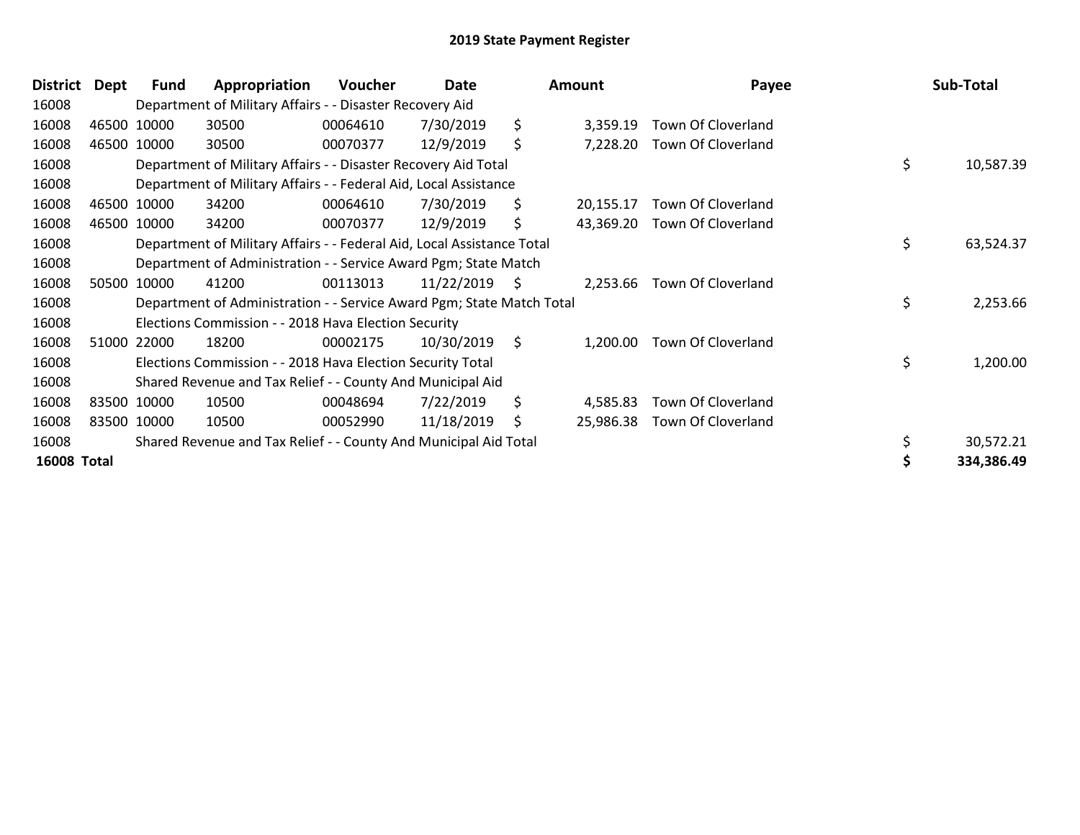| District           | <b>Dept</b> | Fund        | Appropriation                                                          | <b>Voucher</b> | Date       |     | Amount    | Payee                       | Sub-Total       |
|--------------------|-------------|-------------|------------------------------------------------------------------------|----------------|------------|-----|-----------|-----------------------------|-----------------|
| 16008              |             |             | Department of Military Affairs - - Disaster Recovery Aid               |                |            |     |           |                             |                 |
| 16008              |             | 46500 10000 | 30500                                                                  | 00064610       | 7/30/2019  | \$  | 3,359.19  | Town Of Cloverland          |                 |
| 16008              |             | 46500 10000 | 30500                                                                  | 00070377       | 12/9/2019  | \$  | 7,228.20  | Town Of Cloverland          |                 |
| 16008              |             |             | Department of Military Affairs - - Disaster Recovery Aid Total         |                |            |     |           |                             | \$<br>10,587.39 |
| 16008              |             |             | Department of Military Affairs - - Federal Aid, Local Assistance       |                |            |     |           |                             |                 |
| 16008              |             | 46500 10000 | 34200                                                                  | 00064610       | 7/30/2019  | \$. | 20,155.17 | Town Of Cloverland          |                 |
| 16008              |             | 46500 10000 | 34200                                                                  | 00070377       | 12/9/2019  | \$. | 43,369.20 | Town Of Cloverland          |                 |
| 16008              |             |             | Department of Military Affairs - - Federal Aid, Local Assistance Total |                |            |     |           |                             | \$<br>63,524.37 |
| 16008              |             |             | Department of Administration - - Service Award Pgm; State Match        |                |            |     |           |                             |                 |
| 16008              |             | 50500 10000 | 41200                                                                  | 00113013       | 11/22/2019 | \$  |           | 2,253.66 Town Of Cloverland |                 |
| 16008              |             |             | Department of Administration - - Service Award Pgm; State Match Total  |                |            |     |           |                             | \$<br>2,253.66  |
| 16008              |             |             | Elections Commission - - 2018 Hava Election Security                   |                |            |     |           |                             |                 |
| 16008              |             | 51000 22000 | 18200                                                                  | 00002175       | 10/30/2019 | \$  | 1.200.00  | Town Of Cloverland          |                 |
| 16008              |             |             | Elections Commission - - 2018 Hava Election Security Total             |                |            |     |           |                             | \$<br>1,200.00  |
| 16008              |             |             | Shared Revenue and Tax Relief - - County And Municipal Aid             |                |            |     |           |                             |                 |
| 16008              |             | 83500 10000 | 10500                                                                  | 00048694       | 7/22/2019  | \$  | 4,585.83  | Town Of Cloverland          |                 |
| 16008              |             | 83500 10000 | 10500                                                                  | 00052990       | 11/18/2019 | \$  | 25,986.38 | Town Of Cloverland          |                 |
| 16008              |             |             | Shared Revenue and Tax Relief - - County And Municipal Aid Total       |                |            |     |           |                             | 30,572.21       |
| <b>16008 Total</b> |             |             |                                                                        |                |            |     |           |                             | 334,386.49      |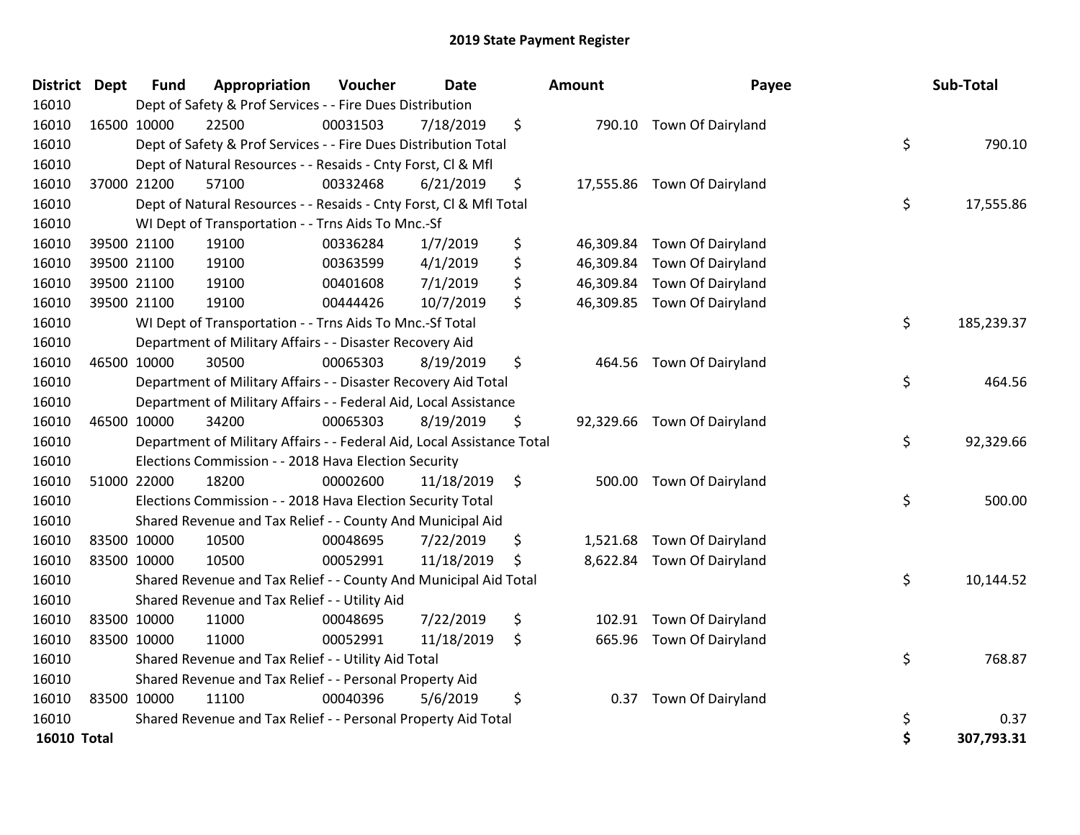| <b>District Dept</b> |             | <b>Fund</b> | Appropriation                                                          | Voucher  | Date       | Amount          | Payee                       | Sub-Total        |
|----------------------|-------------|-------------|------------------------------------------------------------------------|----------|------------|-----------------|-----------------------------|------------------|
| 16010                |             |             | Dept of Safety & Prof Services - - Fire Dues Distribution              |          |            |                 |                             |                  |
| 16010                | 16500 10000 |             | 22500                                                                  | 00031503 | 7/18/2019  | \$              | 790.10 Town Of Dairyland    |                  |
| 16010                |             |             | Dept of Safety & Prof Services - - Fire Dues Distribution Total        |          |            |                 |                             | \$<br>790.10     |
| 16010                |             |             | Dept of Natural Resources - - Resaids - Cnty Forst, CI & Mfl           |          |            |                 |                             |                  |
| 16010                |             | 37000 21200 | 57100                                                                  | 00332468 | 6/21/2019  | \$              | 17,555.86 Town Of Dairyland |                  |
| 16010                |             |             | Dept of Natural Resources - - Resaids - Cnty Forst, Cl & Mfl Total     |          |            |                 |                             | \$<br>17,555.86  |
| 16010                |             |             | WI Dept of Transportation - - Trns Aids To Mnc.-Sf                     |          |            |                 |                             |                  |
| 16010                |             | 39500 21100 | 19100                                                                  | 00336284 | 1/7/2019   | \$<br>46,309.84 | <b>Town Of Dairyland</b>    |                  |
| 16010                |             | 39500 21100 | 19100                                                                  | 00363599 | 4/1/2019   | \$<br>46,309.84 | Town Of Dairyland           |                  |
| 16010                |             | 39500 21100 | 19100                                                                  | 00401608 | 7/1/2019   | \$<br>46,309.84 | Town Of Dairyland           |                  |
| 16010                |             | 39500 21100 | 19100                                                                  | 00444426 | 10/7/2019  | \$              | 46,309.85 Town Of Dairyland |                  |
| 16010                |             |             | WI Dept of Transportation - - Trns Aids To Mnc.-Sf Total               |          |            |                 |                             | \$<br>185,239.37 |
| 16010                |             |             | Department of Military Affairs - - Disaster Recovery Aid               |          |            |                 |                             |                  |
| 16010                |             | 46500 10000 | 30500                                                                  | 00065303 | 8/19/2019  | \$<br>464.56    | <b>Town Of Dairyland</b>    |                  |
| 16010                |             |             | Department of Military Affairs - - Disaster Recovery Aid Total         |          |            |                 |                             | \$<br>464.56     |
| 16010                |             |             | Department of Military Affairs - - Federal Aid, Local Assistance       |          |            |                 |                             |                  |
| 16010                |             | 46500 10000 | 34200                                                                  | 00065303 | 8/19/2019  | \$              | 92,329.66 Town Of Dairyland |                  |
| 16010                |             |             | Department of Military Affairs - - Federal Aid, Local Assistance Total |          |            |                 |                             | \$<br>92,329.66  |
| 16010                |             |             | Elections Commission - - 2018 Hava Election Security                   |          |            |                 |                             |                  |
| 16010                | 51000 22000 |             | 18200                                                                  | 00002600 | 11/18/2019 | \$              | 500.00 Town Of Dairyland    |                  |
| 16010                |             |             | Elections Commission - - 2018 Hava Election Security Total             |          |            |                 |                             | \$<br>500.00     |
| 16010                |             |             | Shared Revenue and Tax Relief - - County And Municipal Aid             |          |            |                 |                             |                  |
| 16010                |             | 83500 10000 | 10500                                                                  | 00048695 | 7/22/2019  | \$              | 1,521.68 Town Of Dairyland  |                  |
| 16010                | 83500 10000 |             | 10500                                                                  | 00052991 | 11/18/2019 | \$              | 8,622.84 Town Of Dairyland  |                  |
| 16010                |             |             | Shared Revenue and Tax Relief - - County And Municipal Aid Total       |          |            |                 |                             | \$<br>10,144.52  |
| 16010                |             |             | Shared Revenue and Tax Relief - - Utility Aid                          |          |            |                 |                             |                  |
| 16010                |             | 83500 10000 | 11000                                                                  | 00048695 | 7/22/2019  | \$<br>102.91    | Town Of Dairyland           |                  |
| 16010                | 83500 10000 |             | 11000                                                                  | 00052991 | 11/18/2019 | \$<br>665.96    | <b>Town Of Dairyland</b>    |                  |
| 16010                |             |             | Shared Revenue and Tax Relief - - Utility Aid Total                    |          |            |                 |                             | \$<br>768.87     |
| 16010                |             |             | Shared Revenue and Tax Relief - - Personal Property Aid                |          |            |                 |                             |                  |
| 16010                | 83500 10000 |             | 11100                                                                  | 00040396 | 5/6/2019   | \$<br>0.37      | Town Of Dairyland           |                  |
| 16010                |             |             | Shared Revenue and Tax Relief - - Personal Property Aid Total          |          |            |                 |                             | \$<br>0.37       |
| <b>16010 Total</b>   |             |             |                                                                        |          |            |                 |                             | \$<br>307,793.31 |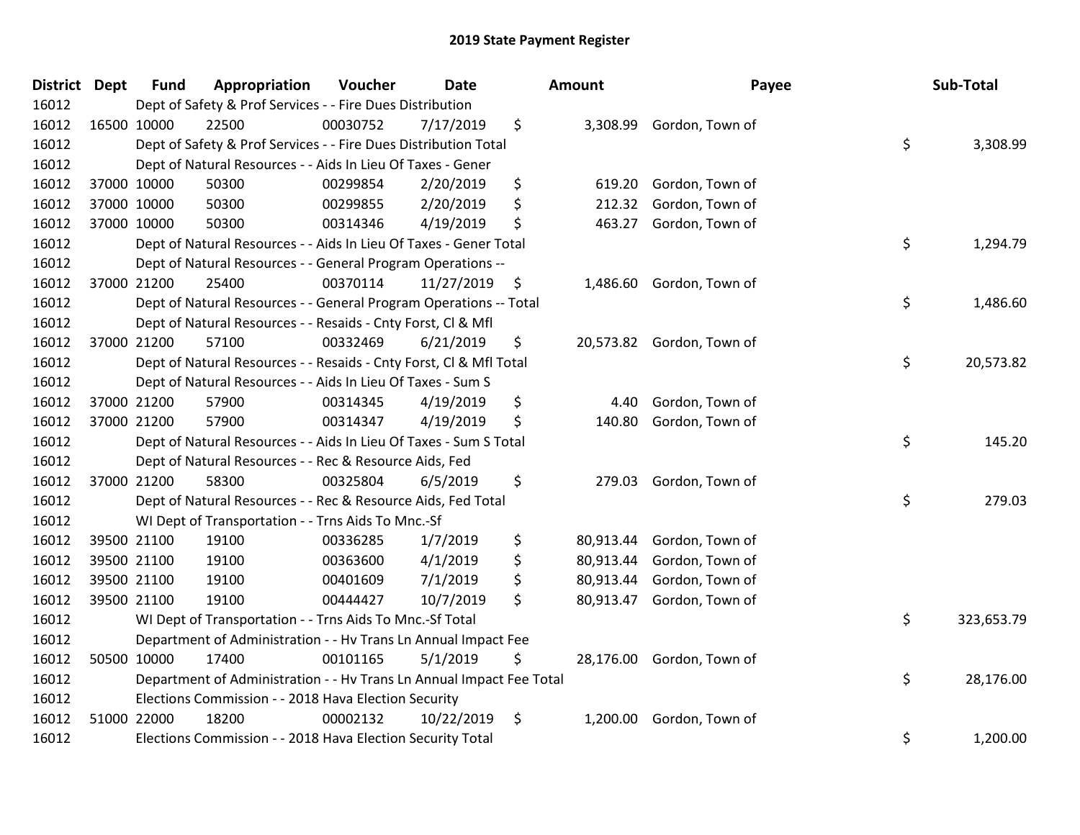| <b>District Dept</b> | <b>Fund</b> | Appropriation                                                        | Voucher  | <b>Date</b> |     | <b>Amount</b> | Payee                     | Sub-Total        |
|----------------------|-------------|----------------------------------------------------------------------|----------|-------------|-----|---------------|---------------------------|------------------|
| 16012                |             | Dept of Safety & Prof Services - - Fire Dues Distribution            |          |             |     |               |                           |                  |
| 16012                | 16500 10000 | 22500                                                                | 00030752 | 7/17/2019   | \$  |               | 3,308.99 Gordon, Town of  |                  |
| 16012                |             | Dept of Safety & Prof Services - - Fire Dues Distribution Total      |          |             |     |               |                           | \$<br>3,308.99   |
| 16012                |             | Dept of Natural Resources - - Aids In Lieu Of Taxes - Gener          |          |             |     |               |                           |                  |
| 16012                | 37000 10000 | 50300                                                                | 00299854 | 2/20/2019   | \$  | 619.20        | Gordon, Town of           |                  |
| 16012                | 37000 10000 | 50300                                                                | 00299855 | 2/20/2019   | \$  | 212.32        | Gordon, Town of           |                  |
| 16012                | 37000 10000 | 50300                                                                | 00314346 | 4/19/2019   | \$  | 463.27        | Gordon, Town of           |                  |
| 16012                |             | Dept of Natural Resources - - Aids In Lieu Of Taxes - Gener Total    |          |             |     |               |                           | \$<br>1,294.79   |
| 16012                |             | Dept of Natural Resources - - General Program Operations --          |          |             |     |               |                           |                  |
| 16012                | 37000 21200 | 25400                                                                | 00370114 | 11/27/2019  | -\$ | 1,486.60      | Gordon, Town of           |                  |
| 16012                |             | Dept of Natural Resources - - General Program Operations -- Total    |          |             |     |               |                           | \$<br>1,486.60   |
| 16012                |             | Dept of Natural Resources - - Resaids - Cnty Forst, Cl & Mfl         |          |             |     |               |                           |                  |
| 16012                | 37000 21200 | 57100                                                                | 00332469 | 6/21/2019   | \$  |               | 20,573.82 Gordon, Town of |                  |
| 16012                |             | Dept of Natural Resources - - Resaids - Cnty Forst, Cl & Mfl Total   |          |             |     |               |                           | \$<br>20,573.82  |
| 16012                |             | Dept of Natural Resources - - Aids In Lieu Of Taxes - Sum S          |          |             |     |               |                           |                  |
| 16012                | 37000 21200 | 57900                                                                | 00314345 | 4/19/2019   | \$  | 4.40          | Gordon, Town of           |                  |
| 16012                | 37000 21200 | 57900                                                                | 00314347 | 4/19/2019   | \$  | 140.80        | Gordon, Town of           |                  |
| 16012                |             | Dept of Natural Resources - - Aids In Lieu Of Taxes - Sum S Total    |          |             |     |               |                           | \$<br>145.20     |
| 16012                |             | Dept of Natural Resources - - Rec & Resource Aids, Fed               |          |             |     |               |                           |                  |
| 16012                | 37000 21200 | 58300                                                                | 00325804 | 6/5/2019    | \$  | 279.03        | Gordon, Town of           |                  |
| 16012                |             | Dept of Natural Resources - - Rec & Resource Aids, Fed Total         |          |             |     |               |                           | \$<br>279.03     |
| 16012                |             | WI Dept of Transportation - - Trns Aids To Mnc.-Sf                   |          |             |     |               |                           |                  |
| 16012                | 39500 21100 | 19100                                                                | 00336285 | 1/7/2019    | \$  | 80,913.44     | Gordon, Town of           |                  |
| 16012                | 39500 21100 | 19100                                                                | 00363600 | 4/1/2019    | \$  | 80,913.44     | Gordon, Town of           |                  |
| 16012                | 39500 21100 | 19100                                                                | 00401609 | 7/1/2019    | \$  | 80,913.44     | Gordon, Town of           |                  |
| 16012                | 39500 21100 | 19100                                                                | 00444427 | 10/7/2019   | \$  | 80,913.47     | Gordon, Town of           |                  |
| 16012                |             | WI Dept of Transportation - - Trns Aids To Mnc.-Sf Total             |          |             |     |               |                           | \$<br>323,653.79 |
| 16012                |             | Department of Administration - - Hv Trans Ln Annual Impact Fee       |          |             |     |               |                           |                  |
| 16012                | 50500 10000 | 17400                                                                | 00101165 | 5/1/2019    | \$  | 28,176.00     | Gordon, Town of           |                  |
| 16012                |             | Department of Administration - - Hv Trans Ln Annual Impact Fee Total |          |             |     |               |                           | \$<br>28,176.00  |
| 16012                |             | Elections Commission - - 2018 Hava Election Security                 |          |             |     |               |                           |                  |
| 16012                | 51000 22000 | 18200                                                                | 00002132 | 10/22/2019  | \$  | 1,200.00      | Gordon, Town of           |                  |
| 16012                |             | Elections Commission - - 2018 Hava Election Security Total           |          |             |     |               |                           | \$<br>1,200.00   |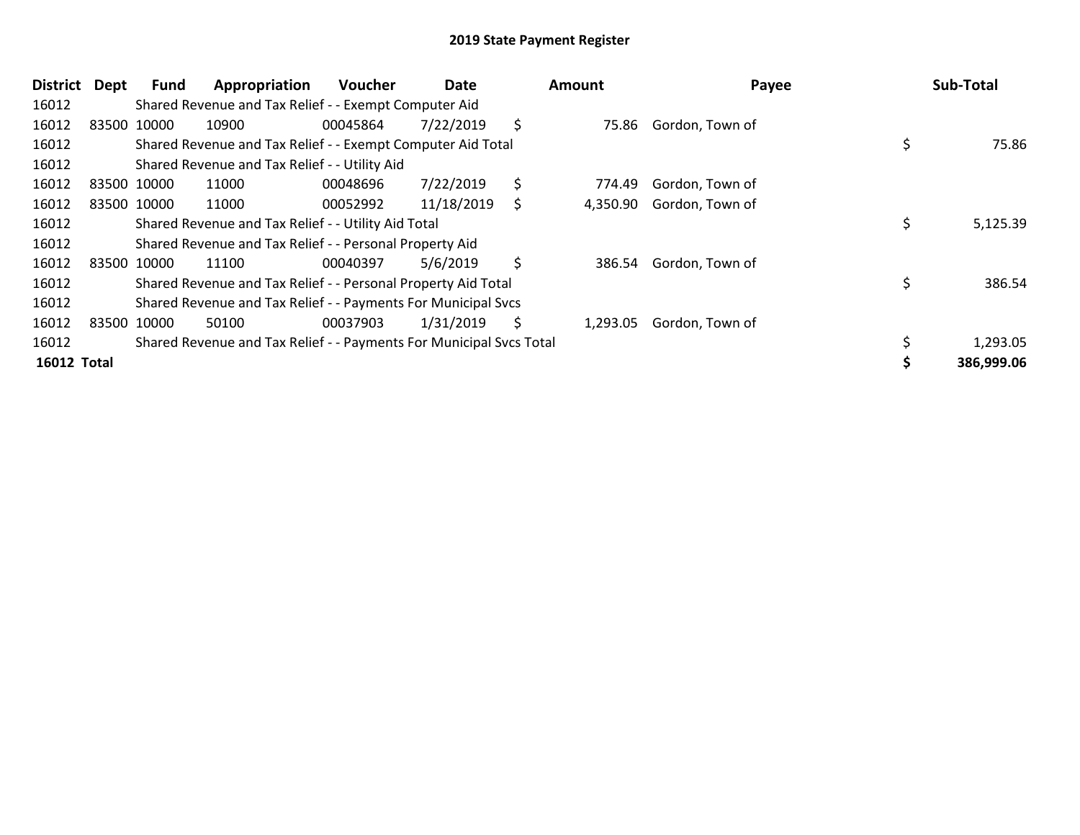| District           | Dept | Fund        | Appropriation                                                       | <b>Voucher</b> | Date       | Amount         | Payee           | Sub-Total      |
|--------------------|------|-------------|---------------------------------------------------------------------|----------------|------------|----------------|-----------------|----------------|
| 16012              |      |             | Shared Revenue and Tax Relief - - Exempt Computer Aid               |                |            |                |                 |                |
| 16012              |      | 83500 10000 | 10900                                                               | 00045864       | 7/22/2019  | \$<br>75.86    | Gordon, Town of |                |
| 16012              |      |             | Shared Revenue and Tax Relief - - Exempt Computer Aid Total         |                |            |                |                 | 75.86          |
| 16012              |      |             | Shared Revenue and Tax Relief - - Utility Aid                       |                |            |                |                 |                |
| 16012              |      | 83500 10000 | 11000                                                               | 00048696       | 7/22/2019  | \$<br>774.49   | Gordon, Town of |                |
| 16012              |      | 83500 10000 | 11000                                                               | 00052992       | 11/18/2019 | \$<br>4,350.90 | Gordon, Town of |                |
| 16012              |      |             | Shared Revenue and Tax Relief - - Utility Aid Total                 |                |            |                |                 | \$<br>5,125.39 |
| 16012              |      |             | Shared Revenue and Tax Relief - - Personal Property Aid             |                |            |                |                 |                |
| 16012              |      | 83500 10000 | 11100                                                               | 00040397       | 5/6/2019   | \$<br>386.54   | Gordon, Town of |                |
| 16012              |      |             | Shared Revenue and Tax Relief - - Personal Property Aid Total       |                |            |                |                 | \$<br>386.54   |
| 16012              |      |             | Shared Revenue and Tax Relief - - Payments For Municipal Svcs       |                |            |                |                 |                |
| 16012              |      | 83500 10000 | 50100                                                               | 00037903       | 1/31/2019  | \$<br>1,293.05 | Gordon, Town of |                |
| 16012              |      |             | Shared Revenue and Tax Relief - - Payments For Municipal Svcs Total |                |            |                |                 | 1,293.05       |
| <b>16012 Total</b> |      |             |                                                                     |                |            |                |                 | 386,999.06     |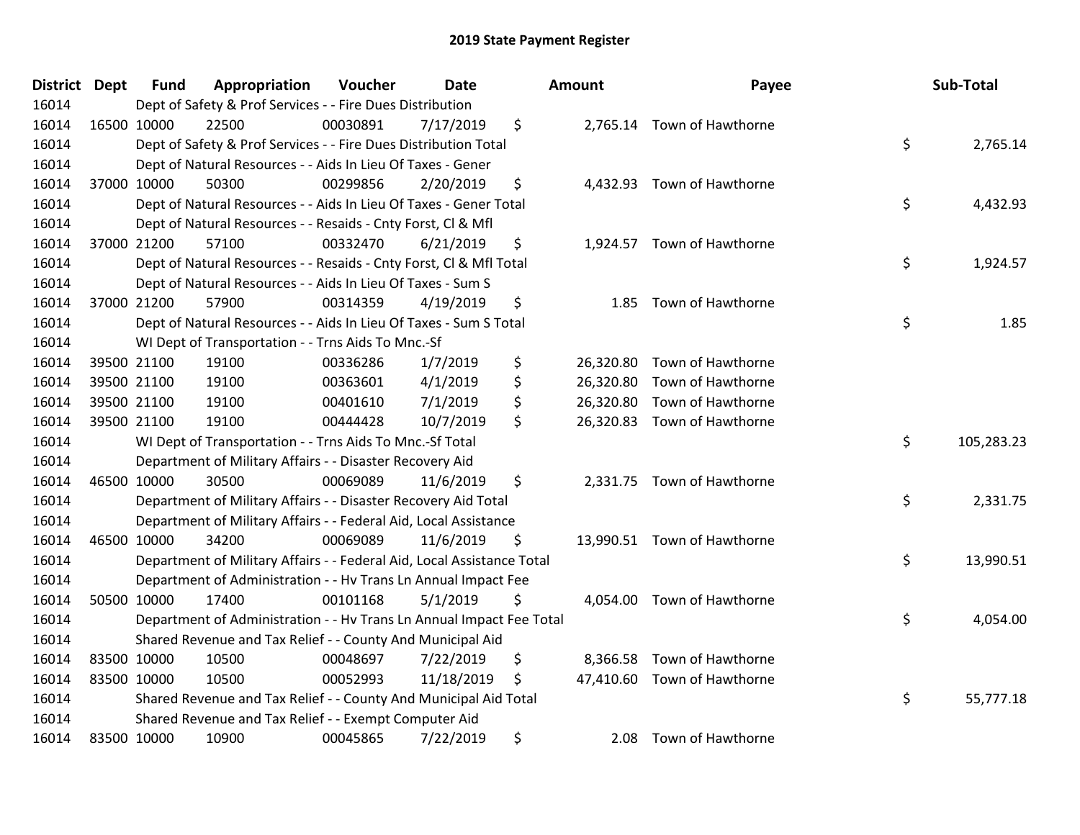| District Dept | <b>Fund</b> | Appropriation                                                          | Voucher  | <b>Date</b> | Amount          | Payee                       | Sub-Total        |
|---------------|-------------|------------------------------------------------------------------------|----------|-------------|-----------------|-----------------------------|------------------|
| 16014         |             | Dept of Safety & Prof Services - - Fire Dues Distribution              |          |             |                 |                             |                  |
| 16014         | 16500 10000 | 22500                                                                  | 00030891 | 7/17/2019   | \$              | 2,765.14 Town of Hawthorne  |                  |
| 16014         |             | Dept of Safety & Prof Services - - Fire Dues Distribution Total        |          |             |                 |                             | \$<br>2,765.14   |
| 16014         |             | Dept of Natural Resources - - Aids In Lieu Of Taxes - Gener            |          |             |                 |                             |                  |
| 16014         | 37000 10000 | 50300                                                                  | 00299856 | 2/20/2019   | \$<br>4,432.93  | Town of Hawthorne           |                  |
| 16014         |             | Dept of Natural Resources - - Aids In Lieu Of Taxes - Gener Total      |          |             |                 |                             | \$<br>4,432.93   |
| 16014         |             | Dept of Natural Resources - - Resaids - Cnty Forst, CI & Mfl           |          |             |                 |                             |                  |
| 16014         | 37000 21200 | 57100                                                                  | 00332470 | 6/21/2019   | \$              | 1,924.57 Town of Hawthorne  |                  |
| 16014         |             | Dept of Natural Resources - - Resaids - Cnty Forst, Cl & Mfl Total     |          |             |                 |                             | \$<br>1,924.57   |
| 16014         |             | Dept of Natural Resources - - Aids In Lieu Of Taxes - Sum S            |          |             |                 |                             |                  |
| 16014         | 37000 21200 | 57900                                                                  | 00314359 | 4/19/2019   | \$<br>1.85      | Town of Hawthorne           |                  |
| 16014         |             | Dept of Natural Resources - - Aids In Lieu Of Taxes - Sum S Total      |          |             |                 |                             | \$<br>1.85       |
| 16014         |             | WI Dept of Transportation - - Trns Aids To Mnc.-Sf                     |          |             |                 |                             |                  |
| 16014         | 39500 21100 | 19100                                                                  | 00336286 | 1/7/2019    | \$<br>26,320.80 | Town of Hawthorne           |                  |
| 16014         | 39500 21100 | 19100                                                                  | 00363601 | 4/1/2019    | \$<br>26,320.80 | Town of Hawthorne           |                  |
| 16014         | 39500 21100 | 19100                                                                  | 00401610 | 7/1/2019    | \$<br>26,320.80 | Town of Hawthorne           |                  |
| 16014         | 39500 21100 | 19100                                                                  | 00444428 | 10/7/2019   | \$              | 26,320.83 Town of Hawthorne |                  |
| 16014         |             | WI Dept of Transportation - - Trns Aids To Mnc.-Sf Total               |          |             |                 |                             | \$<br>105,283.23 |
| 16014         |             | Department of Military Affairs - - Disaster Recovery Aid               |          |             |                 |                             |                  |
| 16014         | 46500 10000 | 30500                                                                  | 00069089 | 11/6/2019   | \$              | 2,331.75 Town of Hawthorne  |                  |
| 16014         |             | Department of Military Affairs - - Disaster Recovery Aid Total         |          |             |                 |                             | \$<br>2,331.75   |
| 16014         |             | Department of Military Affairs - - Federal Aid, Local Assistance       |          |             |                 |                             |                  |
| 16014         | 46500 10000 | 34200                                                                  | 00069089 | 11/6/2019   | \$              | 13,990.51 Town of Hawthorne |                  |
| 16014         |             | Department of Military Affairs - - Federal Aid, Local Assistance Total |          |             |                 |                             | \$<br>13,990.51  |
| 16014         |             | Department of Administration - - Hv Trans Ln Annual Impact Fee         |          |             |                 |                             |                  |
| 16014         | 50500 10000 | 17400                                                                  | 00101168 | 5/1/2019    | \$<br>4,054.00  | Town of Hawthorne           |                  |
| 16014         |             | Department of Administration - - Hv Trans Ln Annual Impact Fee Total   |          |             |                 |                             | \$<br>4,054.00   |
| 16014         |             | Shared Revenue and Tax Relief - - County And Municipal Aid             |          |             |                 |                             |                  |
| 16014         | 83500 10000 | 10500                                                                  | 00048697 | 7/22/2019   | \$<br>8,366.58  | Town of Hawthorne           |                  |
| 16014         | 83500 10000 | 10500                                                                  | 00052993 | 11/18/2019  | \$              | 47,410.60 Town of Hawthorne |                  |
| 16014         |             | Shared Revenue and Tax Relief - - County And Municipal Aid Total       |          |             |                 |                             | \$<br>55,777.18  |
| 16014         |             | Shared Revenue and Tax Relief - - Exempt Computer Aid                  |          |             |                 |                             |                  |
| 16014         | 83500 10000 | 10900                                                                  | 00045865 | 7/22/2019   | \$<br>2.08      | Town of Hawthorne           |                  |

|                | Payee                                                             |    | Sub-Total  |
|----------------|-------------------------------------------------------------------|----|------------|
|                | '65.14 Town of Hawthorne                                          | \$ | 2,765.14   |
|                | 32.93 Town of Hawthorne                                           | \$ | 4,432.93   |
|                | 24.57 Town of Hawthorne                                           | \$ | 1,924.57   |
| 1.85           | Town of Hawthorne                                                 | \$ | 1.85       |
| 20.80<br>20.80 | Town of Hawthorne<br>Town of Hawthorne<br>20.80 Town of Hawthorne |    |            |
|                | 20.83 Town of Hawthorne                                           | \$ | 105,283.23 |
|                | 31.75 Town of Hawthorne                                           | \$ | 2,331.75   |
|                | 90.51 Town of Hawthorne                                           | \$ | 13,990.51  |
|                | 054.00 Town of Hawthorne                                          | \$ | 4,054.00   |
|                | 66.58 Town of Hawthorne<br>10.60 Town of Hawthorne                | Ś  | 55.777.18  |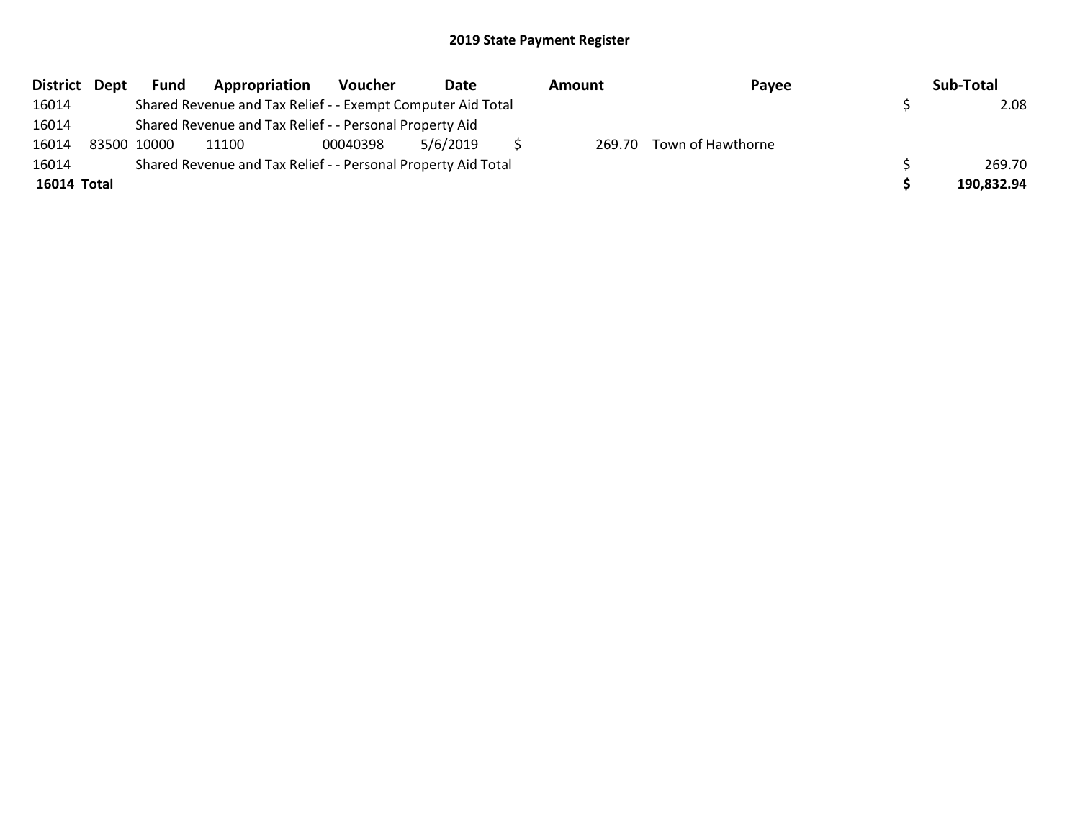| District Dept | <b>Fund</b> | Appropriation                                                 | <b>Voucher</b> | Date     | Amount | Payee                    | Sub-Total  |
|---------------|-------------|---------------------------------------------------------------|----------------|----------|--------|--------------------------|------------|
| 16014         |             | Shared Revenue and Tax Relief - - Exempt Computer Aid Total   |                |          |        |                          | 2.08       |
| 16014         |             | Shared Revenue and Tax Relief - - Personal Property Aid       |                |          |        |                          |            |
| 16014         | 83500 10000 | 11100                                                         | 00040398       | 5/6/2019 |        | 269.70 Town of Hawthorne |            |
| 16014         |             | Shared Revenue and Tax Relief - - Personal Property Aid Total |                |          |        |                          | 269.70     |
| 16014 Total   |             |                                                               |                |          |        |                          | 190,832.94 |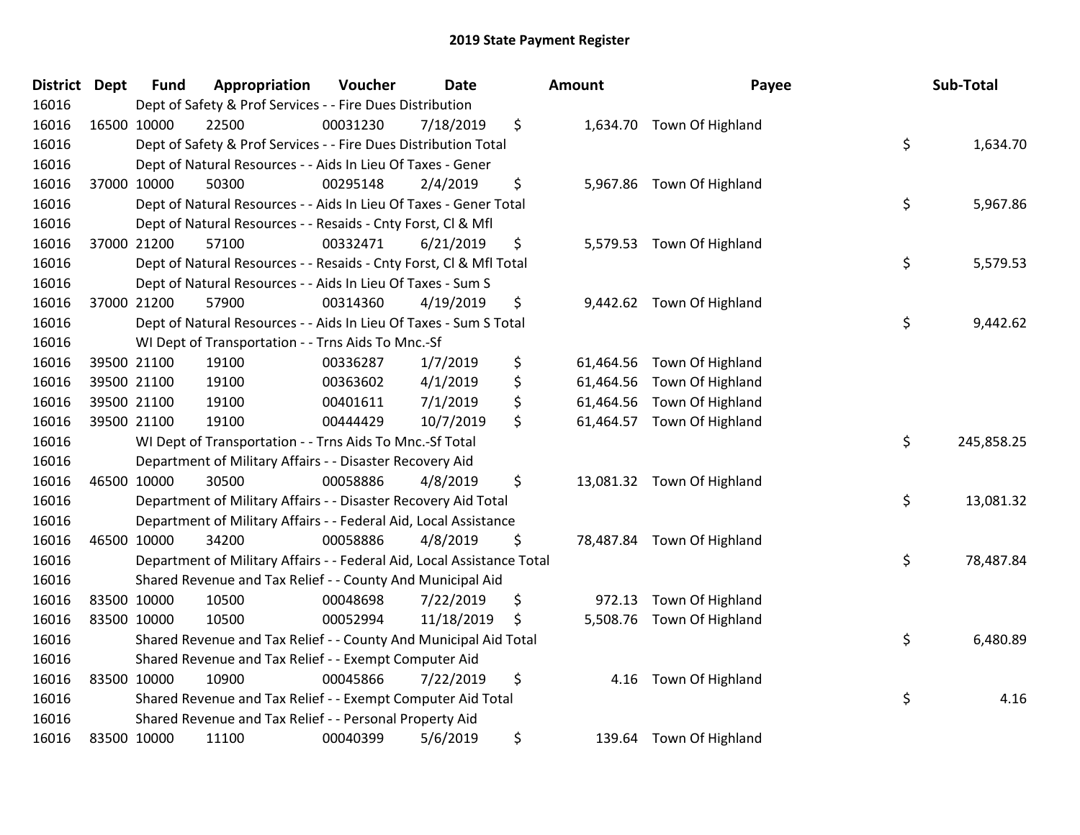| District Dept |             | <b>Fund</b> | Appropriation                                                          | Voucher  | <b>Date</b> | Amount          | Payee                      | Sub-Total        |
|---------------|-------------|-------------|------------------------------------------------------------------------|----------|-------------|-----------------|----------------------------|------------------|
| 16016         |             |             | Dept of Safety & Prof Services - - Fire Dues Distribution              |          |             |                 |                            |                  |
| 16016         | 16500 10000 |             | 22500                                                                  | 00031230 | 7/18/2019   | \$              | 1,634.70 Town Of Highland  |                  |
| 16016         |             |             | Dept of Safety & Prof Services - - Fire Dues Distribution Total        |          |             |                 |                            | \$<br>1,634.70   |
| 16016         |             |             | Dept of Natural Resources - - Aids In Lieu Of Taxes - Gener            |          |             |                 |                            |                  |
| 16016         | 37000 10000 |             | 50300                                                                  | 00295148 | 2/4/2019    | \$              | 5,967.86 Town Of Highland  |                  |
| 16016         |             |             | Dept of Natural Resources - - Aids In Lieu Of Taxes - Gener Total      |          |             |                 |                            | \$<br>5,967.86   |
| 16016         |             |             | Dept of Natural Resources - - Resaids - Cnty Forst, Cl & Mfl           |          |             |                 |                            |                  |
| 16016         |             | 37000 21200 | 57100                                                                  | 00332471 | 6/21/2019   | \$              | 5,579.53 Town Of Highland  |                  |
| 16016         |             |             | Dept of Natural Resources - - Resaids - Cnty Forst, Cl & Mfl Total     |          |             |                 |                            | \$<br>5,579.53   |
| 16016         |             |             | Dept of Natural Resources - - Aids In Lieu Of Taxes - Sum S            |          |             |                 |                            |                  |
| 16016         | 37000 21200 |             | 57900                                                                  | 00314360 | 4/19/2019   | \$              | 9,442.62 Town Of Highland  |                  |
| 16016         |             |             | Dept of Natural Resources - - Aids In Lieu Of Taxes - Sum S Total      |          |             |                 |                            | \$<br>9,442.62   |
| 16016         |             |             | WI Dept of Transportation - - Trns Aids To Mnc.-Sf                     |          |             |                 |                            |                  |
| 16016         |             | 39500 21100 | 19100                                                                  | 00336287 | 1/7/2019    | \$              | 61,464.56 Town Of Highland |                  |
| 16016         |             | 39500 21100 | 19100                                                                  | 00363602 | 4/1/2019    | \$<br>61,464.56 | Town Of Highland           |                  |
| 16016         |             | 39500 21100 | 19100                                                                  | 00401611 | 7/1/2019    | \$<br>61,464.56 | Town Of Highland           |                  |
| 16016         |             | 39500 21100 | 19100                                                                  | 00444429 | 10/7/2019   | \$<br>61,464.57 | Town Of Highland           |                  |
| 16016         |             |             | WI Dept of Transportation - - Trns Aids To Mnc.-Sf Total               |          |             |                 |                            | \$<br>245,858.25 |
| 16016         |             |             | Department of Military Affairs - - Disaster Recovery Aid               |          |             |                 |                            |                  |
| 16016         | 46500 10000 |             | 30500                                                                  | 00058886 | 4/8/2019    | \$              | 13,081.32 Town Of Highland |                  |
| 16016         |             |             | Department of Military Affairs - - Disaster Recovery Aid Total         |          |             |                 |                            | \$<br>13,081.32  |
| 16016         |             |             | Department of Military Affairs - - Federal Aid, Local Assistance       |          |             |                 |                            |                  |
| 16016         |             | 46500 10000 | 34200                                                                  | 00058886 | 4/8/2019    | \$              | 78,487.84 Town Of Highland |                  |
| 16016         |             |             | Department of Military Affairs - - Federal Aid, Local Assistance Total |          |             |                 |                            | \$<br>78,487.84  |
| 16016         |             |             | Shared Revenue and Tax Relief - - County And Municipal Aid             |          |             |                 |                            |                  |
| 16016         |             | 83500 10000 | 10500                                                                  | 00048698 | 7/22/2019   | \$<br>972.13    | Town Of Highland           |                  |
| 16016         |             | 83500 10000 | 10500                                                                  | 00052994 | 11/18/2019  | \$              | 5,508.76 Town Of Highland  |                  |
| 16016         |             |             | Shared Revenue and Tax Relief - - County And Municipal Aid Total       |          |             |                 |                            | \$<br>6,480.89   |
| 16016         |             |             | Shared Revenue and Tax Relief - - Exempt Computer Aid                  |          |             |                 |                            |                  |
| 16016         |             | 83500 10000 | 10900                                                                  | 00045866 | 7/22/2019   | \$<br>4.16      | Town Of Highland           |                  |
| 16016         |             |             | Shared Revenue and Tax Relief - - Exempt Computer Aid Total            |          |             |                 |                            | \$<br>4.16       |
| 16016         |             |             | Shared Revenue and Tax Relief - - Personal Property Aid                |          |             |                 |                            |                  |
| 16016         | 83500 10000 |             | 11100                                                                  | 00040399 | 5/6/2019    | \$              | 139.64 Town Of Highland    |                  |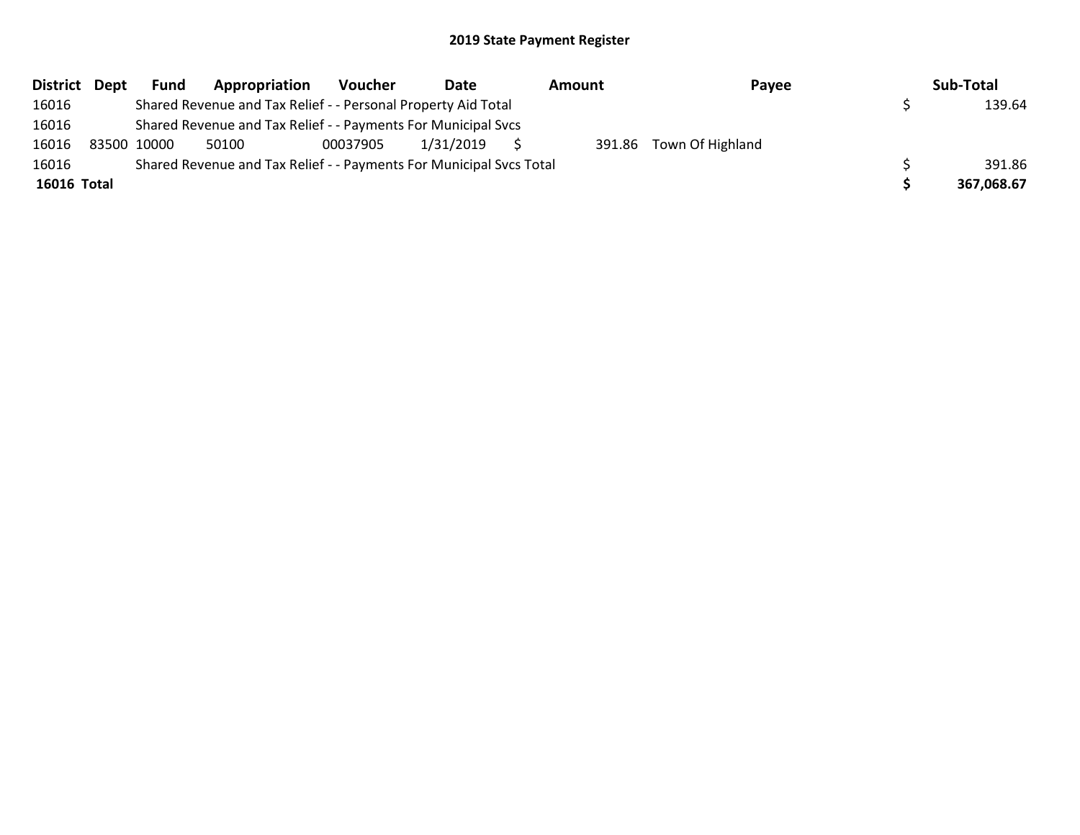|             | District Dept | <b>Fund</b> | Appropriation                                                       | Voucher  | Date      | Amount | Payee                   | Sub-Total  |
|-------------|---------------|-------------|---------------------------------------------------------------------|----------|-----------|--------|-------------------------|------------|
| 16016       |               |             | Shared Revenue and Tax Relief - - Personal Property Aid Total       |          |           |        |                         | 139.64     |
| 16016       |               |             | Shared Revenue and Tax Relief - - Payments For Municipal Svcs       |          |           |        |                         |            |
| 16016       |               | 83500 10000 | 50100                                                               | 00037905 | 1/31/2019 |        | 391.86 Town Of Highland |            |
| 16016       |               |             | Shared Revenue and Tax Relief - - Payments For Municipal Svcs Total |          |           |        |                         | 391.86     |
| 16016 Total |               |             |                                                                     |          |           |        |                         | 367,068.67 |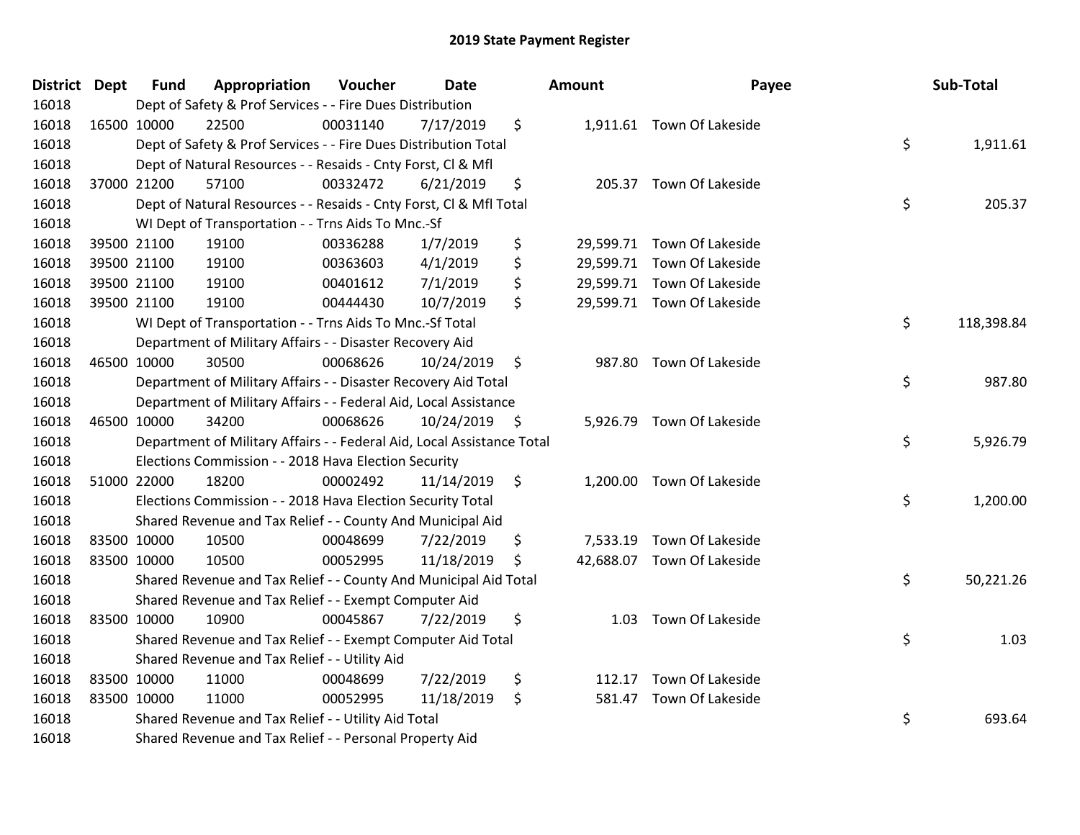| District Dept | <b>Fund</b> | Appropriation                                                          | Voucher  | <b>Date</b>   |                    | <b>Amount</b> | Payee                      | Sub-Total        |
|---------------|-------------|------------------------------------------------------------------------|----------|---------------|--------------------|---------------|----------------------------|------------------|
| 16018         |             | Dept of Safety & Prof Services - - Fire Dues Distribution              |          |               |                    |               |                            |                  |
| 16018         | 16500 10000 | 22500                                                                  | 00031140 | 7/17/2019     | \$                 |               | 1,911.61 Town Of Lakeside  |                  |
| 16018         |             | Dept of Safety & Prof Services - - Fire Dues Distribution Total        |          |               |                    |               |                            | \$<br>1,911.61   |
| 16018         |             | Dept of Natural Resources - - Resaids - Cnty Forst, Cl & Mfl           |          |               |                    |               |                            |                  |
| 16018         | 37000 21200 | 57100                                                                  | 00332472 | 6/21/2019     | \$                 |               | 205.37 Town Of Lakeside    |                  |
| 16018         |             | Dept of Natural Resources - - Resaids - Cnty Forst, Cl & Mfl Total     |          |               |                    |               |                            | \$<br>205.37     |
| 16018         |             | WI Dept of Transportation - - Trns Aids To Mnc.-Sf                     |          |               |                    |               |                            |                  |
| 16018         | 39500 21100 | 19100                                                                  | 00336288 | 1/7/2019      | \$                 |               | 29,599.71 Town Of Lakeside |                  |
| 16018         | 39500 21100 | 19100                                                                  | 00363603 | 4/1/2019      | \$                 |               | 29,599.71 Town Of Lakeside |                  |
| 16018         | 39500 21100 | 19100                                                                  | 00401612 | 7/1/2019      | \$                 |               | 29,599.71 Town Of Lakeside |                  |
| 16018         | 39500 21100 | 19100                                                                  | 00444430 | 10/7/2019     | \$                 |               | 29,599.71 Town Of Lakeside |                  |
| 16018         |             | WI Dept of Transportation - - Trns Aids To Mnc.-Sf Total               |          |               |                    |               |                            | \$<br>118,398.84 |
| 16018         |             | Department of Military Affairs - - Disaster Recovery Aid               |          |               |                    |               |                            |                  |
| 16018         | 46500 10000 | 30500                                                                  | 00068626 | 10/24/2019    | $\ddot{\phi}$      |               | 987.80 Town Of Lakeside    |                  |
| 16018         |             | Department of Military Affairs - - Disaster Recovery Aid Total         |          |               |                    |               |                            | \$<br>987.80     |
| 16018         |             | Department of Military Affairs - - Federal Aid, Local Assistance       |          |               |                    |               |                            |                  |
| 16018         | 46500 10000 | 34200                                                                  | 00068626 | 10/24/2019 \$ |                    |               | 5,926.79 Town Of Lakeside  |                  |
| 16018         |             | Department of Military Affairs - - Federal Aid, Local Assistance Total |          |               |                    |               |                            | \$<br>5,926.79   |
| 16018         |             | Elections Commission - - 2018 Hava Election Security                   |          |               |                    |               |                            |                  |
| 16018         | 51000 22000 | 18200                                                                  | 00002492 | 11/14/2019    | $\ddot{\varsigma}$ |               | 1,200.00 Town Of Lakeside  |                  |
| 16018         |             | Elections Commission - - 2018 Hava Election Security Total             |          |               |                    |               |                            | \$<br>1,200.00   |
| 16018         |             | Shared Revenue and Tax Relief - - County And Municipal Aid             |          |               |                    |               |                            |                  |
| 16018         | 83500 10000 | 10500                                                                  | 00048699 | 7/22/2019     | \$                 |               | 7,533.19 Town Of Lakeside  |                  |
| 16018         | 83500 10000 | 10500                                                                  | 00052995 | 11/18/2019    | \$                 |               | 42,688.07 Town Of Lakeside |                  |
| 16018         |             | Shared Revenue and Tax Relief - - County And Municipal Aid Total       |          |               |                    |               |                            | \$<br>50,221.26  |
| 16018         |             | Shared Revenue and Tax Relief - - Exempt Computer Aid                  |          |               |                    |               |                            |                  |
| 16018         | 83500 10000 | 10900                                                                  | 00045867 | 7/22/2019     | \$                 |               | 1.03 Town Of Lakeside      |                  |
| 16018         |             | Shared Revenue and Tax Relief - - Exempt Computer Aid Total            |          |               |                    |               |                            | \$<br>1.03       |
| 16018         |             | Shared Revenue and Tax Relief - - Utility Aid                          |          |               |                    |               |                            |                  |
| 16018         | 83500 10000 | 11000                                                                  | 00048699 | 7/22/2019     | \$                 | 112.17        | Town Of Lakeside           |                  |
| 16018         | 83500 10000 | 11000                                                                  | 00052995 | 11/18/2019    | \$                 | 581.47        | Town Of Lakeside           |                  |
| 16018         |             | Shared Revenue and Tax Relief - - Utility Aid Total                    |          |               |                    |               |                            | \$<br>693.64     |
| 16018         |             | Shared Revenue and Tax Relief - - Personal Property Aid                |          |               |                    |               |                            |                  |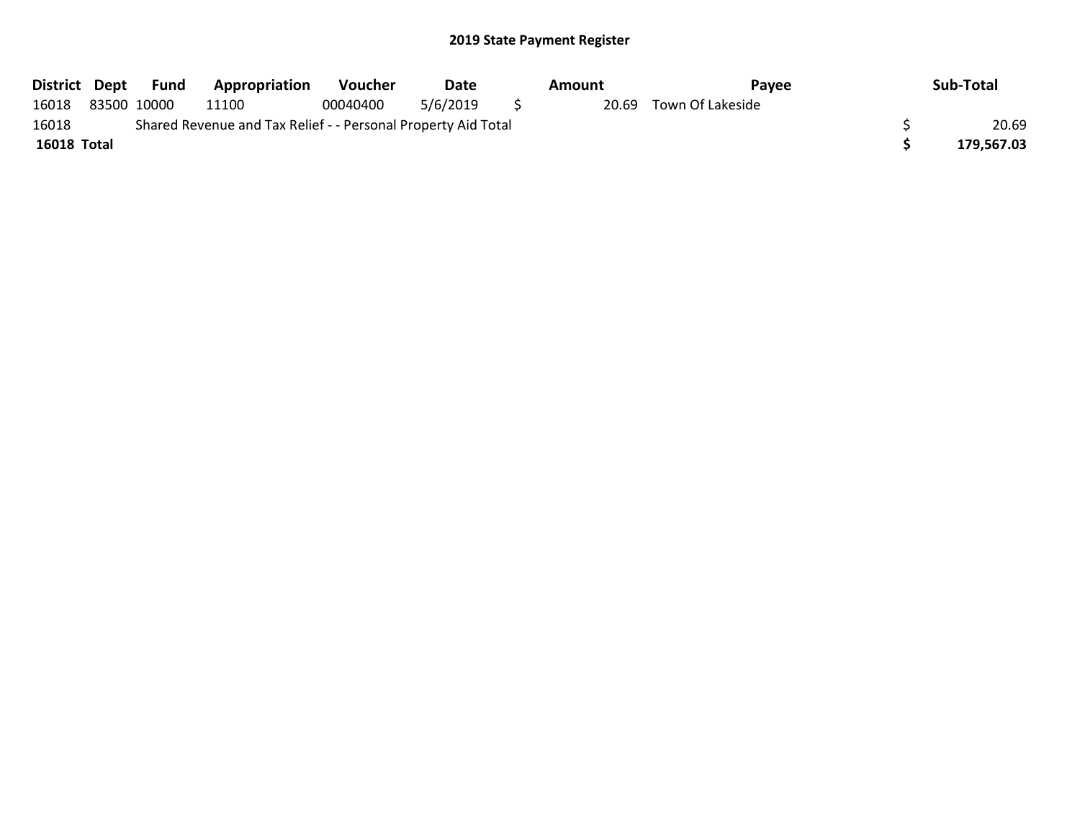|             |                                                               | District Dept Fund | <b>Appropriation</b> | Voucher  | Date     |  | Amount | Pavee                  |  | Sub-Total  |  |
|-------------|---------------------------------------------------------------|--------------------|----------------------|----------|----------|--|--------|------------------------|--|------------|--|
| 16018       |                                                               | 83500 10000        | 11100                | 00040400 | 5/6/2019 |  |        | 20.69 Town Of Lakeside |  |            |  |
| 16018       | Shared Revenue and Tax Relief - - Personal Property Aid Total |                    |                      |          |          |  |        |                        |  |            |  |
| 16018 Total |                                                               |                    |                      |          |          |  |        |                        |  | 179,567.03 |  |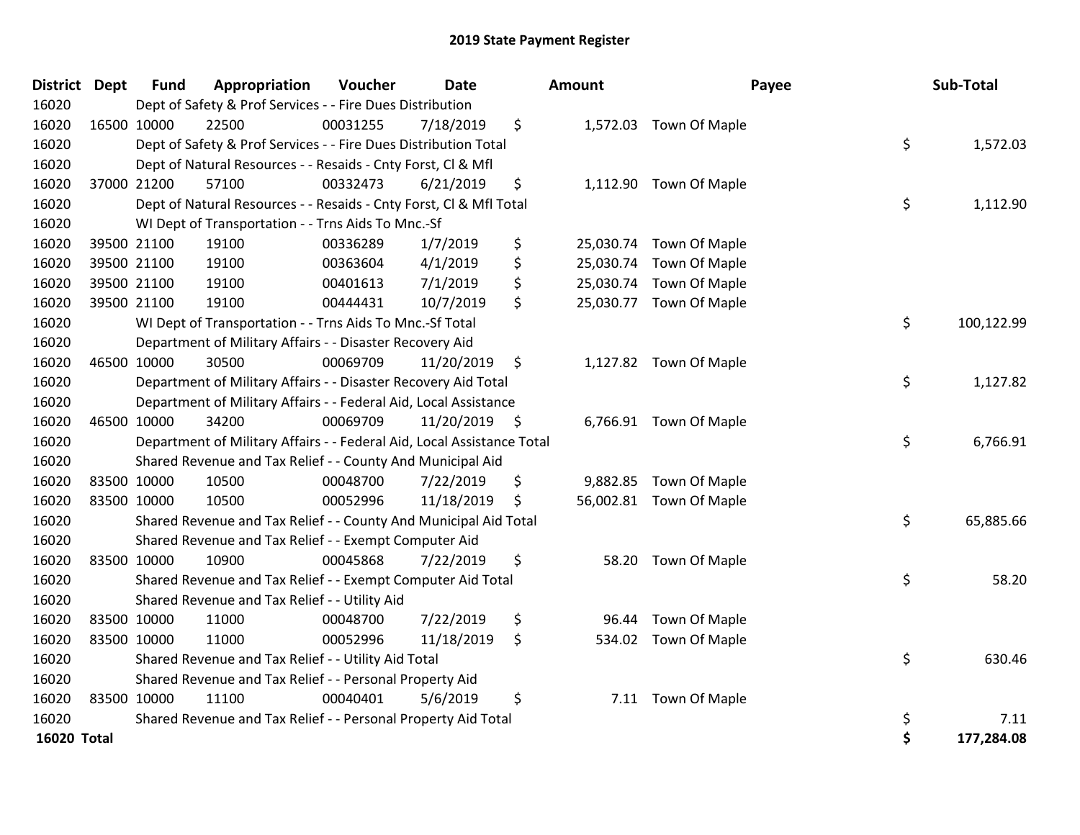| <b>District</b>    | <b>Dept</b> | <b>Fund</b> | Appropriation                                                          | Voucher  | <b>Date</b> | Amount          | Payee                   | Sub-Total        |
|--------------------|-------------|-------------|------------------------------------------------------------------------|----------|-------------|-----------------|-------------------------|------------------|
| 16020              |             |             | Dept of Safety & Prof Services - - Fire Dues Distribution              |          |             |                 |                         |                  |
| 16020              |             | 16500 10000 | 22500                                                                  | 00031255 | 7/18/2019   | \$              | 1,572.03 Town Of Maple  |                  |
| 16020              |             |             | Dept of Safety & Prof Services - - Fire Dues Distribution Total        |          |             |                 |                         | \$<br>1,572.03   |
| 16020              |             |             | Dept of Natural Resources - - Resaids - Cnty Forst, Cl & Mfl           |          |             |                 |                         |                  |
| 16020              |             | 37000 21200 | 57100                                                                  | 00332473 | 6/21/2019   | \$              | 1,112.90 Town Of Maple  |                  |
| 16020              |             |             | Dept of Natural Resources - - Resaids - Cnty Forst, Cl & Mfl Total     |          |             |                 |                         | \$<br>1,112.90   |
| 16020              |             |             | WI Dept of Transportation - - Trns Aids To Mnc.-Sf                     |          |             |                 |                         |                  |
| 16020              |             | 39500 21100 | 19100                                                                  | 00336289 | 1/7/2019    | \$              | 25,030.74 Town Of Maple |                  |
| 16020              |             | 39500 21100 | 19100                                                                  | 00363604 | 4/1/2019    | \$<br>25,030.74 | Town Of Maple           |                  |
| 16020              |             | 39500 21100 | 19100                                                                  | 00401613 | 7/1/2019    | \$              | 25,030.74 Town Of Maple |                  |
| 16020              |             | 39500 21100 | 19100                                                                  | 00444431 | 10/7/2019   | \$              | 25,030.77 Town Of Maple |                  |
| 16020              |             |             | WI Dept of Transportation - - Trns Aids To Mnc.-Sf Total               |          |             |                 |                         | \$<br>100,122.99 |
| 16020              |             |             | Department of Military Affairs - - Disaster Recovery Aid               |          |             |                 |                         |                  |
| 16020              |             | 46500 10000 | 30500                                                                  | 00069709 | 11/20/2019  | \$              | 1,127.82 Town Of Maple  |                  |
| 16020              |             |             | Department of Military Affairs - - Disaster Recovery Aid Total         |          |             |                 |                         | \$<br>1,127.82   |
| 16020              |             |             | Department of Military Affairs - - Federal Aid, Local Assistance       |          |             |                 |                         |                  |
| 16020              |             | 46500 10000 | 34200                                                                  | 00069709 | 11/20/2019  | \$              | 6,766.91 Town Of Maple  |                  |
| 16020              |             |             | Department of Military Affairs - - Federal Aid, Local Assistance Total |          |             |                 |                         | \$<br>6,766.91   |
| 16020              |             |             | Shared Revenue and Tax Relief - - County And Municipal Aid             |          |             |                 |                         |                  |
| 16020              |             | 83500 10000 | 10500                                                                  | 00048700 | 7/22/2019   | \$<br>9,882.85  | Town Of Maple           |                  |
| 16020              |             | 83500 10000 | 10500                                                                  | 00052996 | 11/18/2019  | \$              | 56,002.81 Town Of Maple |                  |
| 16020              |             |             | Shared Revenue and Tax Relief - - County And Municipal Aid Total       |          |             |                 |                         | \$<br>65,885.66  |
| 16020              |             |             | Shared Revenue and Tax Relief - - Exempt Computer Aid                  |          |             |                 |                         |                  |
| 16020              |             | 83500 10000 | 10900                                                                  | 00045868 | 7/22/2019   | \$              | 58.20 Town Of Maple     |                  |
| 16020              |             |             | Shared Revenue and Tax Relief - - Exempt Computer Aid Total            |          |             |                 |                         | \$<br>58.20      |
| 16020              |             |             | Shared Revenue and Tax Relief - - Utility Aid                          |          |             |                 |                         |                  |
| 16020              |             | 83500 10000 | 11000                                                                  | 00048700 | 7/22/2019   | \$<br>96.44     | Town Of Maple           |                  |
| 16020              |             | 83500 10000 | 11000                                                                  | 00052996 | 11/18/2019  | \$<br>534.02    | Town Of Maple           |                  |
| 16020              |             |             | Shared Revenue and Tax Relief - - Utility Aid Total                    |          |             |                 |                         | \$<br>630.46     |
| 16020              |             |             | Shared Revenue and Tax Relief - - Personal Property Aid                |          |             |                 |                         |                  |
| 16020              |             | 83500 10000 | 11100                                                                  | 00040401 | 5/6/2019    | \$              | 7.11 Town Of Maple      |                  |
| 16020              |             |             | Shared Revenue and Tax Relief - - Personal Property Aid Total          |          |             |                 |                         | \$<br>7.11       |
| <b>16020 Total</b> |             |             |                                                                        |          |             |                 |                         | \$<br>177,284.08 |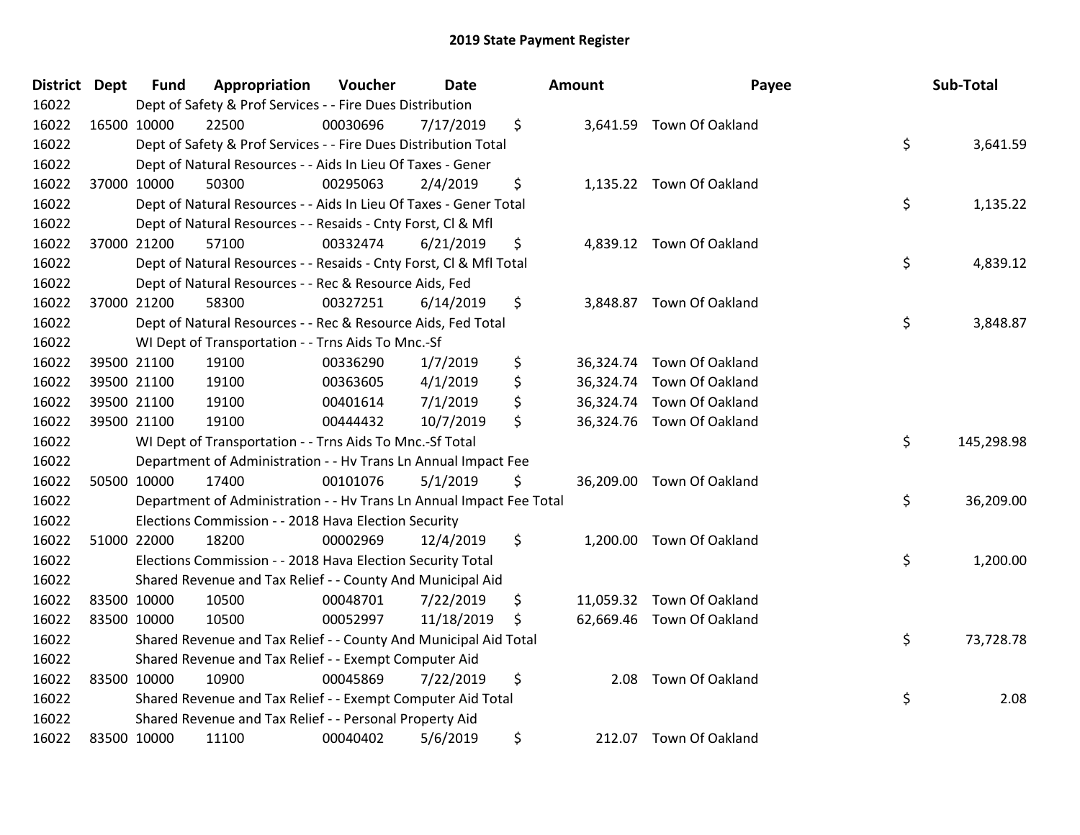| District Dept | <b>Fund</b> | Appropriation                                                        | Voucher  | <b>Date</b> | Amount     | Payee                     | Sub-Total        |
|---------------|-------------|----------------------------------------------------------------------|----------|-------------|------------|---------------------------|------------------|
| 16022         |             | Dept of Safety & Prof Services - - Fire Dues Distribution            |          |             |            |                           |                  |
| 16022         | 16500 10000 | 22500                                                                | 00030696 | 7/17/2019   | \$         | 3,641.59 Town Of Oakland  |                  |
| 16022         |             | Dept of Safety & Prof Services - - Fire Dues Distribution Total      |          |             |            |                           | \$<br>3,641.59   |
| 16022         |             | Dept of Natural Resources - - Aids In Lieu Of Taxes - Gener          |          |             |            |                           |                  |
| 16022         | 37000 10000 | 50300                                                                | 00295063 | 2/4/2019    | \$         | 1,135.22 Town Of Oakland  |                  |
| 16022         |             | Dept of Natural Resources - - Aids In Lieu Of Taxes - Gener Total    |          |             |            |                           | \$<br>1,135.22   |
| 16022         |             | Dept of Natural Resources - - Resaids - Cnty Forst, Cl & Mfl         |          |             |            |                           |                  |
| 16022         | 37000 21200 | 57100                                                                | 00332474 | 6/21/2019   | \$         | 4,839.12 Town Of Oakland  |                  |
| 16022         |             | Dept of Natural Resources - - Resaids - Cnty Forst, CI & Mfl Total   |          |             |            |                           | \$<br>4,839.12   |
| 16022         |             | Dept of Natural Resources - - Rec & Resource Aids, Fed               |          |             |            |                           |                  |
| 16022         | 37000 21200 | 58300                                                                | 00327251 | 6/14/2019   | \$         | 3,848.87 Town Of Oakland  |                  |
| 16022         |             | Dept of Natural Resources - - Rec & Resource Aids, Fed Total         |          |             |            |                           | \$<br>3,848.87   |
| 16022         |             | WI Dept of Transportation - - Trns Aids To Mnc.-Sf                   |          |             |            |                           |                  |
| 16022         | 39500 21100 | 19100                                                                | 00336290 | 1/7/2019    | \$         | 36,324.74 Town Of Oakland |                  |
| 16022         | 39500 21100 | 19100                                                                | 00363605 | 4/1/2019    | \$         | 36,324.74 Town Of Oakland |                  |
| 16022         | 39500 21100 | 19100                                                                | 00401614 | 7/1/2019    | \$         | 36,324.74 Town Of Oakland |                  |
| 16022         | 39500 21100 | 19100                                                                | 00444432 | 10/7/2019   | \$         | 36,324.76 Town Of Oakland |                  |
| 16022         |             | WI Dept of Transportation - - Trns Aids To Mnc.-Sf Total             |          |             |            |                           | \$<br>145,298.98 |
| 16022         |             | Department of Administration - - Hv Trans Ln Annual Impact Fee       |          |             |            |                           |                  |
| 16022         | 50500 10000 | 17400                                                                | 00101076 | 5/1/2019    | \$         | 36,209.00 Town Of Oakland |                  |
| 16022         |             | Department of Administration - - Hv Trans Ln Annual Impact Fee Total |          |             |            |                           | \$<br>36,209.00  |
| 16022         |             | Elections Commission - - 2018 Hava Election Security                 |          |             |            |                           |                  |
| 16022         | 51000 22000 | 18200                                                                | 00002969 | 12/4/2019   | \$         | 1,200.00 Town Of Oakland  |                  |
| 16022         |             | Elections Commission - - 2018 Hava Election Security Total           |          |             |            |                           | \$<br>1,200.00   |
| 16022         |             | Shared Revenue and Tax Relief - - County And Municipal Aid           |          |             |            |                           |                  |
| 16022         | 83500 10000 | 10500                                                                | 00048701 | 7/22/2019   | \$         | 11,059.32 Town Of Oakland |                  |
| 16022         | 83500 10000 | 10500                                                                | 00052997 | 11/18/2019  | \$         | 62,669.46 Town Of Oakland |                  |
| 16022         |             | Shared Revenue and Tax Relief - - County And Municipal Aid Total     |          |             |            |                           | \$<br>73,728.78  |
| 16022         |             | Shared Revenue and Tax Relief - - Exempt Computer Aid                |          |             |            |                           |                  |
| 16022         | 83500 10000 | 10900                                                                | 00045869 | 7/22/2019   | \$<br>2.08 | <b>Town Of Oakland</b>    |                  |
| 16022         |             | Shared Revenue and Tax Relief - - Exempt Computer Aid Total          |          |             |            |                           | \$<br>2.08       |
| 16022         |             | Shared Revenue and Tax Relief - - Personal Property Aid              |          |             |            |                           |                  |
| 16022         | 83500 10000 | 11100                                                                | 00040402 | 5/6/2019    | \$         | 212.07 Town Of Oakland    |                  |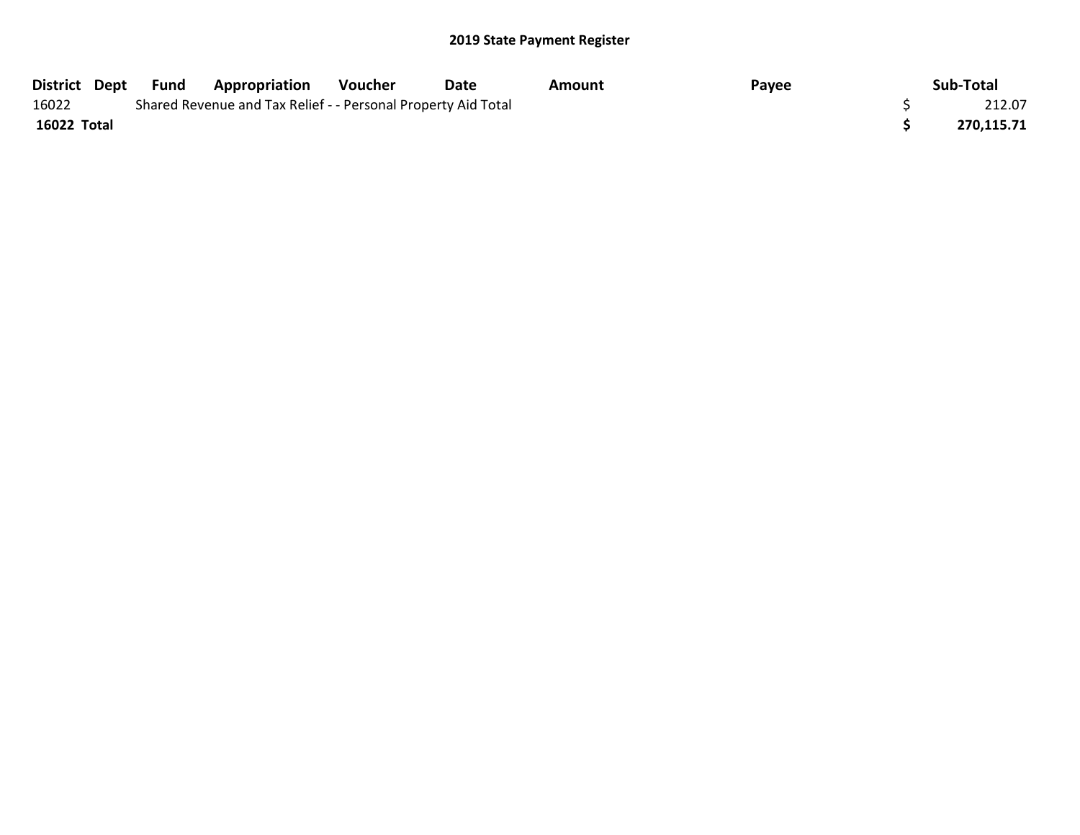| District Dept Fund |  | <b>Appropriation</b>                                          | Voucher | Date | Amount | Payee | Sub-Total  |
|--------------------|--|---------------------------------------------------------------|---------|------|--------|-------|------------|
| 16022              |  | Shared Revenue and Tax Relief - - Personal Property Aid Total |         |      |        |       | 212.07     |
| 16022 Total        |  |                                                               |         |      |        |       | 270,115.71 |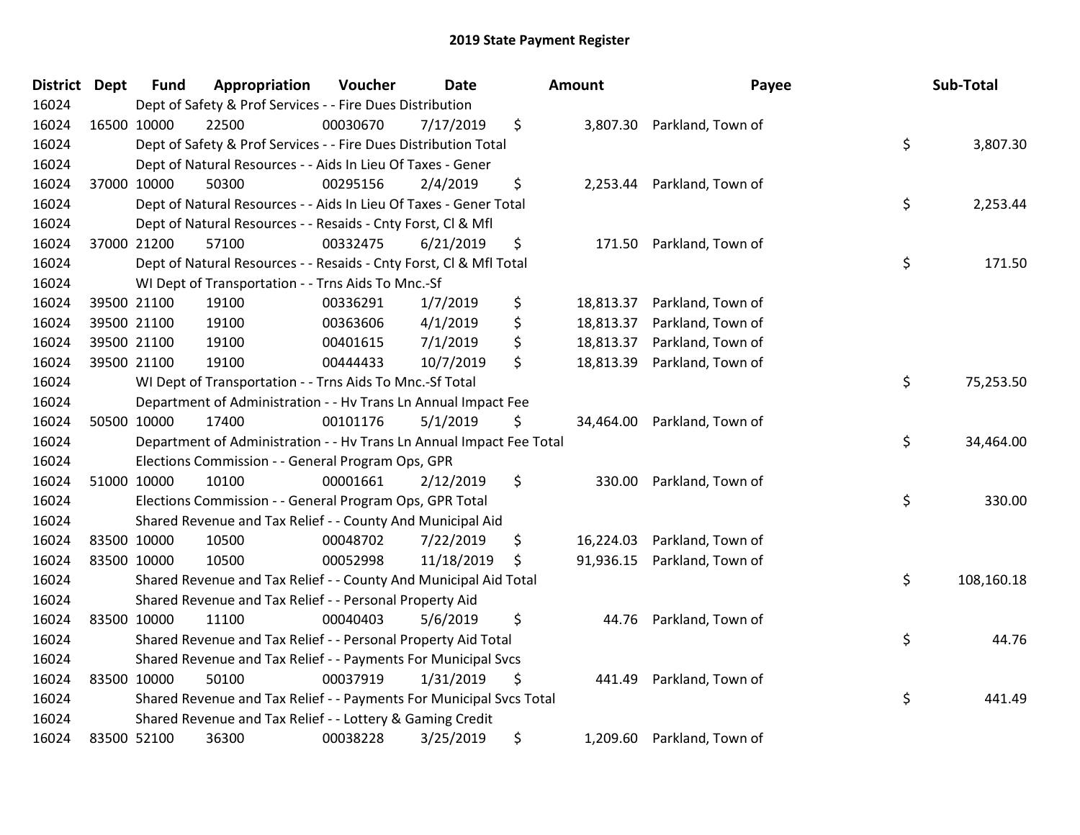| District Dept |             | <b>Fund</b> | Appropriation                                                        | Voucher  | <b>Date</b> | Amount          | Payee             | Sub-Total        |
|---------------|-------------|-------------|----------------------------------------------------------------------|----------|-------------|-----------------|-------------------|------------------|
| 16024         |             |             | Dept of Safety & Prof Services - - Fire Dues Distribution            |          |             |                 |                   |                  |
| 16024         | 16500 10000 |             | 22500                                                                | 00030670 | 7/17/2019   | \$<br>3,807.30  | Parkland, Town of |                  |
| 16024         |             |             | Dept of Safety & Prof Services - - Fire Dues Distribution Total      |          |             |                 |                   | \$<br>3,807.30   |
| 16024         |             |             | Dept of Natural Resources - - Aids In Lieu Of Taxes - Gener          |          |             |                 |                   |                  |
| 16024         | 37000 10000 |             | 50300                                                                | 00295156 | 2/4/2019    | \$<br>2,253.44  | Parkland, Town of |                  |
| 16024         |             |             | Dept of Natural Resources - - Aids In Lieu Of Taxes - Gener Total    |          |             |                 |                   | \$<br>2,253.44   |
| 16024         |             |             | Dept of Natural Resources - - Resaids - Cnty Forst, Cl & Mfl         |          |             |                 |                   |                  |
| 16024         | 37000 21200 |             | 57100                                                                | 00332475 | 6/21/2019   | \$<br>171.50    | Parkland, Town of |                  |
| 16024         |             |             | Dept of Natural Resources - - Resaids - Cnty Forst, Cl & Mfl Total   |          |             |                 |                   | \$<br>171.50     |
| 16024         |             |             | WI Dept of Transportation - - Trns Aids To Mnc.-Sf                   |          |             |                 |                   |                  |
| 16024         |             | 39500 21100 | 19100                                                                | 00336291 | 1/7/2019    | \$<br>18,813.37 | Parkland, Town of |                  |
| 16024         | 39500 21100 |             | 19100                                                                | 00363606 | 4/1/2019    | \$<br>18,813.37 | Parkland, Town of |                  |
| 16024         | 39500 21100 |             | 19100                                                                | 00401615 | 7/1/2019    | \$<br>18,813.37 | Parkland, Town of |                  |
| 16024         | 39500 21100 |             | 19100                                                                | 00444433 | 10/7/2019   | \$<br>18,813.39 | Parkland, Town of |                  |
| 16024         |             |             | WI Dept of Transportation - - Trns Aids To Mnc.-Sf Total             |          |             |                 |                   | \$<br>75,253.50  |
| 16024         |             |             | Department of Administration - - Hv Trans Ln Annual Impact Fee       |          |             |                 |                   |                  |
| 16024         | 50500 10000 |             | 17400                                                                | 00101176 | 5/1/2019    | \$<br>34,464.00 | Parkland, Town of |                  |
| 16024         |             |             | Department of Administration - - Hv Trans Ln Annual Impact Fee Total |          |             |                 |                   | \$<br>34,464.00  |
| 16024         |             |             | Elections Commission - - General Program Ops, GPR                    |          |             |                 |                   |                  |
| 16024         | 51000 10000 |             | 10100                                                                | 00001661 | 2/12/2019   | \$<br>330.00    | Parkland, Town of |                  |
| 16024         |             |             | Elections Commission - - General Program Ops, GPR Total              |          |             |                 |                   | \$<br>330.00     |
| 16024         |             |             | Shared Revenue and Tax Relief - - County And Municipal Aid           |          |             |                 |                   |                  |
| 16024         | 83500 10000 |             | 10500                                                                | 00048702 | 7/22/2019   | \$<br>16,224.03 | Parkland, Town of |                  |
| 16024         | 83500 10000 |             | 10500                                                                | 00052998 | 11/18/2019  | \$<br>91,936.15 | Parkland, Town of |                  |
| 16024         |             |             | Shared Revenue and Tax Relief - - County And Municipal Aid Total     |          |             |                 |                   | \$<br>108,160.18 |
| 16024         |             |             | Shared Revenue and Tax Relief - - Personal Property Aid              |          |             |                 |                   |                  |
| 16024         | 83500 10000 |             | 11100                                                                | 00040403 | 5/6/2019    | \$<br>44.76     | Parkland, Town of |                  |
| 16024         |             |             | Shared Revenue and Tax Relief - - Personal Property Aid Total        |          |             |                 |                   | \$<br>44.76      |
| 16024         |             |             | Shared Revenue and Tax Relief - - Payments For Municipal Svcs        |          |             |                 |                   |                  |
| 16024         | 83500 10000 |             | 50100                                                                | 00037919 | 1/31/2019   | \$<br>441.49    | Parkland, Town of |                  |
| 16024         |             |             | Shared Revenue and Tax Relief - - Payments For Municipal Svcs Total  |          |             |                 |                   | \$<br>441.49     |
| 16024         |             |             | Shared Revenue and Tax Relief - - Lottery & Gaming Credit            |          |             |                 |                   |                  |
| 16024         | 83500 52100 |             | 36300                                                                | 00038228 | 3/25/2019   | \$<br>1,209.60  | Parkland, Town of |                  |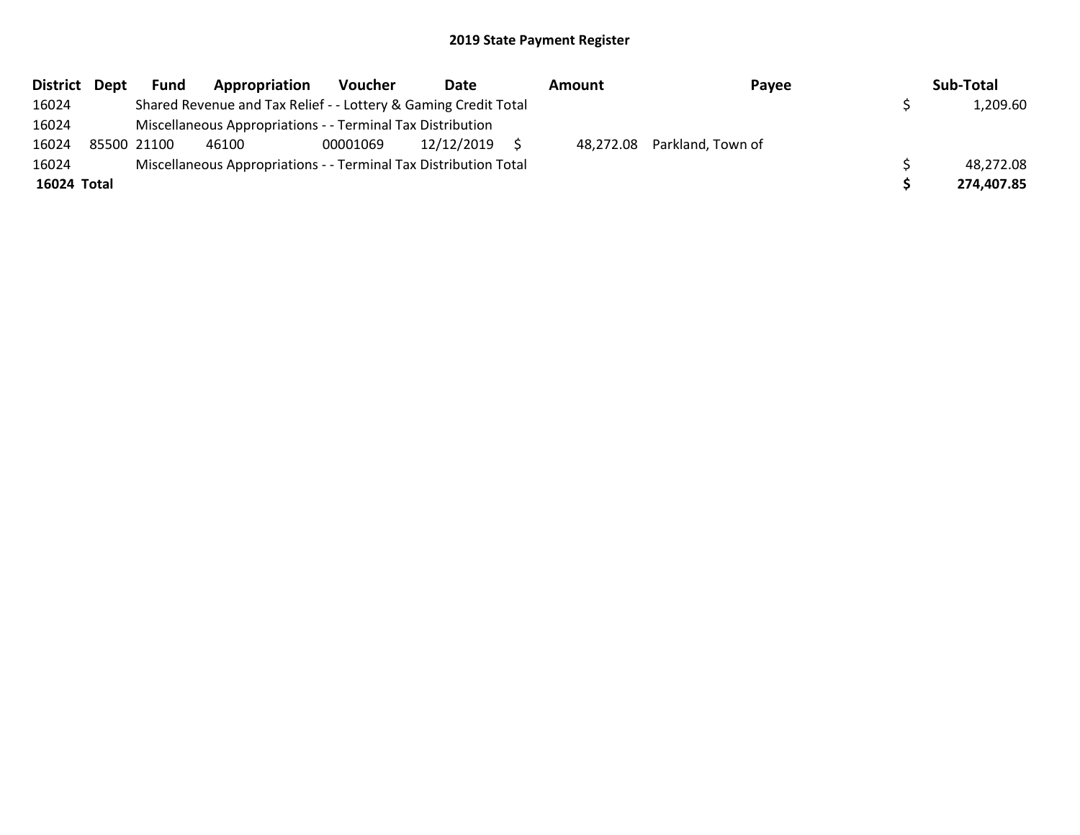| District Dept | <b>Fund</b> | Appropriation                                                    | <b>Voucher</b> | Date       | Amount | Pavee                       | Sub-Total  |
|---------------|-------------|------------------------------------------------------------------|----------------|------------|--------|-----------------------------|------------|
| 16024         |             | Shared Revenue and Tax Relief - - Lottery & Gaming Credit Total  |                |            |        |                             | 1,209.60   |
| 16024         |             | Miscellaneous Appropriations - - Terminal Tax Distribution       |                |            |        |                             |            |
| 16024         | 85500 21100 | 46100                                                            | 00001069       | 12/12/2019 |        | 48,272.08 Parkland, Town of |            |
| 16024         |             | Miscellaneous Appropriations - - Terminal Tax Distribution Total |                |            |        |                             | 48,272.08  |
| 16024 Total   |             |                                                                  |                |            |        |                             | 274,407.85 |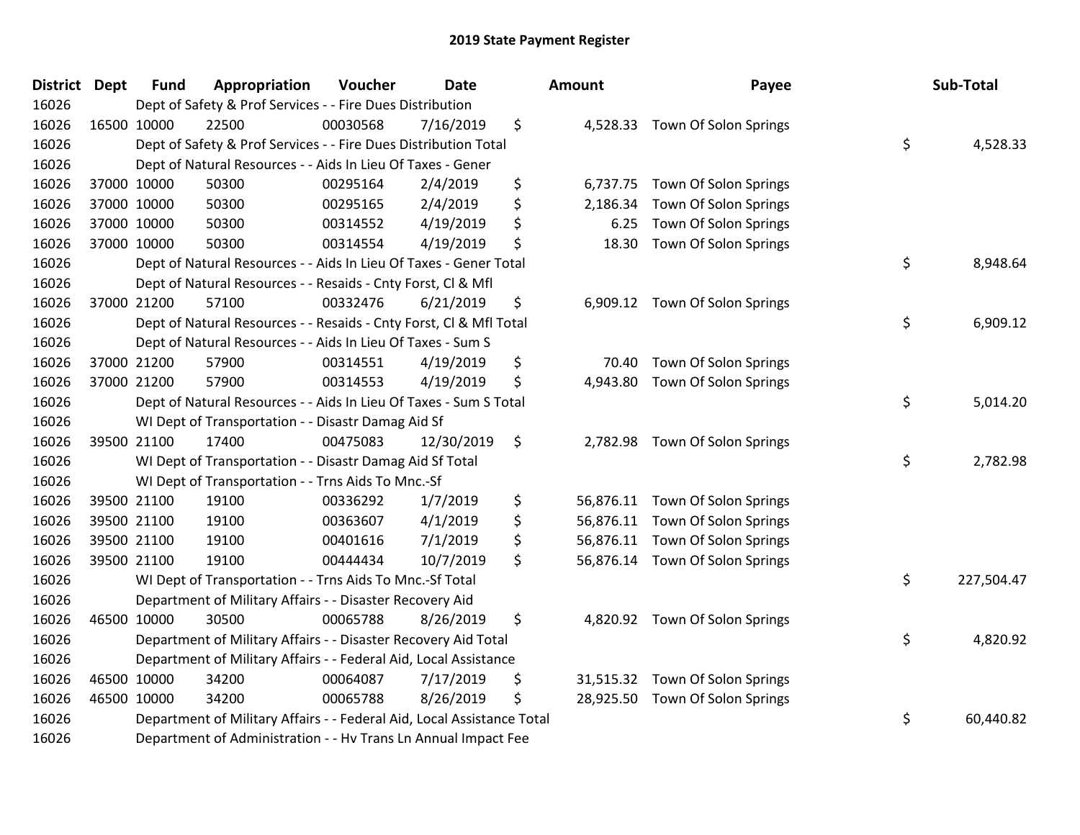| District | <b>Dept</b> | <b>Fund</b> | Appropriation                                                          | Voucher  | <b>Date</b> | Amount          | Payee                           | Sub-Total        |
|----------|-------------|-------------|------------------------------------------------------------------------|----------|-------------|-----------------|---------------------------------|------------------|
| 16026    |             |             | Dept of Safety & Prof Services - - Fire Dues Distribution              |          |             |                 |                                 |                  |
| 16026    |             | 16500 10000 | 22500                                                                  | 00030568 | 7/16/2019   | \$              | 4,528.33 Town Of Solon Springs  |                  |
| 16026    |             |             | Dept of Safety & Prof Services - - Fire Dues Distribution Total        |          |             |                 |                                 | \$<br>4,528.33   |
| 16026    |             |             | Dept of Natural Resources - - Aids In Lieu Of Taxes - Gener            |          |             |                 |                                 |                  |
| 16026    |             | 37000 10000 | 50300                                                                  | 00295164 | 2/4/2019    | \$<br>6,737.75  | Town Of Solon Springs           |                  |
| 16026    |             | 37000 10000 | 50300                                                                  | 00295165 | 2/4/2019    | \$<br>2,186.34  | Town Of Solon Springs           |                  |
| 16026    |             | 37000 10000 | 50300                                                                  | 00314552 | 4/19/2019   | \$<br>6.25      | Town Of Solon Springs           |                  |
| 16026    |             | 37000 10000 | 50300                                                                  | 00314554 | 4/19/2019   | \$<br>18.30     | Town Of Solon Springs           |                  |
| 16026    |             |             | Dept of Natural Resources - - Aids In Lieu Of Taxes - Gener Total      |          |             |                 |                                 | \$<br>8,948.64   |
| 16026    |             |             | Dept of Natural Resources - - Resaids - Cnty Forst, Cl & Mfl           |          |             |                 |                                 |                  |
| 16026    |             | 37000 21200 | 57100                                                                  | 00332476 | 6/21/2019   | \$              | 6,909.12 Town Of Solon Springs  |                  |
| 16026    |             |             | Dept of Natural Resources - - Resaids - Cnty Forst, CI & Mfl Total     |          |             |                 |                                 | \$<br>6,909.12   |
| 16026    |             |             | Dept of Natural Resources - - Aids In Lieu Of Taxes - Sum S            |          |             |                 |                                 |                  |
| 16026    |             | 37000 21200 | 57900                                                                  | 00314551 | 4/19/2019   | \$<br>70.40     | Town Of Solon Springs           |                  |
| 16026    |             | 37000 21200 | 57900                                                                  | 00314553 | 4/19/2019   | \$<br>4,943.80  | Town Of Solon Springs           |                  |
| 16026    |             |             | Dept of Natural Resources - - Aids In Lieu Of Taxes - Sum S Total      |          |             |                 |                                 | \$<br>5,014.20   |
| 16026    |             |             | WI Dept of Transportation - - Disastr Damag Aid Sf                     |          |             |                 |                                 |                  |
| 16026    |             | 39500 21100 | 17400                                                                  | 00475083 | 12/30/2019  | \$<br>2,782.98  | Town Of Solon Springs           |                  |
| 16026    |             |             | WI Dept of Transportation - - Disastr Damag Aid Sf Total               |          |             |                 |                                 | \$<br>2,782.98   |
| 16026    |             |             | WI Dept of Transportation - - Trns Aids To Mnc.-Sf                     |          |             |                 |                                 |                  |
| 16026    |             | 39500 21100 | 19100                                                                  | 00336292 | 1/7/2019    | \$<br>56,876.11 | Town Of Solon Springs           |                  |
| 16026    |             | 39500 21100 | 19100                                                                  | 00363607 | 4/1/2019    | \$<br>56,876.11 | Town Of Solon Springs           |                  |
| 16026    |             | 39500 21100 | 19100                                                                  | 00401616 | 7/1/2019    | \$<br>56,876.11 | Town Of Solon Springs           |                  |
| 16026    |             | 39500 21100 | 19100                                                                  | 00444434 | 10/7/2019   | \$              | 56,876.14 Town Of Solon Springs |                  |
| 16026    |             |             | WI Dept of Transportation - - Trns Aids To Mnc.-Sf Total               |          |             |                 |                                 | \$<br>227,504.47 |
| 16026    |             |             | Department of Military Affairs - - Disaster Recovery Aid               |          |             |                 |                                 |                  |
| 16026    |             | 46500 10000 | 30500                                                                  | 00065788 | 8/26/2019   | \$<br>4,820.92  | Town Of Solon Springs           |                  |
| 16026    |             |             | Department of Military Affairs - - Disaster Recovery Aid Total         |          |             |                 |                                 | \$<br>4,820.92   |
| 16026    |             |             | Department of Military Affairs - - Federal Aid, Local Assistance       |          |             |                 |                                 |                  |
| 16026    |             | 46500 10000 | 34200                                                                  | 00064087 | 7/17/2019   | \$<br>31,515.32 | Town Of Solon Springs           |                  |
| 16026    |             | 46500 10000 | 34200                                                                  | 00065788 | 8/26/2019   | \$<br>28,925.50 | Town Of Solon Springs           |                  |
| 16026    |             |             | Department of Military Affairs - - Federal Aid, Local Assistance Total |          |             |                 |                                 | \$<br>60,440.82  |
| 16026    |             |             | Department of Administration - - Hv Trans Ln Annual Impact Fee         |          |             |                 |                                 |                  |

| ount                                             | <b>Payee</b>                                                                                     |          | Sub-Total              |
|--------------------------------------------------|--------------------------------------------------------------------------------------------------|----------|------------------------|
| 4,528.33                                         | Town Of Solon Springs                                                                            | \$       | 4,528.33               |
| 6,737.75<br>2,186.34<br>6.25<br>18.30            | Town Of Solon Springs<br>Town Of Solon Springs<br>Town Of Solon Springs<br>Town Of Solon Springs |          |                        |
|                                                  |                                                                                                  | \$       | 8,948.64               |
| 6,909.12                                         | Town Of Solon Springs                                                                            | \$       | 6,909.12               |
| 70.40<br>4,943.80                                | Town Of Solon Springs<br>Town Of Solon Springs                                                   | \$       | 5,014.20               |
| 2,782.98                                         | Town Of Solon Springs                                                                            | \$       | 2,782.98               |
| 56,876.11<br>56,876.11<br>56,876.11<br>56,876.14 | Town Of Solon Springs<br>Town Of Solon Springs<br>Town Of Solon Springs<br>Town Of Solon Springs |          |                        |
| 4,820.92                                         | Town Of Solon Springs                                                                            | \$<br>\$ | 227,504.47<br>4,820.92 |
| 31,515.32<br>28,925.50                           | Town Of Solon Springs<br>Town Of Solon Springs                                                   | \$       | 60,440.82              |
|                                                  |                                                                                                  |          |                        |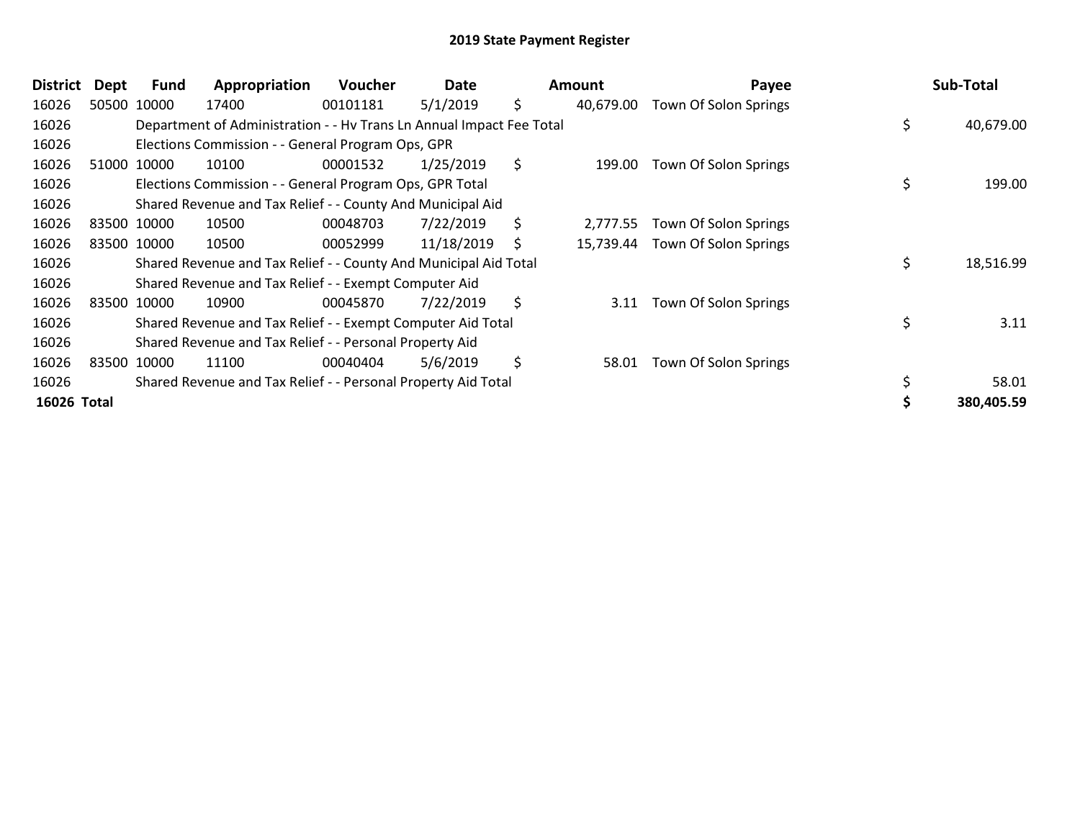| <b>District</b> | Dept | <b>Fund</b> | Appropriation                                                        | <b>Voucher</b> | Date       | Amount          | Payee                           | Sub-Total       |
|-----------------|------|-------------|----------------------------------------------------------------------|----------------|------------|-----------------|---------------------------------|-----------------|
| 16026           |      | 50500 10000 | 17400                                                                | 00101181       | 5/1/2019   | \$<br>40,679.00 | Town Of Solon Springs           |                 |
| 16026           |      |             | Department of Administration - - Hy Trans Ln Annual Impact Fee Total |                |            |                 |                                 | \$<br>40,679.00 |
| 16026           |      |             | Elections Commission - - General Program Ops, GPR                    |                |            |                 |                                 |                 |
| 16026           |      | 51000 10000 | 10100                                                                | 00001532       | 1/25/2019  | \$<br>199.00    | Town Of Solon Springs           |                 |
| 16026           |      |             | Elections Commission - - General Program Ops, GPR Total              |                |            |                 |                                 | \$<br>199.00    |
| 16026           |      |             | Shared Revenue and Tax Relief - - County And Municipal Aid           |                |            |                 |                                 |                 |
| 16026           |      | 83500 10000 | 10500                                                                | 00048703       | 7/22/2019  | \$<br>2,777.55  | Town Of Solon Springs           |                 |
| 16026           |      | 83500 10000 | 10500                                                                | 00052999       | 11/18/2019 | \$              | 15,739.44 Town Of Solon Springs |                 |
| 16026           |      |             | Shared Revenue and Tax Relief - - County And Municipal Aid Total     |                |            |                 |                                 | \$<br>18,516.99 |
| 16026           |      |             | Shared Revenue and Tax Relief - - Exempt Computer Aid                |                |            |                 |                                 |                 |
| 16026           |      | 83500 10000 | 10900                                                                | 00045870       | 7/22/2019  | \$<br>3.11      | Town Of Solon Springs           |                 |
| 16026           |      |             | Shared Revenue and Tax Relief - - Exempt Computer Aid Total          |                |            |                 |                                 | 3.11            |
| 16026           |      |             | Shared Revenue and Tax Relief - - Personal Property Aid              |                |            |                 |                                 |                 |
| 16026           |      | 83500 10000 | 11100                                                                | 00040404       | 5/6/2019   | \$<br>58.01     | Town Of Solon Springs           |                 |
| 16026           |      |             | Shared Revenue and Tax Relief - - Personal Property Aid Total        |                |            |                 |                                 | 58.01           |
| 16026 Total     |      |             |                                                                      |                |            |                 |                                 | 380,405.59      |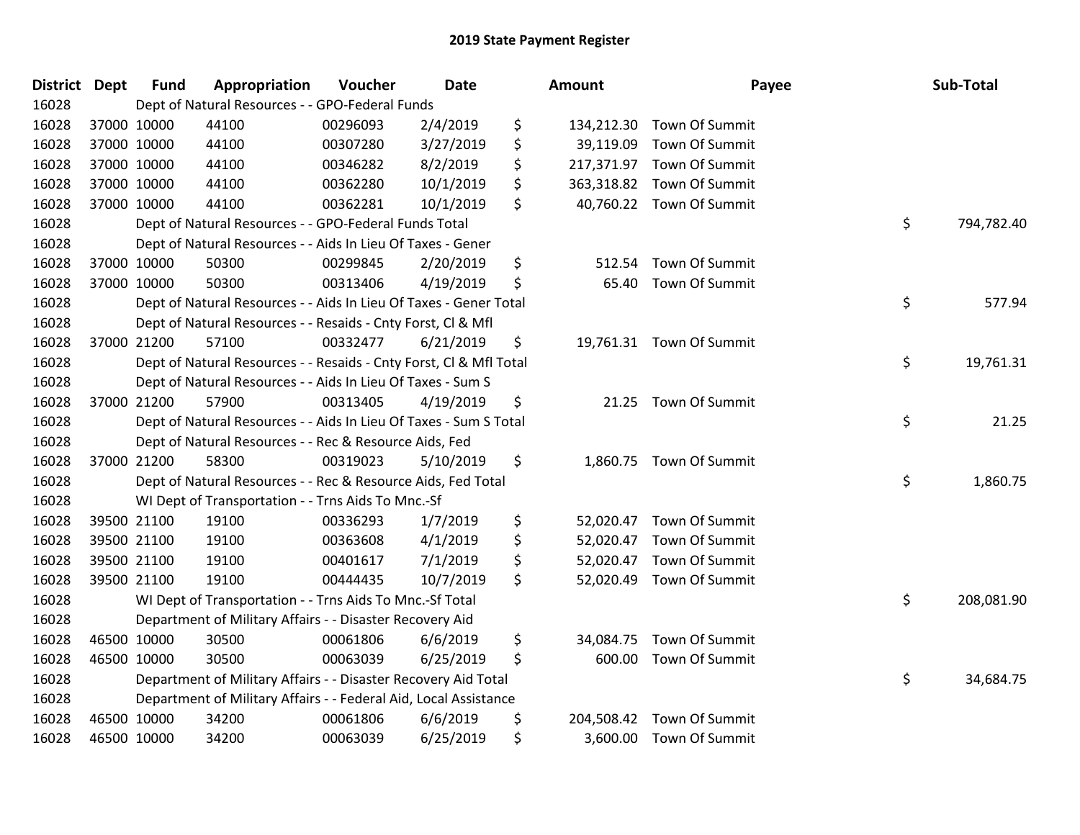| <b>District Dept</b> |             | <b>Fund</b> | Appropriation                                                      | Voucher  | Date      | <b>Amount</b>    | Payee                     | Sub-Total        |
|----------------------|-------------|-------------|--------------------------------------------------------------------|----------|-----------|------------------|---------------------------|------------------|
| 16028                |             |             | Dept of Natural Resources - - GPO-Federal Funds                    |          |           |                  |                           |                  |
| 16028                |             | 37000 10000 | 44100                                                              | 00296093 | 2/4/2019  | \$               | 134,212.30 Town Of Summit |                  |
| 16028                |             | 37000 10000 | 44100                                                              | 00307280 | 3/27/2019 | \$<br>39,119.09  | Town Of Summit            |                  |
| 16028                |             | 37000 10000 | 44100                                                              | 00346282 | 8/2/2019  | \$               | 217,371.97 Town Of Summit |                  |
| 16028                |             | 37000 10000 | 44100                                                              | 00362280 | 10/1/2019 | \$               | 363,318.82 Town Of Summit |                  |
| 16028                |             | 37000 10000 | 44100                                                              | 00362281 | 10/1/2019 | \$               | 40,760.22 Town Of Summit  |                  |
| 16028                |             |             | Dept of Natural Resources - - GPO-Federal Funds Total              |          |           |                  |                           | \$<br>794,782.40 |
| 16028                |             |             | Dept of Natural Resources - - Aids In Lieu Of Taxes - Gener        |          |           |                  |                           |                  |
| 16028                |             | 37000 10000 | 50300                                                              | 00299845 | 2/20/2019 | \$<br>512.54     | Town Of Summit            |                  |
| 16028                |             | 37000 10000 | 50300                                                              | 00313406 | 4/19/2019 | \$               | 65.40 Town Of Summit      |                  |
| 16028                |             |             | Dept of Natural Resources - - Aids In Lieu Of Taxes - Gener Total  |          |           |                  |                           | \$<br>577.94     |
| 16028                |             |             | Dept of Natural Resources - - Resaids - Cnty Forst, Cl & Mfl       |          |           |                  |                           |                  |
| 16028                |             | 37000 21200 | 57100                                                              | 00332477 | 6/21/2019 | \$               | 19,761.31 Town Of Summit  |                  |
| 16028                |             |             | Dept of Natural Resources - - Resaids - Cnty Forst, CI & Mfl Total |          |           |                  |                           | \$<br>19,761.31  |
| 16028                |             |             | Dept of Natural Resources - - Aids In Lieu Of Taxes - Sum S        |          |           |                  |                           |                  |
| 16028                |             | 37000 21200 | 57900                                                              | 00313405 | 4/19/2019 | \$<br>21.25      | Town Of Summit            |                  |
| 16028                |             |             | Dept of Natural Resources - - Aids In Lieu Of Taxes - Sum S Total  |          |           |                  |                           | \$<br>21.25      |
| 16028                |             |             | Dept of Natural Resources - - Rec & Resource Aids, Fed             |          |           |                  |                           |                  |
| 16028                |             | 37000 21200 | 58300                                                              | 00319023 | 5/10/2019 | \$               | 1,860.75 Town Of Summit   |                  |
| 16028                |             |             | Dept of Natural Resources - - Rec & Resource Aids, Fed Total       |          |           |                  |                           | \$<br>1,860.75   |
| 16028                |             |             | WI Dept of Transportation - - Trns Aids To Mnc.-Sf                 |          |           |                  |                           |                  |
| 16028                |             | 39500 21100 | 19100                                                              | 00336293 | 1/7/2019  | \$               | 52,020.47 Town Of Summit  |                  |
| 16028                |             | 39500 21100 | 19100                                                              | 00363608 | 4/1/2019  | \$               | 52,020.47 Town Of Summit  |                  |
| 16028                |             | 39500 21100 | 19100                                                              | 00401617 | 7/1/2019  | \$               | 52,020.47 Town Of Summit  |                  |
| 16028                |             | 39500 21100 | 19100                                                              | 00444435 | 10/7/2019 | \$               | 52,020.49 Town Of Summit  |                  |
| 16028                |             |             | WI Dept of Transportation - - Trns Aids To Mnc.-Sf Total           |          |           |                  |                           | \$<br>208,081.90 |
| 16028                |             |             | Department of Military Affairs - - Disaster Recovery Aid           |          |           |                  |                           |                  |
| 16028                |             | 46500 10000 | 30500                                                              | 00061806 | 6/6/2019  | \$<br>34,084.75  | Town Of Summit            |                  |
| 16028                |             | 46500 10000 | 30500                                                              | 00063039 | 6/25/2019 | \$               | 600.00 Town Of Summit     |                  |
| 16028                |             |             | Department of Military Affairs - - Disaster Recovery Aid Total     |          |           |                  |                           | \$<br>34,684.75  |
| 16028                |             |             | Department of Military Affairs - - Federal Aid, Local Assistance   |          |           |                  |                           |                  |
| 16028                |             | 46500 10000 | 34200                                                              | 00061806 | 6/6/2019  | \$<br>204,508.42 | Town Of Summit            |                  |
| 16028                | 46500 10000 |             | 34200                                                              | 00063039 | 6/25/2019 | \$               | 3,600.00 Town Of Summit   |                  |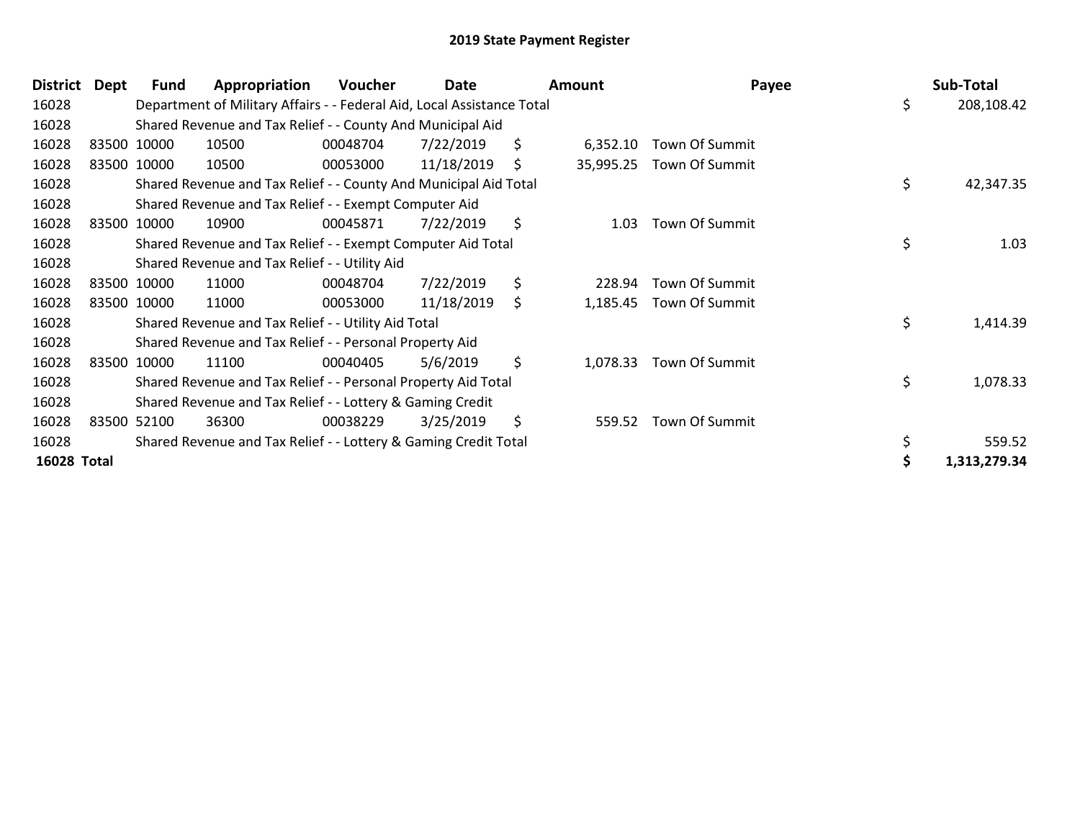| <b>District</b> | Dept | Fund        | Appropriation                                                          | Voucher  | Date       |     | Amount    | Payee          | Sub-Total          |
|-----------------|------|-------------|------------------------------------------------------------------------|----------|------------|-----|-----------|----------------|--------------------|
| 16028           |      |             | Department of Military Affairs - - Federal Aid, Local Assistance Total |          |            |     |           |                | \$<br>208,108.42   |
| 16028           |      |             | Shared Revenue and Tax Relief - - County And Municipal Aid             |          |            |     |           |                |                    |
| 16028           |      | 83500 10000 | 10500                                                                  | 00048704 | 7/22/2019  | \$  | 6,352.10  | Town Of Summit |                    |
| 16028           |      | 83500 10000 | 10500                                                                  | 00053000 | 11/18/2019 | \$. | 35,995.25 | Town Of Summit |                    |
| 16028           |      |             | Shared Revenue and Tax Relief - - County And Municipal Aid Total       |          |            |     |           |                | \$<br>42,347.35    |
| 16028           |      |             | Shared Revenue and Tax Relief - - Exempt Computer Aid                  |          |            |     |           |                |                    |
| 16028           |      | 83500 10000 | 10900                                                                  | 00045871 | 7/22/2019  | \$  | 1.03      | Town Of Summit |                    |
| 16028           |      |             | Shared Revenue and Tax Relief - - Exempt Computer Aid Total            |          |            |     |           |                | \$<br>1.03         |
| 16028           |      |             | Shared Revenue and Tax Relief - - Utility Aid                          |          |            |     |           |                |                    |
| 16028           |      | 83500 10000 | 11000                                                                  | 00048704 | 7/22/2019  | \$  | 228.94    | Town Of Summit |                    |
| 16028           |      | 83500 10000 | 11000                                                                  | 00053000 | 11/18/2019 | \$  | 1,185.45  | Town Of Summit |                    |
| 16028           |      |             | Shared Revenue and Tax Relief - - Utility Aid Total                    |          |            |     |           |                | \$<br>1,414.39     |
| 16028           |      |             | Shared Revenue and Tax Relief - - Personal Property Aid                |          |            |     |           |                |                    |
| 16028           |      | 83500 10000 | 11100                                                                  | 00040405 | 5/6/2019   | \$  | 1,078.33  | Town Of Summit |                    |
| 16028           |      |             | Shared Revenue and Tax Relief - - Personal Property Aid Total          |          |            |     |           |                | \$<br>1,078.33     |
| 16028           |      |             | Shared Revenue and Tax Relief - - Lottery & Gaming Credit              |          |            |     |           |                |                    |
| 16028           |      | 83500 52100 | 36300                                                                  | 00038229 | 3/25/2019  | \$  | 559.52    | Town Of Summit |                    |
| 16028           |      |             | Shared Revenue and Tax Relief - - Lottery & Gaming Credit Total        |          |            |     |           |                | \$<br>559.52       |
| 16028 Total     |      |             |                                                                        |          |            |     |           |                | \$<br>1,313,279.34 |
|                 |      |             |                                                                        |          |            |     |           |                |                    |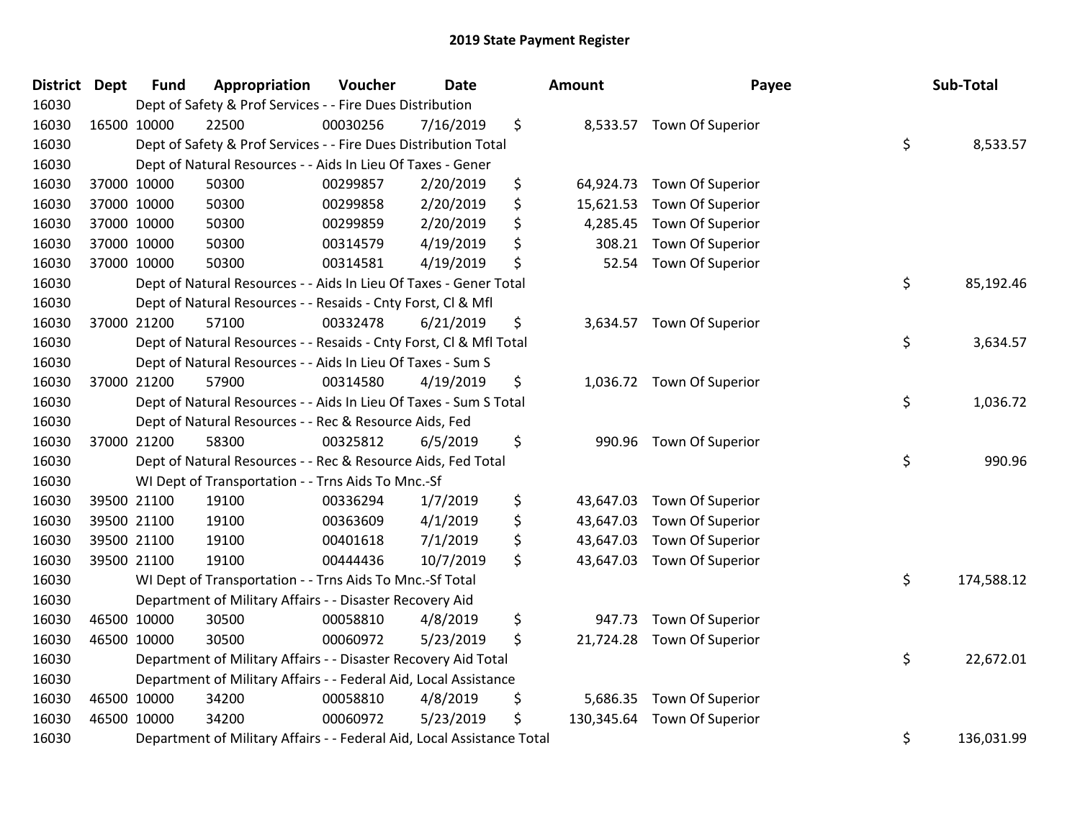| District Dept | <b>Fund</b> | Appropriation                                                          | Voucher  | <b>Date</b> | <b>Amount</b>    | Payee            | Sub-Total        |
|---------------|-------------|------------------------------------------------------------------------|----------|-------------|------------------|------------------|------------------|
| 16030         |             | Dept of Safety & Prof Services - - Fire Dues Distribution              |          |             |                  |                  |                  |
| 16030         | 16500 10000 | 22500                                                                  | 00030256 | 7/16/2019   | \$<br>8,533.57   | Town Of Superior |                  |
| 16030         |             | Dept of Safety & Prof Services - - Fire Dues Distribution Total        |          |             |                  |                  | \$<br>8,533.57   |
| 16030         |             | Dept of Natural Resources - - Aids In Lieu Of Taxes - Gener            |          |             |                  |                  |                  |
| 16030         | 37000 10000 | 50300                                                                  | 00299857 | 2/20/2019   | \$<br>64,924.73  | Town Of Superior |                  |
| 16030         | 37000 10000 | 50300                                                                  | 00299858 | 2/20/2019   | \$<br>15,621.53  | Town Of Superior |                  |
| 16030         | 37000 10000 | 50300                                                                  | 00299859 | 2/20/2019   | \$<br>4,285.45   | Town Of Superior |                  |
| 16030         | 37000 10000 | 50300                                                                  | 00314579 | 4/19/2019   | \$<br>308.21     | Town Of Superior |                  |
| 16030         | 37000 10000 | 50300                                                                  | 00314581 | 4/19/2019   | \$<br>52.54      | Town Of Superior |                  |
| 16030         |             | Dept of Natural Resources - - Aids In Lieu Of Taxes - Gener Total      |          |             |                  |                  | \$<br>85,192.46  |
| 16030         |             | Dept of Natural Resources - - Resaids - Cnty Forst, CI & Mfl           |          |             |                  |                  |                  |
| 16030         | 37000 21200 | 57100                                                                  | 00332478 | 6/21/2019   | \$<br>3,634.57   | Town Of Superior |                  |
| 16030         |             | Dept of Natural Resources - - Resaids - Cnty Forst, Cl & Mfl Total     |          |             |                  |                  | \$<br>3,634.57   |
| 16030         |             | Dept of Natural Resources - - Aids In Lieu Of Taxes - Sum S            |          |             |                  |                  |                  |
| 16030         | 37000 21200 | 57900                                                                  | 00314580 | 4/19/2019   | \$<br>1,036.72   | Town Of Superior |                  |
| 16030         |             | Dept of Natural Resources - - Aids In Lieu Of Taxes - Sum S Total      |          |             |                  |                  | \$<br>1,036.72   |
| 16030         |             | Dept of Natural Resources - - Rec & Resource Aids, Fed                 |          |             |                  |                  |                  |
| 16030         | 37000 21200 | 58300                                                                  | 00325812 | 6/5/2019    | \$<br>990.96     | Town Of Superior |                  |
| 16030         |             | Dept of Natural Resources - - Rec & Resource Aids, Fed Total           |          |             |                  |                  | \$<br>990.96     |
| 16030         |             | WI Dept of Transportation - - Trns Aids To Mnc.-Sf                     |          |             |                  |                  |                  |
| 16030         | 39500 21100 | 19100                                                                  | 00336294 | 1/7/2019    | \$<br>43,647.03  | Town Of Superior |                  |
| 16030         | 39500 21100 | 19100                                                                  | 00363609 | 4/1/2019    | \$<br>43,647.03  | Town Of Superior |                  |
| 16030         | 39500 21100 | 19100                                                                  | 00401618 | 7/1/2019    | \$<br>43,647.03  | Town Of Superior |                  |
| 16030         | 39500 21100 | 19100                                                                  | 00444436 | 10/7/2019   | \$<br>43,647.03  | Town Of Superior |                  |
| 16030         |             | WI Dept of Transportation - - Trns Aids To Mnc.-Sf Total               |          |             |                  |                  | \$<br>174,588.12 |
| 16030         |             | Department of Military Affairs - - Disaster Recovery Aid               |          |             |                  |                  |                  |
| 16030         | 46500 10000 | 30500                                                                  | 00058810 | 4/8/2019    | \$<br>947.73     | Town Of Superior |                  |
| 16030         | 46500 10000 | 30500                                                                  | 00060972 | 5/23/2019   | \$<br>21,724.28  | Town Of Superior |                  |
| 16030         |             | Department of Military Affairs - - Disaster Recovery Aid Total         |          |             |                  |                  | \$<br>22,672.01  |
| 16030         |             | Department of Military Affairs - - Federal Aid, Local Assistance       |          |             |                  |                  |                  |
| 16030         | 46500 10000 | 34200                                                                  | 00058810 | 4/8/2019    | \$<br>5,686.35   | Town Of Superior |                  |
| 16030         | 46500 10000 | 34200                                                                  | 00060972 | 5/23/2019   | \$<br>130,345.64 | Town Of Superior |                  |
| 16030         |             | Department of Military Affairs - - Federal Aid, Local Assistance Total |          |             |                  |                  | \$<br>136,031.99 |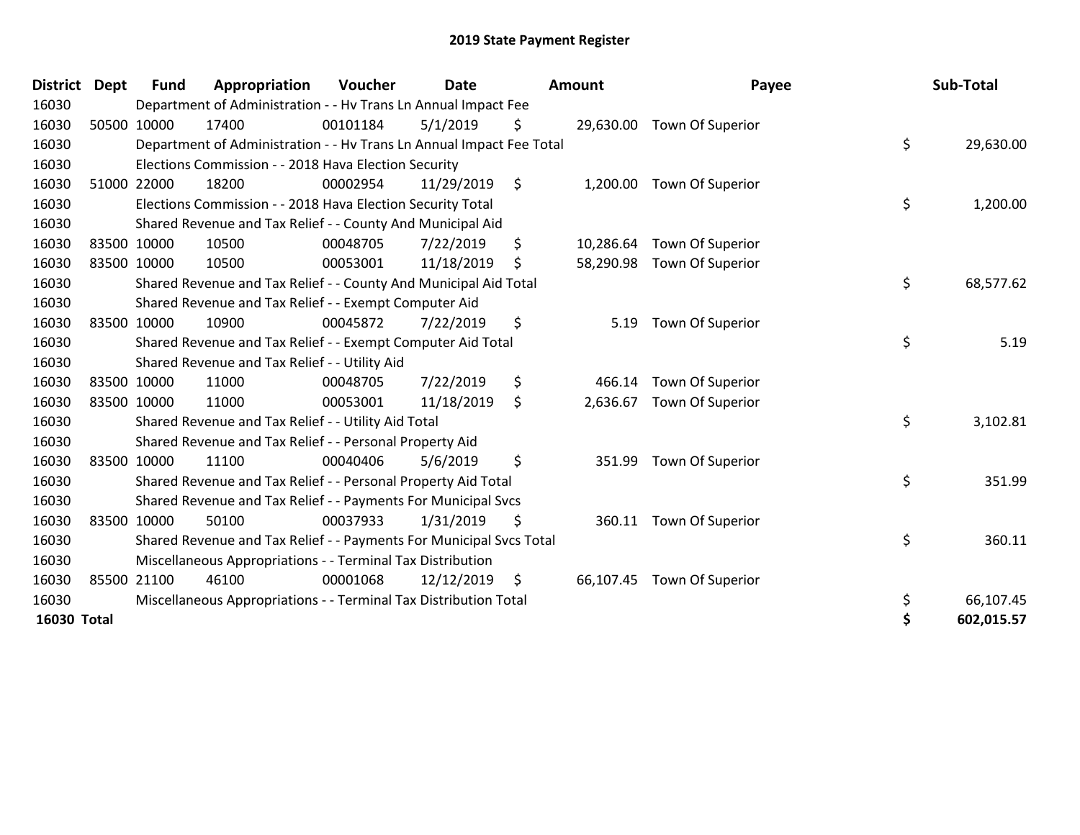| <b>District Dept</b> |             | <b>Fund</b> | Appropriation                                                        | Voucher  | <b>Date</b> | <b>Amount</b>   | Payee                      | Sub-Total        |
|----------------------|-------------|-------------|----------------------------------------------------------------------|----------|-------------|-----------------|----------------------------|------------------|
| 16030                |             |             | Department of Administration - - Hv Trans Ln Annual Impact Fee       |          |             |                 |                            |                  |
| 16030                |             | 50500 10000 | 17400                                                                | 00101184 | 5/1/2019    | \$              | 29,630.00 Town Of Superior |                  |
| 16030                |             |             | Department of Administration - - Hv Trans Ln Annual Impact Fee Total |          |             |                 |                            | \$<br>29,630.00  |
| 16030                |             |             | Elections Commission - - 2018 Hava Election Security                 |          |             |                 |                            |                  |
| 16030                | 51000       | 22000       | 18200                                                                | 00002954 | 11/29/2019  | \$<br>1,200.00  | Town Of Superior           |                  |
| 16030                |             |             | Elections Commission - - 2018 Hava Election Security Total           |          |             |                 |                            | \$<br>1,200.00   |
| 16030                |             |             | Shared Revenue and Tax Relief - - County And Municipal Aid           |          |             |                 |                            |                  |
| 16030                |             | 83500 10000 | 10500                                                                | 00048705 | 7/22/2019   | \$<br>10,286.64 | Town Of Superior           |                  |
| 16030                |             | 83500 10000 | 10500                                                                | 00053001 | 11/18/2019  | \$              | 58,290.98 Town Of Superior |                  |
| 16030                |             |             | Shared Revenue and Tax Relief - - County And Municipal Aid Total     |          |             |                 |                            | \$<br>68,577.62  |
| 16030                |             |             | Shared Revenue and Tax Relief - - Exempt Computer Aid                |          |             |                 |                            |                  |
| 16030                | 83500 10000 |             | 10900                                                                | 00045872 | 7/22/2019   | \$<br>5.19      | Town Of Superior           |                  |
| 16030                |             |             | Shared Revenue and Tax Relief - - Exempt Computer Aid Total          |          |             |                 |                            | \$<br>5.19       |
| 16030                |             |             | Shared Revenue and Tax Relief - - Utility Aid                        |          |             |                 |                            |                  |
| 16030                |             | 83500 10000 | 11000                                                                | 00048705 | 7/22/2019   | \$<br>466.14    | Town Of Superior           |                  |
| 16030                |             | 83500 10000 | 11000                                                                | 00053001 | 11/18/2019  | \$<br>2,636.67  | Town Of Superior           |                  |
| 16030                |             |             | Shared Revenue and Tax Relief - - Utility Aid Total                  |          |             |                 |                            | \$<br>3,102.81   |
| 16030                |             |             | Shared Revenue and Tax Relief - - Personal Property Aid              |          |             |                 |                            |                  |
| 16030                |             | 83500 10000 | 11100                                                                | 00040406 | 5/6/2019    | \$<br>351.99    | Town Of Superior           |                  |
| 16030                |             |             | Shared Revenue and Tax Relief - - Personal Property Aid Total        |          |             |                 |                            | \$<br>351.99     |
| 16030                |             |             | Shared Revenue and Tax Relief - - Payments For Municipal Svcs        |          |             |                 |                            |                  |
| 16030                |             | 83500 10000 | 50100                                                                | 00037933 | 1/31/2019   | \$              | 360.11 Town Of Superior    |                  |
| 16030                |             |             | Shared Revenue and Tax Relief - - Payments For Municipal Svcs Total  |          |             |                 |                            | \$<br>360.11     |
| 16030                |             |             | Miscellaneous Appropriations - - Terminal Tax Distribution           |          |             |                 |                            |                  |
| 16030                | 85500       | 21100       | 46100                                                                | 00001068 | 12/12/2019  | \$              | 66,107.45 Town Of Superior |                  |
| 16030                |             |             | Miscellaneous Appropriations - - Terminal Tax Distribution Total     |          |             |                 |                            | \$<br>66,107.45  |
| 16030 Total          |             |             |                                                                      |          |             |                 |                            | \$<br>602,015.57 |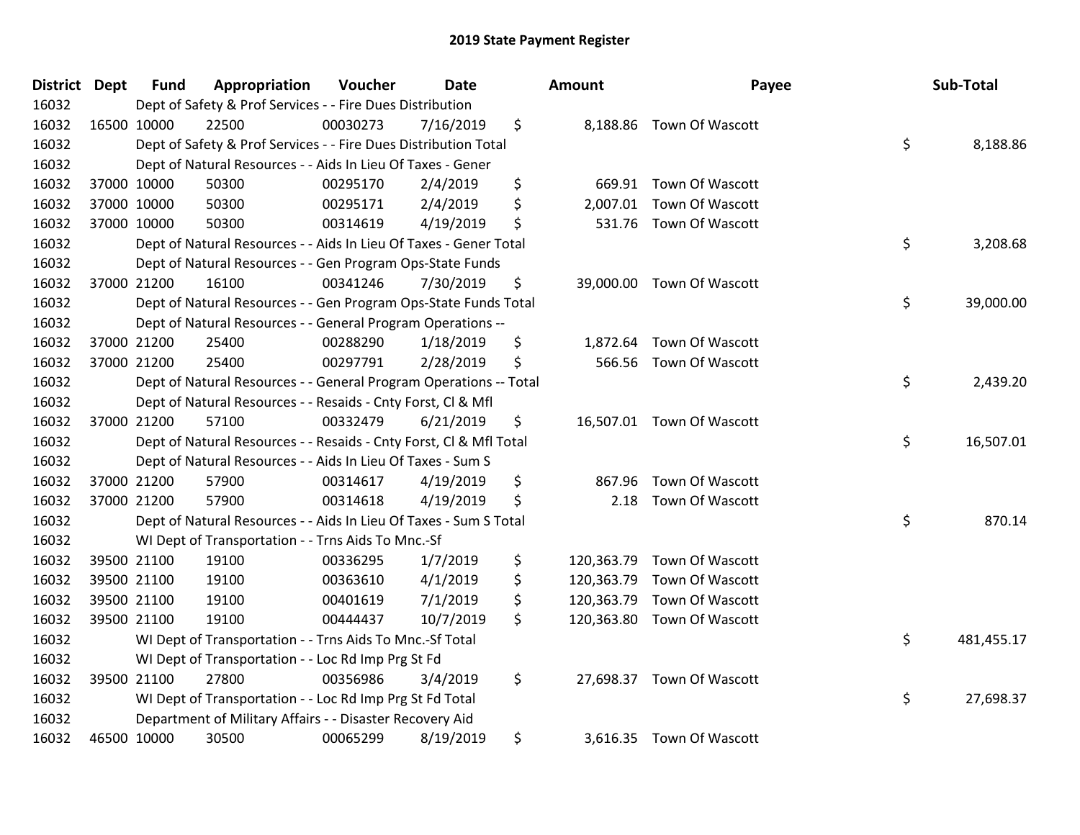| <b>District Dept</b> | <b>Fund</b> | Appropriation                                                      | Voucher  | <b>Date</b> | <b>Amount</b>    | Payee                      | Sub-Total        |
|----------------------|-------------|--------------------------------------------------------------------|----------|-------------|------------------|----------------------------|------------------|
| 16032                |             | Dept of Safety & Prof Services - - Fire Dues Distribution          |          |             |                  |                            |                  |
| 16032                | 16500 10000 | 22500                                                              | 00030273 | 7/16/2019   | \$               | 8,188.86 Town Of Wascott   |                  |
| 16032                |             | Dept of Safety & Prof Services - - Fire Dues Distribution Total    |          |             |                  |                            | \$<br>8,188.86   |
| 16032                |             | Dept of Natural Resources - - Aids In Lieu Of Taxes - Gener        |          |             |                  |                            |                  |
| 16032                | 37000 10000 | 50300                                                              | 00295170 | 2/4/2019    | \$<br>669.91     | Town Of Wascott            |                  |
| 16032                | 37000 10000 | 50300                                                              | 00295171 | 2/4/2019    | \$<br>2,007.01   | Town Of Wascott            |                  |
| 16032                | 37000 10000 | 50300                                                              | 00314619 | 4/19/2019   | \$<br>531.76     | Town Of Wascott            |                  |
| 16032                |             | Dept of Natural Resources - - Aids In Lieu Of Taxes - Gener Total  |          |             |                  |                            | \$<br>3,208.68   |
| 16032                |             | Dept of Natural Resources - - Gen Program Ops-State Funds          |          |             |                  |                            |                  |
| 16032                | 37000 21200 | 16100                                                              | 00341246 | 7/30/2019   | \$<br>39,000.00  | Town Of Wascott            |                  |
| 16032                |             | Dept of Natural Resources - - Gen Program Ops-State Funds Total    |          |             |                  |                            | \$<br>39,000.00  |
| 16032                |             | Dept of Natural Resources - - General Program Operations --        |          |             |                  |                            |                  |
| 16032                | 37000 21200 | 25400                                                              | 00288290 | 1/18/2019   | \$               | 1,872.64 Town Of Wascott   |                  |
| 16032                | 37000 21200 | 25400                                                              | 00297791 | 2/28/2019   | \$<br>566.56     | Town Of Wascott            |                  |
| 16032                |             | Dept of Natural Resources - - General Program Operations -- Total  |          |             |                  |                            | \$<br>2,439.20   |
| 16032                |             | Dept of Natural Resources - - Resaids - Cnty Forst, Cl & Mfl       |          |             |                  |                            |                  |
| 16032                | 37000 21200 | 57100                                                              | 00332479 | 6/21/2019   | \$               | 16,507.01 Town Of Wascott  |                  |
| 16032                |             | Dept of Natural Resources - - Resaids - Cnty Forst, Cl & Mfl Total |          |             |                  |                            | \$<br>16,507.01  |
| 16032                |             | Dept of Natural Resources - - Aids In Lieu Of Taxes - Sum S        |          |             |                  |                            |                  |
| 16032                | 37000 21200 | 57900                                                              | 00314617 | 4/19/2019   | \$<br>867.96     | Town Of Wascott            |                  |
| 16032                | 37000 21200 | 57900                                                              | 00314618 | 4/19/2019   | \$<br>2.18       | Town Of Wascott            |                  |
| 16032                |             | Dept of Natural Resources - - Aids In Lieu Of Taxes - Sum S Total  |          |             |                  |                            | \$<br>870.14     |
| 16032                |             | WI Dept of Transportation - - Trns Aids To Mnc.-Sf                 |          |             |                  |                            |                  |
| 16032                | 39500 21100 | 19100                                                              | 00336295 | 1/7/2019    | \$<br>120,363.79 | Town Of Wascott            |                  |
| 16032                | 39500 21100 | 19100                                                              | 00363610 | 4/1/2019    | \$<br>120,363.79 | Town Of Wascott            |                  |
| 16032                | 39500 21100 | 19100                                                              | 00401619 | 7/1/2019    | \$<br>120,363.79 | Town Of Wascott            |                  |
| 16032                | 39500 21100 | 19100                                                              | 00444437 | 10/7/2019   | \$               | 120,363.80 Town Of Wascott |                  |
| 16032                |             | WI Dept of Transportation - - Trns Aids To Mnc.-Sf Total           |          |             |                  |                            | \$<br>481,455.17 |
| 16032                |             | WI Dept of Transportation - - Loc Rd Imp Prg St Fd                 |          |             |                  |                            |                  |
| 16032                | 39500 21100 | 27800                                                              | 00356986 | 3/4/2019    | \$               | 27,698.37 Town Of Wascott  |                  |
| 16032                |             | WI Dept of Transportation - - Loc Rd Imp Prg St Fd Total           |          |             |                  |                            | \$<br>27,698.37  |
| 16032                |             | Department of Military Affairs - - Disaster Recovery Aid           |          |             |                  |                            |                  |
| 16032                | 46500 10000 | 30500                                                              | 00065299 | 8/19/2019   | \$               | 3,616.35 Town Of Wascott   |                  |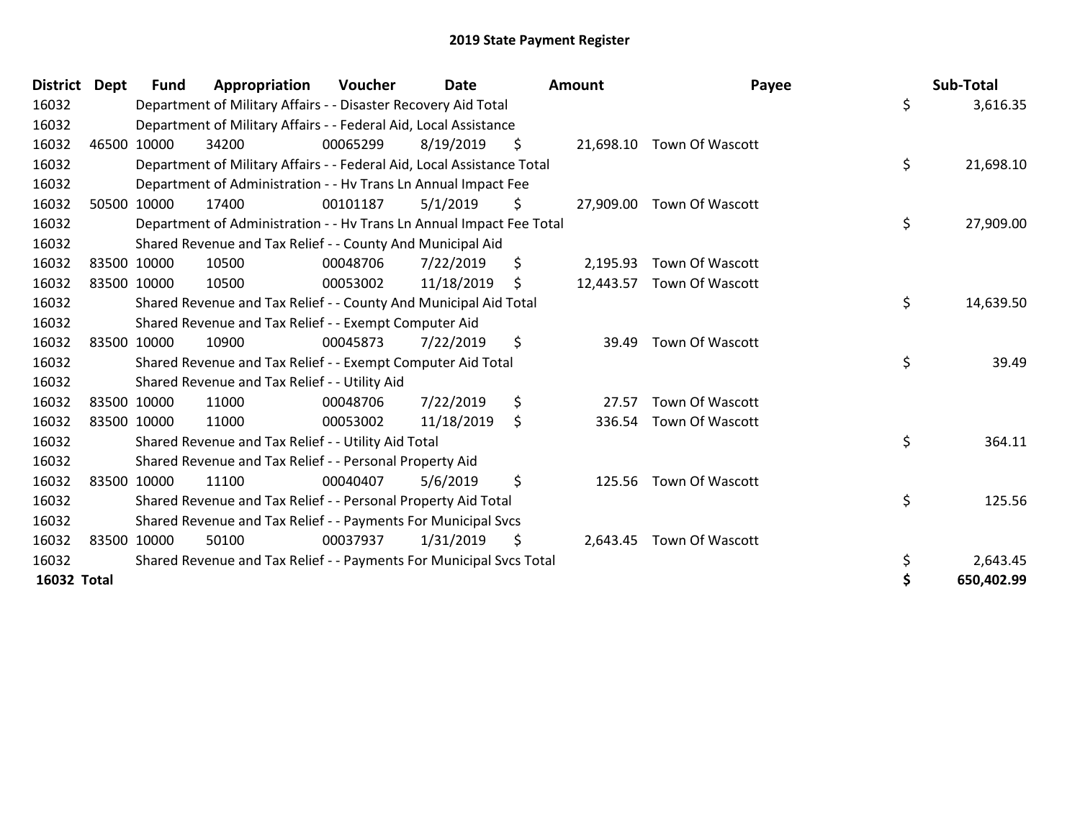| <b>District</b>    | <b>Dept</b> | <b>Fund</b> | Appropriation                                                          | Voucher  | <b>Date</b> | Amount          | Payee                  | Sub-Total        |
|--------------------|-------------|-------------|------------------------------------------------------------------------|----------|-------------|-----------------|------------------------|------------------|
| 16032              |             |             | Department of Military Affairs - - Disaster Recovery Aid Total         |          |             |                 |                        | \$<br>3,616.35   |
| 16032              |             |             | Department of Military Affairs - - Federal Aid, Local Assistance       |          |             |                 |                        |                  |
| 16032              |             | 46500 10000 | 34200                                                                  | 00065299 | 8/19/2019   | \$<br>21,698.10 | Town Of Wascott        |                  |
| 16032              |             |             | Department of Military Affairs - - Federal Aid, Local Assistance Total |          |             |                 |                        | \$<br>21,698.10  |
| 16032              |             |             | Department of Administration - - Hv Trans Ln Annual Impact Fee         |          |             |                 |                        |                  |
| 16032              |             | 50500 10000 | 17400                                                                  | 00101187 | 5/1/2019    | \$<br>27,909.00 | <b>Town Of Wascott</b> |                  |
| 16032              |             |             | Department of Administration - - Hv Trans Ln Annual Impact Fee Total   |          |             |                 |                        | \$<br>27,909.00  |
| 16032              |             |             | Shared Revenue and Tax Relief - - County And Municipal Aid             |          |             |                 |                        |                  |
| 16032              |             | 83500 10000 | 10500                                                                  | 00048706 | 7/22/2019   | \$<br>2,195.93  | Town Of Wascott        |                  |
| 16032              |             | 83500 10000 | 10500                                                                  | 00053002 | 11/18/2019  | \$<br>12,443.57 | Town Of Wascott        |                  |
| 16032              |             |             | Shared Revenue and Tax Relief - - County And Municipal Aid Total       |          |             |                 |                        | \$<br>14,639.50  |
| 16032              |             |             | Shared Revenue and Tax Relief - - Exempt Computer Aid                  |          |             |                 |                        |                  |
| 16032              |             | 83500 10000 | 10900                                                                  | 00045873 | 7/22/2019   | \$<br>39.49     | Town Of Wascott        |                  |
| 16032              |             |             | Shared Revenue and Tax Relief - - Exempt Computer Aid Total            |          |             |                 |                        | \$<br>39.49      |
| 16032              |             |             | Shared Revenue and Tax Relief - - Utility Aid                          |          |             |                 |                        |                  |
| 16032              |             | 83500 10000 | 11000                                                                  | 00048706 | 7/22/2019   | \$<br>27.57     | Town Of Wascott        |                  |
| 16032              |             | 83500 10000 | 11000                                                                  | 00053002 | 11/18/2019  | \$<br>336.54    | Town Of Wascott        |                  |
| 16032              |             |             | Shared Revenue and Tax Relief - - Utility Aid Total                    |          |             |                 |                        | \$<br>364.11     |
| 16032              |             |             | Shared Revenue and Tax Relief - - Personal Property Aid                |          |             |                 |                        |                  |
| 16032              |             | 83500 10000 | 11100                                                                  | 00040407 | 5/6/2019    | \$<br>125.56    | Town Of Wascott        |                  |
| 16032              |             |             | Shared Revenue and Tax Relief - - Personal Property Aid Total          |          |             |                 |                        | \$<br>125.56     |
| 16032              |             |             | Shared Revenue and Tax Relief - - Payments For Municipal Svcs          |          |             |                 |                        |                  |
| 16032              |             | 83500 10000 | 50100                                                                  | 00037937 | 1/31/2019   | \$<br>2,643.45  | <b>Town Of Wascott</b> |                  |
| 16032              |             |             | Shared Revenue and Tax Relief - - Payments For Municipal Svcs Total    |          |             |                 |                        | \$<br>2,643.45   |
| <b>16032 Total</b> |             |             |                                                                        |          |             |                 |                        | \$<br>650,402.99 |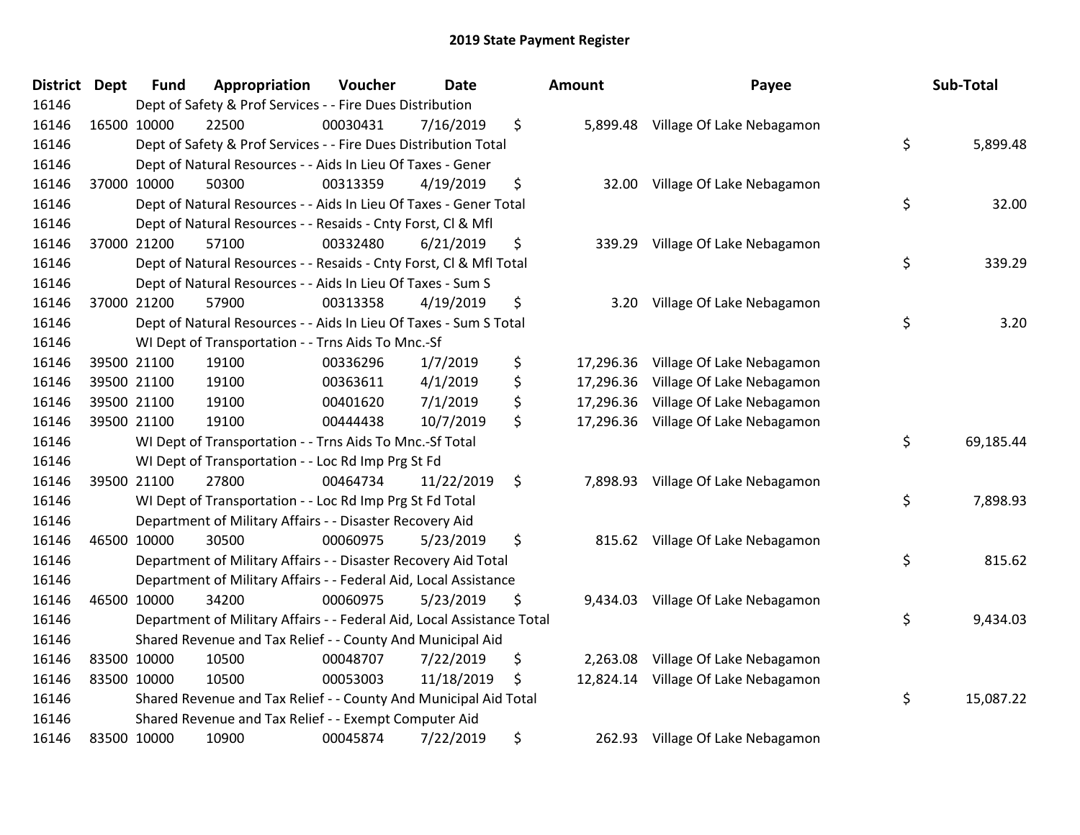| District Dept | <b>Fund</b> | Appropriation                                                          | Voucher  | <b>Date</b> | Amount          | Payee                               | Sub-Total       |
|---------------|-------------|------------------------------------------------------------------------|----------|-------------|-----------------|-------------------------------------|-----------------|
| 16146         |             | Dept of Safety & Prof Services - - Fire Dues Distribution              |          |             |                 |                                     |                 |
| 16146         | 16500 10000 | 22500                                                                  | 00030431 | 7/16/2019   | \$<br>5,899.48  | Village Of Lake Nebagamon           |                 |
| 16146         |             | Dept of Safety & Prof Services - - Fire Dues Distribution Total        |          |             |                 |                                     | \$<br>5,899.48  |
| 16146         |             | Dept of Natural Resources - - Aids In Lieu Of Taxes - Gener            |          |             |                 |                                     |                 |
| 16146         | 37000 10000 | 50300                                                                  | 00313359 | 4/19/2019   | \$<br>32.00     | Village Of Lake Nebagamon           |                 |
| 16146         |             | Dept of Natural Resources - - Aids In Lieu Of Taxes - Gener Total      |          |             |                 |                                     | \$<br>32.00     |
| 16146         |             | Dept of Natural Resources - - Resaids - Cnty Forst, Cl & Mfl           |          |             |                 |                                     |                 |
| 16146         | 37000 21200 | 57100                                                                  | 00332480 | 6/21/2019   | \$<br>339.29    | Village Of Lake Nebagamon           |                 |
| 16146         |             | Dept of Natural Resources - - Resaids - Cnty Forst, Cl & Mfl Total     |          |             |                 |                                     | \$<br>339.29    |
| 16146         |             | Dept of Natural Resources - - Aids In Lieu Of Taxes - Sum S            |          |             |                 |                                     |                 |
| 16146         | 37000 21200 | 57900                                                                  | 00313358 | 4/19/2019   | \$<br>3.20      | Village Of Lake Nebagamon           |                 |
| 16146         |             | Dept of Natural Resources - - Aids In Lieu Of Taxes - Sum S Total      |          |             |                 |                                     | \$<br>3.20      |
| 16146         |             | WI Dept of Transportation - - Trns Aids To Mnc.-Sf                     |          |             |                 |                                     |                 |
| 16146         | 39500 21100 | 19100                                                                  | 00336296 | 1/7/2019    | \$<br>17,296.36 | Village Of Lake Nebagamon           |                 |
| 16146         | 39500 21100 | 19100                                                                  | 00363611 | 4/1/2019    | \$<br>17,296.36 | Village Of Lake Nebagamon           |                 |
| 16146         | 39500 21100 | 19100                                                                  | 00401620 | 7/1/2019    | \$<br>17,296.36 | Village Of Lake Nebagamon           |                 |
| 16146         | 39500 21100 | 19100                                                                  | 00444438 | 10/7/2019   | \$              | 17,296.36 Village Of Lake Nebagamon |                 |
| 16146         |             | WI Dept of Transportation - - Trns Aids To Mnc.-Sf Total               |          |             |                 |                                     | \$<br>69,185.44 |
| 16146         |             | WI Dept of Transportation - - Loc Rd Imp Prg St Fd                     |          |             |                 |                                     |                 |
| 16146         | 39500 21100 | 27800                                                                  | 00464734 | 11/22/2019  | \$              | 7,898.93 Village Of Lake Nebagamon  |                 |
| 16146         |             | WI Dept of Transportation - - Loc Rd Imp Prg St Fd Total               |          |             |                 |                                     | \$<br>7,898.93  |
| 16146         |             | Department of Military Affairs - - Disaster Recovery Aid               |          |             |                 |                                     |                 |
| 16146         | 46500 10000 | 30500                                                                  | 00060975 | 5/23/2019   | \$              | 815.62 Village Of Lake Nebagamon    |                 |
| 16146         |             | Department of Military Affairs - - Disaster Recovery Aid Total         |          |             |                 |                                     | \$<br>815.62    |
| 16146         |             | Department of Military Affairs - - Federal Aid, Local Assistance       |          |             |                 |                                     |                 |
| 16146         | 46500 10000 | 34200                                                                  | 00060975 | 5/23/2019   | \$<br>9,434.03  | Village Of Lake Nebagamon           |                 |
| 16146         |             | Department of Military Affairs - - Federal Aid, Local Assistance Total |          |             |                 |                                     | \$<br>9,434.03  |
| 16146         |             | Shared Revenue and Tax Relief - - County And Municipal Aid             |          |             |                 |                                     |                 |
| 16146         | 83500 10000 | 10500                                                                  | 00048707 | 7/22/2019   | \$<br>2,263.08  | Village Of Lake Nebagamon           |                 |
| 16146         | 83500 10000 | 10500                                                                  | 00053003 | 11/18/2019  | \$<br>12,824.14 | Village Of Lake Nebagamon           |                 |
| 16146         |             | Shared Revenue and Tax Relief - - County And Municipal Aid Total       |          |             |                 |                                     | \$<br>15,087.22 |
| 16146         |             | Shared Revenue and Tax Relief - - Exempt Computer Aid                  |          |             |                 |                                     |                 |
| 16146         | 83500 10000 | 10900                                                                  | 00045874 | 7/22/2019   | \$<br>262.93    | Village Of Lake Nebagamon           |                 |

| nount                               | Payee                                                                               | Sub-Total       |
|-------------------------------------|-------------------------------------------------------------------------------------|-----------------|
| 5,899.48                            | Village Of Lake Nebagamon                                                           | \$<br>5,899.48  |
| 32.00                               | Village Of Lake Nebagamon                                                           | \$<br>32.00     |
| 339.29                              | Village Of Lake Nebagamon                                                           | \$<br>339.29    |
| 3.20                                | Village Of Lake Nebagamon                                                           | \$<br>3.20      |
| 17,296.36<br>17,296.36<br>17,296.36 | Village Of Lake Nebagamon<br>Village Of Lake Nebagamon<br>Village Of Lake Nebagamon |                 |
| 17,296.36                           | Village Of Lake Nebagamon                                                           | \$<br>69,185.44 |
| 7,898.93                            | Village Of Lake Nebagamon                                                           | \$<br>7,898.93  |
| 815.62                              | Village Of Lake Nebagamon                                                           | \$<br>815.62    |
| 9,434.03                            | Village Of Lake Nebagamon                                                           | \$<br>9,434.03  |
| 2,263.08<br>12,824.14               | Village Of Lake Nebagamon<br>Village Of Lake Nebagamon                              | \$<br>15,087.22 |
|                                     |                                                                                     |                 |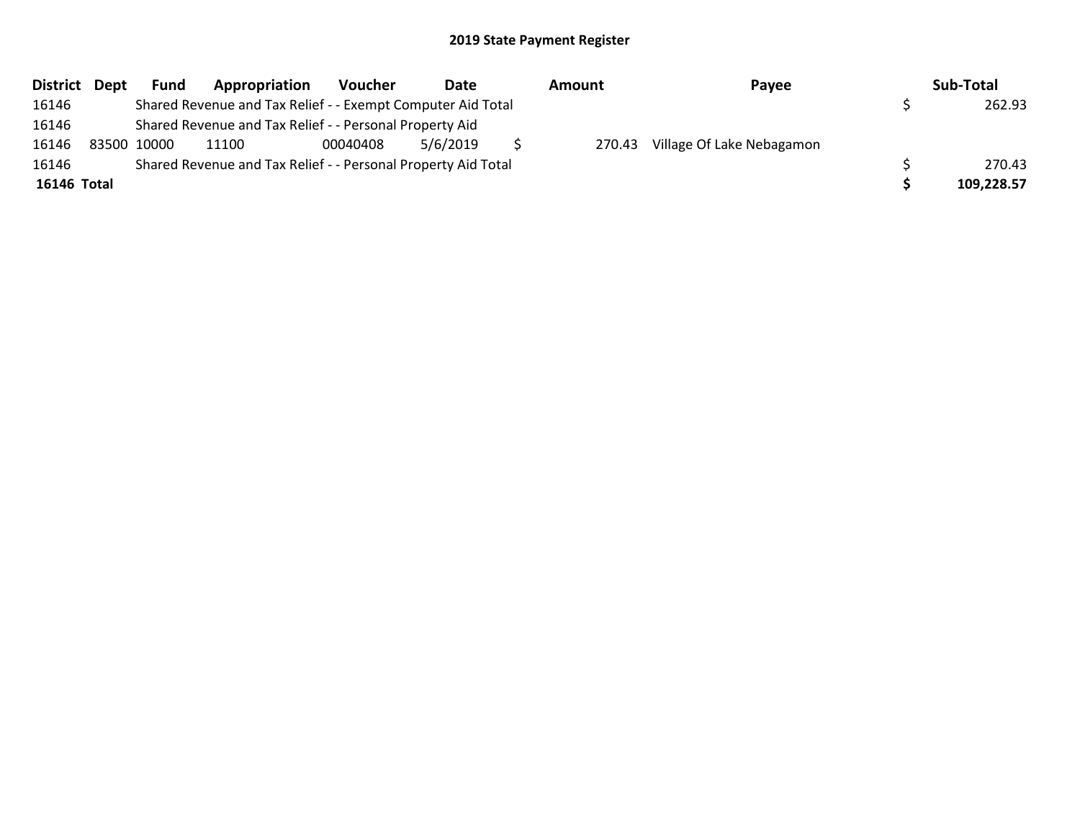| District Dept | <b>Fund</b> | Appropriation                                                 | <b>Voucher</b> | Date     | Amount | Payee                     | Sub-Total  |
|---------------|-------------|---------------------------------------------------------------|----------------|----------|--------|---------------------------|------------|
| 16146         |             | Shared Revenue and Tax Relief - - Exempt Computer Aid Total   |                |          |        |                           | 262.93     |
| 16146         |             | Shared Revenue and Tax Relief - - Personal Property Aid       |                |          |        |                           |            |
| 16146         | 83500 10000 | 11100                                                         | 00040408       | 5/6/2019 | 270.43 | Village Of Lake Nebagamon |            |
| 16146         |             | Shared Revenue and Tax Relief - - Personal Property Aid Total |                |          |        |                           | 270.43     |
| 16146 Total   |             |                                                               |                |          |        |                           | 109,228.57 |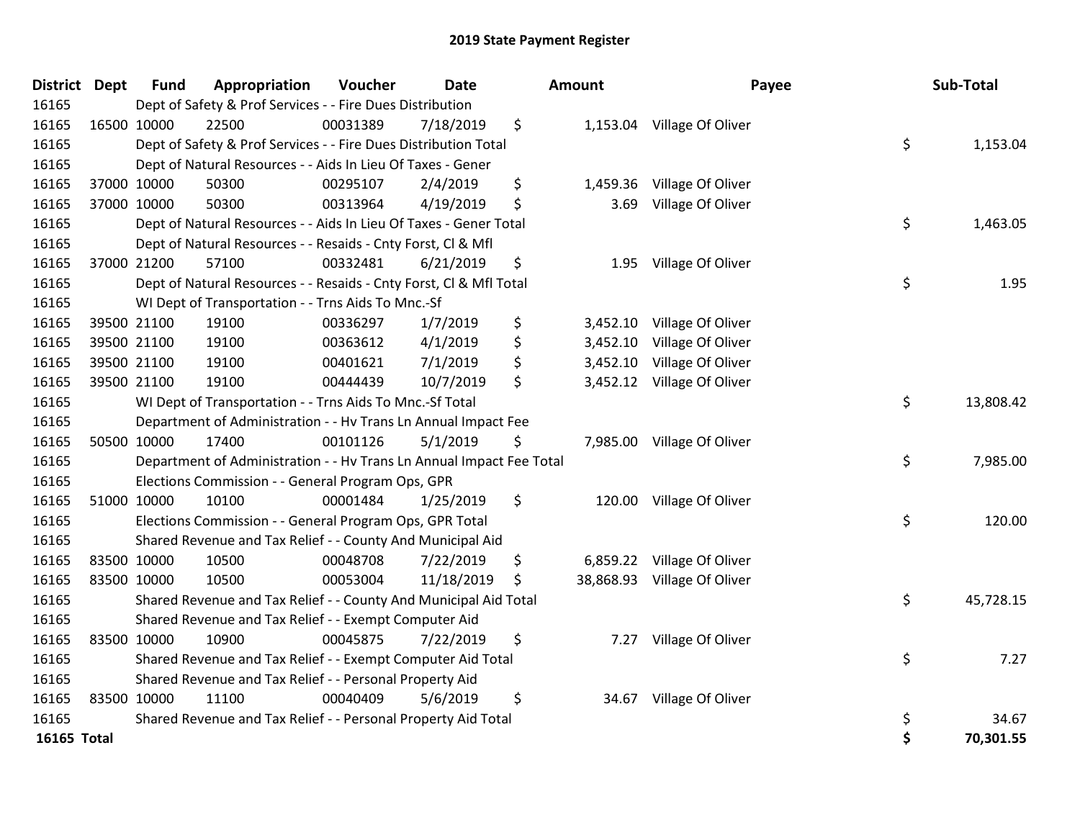| <b>District Dept</b> | <b>Fund</b> | Appropriation                                                        | Voucher  | <b>Date</b> | <b>Amount</b>  | Payee                       |    | Sub-Total |
|----------------------|-------------|----------------------------------------------------------------------|----------|-------------|----------------|-----------------------------|----|-----------|
| 16165                |             | Dept of Safety & Prof Services - - Fire Dues Distribution            |          |             |                |                             |    |           |
| 16165                | 16500 10000 | 22500                                                                | 00031389 | 7/18/2019   | \$             | 1,153.04 Village Of Oliver  |    |           |
| 16165                |             | Dept of Safety & Prof Services - - Fire Dues Distribution Total      |          |             |                |                             | \$ | 1,153.04  |
| 16165                |             | Dept of Natural Resources - - Aids In Lieu Of Taxes - Gener          |          |             |                |                             |    |           |
| 16165                | 37000 10000 | 50300                                                                | 00295107 | 2/4/2019    | \$<br>1,459.36 | Village Of Oliver           |    |           |
| 16165                | 37000 10000 | 50300                                                                | 00313964 | 4/19/2019   | \$<br>3.69     | Village Of Oliver           |    |           |
| 16165                |             | Dept of Natural Resources - - Aids In Lieu Of Taxes - Gener Total    |          |             |                |                             | \$ | 1,463.05  |
| 16165                |             | Dept of Natural Resources - - Resaids - Cnty Forst, Cl & Mfl         |          |             |                |                             |    |           |
| 16165                | 37000 21200 | 57100                                                                | 00332481 | 6/21/2019   | \$<br>1.95     | Village Of Oliver           |    |           |
| 16165                |             | Dept of Natural Resources - - Resaids - Cnty Forst, Cl & Mfl Total   |          |             |                |                             | \$ | 1.95      |
| 16165                |             | WI Dept of Transportation - - Trns Aids To Mnc.-Sf                   |          |             |                |                             |    |           |
| 16165                | 39500 21100 | 19100                                                                | 00336297 | 1/7/2019    | \$             | 3,452.10 Village Of Oliver  |    |           |
| 16165                | 39500 21100 | 19100                                                                | 00363612 | 4/1/2019    | \$<br>3,452.10 | Village Of Oliver           |    |           |
| 16165                | 39500 21100 | 19100                                                                | 00401621 | 7/1/2019    | \$<br>3,452.10 | Village Of Oliver           |    |           |
| 16165                | 39500 21100 | 19100                                                                | 00444439 | 10/7/2019   | \$             | 3,452.12 Village Of Oliver  |    |           |
| 16165                |             | WI Dept of Transportation - - Trns Aids To Mnc.-Sf Total             |          |             |                |                             | \$ | 13,808.42 |
| 16165                |             | Department of Administration - - Hv Trans Ln Annual Impact Fee       |          |             |                |                             |    |           |
| 16165                | 50500 10000 | 17400                                                                | 00101126 | 5/1/2019    | \$             | 7,985.00 Village Of Oliver  |    |           |
| 16165                |             | Department of Administration - - Hv Trans Ln Annual Impact Fee Total |          |             |                |                             | \$ | 7,985.00  |
| 16165                |             | Elections Commission - - General Program Ops, GPR                    |          |             |                |                             |    |           |
| 16165                | 51000 10000 | 10100                                                                | 00001484 | 1/25/2019   | \$             | 120.00 Village Of Oliver    |    |           |
| 16165                |             | Elections Commission - - General Program Ops, GPR Total              |          |             |                |                             | \$ | 120.00    |
| 16165                |             | Shared Revenue and Tax Relief - - County And Municipal Aid           |          |             |                |                             |    |           |
| 16165                | 83500 10000 | 10500                                                                | 00048708 | 7/22/2019   | \$             | 6,859.22 Village Of Oliver  |    |           |
| 16165                | 83500 10000 | 10500                                                                | 00053004 | 11/18/2019  | \$             | 38,868.93 Village Of Oliver |    |           |
| 16165                |             | Shared Revenue and Tax Relief - - County And Municipal Aid Total     |          |             |                |                             | \$ | 45,728.15 |
| 16165                |             | Shared Revenue and Tax Relief - - Exempt Computer Aid                |          |             |                |                             |    |           |
| 16165                | 83500 10000 | 10900                                                                | 00045875 | 7/22/2019   | \$<br>7.27     | Village Of Oliver           |    |           |
| 16165                |             | Shared Revenue and Tax Relief - - Exempt Computer Aid Total          |          |             |                |                             | \$ | 7.27      |
| 16165                |             | Shared Revenue and Tax Relief - - Personal Property Aid              |          |             |                |                             |    |           |
| 16165                | 83500 10000 | 11100                                                                | 00040409 | 5/6/2019    | \$<br>34.67    | Village Of Oliver           |    |           |
| 16165                |             | Shared Revenue and Tax Relief - - Personal Property Aid Total        |          |             |                |                             | \$ | 34.67     |
| 16165 Total          |             |                                                                      |          |             |                |                             | Ś  | 70,301.55 |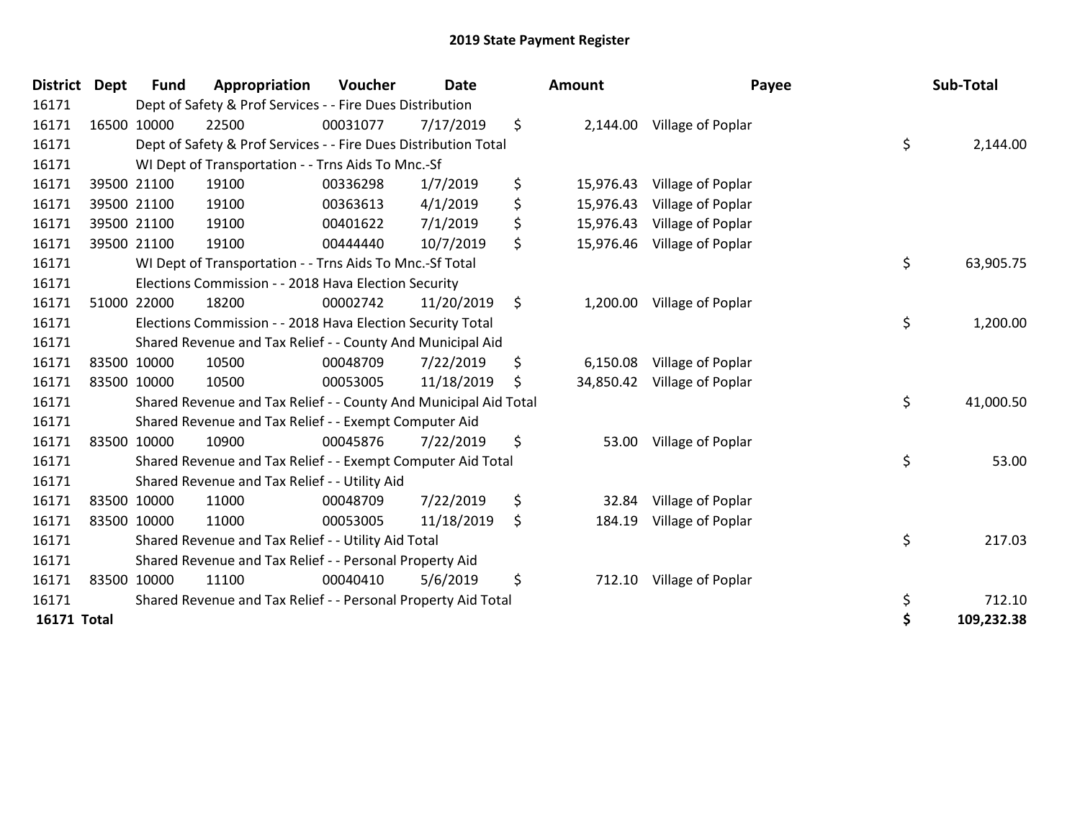| <b>District</b>    | <b>Dept</b> | <b>Fund</b> | Appropriation                                                    | Voucher  | <b>Date</b> | Amount          | Payee             | Sub-Total        |
|--------------------|-------------|-------------|------------------------------------------------------------------|----------|-------------|-----------------|-------------------|------------------|
| 16171              |             |             | Dept of Safety & Prof Services - - Fire Dues Distribution        |          |             |                 |                   |                  |
| 16171              |             | 16500 10000 | 22500                                                            | 00031077 | 7/17/2019   | \$<br>2,144.00  | Village of Poplar |                  |
| 16171              |             |             | Dept of Safety & Prof Services - - Fire Dues Distribution Total  |          |             |                 |                   | \$<br>2,144.00   |
| 16171              |             |             | WI Dept of Transportation - - Trns Aids To Mnc.-Sf               |          |             |                 |                   |                  |
| 16171              |             | 39500 21100 | 19100                                                            | 00336298 | 1/7/2019    | \$<br>15,976.43 | Village of Poplar |                  |
| 16171              |             | 39500 21100 | 19100                                                            | 00363613 | 4/1/2019    | \$<br>15,976.43 | Village of Poplar |                  |
| 16171              |             | 39500 21100 | 19100                                                            | 00401622 | 7/1/2019    | \$<br>15,976.43 | Village of Poplar |                  |
| 16171              |             | 39500 21100 | 19100                                                            | 00444440 | 10/7/2019   | \$<br>15,976.46 | Village of Poplar |                  |
| 16171              |             |             | WI Dept of Transportation - - Trns Aids To Mnc.-Sf Total         |          |             |                 |                   | \$<br>63,905.75  |
| 16171              |             |             | Elections Commission - - 2018 Hava Election Security             |          |             |                 |                   |                  |
| 16171              |             | 51000 22000 | 18200                                                            | 00002742 | 11/20/2019  | \$<br>1,200.00  | Village of Poplar |                  |
| 16171              |             |             | Elections Commission - - 2018 Hava Election Security Total       |          |             |                 |                   | \$<br>1,200.00   |
| 16171              |             |             | Shared Revenue and Tax Relief - - County And Municipal Aid       |          |             |                 |                   |                  |
| 16171              |             | 83500 10000 | 10500                                                            | 00048709 | 7/22/2019   | \$<br>6,150.08  | Village of Poplar |                  |
| 16171              |             | 83500 10000 | 10500                                                            | 00053005 | 11/18/2019  | \$<br>34,850.42 | Village of Poplar |                  |
| 16171              |             |             | Shared Revenue and Tax Relief - - County And Municipal Aid Total |          |             |                 |                   | \$<br>41,000.50  |
| 16171              |             |             | Shared Revenue and Tax Relief - - Exempt Computer Aid            |          |             |                 |                   |                  |
| 16171              |             | 83500 10000 | 10900                                                            | 00045876 | 7/22/2019   | \$<br>53.00     | Village of Poplar |                  |
| 16171              |             |             | Shared Revenue and Tax Relief - - Exempt Computer Aid Total      |          |             |                 |                   | \$<br>53.00      |
| 16171              |             |             | Shared Revenue and Tax Relief - - Utility Aid                    |          |             |                 |                   |                  |
| 16171              |             | 83500 10000 | 11000                                                            | 00048709 | 7/22/2019   | \$<br>32.84     | Village of Poplar |                  |
| 16171              |             | 83500 10000 | 11000                                                            | 00053005 | 11/18/2019  | \$<br>184.19    | Village of Poplar |                  |
| 16171              |             |             | Shared Revenue and Tax Relief - - Utility Aid Total              |          |             |                 |                   | \$<br>217.03     |
| 16171              |             |             | Shared Revenue and Tax Relief - - Personal Property Aid          |          |             |                 |                   |                  |
| 16171              |             | 83500 10000 | 11100                                                            | 00040410 | 5/6/2019    | \$<br>712.10    | Village of Poplar |                  |
| 16171              |             |             | Shared Revenue and Tax Relief - - Personal Property Aid Total    |          |             |                 |                   | \$<br>712.10     |
| <b>16171 Total</b> |             |             |                                                                  |          |             |                 |                   | \$<br>109,232.38 |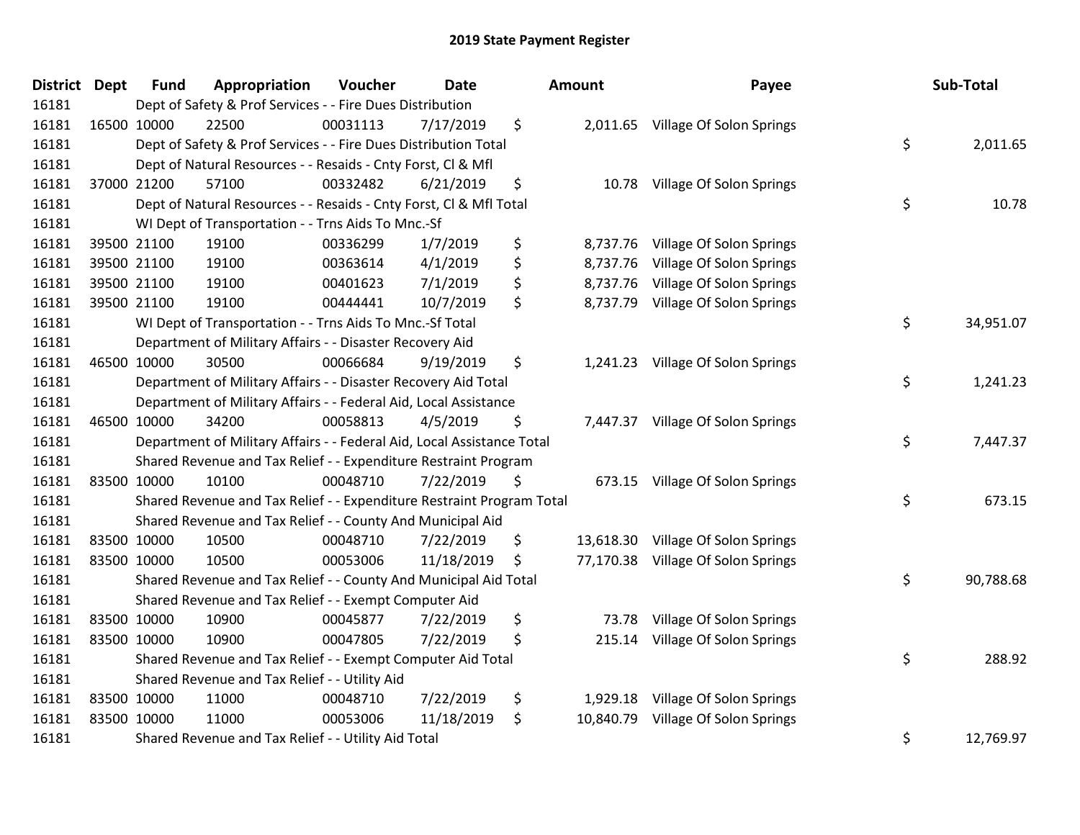| <b>District</b> | <b>Dept</b> | <b>Fund</b> | Appropriation                                                          | Voucher  | <b>Date</b> | <b>Amount</b>   | Payee                              | Sub-Total       |
|-----------------|-------------|-------------|------------------------------------------------------------------------|----------|-------------|-----------------|------------------------------------|-----------------|
| 16181           |             |             | Dept of Safety & Prof Services - - Fire Dues Distribution              |          |             |                 |                                    |                 |
| 16181           |             | 16500 10000 | 22500                                                                  | 00031113 | 7/17/2019   | \$              | 2,011.65 Village Of Solon Springs  |                 |
| 16181           |             |             | Dept of Safety & Prof Services - - Fire Dues Distribution Total        |          |             |                 |                                    | \$<br>2,011.65  |
| 16181           |             |             | Dept of Natural Resources - - Resaids - Cnty Forst, Cl & Mfl           |          |             |                 |                                    |                 |
| 16181           |             | 37000 21200 | 57100                                                                  | 00332482 | 6/21/2019   | \$<br>10.78     | Village Of Solon Springs           |                 |
| 16181           |             |             | Dept of Natural Resources - - Resaids - Cnty Forst, Cl & Mfl Total     |          |             |                 |                                    | \$<br>10.78     |
| 16181           |             |             | WI Dept of Transportation - - Trns Aids To Mnc.-Sf                     |          |             |                 |                                    |                 |
| 16181           |             | 39500 21100 | 19100                                                                  | 00336299 | 1/7/2019    | \$<br>8,737.76  | Village Of Solon Springs           |                 |
| 16181           |             | 39500 21100 | 19100                                                                  | 00363614 | 4/1/2019    | \$<br>8,737.76  | Village Of Solon Springs           |                 |
| 16181           |             | 39500 21100 | 19100                                                                  | 00401623 | 7/1/2019    | \$<br>8,737.76  | Village Of Solon Springs           |                 |
| 16181           |             | 39500 21100 | 19100                                                                  | 00444441 | 10/7/2019   | \$<br>8,737.79  | Village Of Solon Springs           |                 |
| 16181           |             |             | WI Dept of Transportation - - Trns Aids To Mnc.-Sf Total               |          |             |                 |                                    | \$<br>34,951.07 |
| 16181           |             |             | Department of Military Affairs - - Disaster Recovery Aid               |          |             |                 |                                    |                 |
| 16181           |             | 46500 10000 | 30500                                                                  | 00066684 | 9/19/2019   | \$<br>1,241.23  | Village Of Solon Springs           |                 |
| 16181           |             |             | Department of Military Affairs - - Disaster Recovery Aid Total         |          |             |                 |                                    | \$<br>1,241.23  |
| 16181           |             |             | Department of Military Affairs - - Federal Aid, Local Assistance       |          |             |                 |                                    |                 |
| 16181           |             | 46500 10000 | 34200                                                                  | 00058813 | 4/5/2019    | \$<br>7,447.37  | Village Of Solon Springs           |                 |
| 16181           |             |             | Department of Military Affairs - - Federal Aid, Local Assistance Total |          |             |                 |                                    | \$<br>7,447.37  |
| 16181           |             |             | Shared Revenue and Tax Relief - - Expenditure Restraint Program        |          |             |                 |                                    |                 |
| 16181           | 83500 10000 |             | 10100                                                                  | 00048710 | 7/22/2019   | \$<br>673.15    | Village Of Solon Springs           |                 |
| 16181           |             |             | Shared Revenue and Tax Relief - - Expenditure Restraint Program Total  |          |             |                 |                                    | \$<br>673.15    |
| 16181           |             |             | Shared Revenue and Tax Relief - - County And Municipal Aid             |          |             |                 |                                    |                 |
| 16181           |             | 83500 10000 | 10500                                                                  | 00048710 | 7/22/2019   | \$              | 13,618.30 Village Of Solon Springs |                 |
| 16181           |             | 83500 10000 | 10500                                                                  | 00053006 | 11/18/2019  | \$<br>77,170.38 | Village Of Solon Springs           |                 |
| 16181           |             |             | Shared Revenue and Tax Relief - - County And Municipal Aid Total       |          |             |                 |                                    | \$<br>90,788.68 |
| 16181           |             |             | Shared Revenue and Tax Relief - - Exempt Computer Aid                  |          |             |                 |                                    |                 |
| 16181           |             | 83500 10000 | 10900                                                                  | 00045877 | 7/22/2019   | \$<br>73.78     | Village Of Solon Springs           |                 |
| 16181           | 83500 10000 |             | 10900                                                                  | 00047805 | 7/22/2019   | \$<br>215.14    | Village Of Solon Springs           |                 |
| 16181           |             |             | Shared Revenue and Tax Relief - - Exempt Computer Aid Total            |          |             |                 |                                    | \$<br>288.92    |
| 16181           |             |             | Shared Revenue and Tax Relief - - Utility Aid                          |          |             |                 |                                    |                 |
| 16181           |             | 83500 10000 | 11000                                                                  | 00048710 | 7/22/2019   | \$<br>1,929.18  | Village Of Solon Springs           |                 |
| 16181           | 83500 10000 |             | 11000                                                                  | 00053006 | 11/18/2019  | \$<br>10,840.79 | Village Of Solon Springs           |                 |
| 16181           |             |             | Shared Revenue and Tax Relief - - Utility Aid Total                    |          |             |                 |                                    | \$<br>12,769.97 |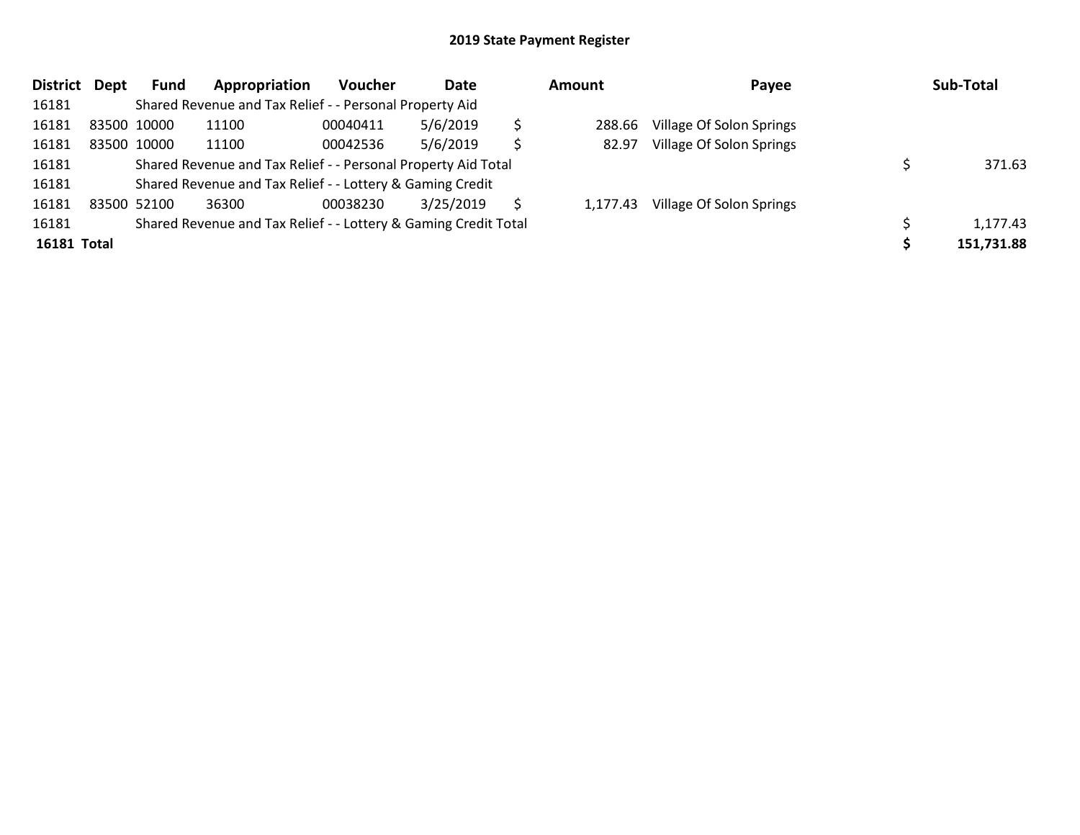| <b>District</b> | Dept | Fund        | Appropriation                                                   | <b>Voucher</b> | Date      | Amount |          | Payee                    |  | Sub-Total  |
|-----------------|------|-------------|-----------------------------------------------------------------|----------------|-----------|--------|----------|--------------------------|--|------------|
| 16181           |      |             | Shared Revenue and Tax Relief - - Personal Property Aid         |                |           |        |          |                          |  |            |
| 16181           |      | 83500 10000 | 11100                                                           | 00040411       | 5/6/2019  |        | 288.66   | Village Of Solon Springs |  |            |
| 16181           |      | 83500 10000 | 11100                                                           | 00042536       | 5/6/2019  | Ś      | 82.97    | Village Of Solon Springs |  |            |
| 16181           |      |             | Shared Revenue and Tax Relief - - Personal Property Aid Total   |                |           |        |          |                          |  | 371.63     |
| 16181           |      |             | Shared Revenue and Tax Relief - - Lottery & Gaming Credit       |                |           |        |          |                          |  |            |
| 16181           |      | 83500 52100 | 36300                                                           | 00038230       | 3/25/2019 | S      | 1.177.43 | Village Of Solon Springs |  |            |
| 16181           |      |             | Shared Revenue and Tax Relief - - Lottery & Gaming Credit Total |                |           |        |          |                          |  | 1,177.43   |
| 16181 Total     |      |             |                                                                 |                |           |        |          |                          |  | 151,731.88 |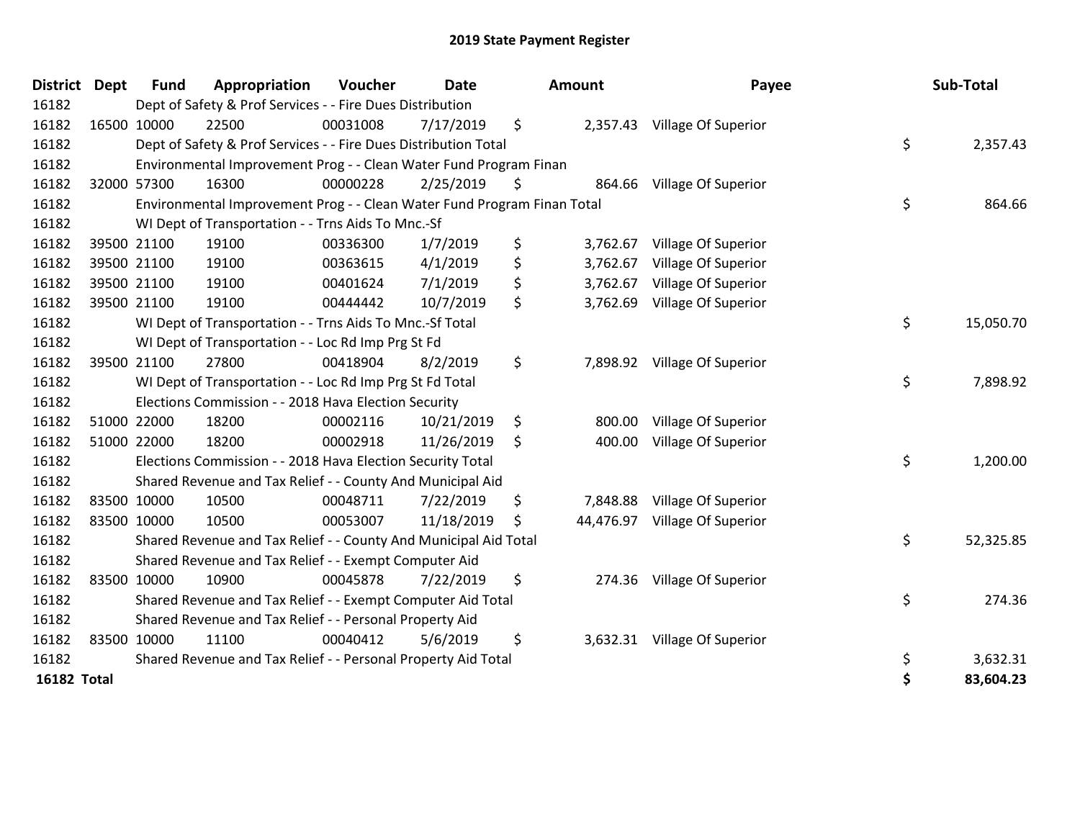| <b>District</b>    | <b>Dept</b> | <b>Fund</b> | Appropriation                                                           | Voucher  | <b>Date</b> | <b>Amount</b>  | Payee                         | Sub-Total       |
|--------------------|-------------|-------------|-------------------------------------------------------------------------|----------|-------------|----------------|-------------------------------|-----------------|
| 16182              |             |             | Dept of Safety & Prof Services - - Fire Dues Distribution               |          |             |                |                               |                 |
| 16182              | 16500 10000 |             | 22500                                                                   | 00031008 | 7/17/2019   | \$             | 2,357.43 Village Of Superior  |                 |
| 16182              |             |             | Dept of Safety & Prof Services - - Fire Dues Distribution Total         |          |             |                |                               | \$<br>2,357.43  |
| 16182              |             |             | Environmental Improvement Prog - - Clean Water Fund Program Finan       |          |             |                |                               |                 |
| 16182              |             | 32000 57300 | 16300                                                                   | 00000228 | 2/25/2019   | \$             | 864.66 Village Of Superior    |                 |
| 16182              |             |             | Environmental Improvement Prog - - Clean Water Fund Program Finan Total |          |             |                |                               | \$<br>864.66    |
| 16182              |             |             | WI Dept of Transportation - - Trns Aids To Mnc.-Sf                      |          |             |                |                               |                 |
| 16182              |             | 39500 21100 | 19100                                                                   | 00336300 | 1/7/2019    | \$<br>3,762.67 | Village Of Superior           |                 |
| 16182              |             | 39500 21100 | 19100                                                                   | 00363615 | 4/1/2019    | \$<br>3,762.67 | Village Of Superior           |                 |
| 16182              |             | 39500 21100 | 19100                                                                   | 00401624 | 7/1/2019    | \$<br>3,762.67 | Village Of Superior           |                 |
| 16182              |             | 39500 21100 | 19100                                                                   | 00444442 | 10/7/2019   | \$<br>3,762.69 | Village Of Superior           |                 |
| 16182              |             |             | WI Dept of Transportation - - Trns Aids To Mnc.-Sf Total                |          |             |                |                               | \$<br>15,050.70 |
| 16182              |             |             | WI Dept of Transportation - - Loc Rd Imp Prg St Fd                      |          |             |                |                               |                 |
| 16182              |             | 39500 21100 | 27800                                                                   | 00418904 | 8/2/2019    | \$             | 7,898.92 Village Of Superior  |                 |
| 16182              |             |             | WI Dept of Transportation - - Loc Rd Imp Prg St Fd Total                |          |             |                |                               | \$<br>7,898.92  |
| 16182              |             |             | Elections Commission - - 2018 Hava Election Security                    |          |             |                |                               |                 |
| 16182              | 51000 22000 |             | 18200                                                                   | 00002116 | 10/21/2019  | \$<br>800.00   | Village Of Superior           |                 |
| 16182              |             | 51000 22000 | 18200                                                                   | 00002918 | 11/26/2019  | \$<br>400.00   | Village Of Superior           |                 |
| 16182              |             |             | Elections Commission - - 2018 Hava Election Security Total              |          |             |                |                               | \$<br>1,200.00  |
| 16182              |             |             | Shared Revenue and Tax Relief - - County And Municipal Aid              |          |             |                |                               |                 |
| 16182              | 83500 10000 |             | 10500                                                                   | 00048711 | 7/22/2019   | \$<br>7,848.88 | Village Of Superior           |                 |
| 16182              | 83500 10000 |             | 10500                                                                   | 00053007 | 11/18/2019  | \$             | 44,476.97 Village Of Superior |                 |
| 16182              |             |             | Shared Revenue and Tax Relief - - County And Municipal Aid Total        |          |             |                |                               | \$<br>52,325.85 |
| 16182              |             |             | Shared Revenue and Tax Relief - - Exempt Computer Aid                   |          |             |                |                               |                 |
| 16182              | 83500 10000 |             | 10900                                                                   | 00045878 | 7/22/2019   | \$             | 274.36 Village Of Superior    |                 |
| 16182              |             |             | Shared Revenue and Tax Relief - - Exempt Computer Aid Total             |          |             |                |                               | \$<br>274.36    |
| 16182              |             |             | Shared Revenue and Tax Relief - - Personal Property Aid                 |          |             |                |                               |                 |
| 16182              | 83500 10000 |             | 11100                                                                   | 00040412 | 5/6/2019    | \$             | 3,632.31 Village Of Superior  |                 |
| 16182              |             |             | Shared Revenue and Tax Relief - - Personal Property Aid Total           |          |             |                |                               | \$<br>3,632.31  |
| <b>16182 Total</b> |             |             |                                                                         |          |             |                |                               | \$<br>83,604.23 |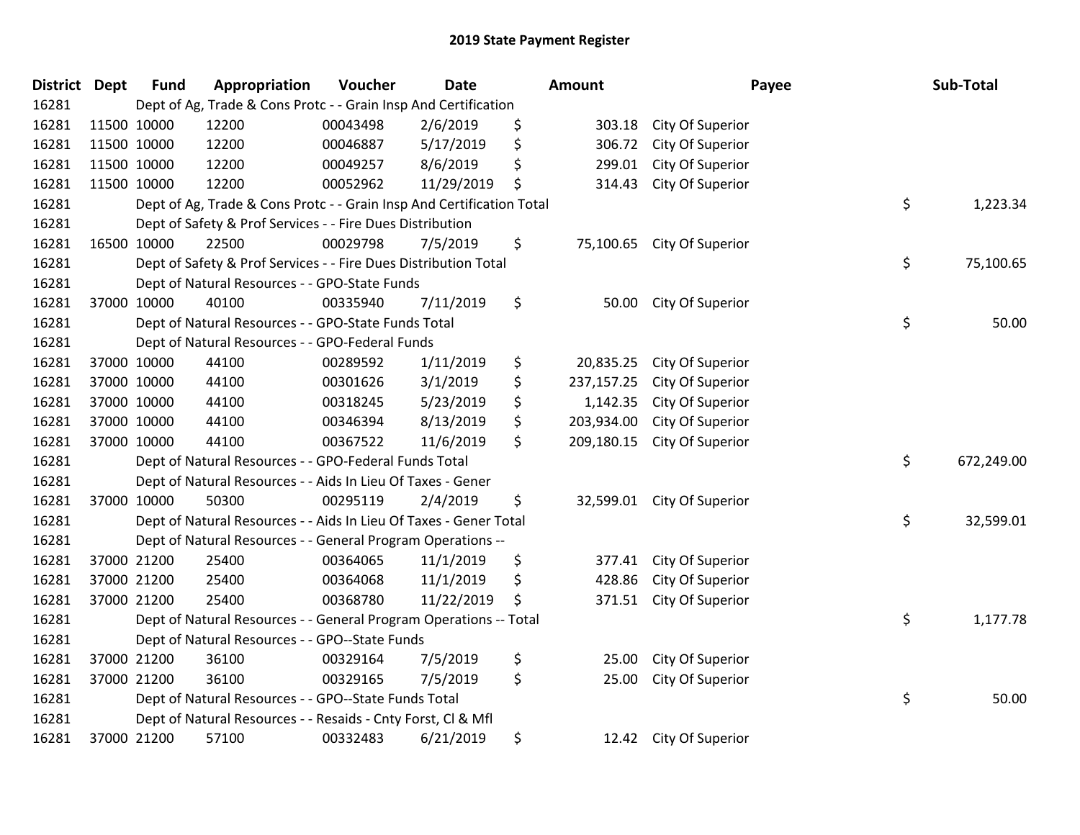| <b>District Dept</b> | <b>Fund</b> | Appropriation                                                         | Voucher  | <b>Date</b> | <b>Amount</b>    |                  | Payee | Sub-Total  |
|----------------------|-------------|-----------------------------------------------------------------------|----------|-------------|------------------|------------------|-------|------------|
| 16281                |             | Dept of Ag, Trade & Cons Protc - - Grain Insp And Certification       |          |             |                  |                  |       |            |
| 16281                | 11500 10000 | 12200                                                                 | 00043498 | 2/6/2019    | \$<br>303.18     | City Of Superior |       |            |
| 16281                | 11500 10000 | 12200                                                                 | 00046887 | 5/17/2019   | \$<br>306.72     | City Of Superior |       |            |
| 16281                | 11500 10000 | 12200                                                                 | 00049257 | 8/6/2019    | \$<br>299.01     | City Of Superior |       |            |
| 16281                | 11500 10000 | 12200                                                                 | 00052962 | 11/29/2019  | \$<br>314.43     | City Of Superior |       |            |
| 16281                |             | Dept of Ag, Trade & Cons Protc - - Grain Insp And Certification Total |          |             |                  |                  | \$    | 1,223.34   |
| 16281                |             | Dept of Safety & Prof Services - - Fire Dues Distribution             |          |             |                  |                  |       |            |
| 16281                | 16500 10000 | 22500                                                                 | 00029798 | 7/5/2019    | \$<br>75,100.65  | City Of Superior |       |            |
| 16281                |             | Dept of Safety & Prof Services - - Fire Dues Distribution Total       |          |             |                  |                  | \$    | 75,100.65  |
| 16281                |             | Dept of Natural Resources - - GPO-State Funds                         |          |             |                  |                  |       |            |
| 16281                | 37000 10000 | 40100                                                                 | 00335940 | 7/11/2019   | \$<br>50.00      | City Of Superior |       |            |
| 16281                |             | Dept of Natural Resources - - GPO-State Funds Total                   |          |             |                  |                  | \$    | 50.00      |
| 16281                |             | Dept of Natural Resources - - GPO-Federal Funds                       |          |             |                  |                  |       |            |
| 16281                | 37000 10000 | 44100                                                                 | 00289592 | 1/11/2019   | \$<br>20,835.25  | City Of Superior |       |            |
| 16281                | 37000 10000 | 44100                                                                 | 00301626 | 3/1/2019    | \$<br>237,157.25 | City Of Superior |       |            |
| 16281                | 37000 10000 | 44100                                                                 | 00318245 | 5/23/2019   | \$<br>1,142.35   | City Of Superior |       |            |
| 16281                | 37000 10000 | 44100                                                                 | 00346394 | 8/13/2019   | \$<br>203,934.00 | City Of Superior |       |            |
| 16281                | 37000 10000 | 44100                                                                 | 00367522 | 11/6/2019   | \$<br>209,180.15 | City Of Superior |       |            |
| 16281                |             | Dept of Natural Resources - - GPO-Federal Funds Total                 |          |             |                  |                  | \$    | 672,249.00 |
| 16281                |             | Dept of Natural Resources - - Aids In Lieu Of Taxes - Gener           |          |             |                  |                  |       |            |
| 16281                | 37000 10000 | 50300                                                                 | 00295119 | 2/4/2019    | \$<br>32,599.01  | City Of Superior |       |            |
| 16281                |             | Dept of Natural Resources - - Aids In Lieu Of Taxes - Gener Total     |          |             |                  |                  | \$    | 32,599.01  |
| 16281                |             | Dept of Natural Resources - - General Program Operations --           |          |             |                  |                  |       |            |
| 16281                | 37000 21200 | 25400                                                                 | 00364065 | 11/1/2019   | \$<br>377.41     | City Of Superior |       |            |
| 16281                | 37000 21200 | 25400                                                                 | 00364068 | 11/1/2019   | \$<br>428.86     | City Of Superior |       |            |
| 16281                | 37000 21200 | 25400                                                                 | 00368780 | 11/22/2019  | \$<br>371.51     | City Of Superior |       |            |
| 16281                |             | Dept of Natural Resources - - General Program Operations -- Total     |          |             |                  |                  | \$    | 1,177.78   |
| 16281                |             | Dept of Natural Resources - - GPO--State Funds                        |          |             |                  |                  |       |            |
| 16281                | 37000 21200 | 36100                                                                 | 00329164 | 7/5/2019    | \$<br>25.00      | City Of Superior |       |            |
| 16281                | 37000 21200 | 36100                                                                 | 00329165 | 7/5/2019    | \$<br>25.00      | City Of Superior |       |            |
| 16281                |             | Dept of Natural Resources - - GPO--State Funds Total                  |          |             |                  |                  | \$    | 50.00      |
| 16281                |             | Dept of Natural Resources - - Resaids - Cnty Forst, Cl & Mfl          |          |             |                  |                  |       |            |
| 16281                | 37000 21200 | 57100                                                                 | 00332483 | 6/21/2019   | \$<br>12.42      | City Of Superior |       |            |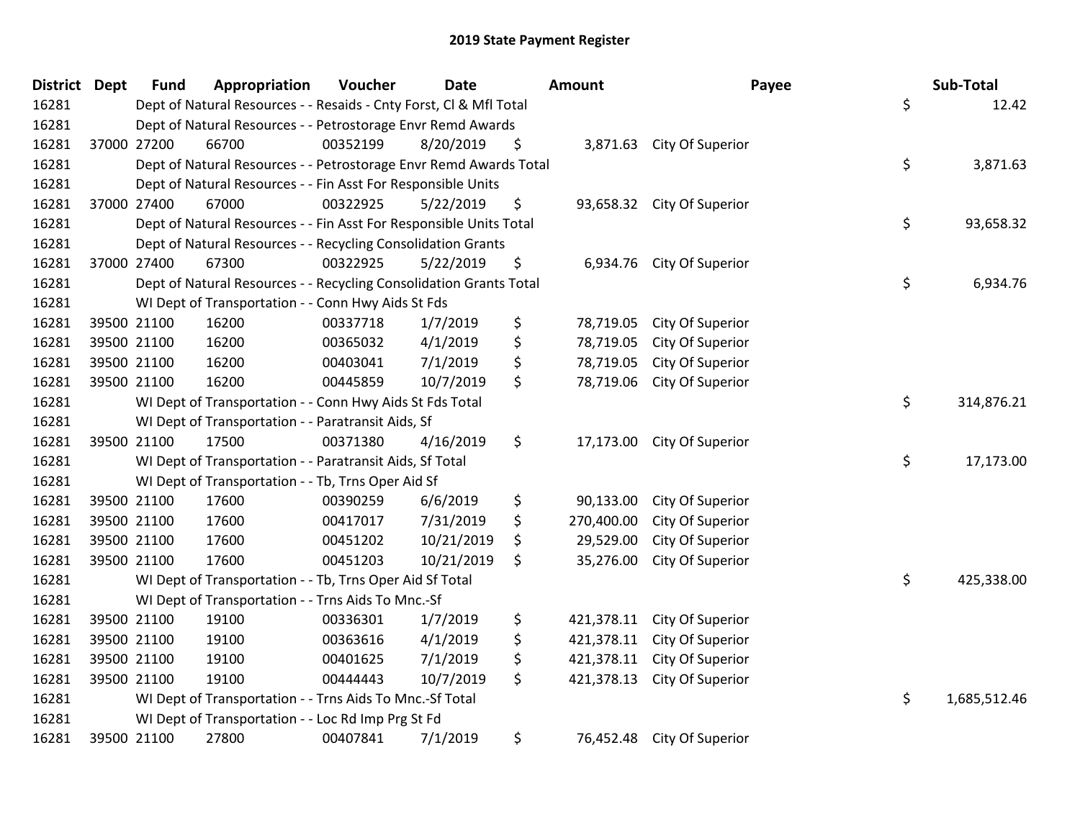| District Dept |             | <b>Fund</b> | Appropriation                                                      | Voucher  | <b>Date</b> | Amount           | Payee                      | Sub-Total          |
|---------------|-------------|-------------|--------------------------------------------------------------------|----------|-------------|------------------|----------------------------|--------------------|
| 16281         |             |             | Dept of Natural Resources - - Resaids - Cnty Forst, Cl & Mfl Total |          |             |                  |                            | \$<br>12.42        |
| 16281         |             |             | Dept of Natural Resources - - Petrostorage Envr Remd Awards        |          |             |                  |                            |                    |
| 16281         | 37000 27200 |             | 66700                                                              | 00352199 | 8/20/2019   | \$               | 3,871.63 City Of Superior  |                    |
| 16281         |             |             | Dept of Natural Resources - - Petrostorage Envr Remd Awards Total  |          |             |                  |                            | \$<br>3,871.63     |
| 16281         |             |             | Dept of Natural Resources - - Fin Asst For Responsible Units       |          |             |                  |                            |                    |
| 16281         | 37000 27400 |             | 67000                                                              | 00322925 | 5/22/2019   | \$               | 93,658.32 City Of Superior |                    |
| 16281         |             |             | Dept of Natural Resources - - Fin Asst For Responsible Units Total |          |             |                  |                            | \$<br>93,658.32    |
| 16281         |             |             | Dept of Natural Resources - - Recycling Consolidation Grants       |          |             |                  |                            |                    |
| 16281         | 37000 27400 |             | 67300                                                              | 00322925 | 5/22/2019   | \$<br>6,934.76   | City Of Superior           |                    |
| 16281         |             |             | Dept of Natural Resources - - Recycling Consolidation Grants Total |          |             |                  |                            | \$<br>6,934.76     |
| 16281         |             |             | WI Dept of Transportation - - Conn Hwy Aids St Fds                 |          |             |                  |                            |                    |
| 16281         | 39500 21100 |             | 16200                                                              | 00337718 | 1/7/2019    | \$<br>78,719.05  | City Of Superior           |                    |
| 16281         | 39500 21100 |             | 16200                                                              | 00365032 | 4/1/2019    | \$<br>78,719.05  | City Of Superior           |                    |
| 16281         | 39500 21100 |             | 16200                                                              | 00403041 | 7/1/2019    | \$<br>78,719.05  | City Of Superior           |                    |
| 16281         | 39500 21100 |             | 16200                                                              | 00445859 | 10/7/2019   | \$<br>78,719.06  | City Of Superior           |                    |
| 16281         |             |             | WI Dept of Transportation - - Conn Hwy Aids St Fds Total           |          |             |                  |                            | \$<br>314,876.21   |
| 16281         |             |             | WI Dept of Transportation - - Paratransit Aids, Sf                 |          |             |                  |                            |                    |
| 16281         | 39500 21100 |             | 17500                                                              | 00371380 | 4/16/2019   | \$               | 17,173.00 City Of Superior |                    |
| 16281         |             |             | WI Dept of Transportation - - Paratransit Aids, Sf Total           |          |             |                  |                            | \$<br>17,173.00    |
| 16281         |             |             | WI Dept of Transportation - - Tb, Trns Oper Aid Sf                 |          |             |                  |                            |                    |
| 16281         | 39500 21100 |             | 17600                                                              | 00390259 | 6/6/2019    | \$<br>90,133.00  | City Of Superior           |                    |
| 16281         | 39500 21100 |             | 17600                                                              | 00417017 | 7/31/2019   | \$<br>270,400.00 | City Of Superior           |                    |
| 16281         | 39500 21100 |             | 17600                                                              | 00451202 | 10/21/2019  | \$<br>29,529.00  | City Of Superior           |                    |
| 16281         | 39500 21100 |             | 17600                                                              | 00451203 | 10/21/2019  | \$<br>35,276.00  | City Of Superior           |                    |
| 16281         |             |             | WI Dept of Transportation - - Tb, Trns Oper Aid Sf Total           |          |             |                  |                            | \$<br>425,338.00   |
| 16281         |             |             | WI Dept of Transportation - - Trns Aids To Mnc.-Sf                 |          |             |                  |                            |                    |
| 16281         | 39500 21100 |             | 19100                                                              | 00336301 | 1/7/2019    | \$<br>421,378.11 | City Of Superior           |                    |
| 16281         | 39500 21100 |             | 19100                                                              | 00363616 | 4/1/2019    | \$<br>421,378.11 | City Of Superior           |                    |
| 16281         | 39500 21100 |             | 19100                                                              | 00401625 | 7/1/2019    | \$<br>421,378.11 | City Of Superior           |                    |
| 16281         | 39500 21100 |             | 19100                                                              | 00444443 | 10/7/2019   | \$<br>421,378.13 | City Of Superior           |                    |
| 16281         |             |             | WI Dept of Transportation - - Trns Aids To Mnc.-Sf Total           |          |             |                  |                            | \$<br>1,685,512.46 |
| 16281         |             |             | WI Dept of Transportation - - Loc Rd Imp Prg St Fd                 |          |             |                  |                            |                    |
| 16281         | 39500 21100 |             | 27800                                                              | 00407841 | 7/1/2019    | \$<br>76,452.48  | City Of Superior           |                    |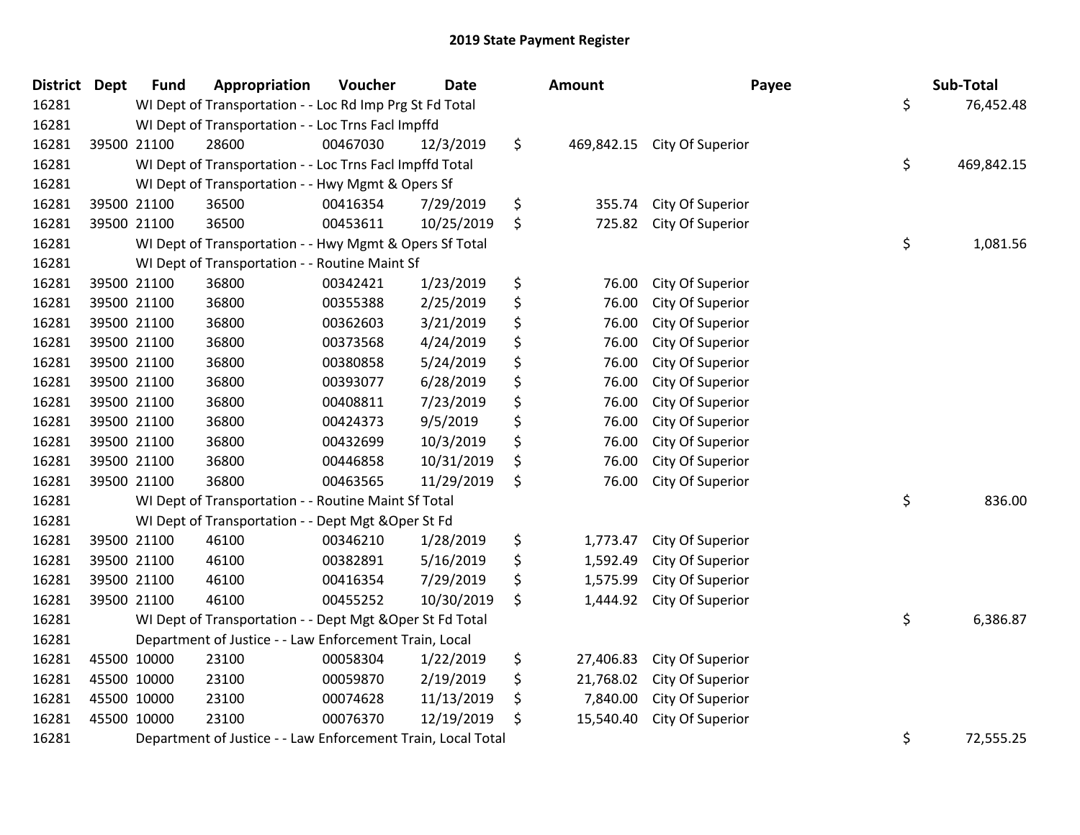| <b>District Dept</b> |             | <b>Fund</b>                                                  | Appropriation                                             | Voucher  | <b>Date</b> | Amount           | Payee            | Sub-Total        |
|----------------------|-------------|--------------------------------------------------------------|-----------------------------------------------------------|----------|-------------|------------------|------------------|------------------|
| 16281                |             | WI Dept of Transportation - - Loc Rd Imp Prg St Fd Total     | \$<br>76,452.48                                           |          |             |                  |                  |                  |
| 16281                |             |                                                              | WI Dept of Transportation - - Loc Trns Facl Impffd        |          |             |                  |                  |                  |
| 16281                |             | 39500 21100                                                  | 28600                                                     | 00467030 | 12/3/2019   | \$<br>469,842.15 | City Of Superior |                  |
| 16281                |             |                                                              | WI Dept of Transportation - - Loc Trns Facl Impffd Total  |          |             |                  |                  | \$<br>469,842.15 |
| 16281                |             | WI Dept of Transportation - - Hwy Mgmt & Opers Sf            |                                                           |          |             |                  |                  |                  |
| 16281                |             | 39500 21100                                                  | 36500                                                     | 00416354 | 7/29/2019   | \$<br>355.74     | City Of Superior |                  |
| 16281                |             | 39500 21100                                                  | 36500                                                     | 00453611 | 10/25/2019  | \$<br>725.82     | City Of Superior |                  |
| 16281                |             |                                                              | WI Dept of Transportation - - Hwy Mgmt & Opers Sf Total   |          |             |                  |                  | \$<br>1,081.56   |
| 16281                |             |                                                              | WI Dept of Transportation - - Routine Maint Sf            |          |             |                  |                  |                  |
| 16281                |             | 39500 21100                                                  | 36800                                                     | 00342421 | 1/23/2019   | \$<br>76.00      | City Of Superior |                  |
| 16281                |             | 39500 21100                                                  | 36800                                                     | 00355388 | 2/25/2019   | \$<br>76.00      | City Of Superior |                  |
| 16281                |             | 39500 21100                                                  | 36800                                                     | 00362603 | 3/21/2019   | \$<br>76.00      | City Of Superior |                  |
| 16281                |             | 39500 21100                                                  | 36800                                                     | 00373568 | 4/24/2019   | \$<br>76.00      | City Of Superior |                  |
| 16281                |             | 39500 21100                                                  | 36800                                                     | 00380858 | 5/24/2019   | \$<br>76.00      | City Of Superior |                  |
| 16281                |             | 39500 21100                                                  | 36800                                                     | 00393077 | 6/28/2019   | \$<br>76.00      | City Of Superior |                  |
| 16281                |             | 39500 21100                                                  | 36800                                                     | 00408811 | 7/23/2019   | \$<br>76.00      | City Of Superior |                  |
| 16281                |             | 39500 21100                                                  | 36800                                                     | 00424373 | 9/5/2019    | \$<br>76.00      | City Of Superior |                  |
| 16281                |             | 39500 21100                                                  | 36800                                                     | 00432699 | 10/3/2019   | \$<br>76.00      | City Of Superior |                  |
| 16281                |             | 39500 21100                                                  | 36800                                                     | 00446858 | 10/31/2019  | \$<br>76.00      | City Of Superior |                  |
| 16281                |             | 39500 21100                                                  | 36800                                                     | 00463565 | 11/29/2019  | \$<br>76.00      | City Of Superior |                  |
| 16281                |             |                                                              | WI Dept of Transportation - - Routine Maint Sf Total      |          |             |                  |                  | \$<br>836.00     |
| 16281                |             |                                                              | WI Dept of Transportation - - Dept Mgt & Oper St Fd       |          |             |                  |                  |                  |
| 16281                |             | 39500 21100                                                  | 46100                                                     | 00346210 | 1/28/2019   | \$<br>1,773.47   | City Of Superior |                  |
| 16281                |             | 39500 21100                                                  | 46100                                                     | 00382891 | 5/16/2019   | \$<br>1,592.49   | City Of Superior |                  |
| 16281                |             | 39500 21100                                                  | 46100                                                     | 00416354 | 7/29/2019   | \$<br>1,575.99   | City Of Superior |                  |
| 16281                |             | 39500 21100                                                  | 46100                                                     | 00455252 | 10/30/2019  | \$<br>1,444.92   | City Of Superior |                  |
| 16281                |             |                                                              | WI Dept of Transportation - - Dept Mgt & Oper St Fd Total |          |             |                  |                  | \$<br>6,386.87   |
| 16281                |             |                                                              | Department of Justice - - Law Enforcement Train, Local    |          |             |                  |                  |                  |
| 16281                |             | 45500 10000                                                  | 23100                                                     | 00058304 | 1/22/2019   | \$<br>27,406.83  | City Of Superior |                  |
| 16281                | 45500 10000 |                                                              | 23100                                                     | 00059870 | 2/19/2019   | \$<br>21,768.02  | City Of Superior |                  |
| 16281                | 45500 10000 |                                                              | 23100                                                     | 00074628 | 11/13/2019  | \$<br>7,840.00   | City Of Superior |                  |
| 16281                | 45500 10000 |                                                              | 23100                                                     | 00076370 | 12/19/2019  | \$<br>15,540.40  | City Of Superior |                  |
| 16281                |             | Department of Justice - - Law Enforcement Train, Local Total | \$<br>72,555.25                                           |          |             |                  |                  |                  |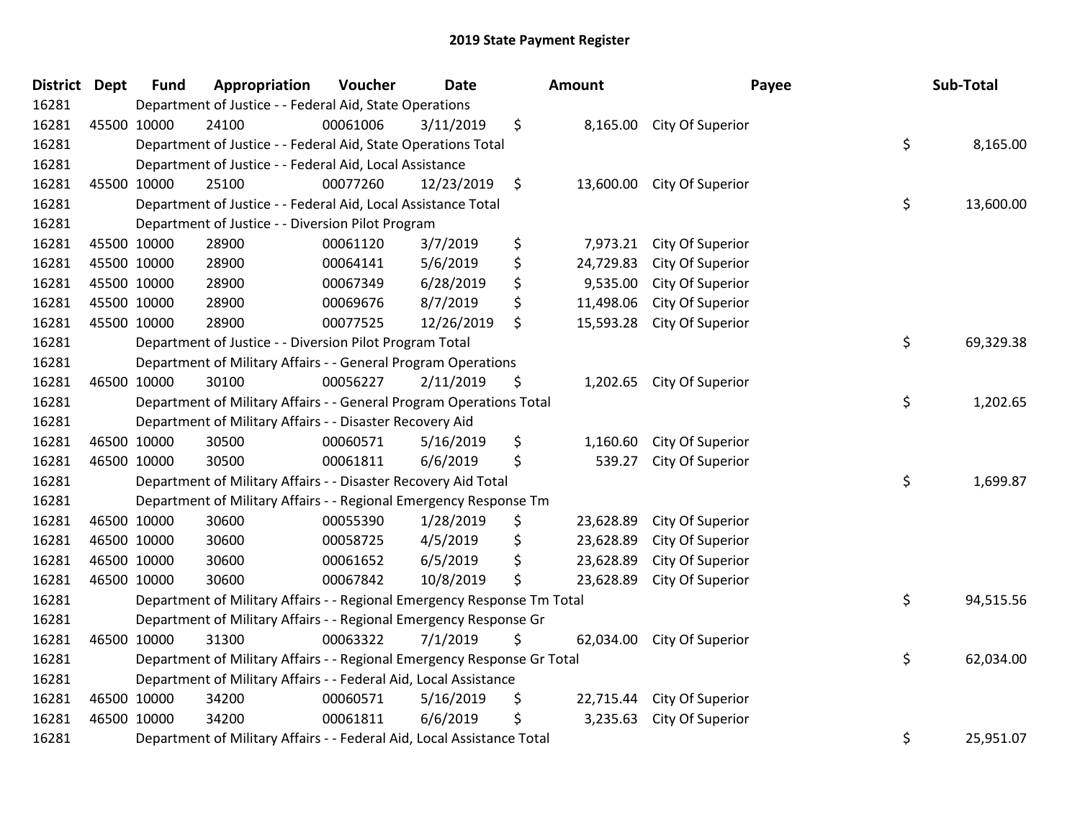| District Dept |             | <b>Fund</b>                                                            | Appropriation                                                           | Voucher  | <b>Date</b> |    | Amount    | Payee                     |    | Sub-Total |
|---------------|-------------|------------------------------------------------------------------------|-------------------------------------------------------------------------|----------|-------------|----|-----------|---------------------------|----|-----------|
| 16281         |             | Department of Justice - - Federal Aid, State Operations                |                                                                         |          |             |    |           |                           |    |           |
| 16281         | 45500 10000 |                                                                        | 24100                                                                   | 00061006 | 3/11/2019   | \$ |           | 8,165.00 City Of Superior |    |           |
| 16281         |             | Department of Justice - - Federal Aid, State Operations Total          | \$                                                                      | 8,165.00 |             |    |           |                           |    |           |
| 16281         |             |                                                                        | Department of Justice - - Federal Aid, Local Assistance                 |          |             |    |           |                           |    |           |
| 16281         | 45500 10000 |                                                                        | 25100                                                                   | 00077260 | 12/23/2019  | \$ | 13,600.00 | City Of Superior          |    |           |
| 16281         |             |                                                                        | Department of Justice - - Federal Aid, Local Assistance Total           |          |             |    |           |                           | \$ | 13,600.00 |
| 16281         |             |                                                                        | Department of Justice - - Diversion Pilot Program                       |          |             |    |           |                           |    |           |
| 16281         | 45500 10000 |                                                                        | 28900                                                                   | 00061120 | 3/7/2019    | \$ | 7,973.21  | City Of Superior          |    |           |
| 16281         | 45500 10000 |                                                                        | 28900                                                                   | 00064141 | 5/6/2019    | \$ | 24,729.83 | City Of Superior          |    |           |
| 16281         | 45500 10000 |                                                                        | 28900                                                                   | 00067349 | 6/28/2019   | \$ | 9,535.00  | City Of Superior          |    |           |
| 16281         | 45500 10000 |                                                                        | 28900                                                                   | 00069676 | 8/7/2019    | \$ | 11,498.06 | City Of Superior          |    |           |
| 16281         | 45500 10000 |                                                                        | 28900                                                                   | 00077525 | 12/26/2019  | \$ | 15,593.28 | City Of Superior          |    |           |
| 16281         |             |                                                                        | Department of Justice - - Diversion Pilot Program Total                 |          |             |    |           |                           | \$ | 69,329.38 |
| 16281         |             |                                                                        | Department of Military Affairs - - General Program Operations           |          |             |    |           |                           |    |           |
| 16281         | 46500 10000 |                                                                        | 30100                                                                   | 00056227 | 2/11/2019   | \$ | 1,202.65  | City Of Superior          |    |           |
| 16281         |             |                                                                        | Department of Military Affairs - - General Program Operations Total     |          |             |    |           |                           | \$ | 1,202.65  |
| 16281         |             |                                                                        | Department of Military Affairs - - Disaster Recovery Aid                |          |             |    |           |                           |    |           |
| 16281         | 46500 10000 |                                                                        | 30500                                                                   | 00060571 | 5/16/2019   | \$ | 1,160.60  | City Of Superior          |    |           |
| 16281         | 46500 10000 |                                                                        | 30500                                                                   | 00061811 | 6/6/2019    | \$ | 539.27    | City Of Superior          |    |           |
| 16281         |             |                                                                        | Department of Military Affairs - - Disaster Recovery Aid Total          |          |             |    |           |                           | \$ | 1,699.87  |
| 16281         |             |                                                                        | Department of Military Affairs - - Regional Emergency Response Tm       |          |             |    |           |                           |    |           |
| 16281         |             | 46500 10000                                                            | 30600                                                                   | 00055390 | 1/28/2019   | \$ | 23,628.89 | City Of Superior          |    |           |
| 16281         | 46500 10000 |                                                                        | 30600                                                                   | 00058725 | 4/5/2019    | \$ | 23,628.89 | City Of Superior          |    |           |
| 16281         | 46500 10000 |                                                                        | 30600                                                                   | 00061652 | 6/5/2019    | \$ | 23,628.89 | City Of Superior          |    |           |
| 16281         | 46500 10000 |                                                                        | 30600                                                                   | 00067842 | 10/8/2019   | \$ | 23,628.89 | City Of Superior          |    |           |
| 16281         |             |                                                                        | Department of Military Affairs - - Regional Emergency Response Tm Total |          |             |    |           |                           | \$ | 94,515.56 |
| 16281         |             |                                                                        | Department of Military Affairs - - Regional Emergency Response Gr       |          |             |    |           |                           |    |           |
| 16281         |             | 46500 10000                                                            | 31300                                                                   | 00063322 | 7/1/2019    | \$ | 62,034.00 | City Of Superior          |    |           |
| 16281         |             |                                                                        | Department of Military Affairs - - Regional Emergency Response Gr Total |          |             |    |           |                           | \$ | 62,034.00 |
| 16281         |             | Department of Military Affairs - - Federal Aid, Local Assistance       |                                                                         |          |             |    |           |                           |    |           |
| 16281         | 46500 10000 |                                                                        | 34200                                                                   | 00060571 | 5/16/2019   | \$ | 22,715.44 | City Of Superior          |    |           |
| 16281         |             | 46500 10000                                                            | 34200                                                                   | 00061811 | 6/6/2019    | \$ | 3,235.63  | City Of Superior          |    |           |
| 16281         |             | Department of Military Affairs - - Federal Aid, Local Assistance Total |                                                                         |          |             |    |           |                           |    | 25,951.07 |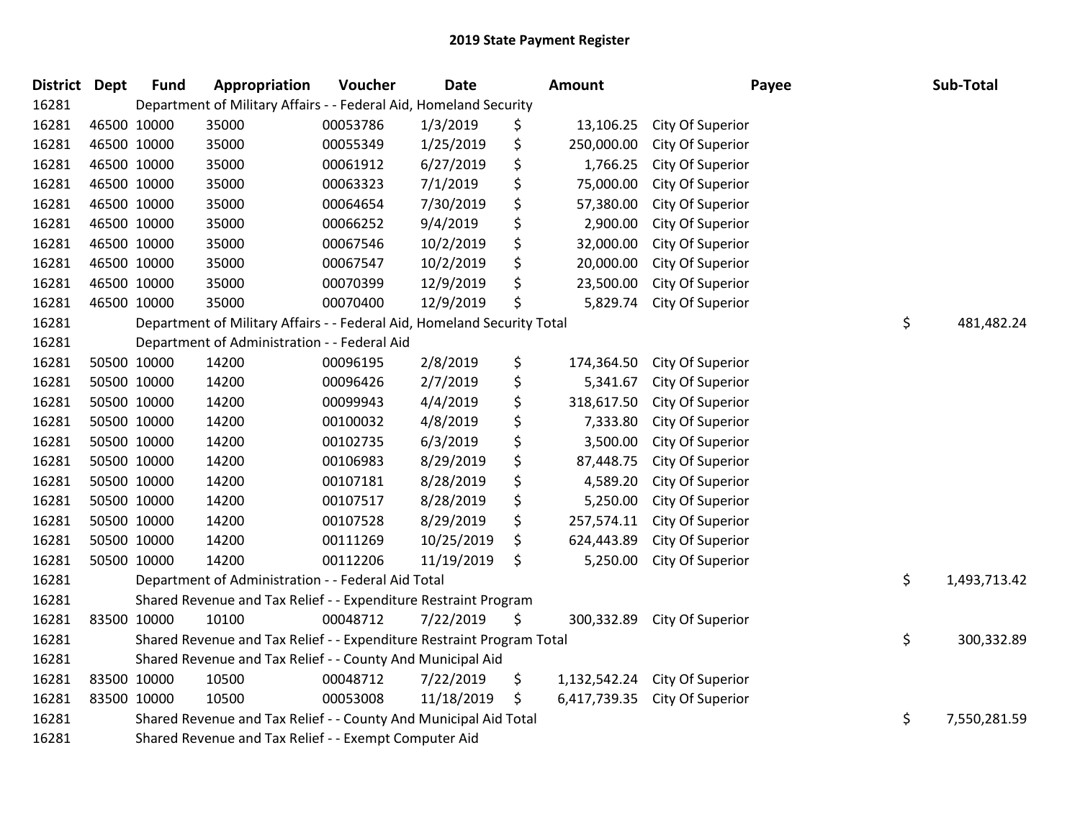| <b>District Dept</b> |             | <b>Fund</b>                                           | Appropriation                                                           | Voucher  | <b>Date</b> | Amount |              | Payee            |    | Sub-Total    |
|----------------------|-------------|-------------------------------------------------------|-------------------------------------------------------------------------|----------|-------------|--------|--------------|------------------|----|--------------|
| 16281                |             |                                                       | Department of Military Affairs - - Federal Aid, Homeland Security       |          |             |        |              |                  |    |              |
| 16281                | 46500 10000 |                                                       | 35000                                                                   | 00053786 | 1/3/2019    | \$     | 13,106.25    | City Of Superior |    |              |
| 16281                | 46500 10000 |                                                       | 35000                                                                   | 00055349 | 1/25/2019   | \$     | 250,000.00   | City Of Superior |    |              |
| 16281                |             | 46500 10000                                           | 35000                                                                   | 00061912 | 6/27/2019   | \$     | 1,766.25     | City Of Superior |    |              |
| 16281                | 46500 10000 |                                                       | 35000                                                                   | 00063323 | 7/1/2019    | \$     | 75,000.00    | City Of Superior |    |              |
| 16281                |             | 46500 10000                                           | 35000                                                                   | 00064654 | 7/30/2019   | \$     | 57,380.00    | City Of Superior |    |              |
| 16281                | 46500 10000 |                                                       | 35000                                                                   | 00066252 | 9/4/2019    | \$     | 2,900.00     | City Of Superior |    |              |
| 16281                | 46500 10000 |                                                       | 35000                                                                   | 00067546 | 10/2/2019   | \$     | 32,000.00    | City Of Superior |    |              |
| 16281                | 46500 10000 |                                                       | 35000                                                                   | 00067547 | 10/2/2019   | \$     | 20,000.00    | City Of Superior |    |              |
| 16281                | 46500 10000 |                                                       | 35000                                                                   | 00070399 | 12/9/2019   | \$     | 23,500.00    | City Of Superior |    |              |
| 16281                |             | 46500 10000                                           | 35000                                                                   | 00070400 | 12/9/2019   | \$     | 5,829.74     | City Of Superior |    |              |
| 16281                |             |                                                       | Department of Military Affairs - - Federal Aid, Homeland Security Total |          |             |        |              |                  | \$ | 481,482.24   |
| 16281                |             |                                                       | Department of Administration - - Federal Aid                            |          |             |        |              |                  |    |              |
| 16281                |             | 50500 10000                                           | 14200                                                                   | 00096195 | 2/8/2019    | \$     | 174,364.50   | City Of Superior |    |              |
| 16281                |             | 50500 10000                                           | 14200                                                                   | 00096426 | 2/7/2019    | \$     | 5,341.67     | City Of Superior |    |              |
| 16281                |             | 50500 10000                                           | 14200                                                                   | 00099943 | 4/4/2019    | \$     | 318,617.50   | City Of Superior |    |              |
| 16281                |             | 50500 10000                                           | 14200                                                                   | 00100032 | 4/8/2019    | \$     | 7,333.80     | City Of Superior |    |              |
| 16281                |             | 50500 10000                                           | 14200                                                                   | 00102735 | 6/3/2019    | \$     | 3,500.00     | City Of Superior |    |              |
| 16281                |             | 50500 10000                                           | 14200                                                                   | 00106983 | 8/29/2019   | \$     | 87,448.75    | City Of Superior |    |              |
| 16281                |             | 50500 10000                                           | 14200                                                                   | 00107181 | 8/28/2019   | \$     | 4,589.20     | City Of Superior |    |              |
| 16281                |             | 50500 10000                                           | 14200                                                                   | 00107517 | 8/28/2019   | \$     | 5,250.00     | City Of Superior |    |              |
| 16281                |             | 50500 10000                                           | 14200                                                                   | 00107528 | 8/29/2019   | \$     | 257,574.11   | City Of Superior |    |              |
| 16281                |             | 50500 10000                                           | 14200                                                                   | 00111269 | 10/25/2019  | \$     | 624,443.89   | City Of Superior |    |              |
| 16281                |             | 50500 10000                                           | 14200                                                                   | 00112206 | 11/19/2019  | \$     | 5,250.00     | City Of Superior |    |              |
| 16281                |             |                                                       | Department of Administration - - Federal Aid Total                      |          |             |        |              |                  | \$ | 1,493,713.42 |
| 16281                |             |                                                       | Shared Revenue and Tax Relief - - Expenditure Restraint Program         |          |             |        |              |                  |    |              |
| 16281                | 83500 10000 |                                                       | 10100                                                                   | 00048712 | 7/22/2019   | \$     | 300,332.89   | City Of Superior |    |              |
| 16281                |             |                                                       | Shared Revenue and Tax Relief - - Expenditure Restraint Program Total   |          |             |        |              |                  | \$ | 300,332.89   |
| 16281                |             |                                                       | Shared Revenue and Tax Relief - - County And Municipal Aid              |          |             |        |              |                  |    |              |
| 16281                | 83500 10000 |                                                       | 10500                                                                   | 00048712 | 7/22/2019   | \$     | 1,132,542.24 | City Of Superior |    |              |
| 16281                | 83500 10000 |                                                       | 10500                                                                   | 00053008 | 11/18/2019  | \$     | 6,417,739.35 | City Of Superior |    |              |
| 16281                |             |                                                       | Shared Revenue and Tax Relief - - County And Municipal Aid Total        |          |             |        |              |                  | \$ | 7,550,281.59 |
| 16281                |             | Shared Revenue and Tax Relief - - Exempt Computer Aid |                                                                         |          |             |        |              |                  |    |              |